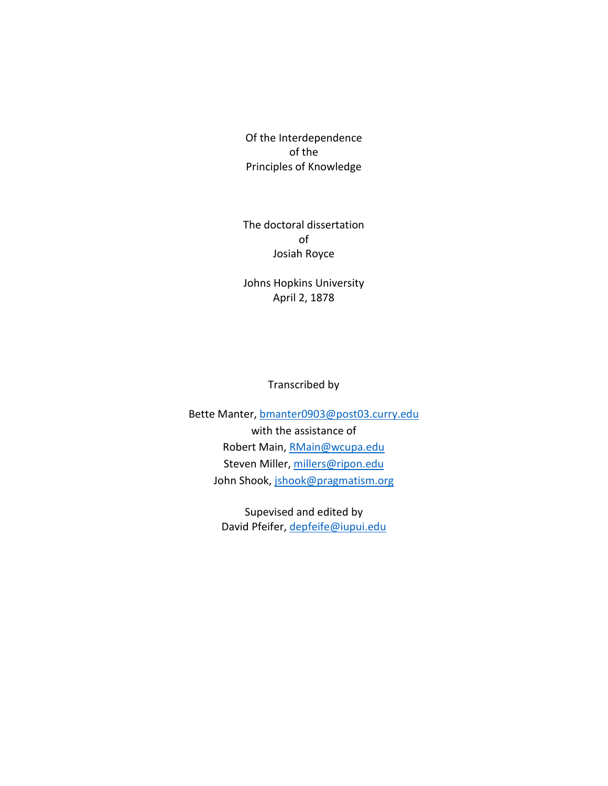Of the Interdependence of the Principles of Knowledge

The doctoral dissertation of Josiah Royce

Johns Hopkins University April 2, 1878

Transcribed by

Bette Manter, [bmanter0903@post03.curry.edu](mailto:bmanter0903@post03.curry.edu) with the assistance of Robert Main, [RMain@wcupa.edu](mailto:RMain@wcupa.edu) Steven Miller, [millers@ripon.edu](mailto:millers@ripon.edu) John Shook, [jshook@pragmatism.org](mailto:jshook@pragmatism.org)

> Supevised and edited by David Pfeifer, [depfeife@iupui.edu](mailto:depfeife@iupui.edu)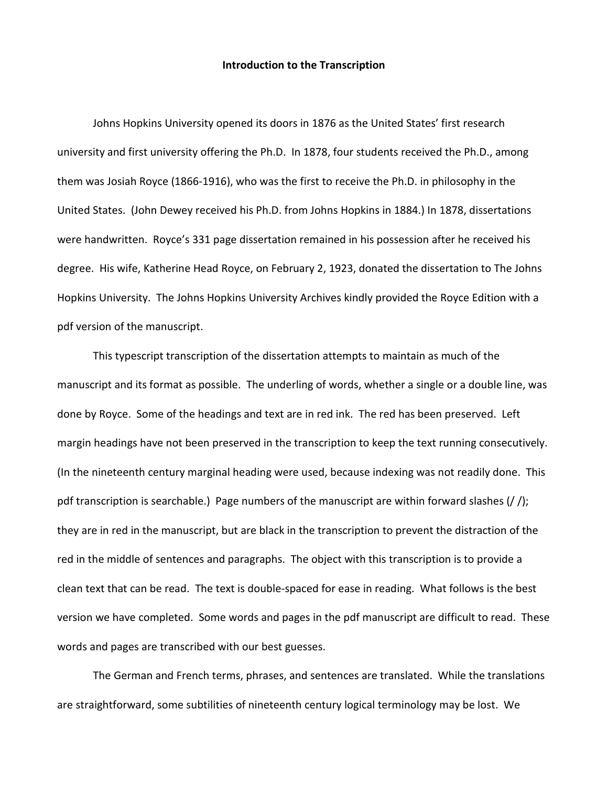## **Introduction to the Transcription**

Johns Hopkins University opened its doors in 1876 as the United States' first research university and first university offering the Ph.D. In 1878, four students received the Ph.D., among them was Josiah Royce (1866-1916), who was the first to receive the Ph.D. in philosophy in the United States. (John Dewey received his Ph.D. from Johns Hopkins in 1884.) In 1878, dissertations were handwritten. Royce's 331 page dissertation remained in his possession after he received his degree. His wife, Katherine Head Royce, on February 2, 1923, donated the dissertation to The Johns Hopkins University. The Johns Hopkins University Archives kindly provided the Royce Edition with a pdf version of the manuscript.

This typescript transcription of the dissertation attempts to maintain as much of the manuscript and its format as possible. The underling of words, whether a single or a double line, was done by Royce. Some of the headings and text are in red ink. The red has been preserved. Left margin headings have not been preserved in the transcription to keep the text running consecutively. (In the nineteenth century marginal heading were used, because indexing was not readily done. This pdf transcription is searchable.) Page numbers of the manuscript are within forward slashes (/ /); they are in red in the manuscript, but are black in the transcription to prevent the distraction of the red in the middle of sentences and paragraphs. The object with this transcription is to provide a clean text that can be read. The text is double-spaced for ease in reading. What follows is the best version we have completed. Some words and pages in the pdf manuscript are difficult to read. These words and pages are transcribed with our best guesses.

The German and French terms, phrases, and sentences are translated. While the translations are straightforward, some subtilities of nineteenth century logical terminology may be lost. We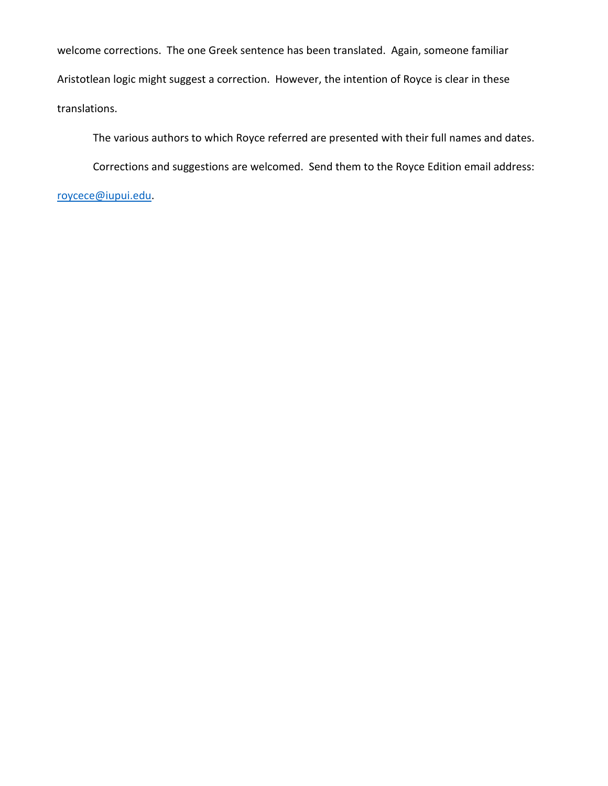welcome corrections. The one Greek sentence has been translated. Again, someone familiar Aristotlean logic might suggest a correction. However, the intention of Royce is clear in these translations.

The various authors to which Royce referred are presented with their full names and dates.

Corrections and suggestions are welcomed. Send them to the Royce Edition email address:

[roycece@iupui.edu.](mailto:roycece@iupui.edu)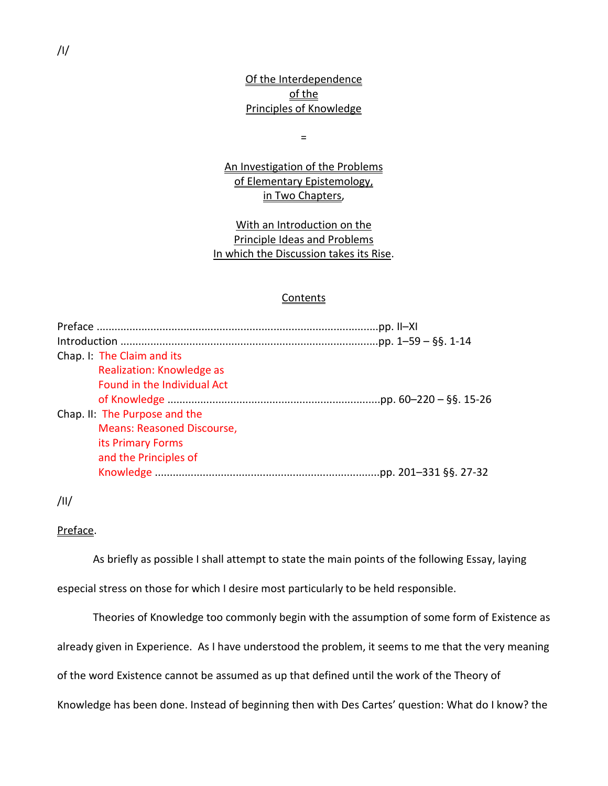# Of the Interdependence of the Principles of Knowledge

=

An Investigation of the Problems of Elementary Epistemology, in Two Chapters,

With an Introduction on the Principle Ideas and Problems In which the Discussion takes its Rise.

# **Contents**

| Chap. I: The Claim and its        |  |
|-----------------------------------|--|
| <b>Realization: Knowledge as</b>  |  |
| Found in the Individual Act       |  |
|                                   |  |
| Chap. II: The Purpose and the     |  |
| <b>Means: Reasoned Discourse,</b> |  |
| its Primary Forms                 |  |
| and the Principles of             |  |
|                                   |  |

/II/

## Preface.

As briefly as possible I shall attempt to state the main points of the following Essay, laying especial stress on those for which I desire most particularly to be held responsible.

Theories of Knowledge too commonly begin with the assumption of some form of Existence as already given in Experience. As I have understood the problem, it seems to me that the very meaning of the word Existence cannot be assumed as up that defined until the work of the Theory of Knowledge has been done. Instead of beginning then with Des Cartes' question: What do I know? the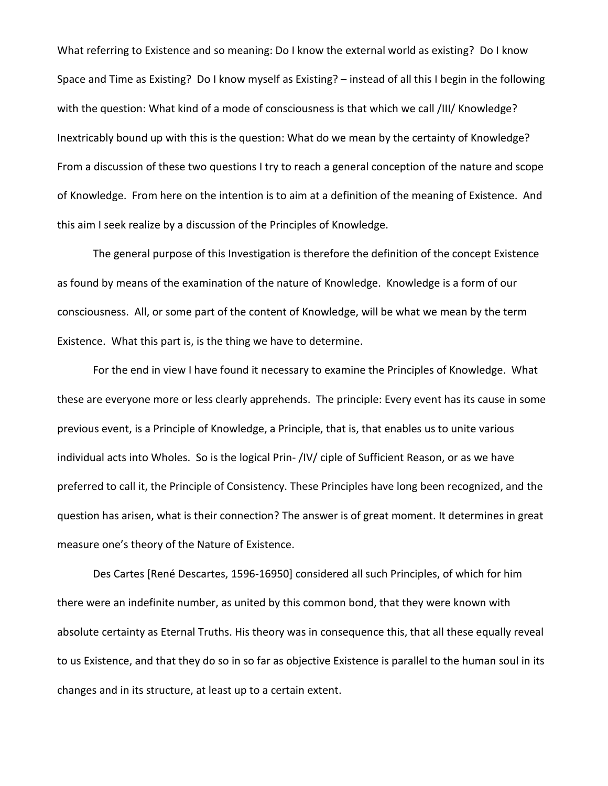What referring to Existence and so meaning: Do I know the external world as existing? Do I know Space and Time as Existing? Do I know myself as Existing? – instead of all this I begin in the following with the question: What kind of a mode of consciousness is that which we call /III/ Knowledge? Inextricably bound up with this is the question: What do we mean by the certainty of Knowledge? From a discussion of these two questions I try to reach a general conception of the nature and scope of Knowledge. From here on the intention is to aim at a definition of the meaning of Existence. And this aim I seek realize by a discussion of the Principles of Knowledge.

The general purpose of this Investigation is therefore the definition of the concept Existence as found by means of the examination of the nature of Knowledge. Knowledge is a form of our consciousness. All, or some part of the content of Knowledge, will be what we mean by the term Existence. What this part is, is the thing we have to determine.

For the end in view I have found it necessary to examine the Principles of Knowledge. What these are everyone more or less clearly apprehends. The principle: Every event has its cause in some previous event, is a Principle of Knowledge, a Principle, that is, that enables us to unite various individual acts into Wholes. So is the logical Prin- /IV/ ciple of Sufficient Reason, or as we have preferred to call it, the Principle of Consistency. These Principles have long been recognized, and the question has arisen, what is their connection? The answer is of great moment. It determines in great measure one's theory of the Nature of Existence.

Des Cartes [René Descartes, 1596-16950] considered all such Principles, of which for him there were an indefinite number, as united by this common bond, that they were known with absolute certainty as Eternal Truths. His theory was in consequence this, that all these equally reveal to us Existence, and that they do so in so far as objective Existence is parallel to the human soul in its changes and in its structure, at least up to a certain extent.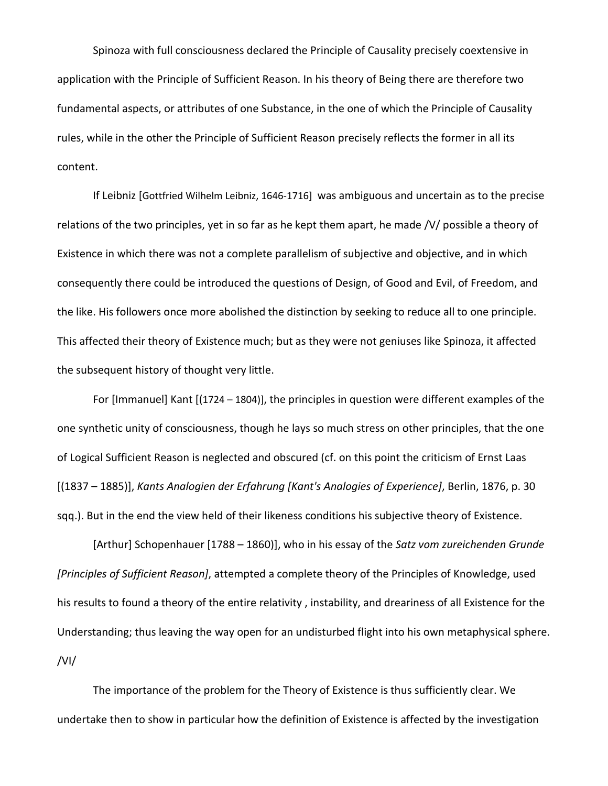Spinoza with full consciousness declared the Principle of Causality precisely coextensive in application with the Principle of Sufficient Reason. In his theory of Being there are therefore two fundamental aspects, or attributes of one Substance, in the one of which the Principle of Causality rules, while in the other the Principle of Sufficient Reason precisely reflects the former in all its content.

If Leibniz [Gottfried Wilhelm Leibniz, 1646-1716] was ambiguous and uncertain as to the precise relations of the two principles, yet in so far as he kept them apart, he made /V/ possible a theory of Existence in which there was not a complete parallelism of subjective and objective, and in which consequently there could be introduced the questions of Design, of Good and Evil, of Freedom, and the like. His followers once more abolished the distinction by seeking to reduce all to one principle. This affected their theory of Existence much; but as they were not geniuses like Spinoza, it affected the subsequent history of thought very little.

For [Immanuel] Kant [(1724 – 1804)], the principles in question were different examples of the one synthetic unity of consciousness, though he lays so much stress on other principles, that the one of Logical Sufficient Reason is neglected and obscured (cf. on this point the criticism of Ernst Laas [(1837 – 1885)], *Kants Analogien der Erfahrung [Kant's Analogies of Experience]*, Berlin, 1876, p. 30 sqq.). But in the end the view held of their likeness conditions his subjective theory of Existence.

[Arthur] Schopenhauer [1788 – 1860)], who in his essay of the *Satz vom zureichenden Grunde [Principles of Sufficient Reason]*, attempted a complete theory of the Principles of Knowledge, used his results to found a theory of the entire relativity , instability, and dreariness of all Existence for the Understanding; thus leaving the way open for an undisturbed flight into his own metaphysical sphere. /VI/

The importance of the problem for the Theory of Existence is thus sufficiently clear. We undertake then to show in particular how the definition of Existence is affected by the investigation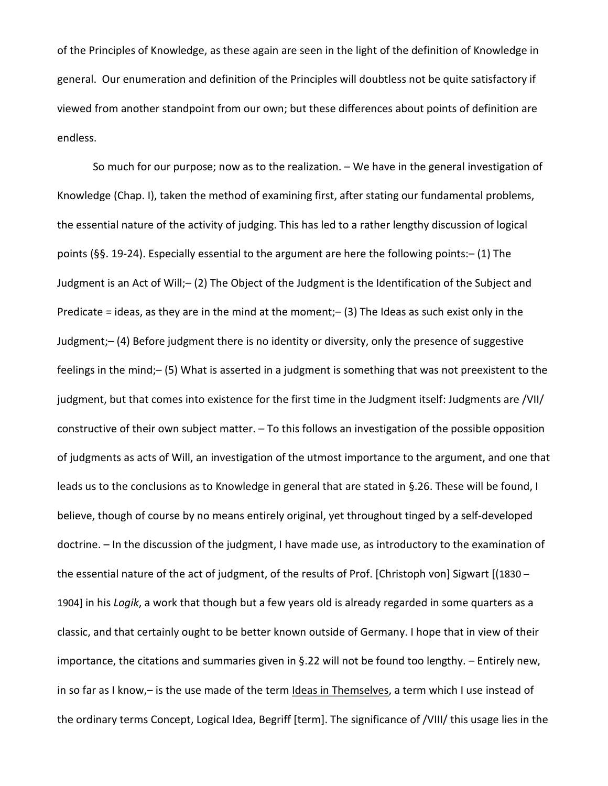of the Principles of Knowledge, as these again are seen in the light of the definition of Knowledge in general. Our enumeration and definition of the Principles will doubtless not be quite satisfactory if viewed from another standpoint from our own; but these differences about points of definition are endless.

So much for our purpose; now as to the realization. – We have in the general investigation of Knowledge (Chap. I), taken the method of examining first, after stating our fundamental problems, the essential nature of the activity of judging. This has led to a rather lengthy discussion of logical points (§§. 19-24). Especially essential to the argument are here the following points:– (1) The Judgment is an Act of Will;– (2) The Object of the Judgment is the Identification of the Subject and Predicate = ideas, as they are in the mind at the moment; $-$  (3) The Ideas as such exist only in the Judgment;– (4) Before judgment there is no identity or diversity, only the presence of suggestive feelings in the mind;– (5) What is asserted in a judgment is something that was not preexistent to the judgment, but that comes into existence for the first time in the Judgment itself: Judgments are /VII/ constructive of their own subject matter. – To this follows an investigation of the possible opposition of judgments as acts of Will, an investigation of the utmost importance to the argument, and one that leads us to the conclusions as to Knowledge in general that are stated in §.26. These will be found, I believe, though of course by no means entirely original, yet throughout tinged by a self-developed doctrine. – In the discussion of the judgment, I have made use, as introductory to the examination of the essential nature of the act of judgment, of the results of Prof. [Christoph von] Sigwart [(1830 – 1904] in his *Logik*, a work that though but a few years old is already regarded in some quarters as a classic, and that certainly ought to be better known outside of Germany. I hope that in view of their importance, the citations and summaries given in §.22 will not be found too lengthy. – Entirely new, in so far as I know,- is the use made of the term Ideas in Themselves, a term which I use instead of the ordinary terms Concept, Logical Idea, Begriff [term]. The significance of /VIII/ this usage lies in the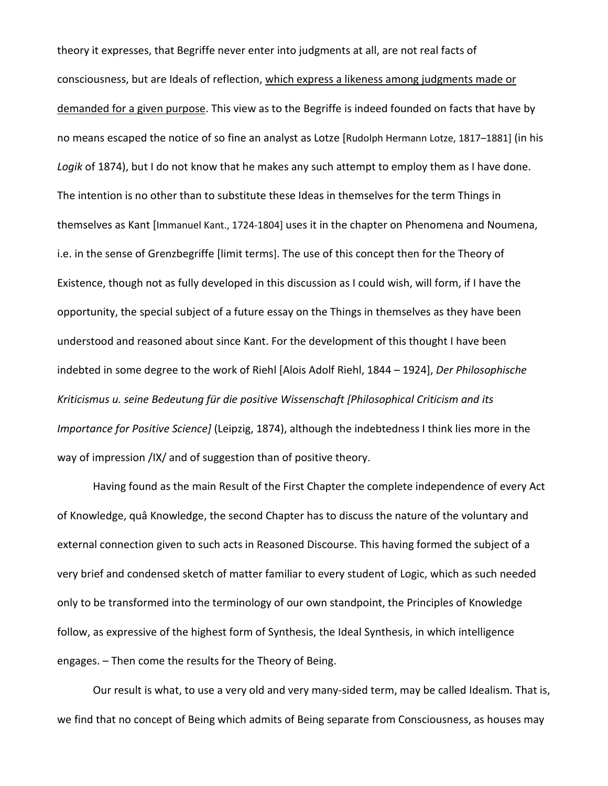theory it expresses, that Begriffe never enter into judgments at all, are not real facts of consciousness, but are Ideals of reflection, which express a likeness among judgments made or demanded for a given purpose. This view as to the Begriffe is indeed founded on facts that have by no means escaped the notice of so fine an analyst as Lotze [Rudolph Hermann Lotze, 1817–1881] (in his *Logik* of 1874), but I do not know that he makes any such attempt to employ them as I have done. The intention is no other than to substitute these Ideas in themselves for the term Things in themselves as Kant [Immanuel Kant., 1724-1804] uses it in the chapter on Phenomena and Noumena, i.e. in the sense of Grenzbegriffe [limit terms]. The use of this concept then for the Theory of Existence, though not as fully developed in this discussion as I could wish, will form, if I have the opportunity, the special subject of a future essay on the Things in themselves as they have been understood and reasoned about since Kant. For the development of this thought I have been indebted in some degree to the work of Riehl [Alois Adolf Riehl, 1844 – 1924], *Der Philosophische Kriticismus u. seine Bedeutung für die positive Wissenschaft [Philosophical Criticism and its Importance for Positive Science]* (Leipzig, 1874), although the indebtedness I think lies more in the way of impression /IX/ and of suggestion than of positive theory.

Having found as the main Result of the First Chapter the complete independence of every Act of Knowledge, quâ Knowledge, the second Chapter has to discuss the nature of the voluntary and external connection given to such acts in Reasoned Discourse. This having formed the subject of a very brief and condensed sketch of matter familiar to every student of Logic, which as such needed only to be transformed into the terminology of our own standpoint, the Principles of Knowledge follow, as expressive of the highest form of Synthesis, the Ideal Synthesis, in which intelligence engages. – Then come the results for the Theory of Being.

Our result is what, to use a very old and very many-sided term, may be called Idealism. That is, we find that no concept of Being which admits of Being separate from Consciousness, as houses may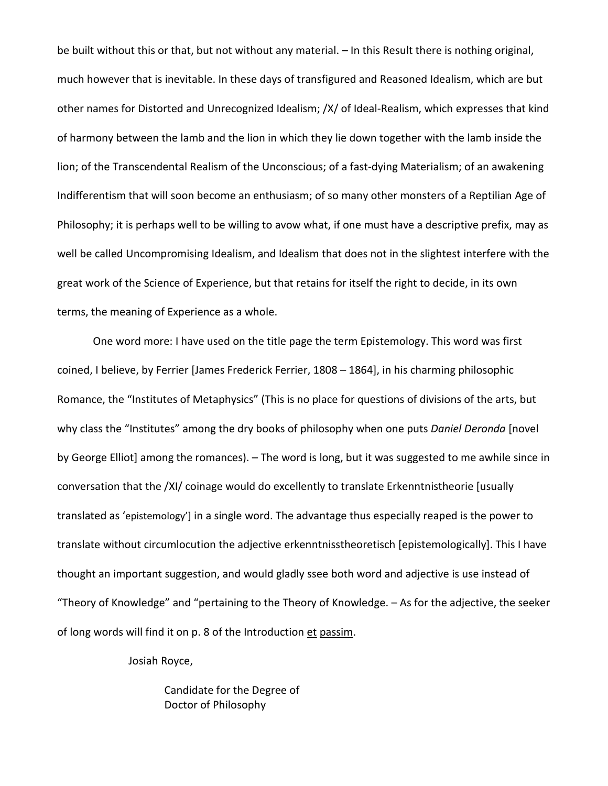be built without this or that, but not without any material. – In this Result there is nothing original, much however that is inevitable. In these days of transfigured and Reasoned Idealism, which are but other names for Distorted and Unrecognized Idealism; /X/ of Ideal-Realism, which expresses that kind of harmony between the lamb and the lion in which they lie down together with the lamb inside the lion; of the Transcendental Realism of the Unconscious; of a fast-dying Materialism; of an awakening Indifferentism that will soon become an enthusiasm; of so many other monsters of a Reptilian Age of Philosophy; it is perhaps well to be willing to avow what, if one must have a descriptive prefix, may as well be called Uncompromising Idealism, and Idealism that does not in the slightest interfere with the great work of the Science of Experience, but that retains for itself the right to decide, in its own terms, the meaning of Experience as a whole.

One word more: I have used on the title page the term Epistemology. This word was first coined, I believe, by Ferrier [James Frederick Ferrier, 1808 – 1864], in his charming philosophic Romance, the "Institutes of Metaphysics" (This is no place for questions of divisions of the arts, but why class the "Institutes" among the dry books of philosophy when one puts *Daniel Deronda* [novel by George Elliot] among the romances). – The word is long, but it was suggested to me awhile since in conversation that the /XI/ coinage would do excellently to translate Erkenntnistheorie [usually translated as 'epistemology'] in a single word. The advantage thus especially reaped is the power to translate without circumlocution the adjective erkenntnisstheoretisch [epistemologically]. This I have thought an important suggestion, and would gladly ssee both word and adjective is use instead of "Theory of Knowledge" and "pertaining to the Theory of Knowledge. – As for the adjective, the seeker of long words will find it on p. 8 of the Introduction et passim.

Josiah Royce,

Candidate for the Degree of Doctor of Philosophy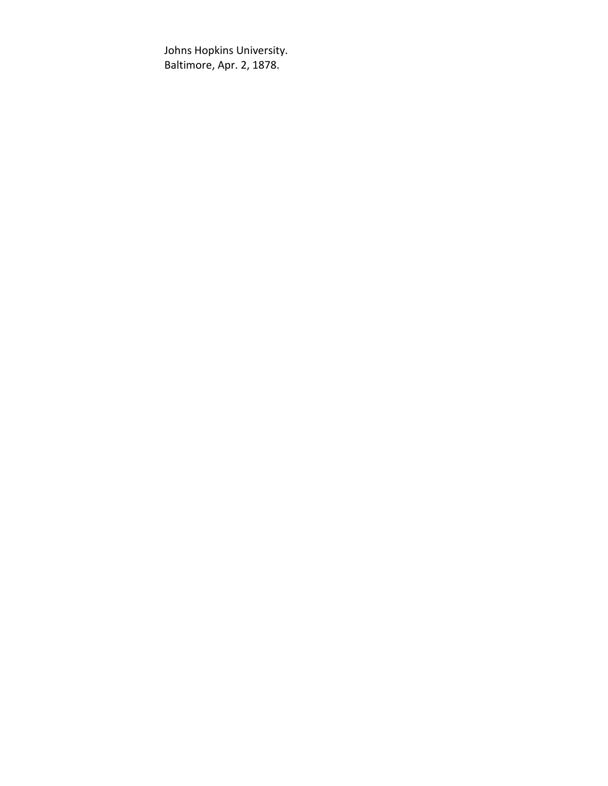Johns Hopkins University. Baltimore, Apr. 2, 1878.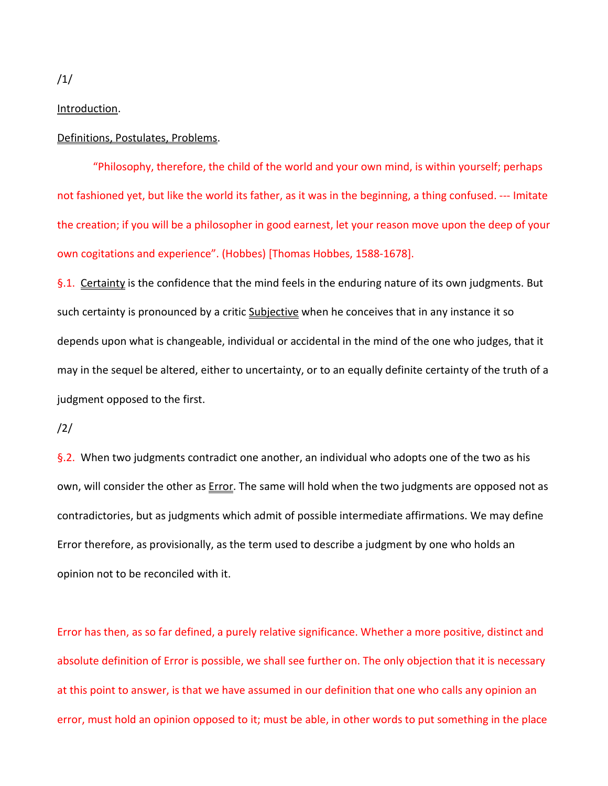Introduction.

### Definitions, Postulates, Problems.

"Philosophy, therefore, the child of the world and your own mind, is within yourself; perhaps not fashioned yet, but like the world its father, as it was in the beginning, a thing confused. --- Imitate the creation; if you will be a philosopher in good earnest, let your reason move upon the deep of your own cogitations and experience". (Hobbes) [Thomas Hobbes, 1588-1678].

§.1. Certainty is the confidence that the mind feels in the enduring nature of its own judgments. But such certainty is pronounced by a critic Subjective when he conceives that in any instance it so depends upon what is changeable, individual or accidental in the mind of the one who judges, that it may in the sequel be altered, either to uncertainty, or to an equally definite certainty of the truth of a judgment opposed to the first.

/2/

§.2. When two judgments contradict one another, an individual who adopts one of the two as his own, will consider the other as **Error**. The same will hold when the two judgments are opposed not as contradictories, but as judgments which admit of possible intermediate affirmations. We may define Error therefore, as provisionally, as the term used to describe a judgment by one who holds an opinion not to be reconciled with it.

Error has then, as so far defined, a purely relative significance. Whether a more positive, distinct and absolute definition of Error is possible, we shall see further on. The only objection that it is necessary at this point to answer, is that we have assumed in our definition that one who calls any opinion an error, must hold an opinion opposed to it; must be able, in other words to put something in the place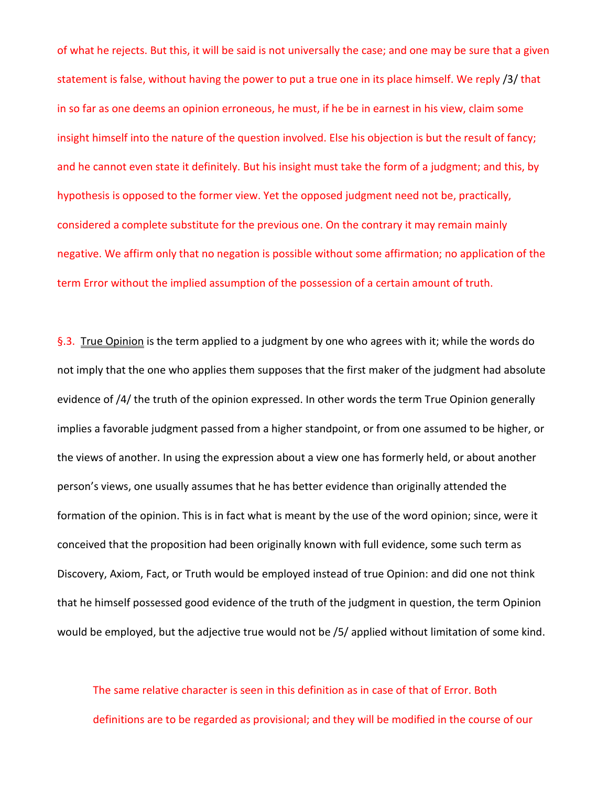of what he rejects. But this, it will be said is not universally the case; and one may be sure that a given statement is false, without having the power to put a true one in its place himself. We reply /3/ that in so far as one deems an opinion erroneous, he must, if he be in earnest in his view, claim some insight himself into the nature of the question involved. Else his objection is but the result of fancy; and he cannot even state it definitely. But his insight must take the form of a judgment; and this, by hypothesis is opposed to the former view. Yet the opposed judgment need not be, practically, considered a complete substitute for the previous one. On the contrary it may remain mainly negative. We affirm only that no negation is possible without some affirmation; no application of the term Error without the implied assumption of the possession of a certain amount of truth.

§.3. True Opinion is the term applied to a judgment by one who agrees with it; while the words do not imply that the one who applies them supposes that the first maker of the judgment had absolute evidence of /4/ the truth of the opinion expressed. In other words the term True Opinion generally implies a favorable judgment passed from a higher standpoint, or from one assumed to be higher, or the views of another. In using the expression about a view one has formerly held, or about another person's views, one usually assumes that he has better evidence than originally attended the formation of the opinion. This is in fact what is meant by the use of the word opinion; since, were it conceived that the proposition had been originally known with full evidence, some such term as Discovery, Axiom, Fact, or Truth would be employed instead of true Opinion: and did one not think that he himself possessed good evidence of the truth of the judgment in question, the term Opinion would be employed, but the adjective true would not be /5/ applied without limitation of some kind.

The same relative character is seen in this definition as in case of that of Error. Both definitions are to be regarded as provisional; and they will be modified in the course of our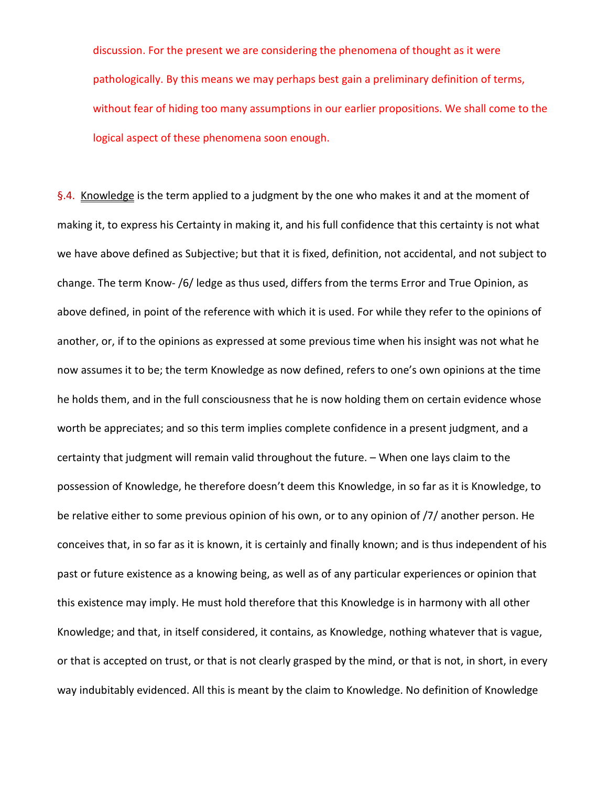discussion. For the present we are considering the phenomena of thought as it were pathologically. By this means we may perhaps best gain a preliminary definition of terms, without fear of hiding too many assumptions in our earlier propositions. We shall come to the logical aspect of these phenomena soon enough.

§.4. Knowledge is the term applied to a judgment by the one who makes it and at the moment of making it, to express his Certainty in making it, and his full confidence that this certainty is not what we have above defined as Subjective; but that it is fixed, definition, not accidental, and not subject to change. The term Know- /6/ ledge as thus used, differs from the terms Error and True Opinion, as above defined, in point of the reference with which it is used. For while they refer to the opinions of another, or, if to the opinions as expressed at some previous time when his insight was not what he now assumes it to be; the term Knowledge as now defined, refers to one's own opinions at the time he holds them, and in the full consciousness that he is now holding them on certain evidence whose worth be appreciates; and so this term implies complete confidence in a present judgment, and a certainty that judgment will remain valid throughout the future. – When one lays claim to the possession of Knowledge, he therefore doesn't deem this Knowledge, in so far as it is Knowledge, to be relative either to some previous opinion of his own, or to any opinion of /7/ another person. He conceives that, in so far as it is known, it is certainly and finally known; and is thus independent of his past or future existence as a knowing being, as well as of any particular experiences or opinion that this existence may imply. He must hold therefore that this Knowledge is in harmony with all other Knowledge; and that, in itself considered, it contains, as Knowledge, nothing whatever that is vague, or that is accepted on trust, or that is not clearly grasped by the mind, or that is not, in short, in every way indubitably evidenced. All this is meant by the claim to Knowledge. No definition of Knowledge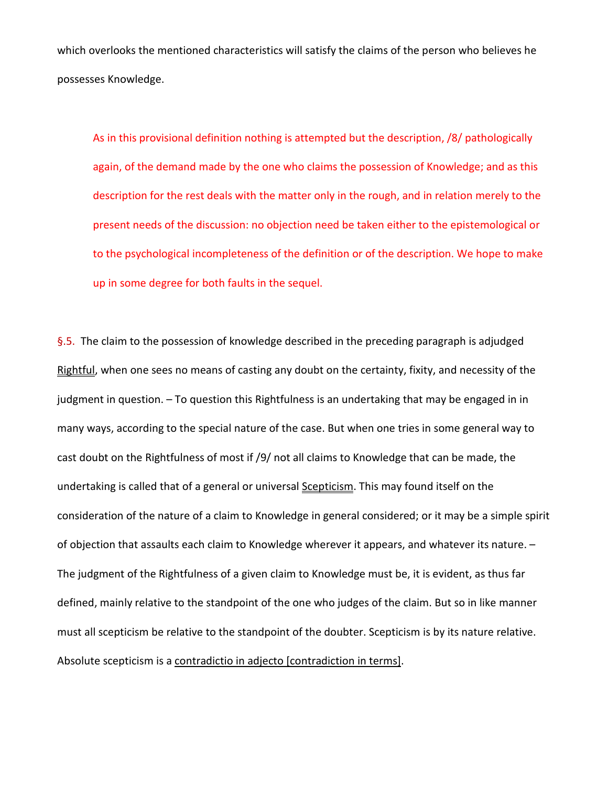which overlooks the mentioned characteristics will satisfy the claims of the person who believes he possesses Knowledge.

As in this provisional definition nothing is attempted but the description, /8/ pathologically again, of the demand made by the one who claims the possession of Knowledge; and as this description for the rest deals with the matter only in the rough, and in relation merely to the present needs of the discussion: no objection need be taken either to the epistemological or to the psychological incompleteness of the definition or of the description. We hope to make up in some degree for both faults in the sequel.

§.5. The claim to the possession of knowledge described in the preceding paragraph is adjudged Rightful, when one sees no means of casting any doubt on the certainty, fixity, and necessity of the judgment in question. – To question this Rightfulness is an undertaking that may be engaged in in many ways, according to the special nature of the case. But when one tries in some general way to cast doubt on the Rightfulness of most if /9/ not all claims to Knowledge that can be made, the undertaking is called that of a general or universal **Scepticism**. This may found itself on the consideration of the nature of a claim to Knowledge in general considered; or it may be a simple spirit of objection that assaults each claim to Knowledge wherever it appears, and whatever its nature. – The judgment of the Rightfulness of a given claim to Knowledge must be, it is evident, as thus far defined, mainly relative to the standpoint of the one who judges of the claim. But so in like manner must all scepticism be relative to the standpoint of the doubter. Scepticism is by its nature relative. Absolute scepticism is a contradictio in adjecto [contradiction in terms].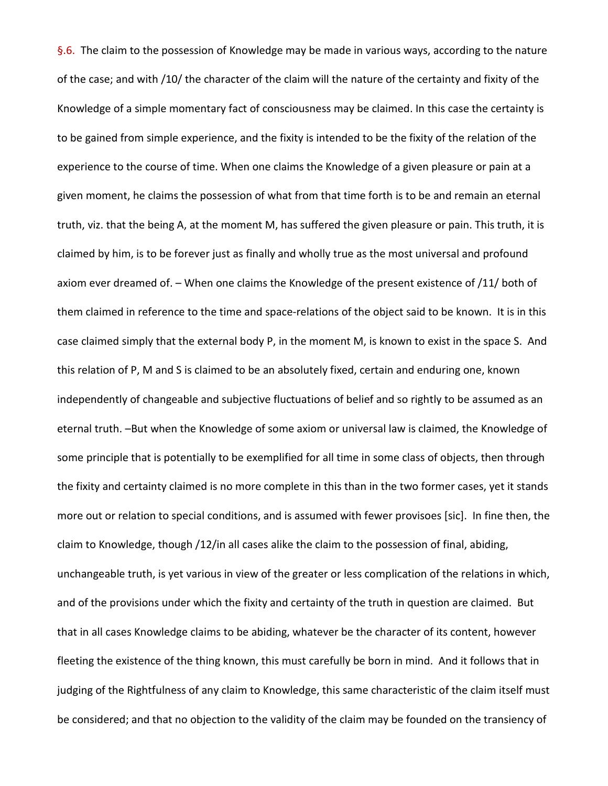§.6. The claim to the possession of Knowledge may be made in various ways, according to the nature of the case; and with /10/ the character of the claim will the nature of the certainty and fixity of the Knowledge of a simple momentary fact of consciousness may be claimed. In this case the certainty is to be gained from simple experience, and the fixity is intended to be the fixity of the relation of the experience to the course of time. When one claims the Knowledge of a given pleasure or pain at a given moment, he claims the possession of what from that time forth is to be and remain an eternal truth, viz. that the being A, at the moment M, has suffered the given pleasure or pain. This truth, it is claimed by him, is to be forever just as finally and wholly true as the most universal and profound axiom ever dreamed of. – When one claims the Knowledge of the present existence of /11/ both of them claimed in reference to the time and space-relations of the object said to be known. It is in this case claimed simply that the external body P, in the moment M, is known to exist in the space S. And this relation of P, M and S is claimed to be an absolutely fixed, certain and enduring one, known independently of changeable and subjective fluctuations of belief and so rightly to be assumed as an eternal truth. –But when the Knowledge of some axiom or universal law is claimed, the Knowledge of some principle that is potentially to be exemplified for all time in some class of objects, then through the fixity and certainty claimed is no more complete in this than in the two former cases, yet it stands more out or relation to special conditions, and is assumed with fewer provisoes [sic]. In fine then, the claim to Knowledge, though /12/in all cases alike the claim to the possession of final, abiding, unchangeable truth, is yet various in view of the greater or less complication of the relations in which, and of the provisions under which the fixity and certainty of the truth in question are claimed. But that in all cases Knowledge claims to be abiding, whatever be the character of its content, however fleeting the existence of the thing known, this must carefully be born in mind. And it follows that in judging of the Rightfulness of any claim to Knowledge, this same characteristic of the claim itself must be considered; and that no objection to the validity of the claim may be founded on the transiency of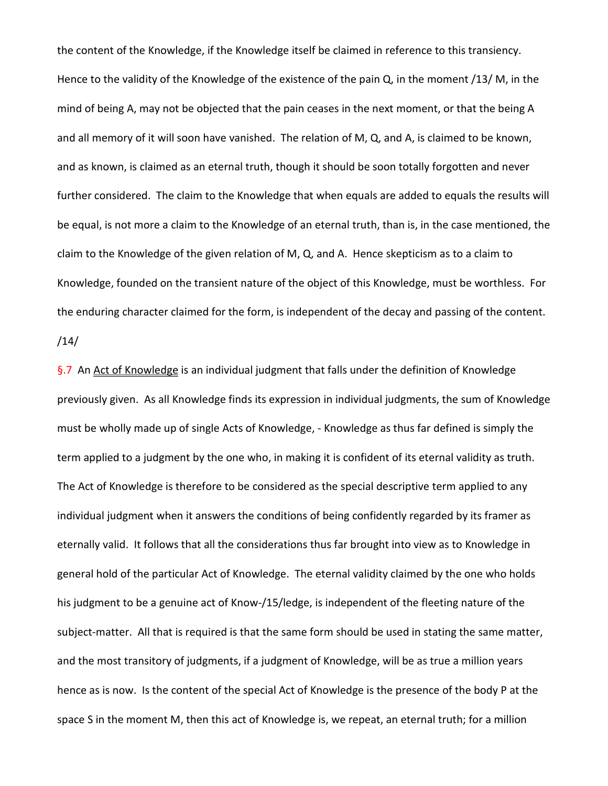the content of the Knowledge, if the Knowledge itself be claimed in reference to this transiency. Hence to the validity of the Knowledge of the existence of the pain Q, in the moment /13/ M, in the mind of being A, may not be objected that the pain ceases in the next moment, or that the being A and all memory of it will soon have vanished. The relation of M, Q, and A, is claimed to be known, and as known, is claimed as an eternal truth, though it should be soon totally forgotten and never further considered. The claim to the Knowledge that when equals are added to equals the results will be equal, is not more a claim to the Knowledge of an eternal truth, than is, in the case mentioned, the claim to the Knowledge of the given relation of M, Q, and A. Hence skepticism as to a claim to Knowledge, founded on the transient nature of the object of this Knowledge, must be worthless. For the enduring character claimed for the form, is independent of the decay and passing of the content. /14/

§.7 An Act of Knowledge is an individual judgment that falls under the definition of Knowledge previously given. As all Knowledge finds its expression in individual judgments, the sum of Knowledge must be wholly made up of single Acts of Knowledge, - Knowledge as thus far defined is simply the term applied to a judgment by the one who, in making it is confident of its eternal validity as truth. The Act of Knowledge is therefore to be considered as the special descriptive term applied to any individual judgment when it answers the conditions of being confidently regarded by its framer as eternally valid. It follows that all the considerations thus far brought into view as to Knowledge in general hold of the particular Act of Knowledge. The eternal validity claimed by the one who holds his judgment to be a genuine act of Know-/15/ledge, is independent of the fleeting nature of the subject-matter. All that is required is that the same form should be used in stating the same matter, and the most transitory of judgments, if a judgment of Knowledge, will be as true a million years hence as is now. Is the content of the special Act of Knowledge is the presence of the body P at the space S in the moment M, then this act of Knowledge is, we repeat, an eternal truth; for a million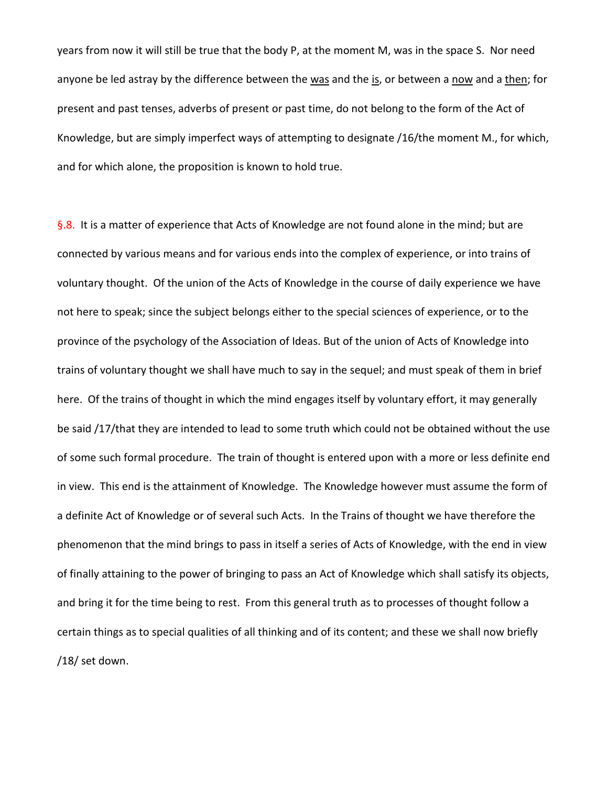years from now it will still be true that the body P, at the moment M, was in the space S. Nor need anyone be led astray by the difference between the was and the is, or between a now and a then; for present and past tenses, adverbs of present or past time, do not belong to the form of the Act of Knowledge, but are simply imperfect ways of attempting to designate /16/the moment M., for which, and for which alone, the proposition is known to hold true.

§.8. It is a matter of experience that Acts of Knowledge are not found alone in the mind; but are connected by various means and for various ends into the complex of experience, or into trains of voluntary thought. Of the union of the Acts of Knowledge in the course of daily experience we have not here to speak; since the subject belongs either to the special sciences of experience, or to the province of the psychology of the Association of Ideas. But of the union of Acts of Knowledge into trains of voluntary thought we shall have much to say in the sequel; and must speak of them in brief here. Of the trains of thought in which the mind engages itself by voluntary effort, it may generally be said /17/that they are intended to lead to some truth which could not be obtained without the use of some such formal procedure. The train of thought is entered upon with a more or less definite end in view. This end is the attainment of Knowledge. The Knowledge however must assume the form of a definite Act of Knowledge or of several such Acts. In the Trains of thought we have therefore the phenomenon that the mind brings to pass in itself a series of Acts of Knowledge, with the end in view of finally attaining to the power of bringing to pass an Act of Knowledge which shall satisfy its objects, and bring it for the time being to rest. From this general truth as to processes of thought follow a certain things as to special qualities of all thinking and of its content; and these we shall now briefly /18/ set down.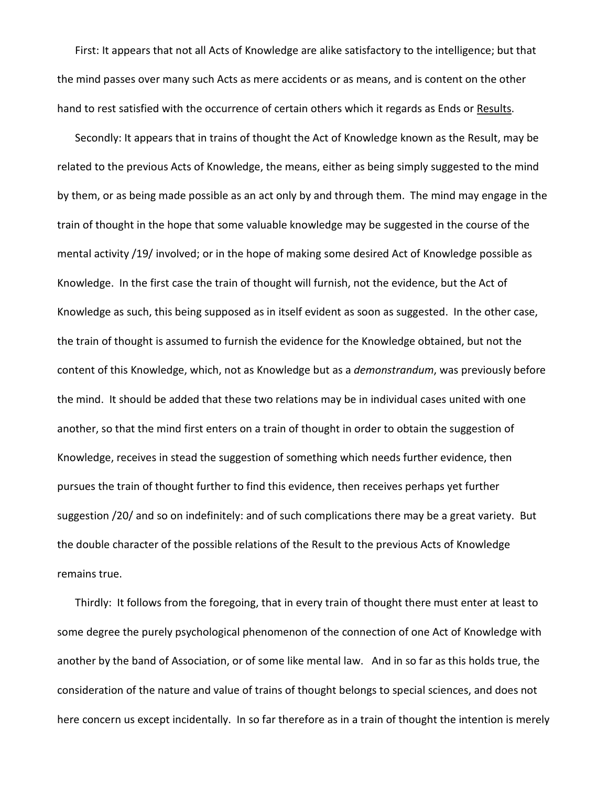First: It appears that not all Acts of Knowledge are alike satisfactory to the intelligence; but that the mind passes over many such Acts as mere accidents or as means, and is content on the other hand to rest satisfied with the occurrence of certain others which it regards as Ends or Results.

Secondly: It appears that in trains of thought the Act of Knowledge known as the Result, may be related to the previous Acts of Knowledge, the means, either as being simply suggested to the mind by them, or as being made possible as an act only by and through them. The mind may engage in the train of thought in the hope that some valuable knowledge may be suggested in the course of the mental activity /19/ involved; or in the hope of making some desired Act of Knowledge possible as Knowledge. In the first case the train of thought will furnish, not the evidence, but the Act of Knowledge as such, this being supposed as in itself evident as soon as suggested. In the other case, the train of thought is assumed to furnish the evidence for the Knowledge obtained, but not the content of this Knowledge, which, not as Knowledge but as a *demonstrandum*, was previously before the mind. It should be added that these two relations may be in individual cases united with one another, so that the mind first enters on a train of thought in order to obtain the suggestion of Knowledge, receives in stead the suggestion of something which needs further evidence, then pursues the train of thought further to find this evidence, then receives perhaps yet further suggestion /20/ and so on indefinitely: and of such complications there may be a great variety. But the double character of the possible relations of the Result to the previous Acts of Knowledge remains true.

Thirdly: It follows from the foregoing, that in every train of thought there must enter at least to some degree the purely psychological phenomenon of the connection of one Act of Knowledge with another by the band of Association, or of some like mental law. And in so far as this holds true, the consideration of the nature and value of trains of thought belongs to special sciences, and does not here concern us except incidentally. In so far therefore as in a train of thought the intention is merely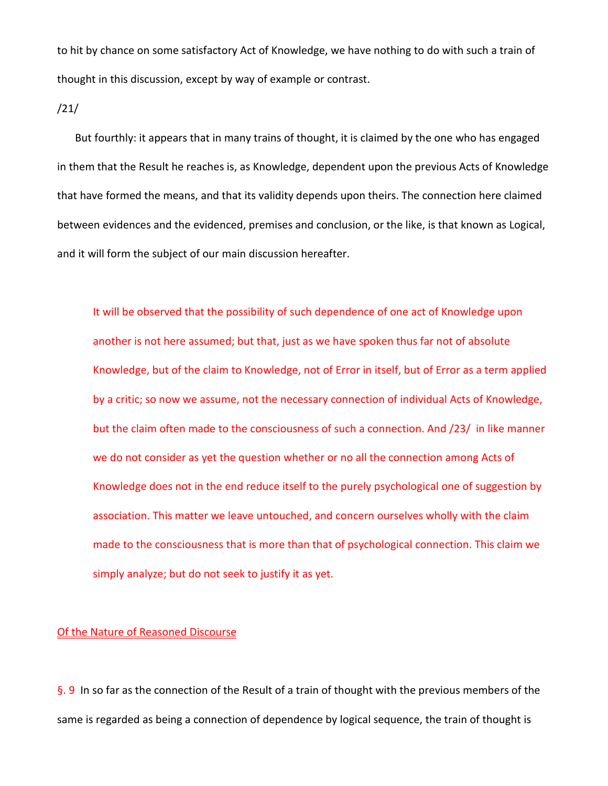to hit by chance on some satisfactory Act of Knowledge, we have nothing to do with such a train of thought in this discussion, except by way of example or contrast.

/21/

But fourthly: it appears that in many trains of thought, it is claimed by the one who has engaged in them that the Result he reaches is, as Knowledge, dependent upon the previous Acts of Knowledge that have formed the means, and that its validity depends upon theirs. The connection here claimed between evidences and the evidenced, premises and conclusion, or the like, is that known as Logical, and it will form the subject of our main discussion hereafter.

It will be observed that the possibility of such dependence of one act of Knowledge upon another is not here assumed; but that, just as we have spoken thus far not of absolute Knowledge, but of the claim to Knowledge, not of Error in itself, but of Error as a term applied by a critic; so now we assume, not the necessary connection of individual Acts of Knowledge, but the claim often made to the consciousness of such a connection. And /23/ in like manner we do not consider as yet the question whether or no all the connection among Acts of Knowledge does not in the end reduce itself to the purely psychological one of suggestion by association. This matter we leave untouched, and concern ourselves wholly with the claim made to the consciousness that is more than that of psychological connection. This claim we simply analyze; but do not seek to justify it as yet.

## Of the Nature of Reasoned Discourse

§. 9 In so far as the connection of the Result of a train of thought with the previous members of the same is regarded as being a connection of dependence by logical sequence, the train of thought is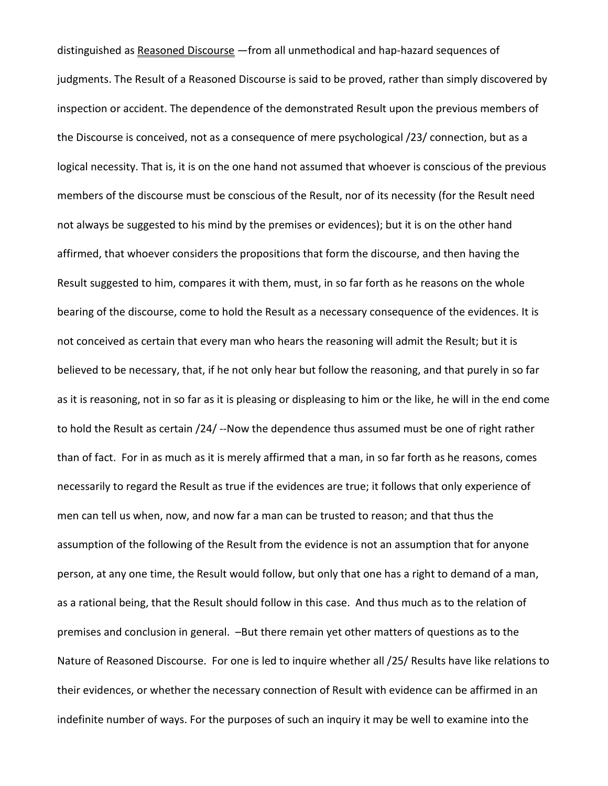distinguished as Reasoned Discourse - from all unmethodical and hap-hazard sequences of judgments. The Result of a Reasoned Discourse is said to be proved, rather than simply discovered by inspection or accident. The dependence of the demonstrated Result upon the previous members of the Discourse is conceived, not as a consequence of mere psychological /23/ connection, but as a logical necessity. That is, it is on the one hand not assumed that whoever is conscious of the previous members of the discourse must be conscious of the Result, nor of its necessity (for the Result need not always be suggested to his mind by the premises or evidences); but it is on the other hand affirmed, that whoever considers the propositions that form the discourse, and then having the Result suggested to him, compares it with them, must, in so far forth as he reasons on the whole bearing of the discourse, come to hold the Result as a necessary consequence of the evidences. It is not conceived as certain that every man who hears the reasoning will admit the Result; but it is believed to be necessary, that, if he not only hear but follow the reasoning, and that purely in so far as it is reasoning, not in so far as it is pleasing or displeasing to him or the like, he will in the end come to hold the Result as certain /24/ --Now the dependence thus assumed must be one of right rather than of fact. For in as much as it is merely affirmed that a man, in so far forth as he reasons, comes necessarily to regard the Result as true if the evidences are true; it follows that only experience of men can tell us when, now, and now far a man can be trusted to reason; and that thus the assumption of the following of the Result from the evidence is not an assumption that for anyone person, at any one time, the Result would follow, but only that one has a right to demand of a man, as a rational being, that the Result should follow in this case. And thus much as to the relation of premises and conclusion in general. –But there remain yet other matters of questions as to the Nature of Reasoned Discourse. For one is led to inquire whether all /25/ Results have like relations to their evidences, or whether the necessary connection of Result with evidence can be affirmed in an indefinite number of ways. For the purposes of such an inquiry it may be well to examine into the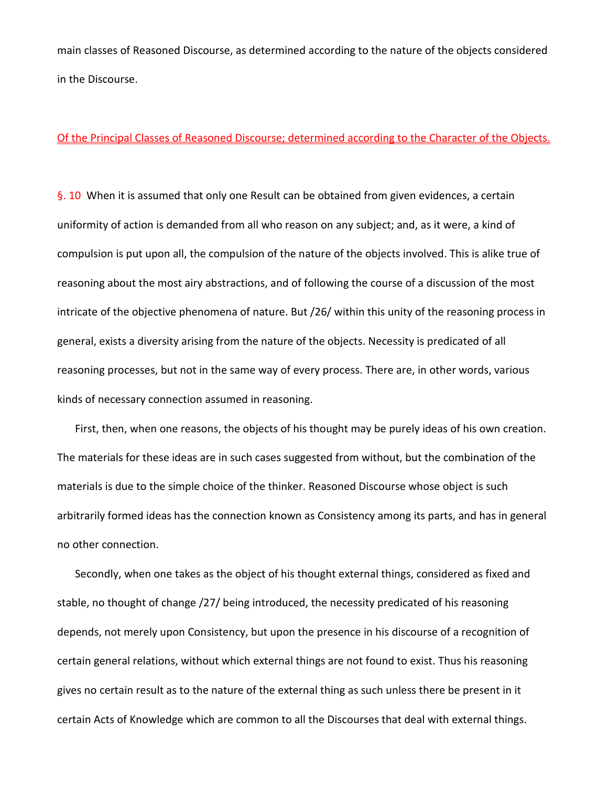main classes of Reasoned Discourse, as determined according to the nature of the objects considered in the Discourse.

### Of the Principal Classes of Reasoned Discourse; determined according to the Character of the Objects.

§. 10 When it is assumed that only one Result can be obtained from given evidences, a certain uniformity of action is demanded from all who reason on any subject; and, as it were, a kind of compulsion is put upon all, the compulsion of the nature of the objects involved. This is alike true of reasoning about the most airy abstractions, and of following the course of a discussion of the most intricate of the objective phenomena of nature. But /26/ within this unity of the reasoning process in general, exists a diversity arising from the nature of the objects. Necessity is predicated of all reasoning processes, but not in the same way of every process. There are, in other words, various kinds of necessary connection assumed in reasoning.

First, then, when one reasons, the objects of his thought may be purely ideas of his own creation. The materials for these ideas are in such cases suggested from without, but the combination of the materials is due to the simple choice of the thinker. Reasoned Discourse whose object is such arbitrarily formed ideas has the connection known as Consistency among its parts, and has in general no other connection.

Secondly, when one takes as the object of his thought external things, considered as fixed and stable, no thought of change /27/ being introduced, the necessity predicated of his reasoning depends, not merely upon Consistency, but upon the presence in his discourse of a recognition of certain general relations, without which external things are not found to exist. Thus his reasoning gives no certain result as to the nature of the external thing as such unless there be present in it certain Acts of Knowledge which are common to all the Discourses that deal with external things.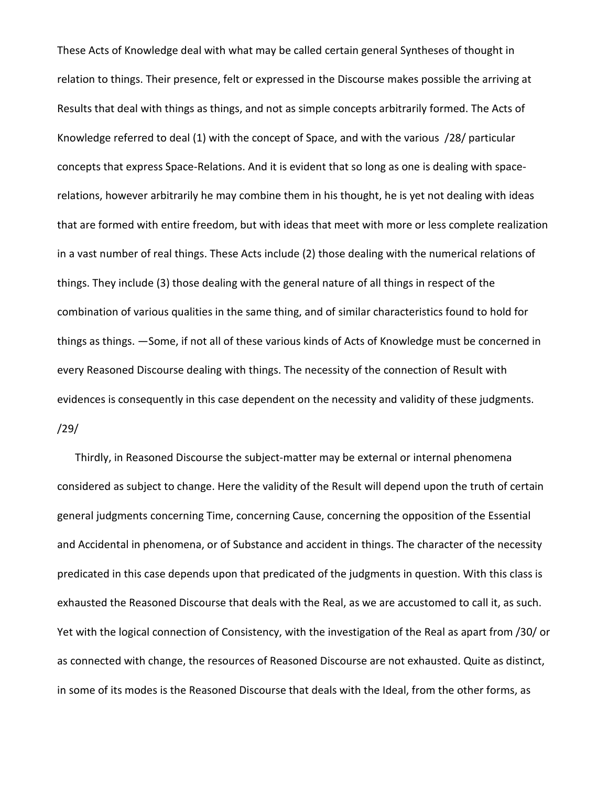These Acts of Knowledge deal with what may be called certain general Syntheses of thought in relation to things. Their presence, felt or expressed in the Discourse makes possible the arriving at Results that deal with things as things, and not as simple concepts arbitrarily formed. The Acts of Knowledge referred to deal (1) with the concept of Space, and with the various /28/ particular concepts that express Space-Relations. And it is evident that so long as one is dealing with spacerelations, however arbitrarily he may combine them in his thought, he is yet not dealing with ideas that are formed with entire freedom, but with ideas that meet with more or less complete realization in a vast number of real things. These Acts include (2) those dealing with the numerical relations of things. They include (3) those dealing with the general nature of all things in respect of the combination of various qualities in the same thing, and of similar characteristics found to hold for things as things. —Some, if not all of these various kinds of Acts of Knowledge must be concerned in every Reasoned Discourse dealing with things. The necessity of the connection of Result with evidences is consequently in this case dependent on the necessity and validity of these judgments. /29/

Thirdly, in Reasoned Discourse the subject-matter may be external or internal phenomena considered as subject to change. Here the validity of the Result will depend upon the truth of certain general judgments concerning Time, concerning Cause, concerning the opposition of the Essential and Accidental in phenomena, or of Substance and accident in things. The character of the necessity predicated in this case depends upon that predicated of the judgments in question. With this class is exhausted the Reasoned Discourse that deals with the Real, as we are accustomed to call it, as such. Yet with the logical connection of Consistency, with the investigation of the Real as apart from /30/ or as connected with change, the resources of Reasoned Discourse are not exhausted. Quite as distinct, in some of its modes is the Reasoned Discourse that deals with the Ideal, from the other forms, as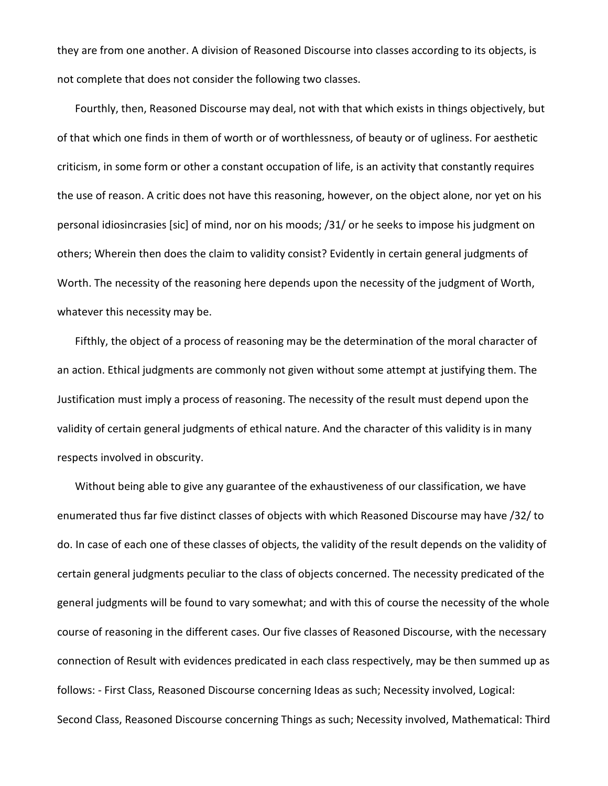they are from one another. A division of Reasoned Discourse into classes according to its objects, is not complete that does not consider the following two classes.

Fourthly, then, Reasoned Discourse may deal, not with that which exists in things objectively, but of that which one finds in them of worth or of worthlessness, of beauty or of ugliness. For aesthetic criticism, in some form or other a constant occupation of life, is an activity that constantly requires the use of reason. A critic does not have this reasoning, however, on the object alone, nor yet on his personal idiosincrasies [sic] of mind, nor on his moods; /31/ or he seeks to impose his judgment on others; Wherein then does the claim to validity consist? Evidently in certain general judgments of Worth. The necessity of the reasoning here depends upon the necessity of the judgment of Worth, whatever this necessity may be.

Fifthly, the object of a process of reasoning may be the determination of the moral character of an action. Ethical judgments are commonly not given without some attempt at justifying them. The Justification must imply a process of reasoning. The necessity of the result must depend upon the validity of certain general judgments of ethical nature. And the character of this validity is in many respects involved in obscurity.

Without being able to give any guarantee of the exhaustiveness of our classification, we have enumerated thus far five distinct classes of objects with which Reasoned Discourse may have /32/ to do. In case of each one of these classes of objects, the validity of the result depends on the validity of certain general judgments peculiar to the class of objects concerned. The necessity predicated of the general judgments will be found to vary somewhat; and with this of course the necessity of the whole course of reasoning in the different cases. Our five classes of Reasoned Discourse, with the necessary connection of Result with evidences predicated in each class respectively, may be then summed up as follows: - First Class, Reasoned Discourse concerning Ideas as such; Necessity involved, Logical: Second Class, Reasoned Discourse concerning Things as such; Necessity involved, Mathematical: Third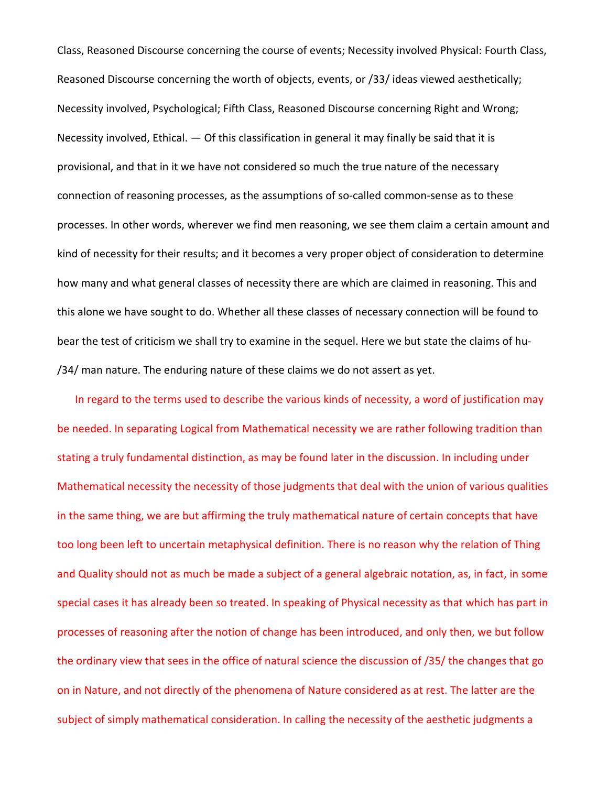Class, Reasoned Discourse concerning the course of events; Necessity involved Physical: Fourth Class, Reasoned Discourse concerning the worth of objects, events, or /33/ ideas viewed aesthetically; Necessity involved, Psychological; Fifth Class, Reasoned Discourse concerning Right and Wrong; Necessity involved, Ethical. — Of this classification in general it may finally be said that it is provisional, and that in it we have not considered so much the true nature of the necessary connection of reasoning processes, as the assumptions of so-called common-sense as to these processes. In other words, wherever we find men reasoning, we see them claim a certain amount and kind of necessity for their results; and it becomes a very proper object of consideration to determine how many and what general classes of necessity there are which are claimed in reasoning. This and this alone we have sought to do. Whether all these classes of necessary connection will be found to bear the test of criticism we shall try to examine in the sequel. Here we but state the claims of hu- /34/ man nature. The enduring nature of these claims we do not assert as yet.

In regard to the terms used to describe the various kinds of necessity, a word of justification may be needed. In separating Logical from Mathematical necessity we are rather following tradition than stating a truly fundamental distinction, as may be found later in the discussion. In including under Mathematical necessity the necessity of those judgments that deal with the union of various qualities in the same thing, we are but affirming the truly mathematical nature of certain concepts that have too long been left to uncertain metaphysical definition. There is no reason why the relation of Thing and Quality should not as much be made a subject of a general algebraic notation, as, in fact, in some special cases it has already been so treated. In speaking of Physical necessity as that which has part in processes of reasoning after the notion of change has been introduced, and only then, we but follow the ordinary view that sees in the office of natural science the discussion of /35/ the changes that go on in Nature, and not directly of the phenomena of Nature considered as at rest. The latter are the subject of simply mathematical consideration. In calling the necessity of the aesthetic judgments a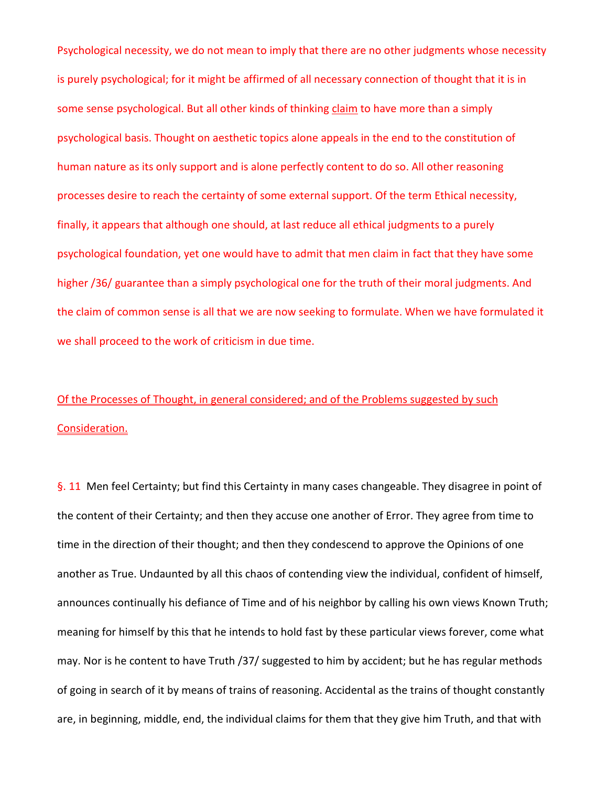Psychological necessity, we do not mean to imply that there are no other judgments whose necessity is purely psychological; for it might be affirmed of all necessary connection of thought that it is in some sense psychological. But all other kinds of thinking claim to have more than a simply psychological basis. Thought on aesthetic topics alone appeals in the end to the constitution of human nature as its only support and is alone perfectly content to do so. All other reasoning processes desire to reach the certainty of some external support. Of the term Ethical necessity, finally, it appears that although one should, at last reduce all ethical judgments to a purely psychological foundation, yet one would have to admit that men claim in fact that they have some higher /36/ guarantee than a simply psychological one for the truth of their moral judgments. And the claim of common sense is all that we are now seeking to formulate. When we have formulated it we shall proceed to the work of criticism in due time.

# Of the Processes of Thought, in general considered; and of the Problems suggested by such Consideration.

§. 11 Men feel Certainty; but find this Certainty in many cases changeable. They disagree in point of the content of their Certainty; and then they accuse one another of Error. They agree from time to time in the direction of their thought; and then they condescend to approve the Opinions of one another as True. Undaunted by all this chaos of contending view the individual, confident of himself, announces continually his defiance of Time and of his neighbor by calling his own views Known Truth; meaning for himself by this that he intends to hold fast by these particular views forever, come what may. Nor is he content to have Truth /37/ suggested to him by accident; but he has regular methods of going in search of it by means of trains of reasoning. Accidental as the trains of thought constantly are, in beginning, middle, end, the individual claims for them that they give him Truth, and that with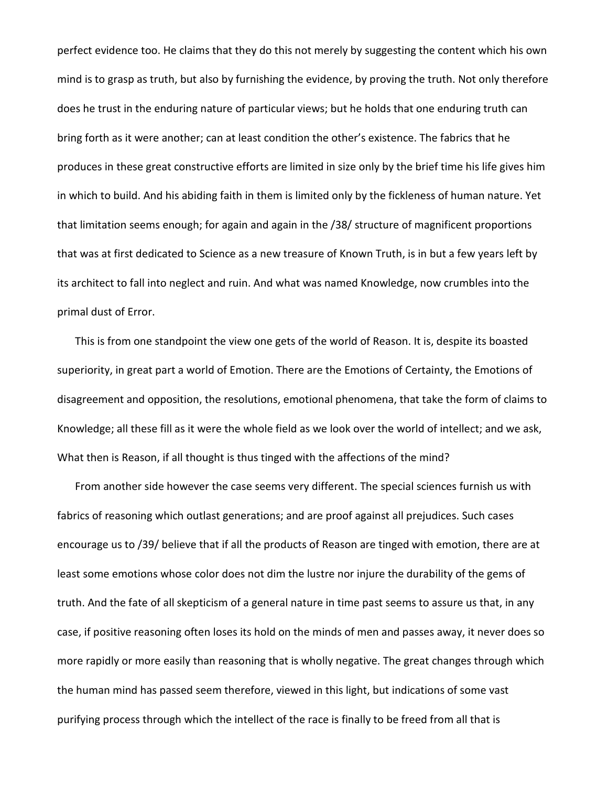perfect evidence too. He claims that they do this not merely by suggesting the content which his own mind is to grasp as truth, but also by furnishing the evidence, by proving the truth. Not only therefore does he trust in the enduring nature of particular views; but he holds that one enduring truth can bring forth as it were another; can at least condition the other's existence. The fabrics that he produces in these great constructive efforts are limited in size only by the brief time his life gives him in which to build. And his abiding faith in them is limited only by the fickleness of human nature. Yet that limitation seems enough; for again and again in the /38/ structure of magnificent proportions that was at first dedicated to Science as a new treasure of Known Truth, is in but a few years left by its architect to fall into neglect and ruin. And what was named Knowledge, now crumbles into the primal dust of Error.

This is from one standpoint the view one gets of the world of Reason. It is, despite its boasted superiority, in great part a world of Emotion. There are the Emotions of Certainty, the Emotions of disagreement and opposition, the resolutions, emotional phenomena, that take the form of claims to Knowledge; all these fill as it were the whole field as we look over the world of intellect; and we ask, What then is Reason, if all thought is thus tinged with the affections of the mind?

From another side however the case seems very different. The special sciences furnish us with fabrics of reasoning which outlast generations; and are proof against all prejudices. Such cases encourage us to /39/ believe that if all the products of Reason are tinged with emotion, there are at least some emotions whose color does not dim the lustre nor injure the durability of the gems of truth. And the fate of all skepticism of a general nature in time past seems to assure us that, in any case, if positive reasoning often loses its hold on the minds of men and passes away, it never does so more rapidly or more easily than reasoning that is wholly negative. The great changes through which the human mind has passed seem therefore, viewed in this light, but indications of some vast purifying process through which the intellect of the race is finally to be freed from all that is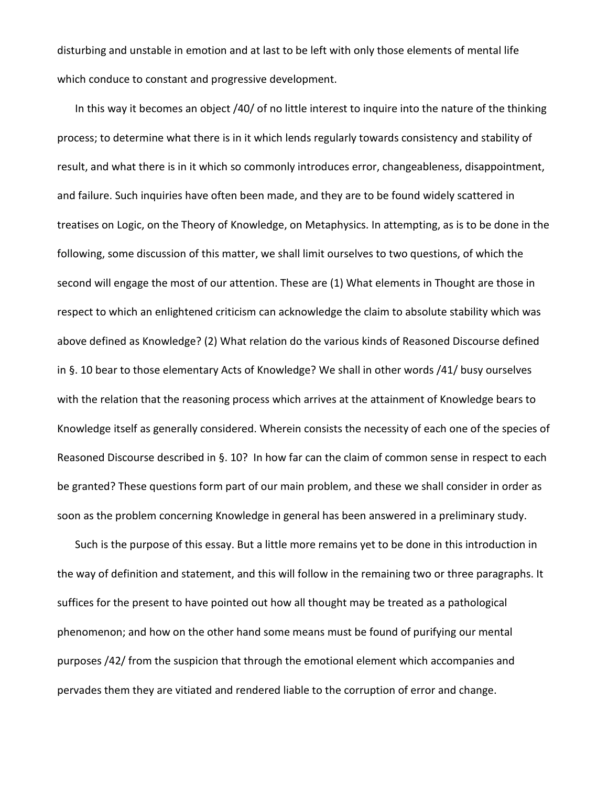disturbing and unstable in emotion and at last to be left with only those elements of mental life which conduce to constant and progressive development.

In this way it becomes an object /40/ of no little interest to inquire into the nature of the thinking process; to determine what there is in it which lends regularly towards consistency and stability of result, and what there is in it which so commonly introduces error, changeableness, disappointment, and failure. Such inquiries have often been made, and they are to be found widely scattered in treatises on Logic, on the Theory of Knowledge, on Metaphysics. In attempting, as is to be done in the following, some discussion of this matter, we shall limit ourselves to two questions, of which the second will engage the most of our attention. These are (1) What elements in Thought are those in respect to which an enlightened criticism can acknowledge the claim to absolute stability which was above defined as Knowledge? (2) What relation do the various kinds of Reasoned Discourse defined in §. 10 bear to those elementary Acts of Knowledge? We shall in other words /41/ busy ourselves with the relation that the reasoning process which arrives at the attainment of Knowledge bears to Knowledge itself as generally considered. Wherein consists the necessity of each one of the species of Reasoned Discourse described in §. 10? In how far can the claim of common sense in respect to each be granted? These questions form part of our main problem, and these we shall consider in order as soon as the problem concerning Knowledge in general has been answered in a preliminary study.

Such is the purpose of this essay. But a little more remains yet to be done in this introduction in the way of definition and statement, and this will follow in the remaining two or three paragraphs. It suffices for the present to have pointed out how all thought may be treated as a pathological phenomenon; and how on the other hand some means must be found of purifying our mental purposes /42/ from the suspicion that through the emotional element which accompanies and pervades them they are vitiated and rendered liable to the corruption of error and change.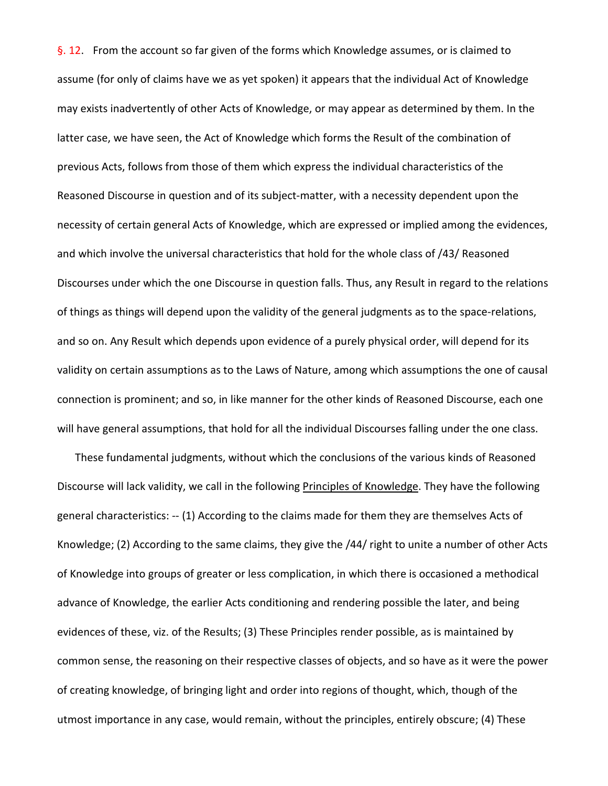§. 12. From the account so far given of the forms which Knowledge assumes, or is claimed to assume (for only of claims have we as yet spoken) it appears that the individual Act of Knowledge may exists inadvertently of other Acts of Knowledge, or may appear as determined by them. In the latter case, we have seen, the Act of Knowledge which forms the Result of the combination of previous Acts, follows from those of them which express the individual characteristics of the Reasoned Discourse in question and of its subject-matter, with a necessity dependent upon the necessity of certain general Acts of Knowledge, which are expressed or implied among the evidences, and which involve the universal characteristics that hold for the whole class of /43/ Reasoned Discourses under which the one Discourse in question falls. Thus, any Result in regard to the relations of things as things will depend upon the validity of the general judgments as to the space-relations, and so on. Any Result which depends upon evidence of a purely physical order, will depend for its validity on certain assumptions as to the Laws of Nature, among which assumptions the one of causal connection is prominent; and so, in like manner for the other kinds of Reasoned Discourse, each one will have general assumptions, that hold for all the individual Discourses falling under the one class.

These fundamental judgments, without which the conclusions of the various kinds of Reasoned Discourse will lack validity, we call in the following Principles of Knowledge. They have the following general characteristics: -- (1) According to the claims made for them they are themselves Acts of Knowledge; (2) According to the same claims, they give the /44/ right to unite a number of other Acts of Knowledge into groups of greater or less complication, in which there is occasioned a methodical advance of Knowledge, the earlier Acts conditioning and rendering possible the later, and being evidences of these, viz. of the Results; (3) These Principles render possible, as is maintained by common sense, the reasoning on their respective classes of objects, and so have as it were the power of creating knowledge, of bringing light and order into regions of thought, which, though of the utmost importance in any case, would remain, without the principles, entirely obscure; (4) These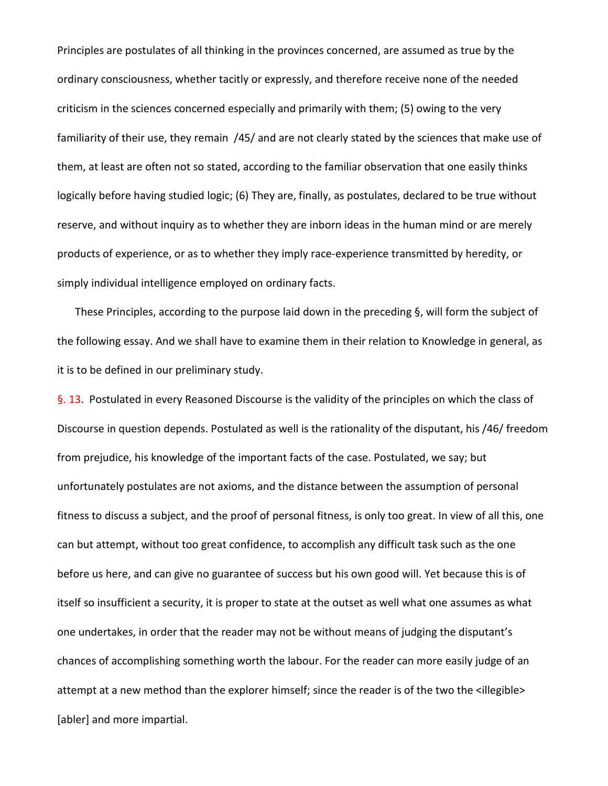Principles are postulates of all thinking in the provinces concerned, are assumed as true by the ordinary consciousness, whether tacitly or expressly, and therefore receive none of the needed criticism in the sciences concerned especially and primarily with them; (5) owing to the very familiarity of their use, they remain /45/ and are not clearly stated by the sciences that make use of them, at least are often not so stated, according to the familiar observation that one easily thinks logically before having studied logic; (6) They are, finally, as postulates, declared to be true without reserve, and without inquiry as to whether they are inborn ideas in the human mind or are merely products of experience, or as to whether they imply race-experience transmitted by heredity, or simply individual intelligence employed on ordinary facts.

These Principles, according to the purpose laid down in the preceding §, will form the subject of the following essay. And we shall have to examine them in their relation to Knowledge in general, as it is to be defined in our preliminary study.

§. 13. Postulated in every Reasoned Discourse is the validity of the principles on which the class of Discourse in question depends. Postulated as well is the rationality of the disputant, his /46/ freedom from prejudice, his knowledge of the important facts of the case. Postulated, we say; but unfortunately postulates are not axioms, and the distance between the assumption of personal fitness to discuss a subject, and the proof of personal fitness, is only too great. In view of all this, one can but attempt, without too great confidence, to accomplish any difficult task such as the one before us here, and can give no guarantee of success but his own good will. Yet because this is of itself so insufficient a security, it is proper to state at the outset as well what one assumes as what one undertakes, in order that the reader may not be without means of judging the disputant's chances of accomplishing something worth the labour. For the reader can more easily judge of an attempt at a new method than the explorer himself; since the reader is of the two the <illegible> [abler] and more impartial.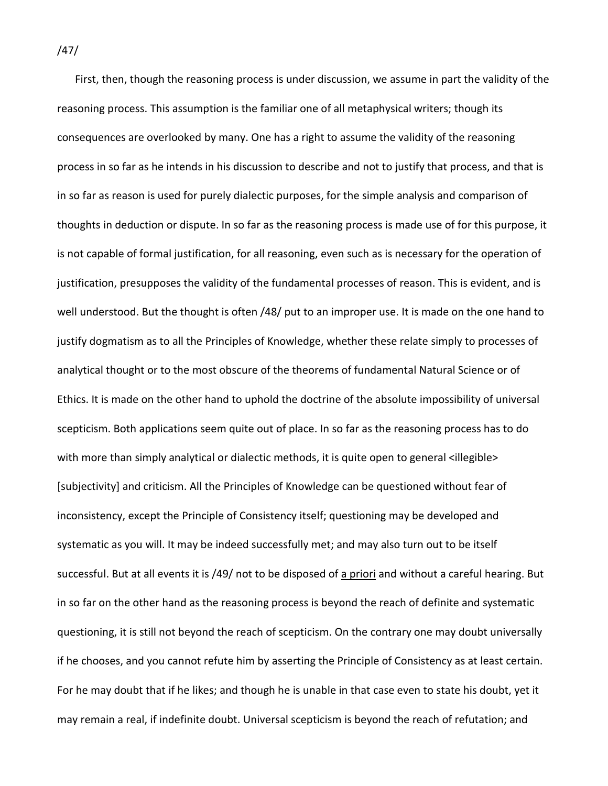First, then, though the reasoning process is under discussion, we assume in part the validity of the reasoning process. This assumption is the familiar one of all metaphysical writers; though its consequences are overlooked by many. One has a right to assume the validity of the reasoning process in so far as he intends in his discussion to describe and not to justify that process, and that is in so far as reason is used for purely dialectic purposes, for the simple analysis and comparison of thoughts in deduction or dispute. In so far as the reasoning process is made use of for this purpose, it is not capable of formal justification, for all reasoning, even such as is necessary for the operation of justification, presupposes the validity of the fundamental processes of reason. This is evident, and is well understood. But the thought is often /48/ put to an improper use. It is made on the one hand to justify dogmatism as to all the Principles of Knowledge, whether these relate simply to processes of analytical thought or to the most obscure of the theorems of fundamental Natural Science or of Ethics. It is made on the other hand to uphold the doctrine of the absolute impossibility of universal scepticism. Both applications seem quite out of place. In so far as the reasoning process has to do with more than simply analytical or dialectic methods, it is quite open to general <illegible> [subjectivity] and criticism. All the Principles of Knowledge can be questioned without fear of inconsistency, except the Principle of Consistency itself; questioning may be developed and systematic as you will. It may be indeed successfully met; and may also turn out to be itself successful. But at all events it is /49/ not to be disposed of a priori and without a careful hearing. But in so far on the other hand as the reasoning process is beyond the reach of definite and systematic questioning, it is still not beyond the reach of scepticism. On the contrary one may doubt universally if he chooses, and you cannot refute him by asserting the Principle of Consistency as at least certain. For he may doubt that if he likes; and though he is unable in that case even to state his doubt, yet it may remain a real, if indefinite doubt. Universal scepticism is beyond the reach of refutation; and

/47/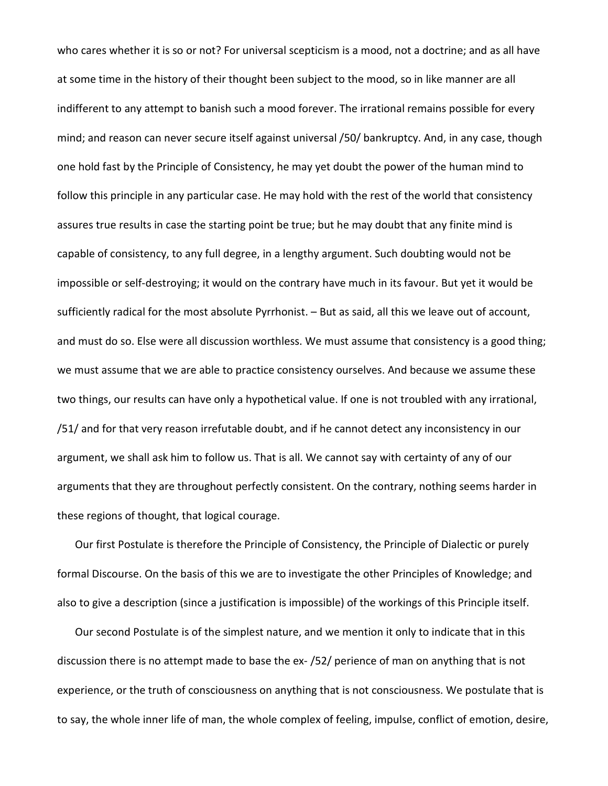who cares whether it is so or not? For universal scepticism is a mood, not a doctrine; and as all have at some time in the history of their thought been subject to the mood, so in like manner are all indifferent to any attempt to banish such a mood forever. The irrational remains possible for every mind; and reason can never secure itself against universal /50/ bankruptcy. And, in any case, though one hold fast by the Principle of Consistency, he may yet doubt the power of the human mind to follow this principle in any particular case. He may hold with the rest of the world that consistency assures true results in case the starting point be true; but he may doubt that any finite mind is capable of consistency, to any full degree, in a lengthy argument. Such doubting would not be impossible or self-destroying; it would on the contrary have much in its favour. But yet it would be sufficiently radical for the most absolute Pyrrhonist. – But as said, all this we leave out of account, and must do so. Else were all discussion worthless. We must assume that consistency is a good thing; we must assume that we are able to practice consistency ourselves. And because we assume these two things, our results can have only a hypothetical value. If one is not troubled with any irrational, /51/ and for that very reason irrefutable doubt, and if he cannot detect any inconsistency in our argument, we shall ask him to follow us. That is all. We cannot say with certainty of any of our arguments that they are throughout perfectly consistent. On the contrary, nothing seems harder in these regions of thought, that logical courage.

Our first Postulate is therefore the Principle of Consistency, the Principle of Dialectic or purely formal Discourse. On the basis of this we are to investigate the other Principles of Knowledge; and also to give a description (since a justification is impossible) of the workings of this Principle itself.

Our second Postulate is of the simplest nature, and we mention it only to indicate that in this discussion there is no attempt made to base the ex- /52/ perience of man on anything that is not experience, or the truth of consciousness on anything that is not consciousness. We postulate that is to say, the whole inner life of man, the whole complex of feeling, impulse, conflict of emotion, desire,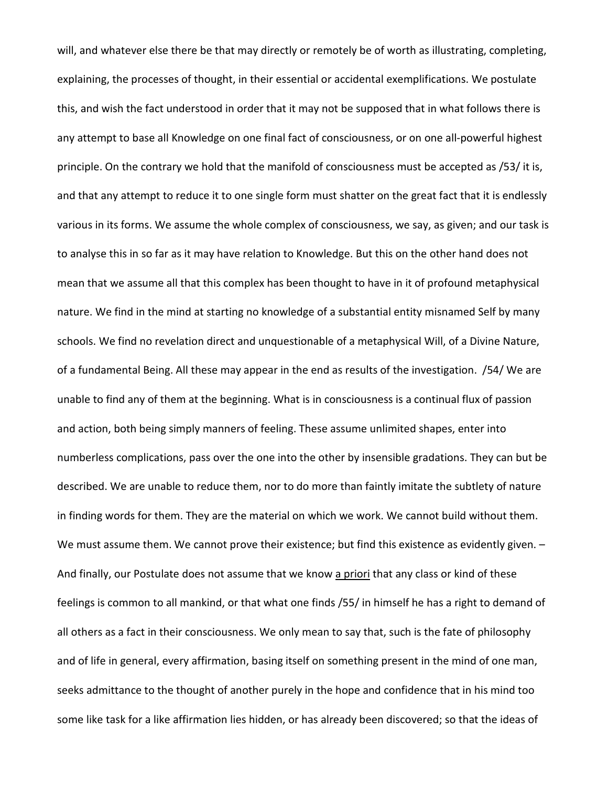will, and whatever else there be that may directly or remotely be of worth as illustrating, completing, explaining, the processes of thought, in their essential or accidental exemplifications. We postulate this, and wish the fact understood in order that it may not be supposed that in what follows there is any attempt to base all Knowledge on one final fact of consciousness, or on one all-powerful highest principle. On the contrary we hold that the manifold of consciousness must be accepted as /53/ it is, and that any attempt to reduce it to one single form must shatter on the great fact that it is endlessly various in its forms. We assume the whole complex of consciousness, we say, as given; and our task is to analyse this in so far as it may have relation to Knowledge. But this on the other hand does not mean that we assume all that this complex has been thought to have in it of profound metaphysical nature. We find in the mind at starting no knowledge of a substantial entity misnamed Self by many schools. We find no revelation direct and unquestionable of a metaphysical Will, of a Divine Nature, of a fundamental Being. All these may appear in the end as results of the investigation. /54/ We are unable to find any of them at the beginning. What is in consciousness is a continual flux of passion and action, both being simply manners of feeling. These assume unlimited shapes, enter into numberless complications, pass over the one into the other by insensible gradations. They can but be described. We are unable to reduce them, nor to do more than faintly imitate the subtlety of nature in finding words for them. They are the material on which we work. We cannot build without them. We must assume them. We cannot prove their existence; but find this existence as evidently given. -And finally, our Postulate does not assume that we know a priori that any class or kind of these feelings is common to all mankind, or that what one finds /55/ in himself he has a right to demand of all others as a fact in their consciousness. We only mean to say that, such is the fate of philosophy and of life in general, every affirmation, basing itself on something present in the mind of one man, seeks admittance to the thought of another purely in the hope and confidence that in his mind too some like task for a like affirmation lies hidden, or has already been discovered; so that the ideas of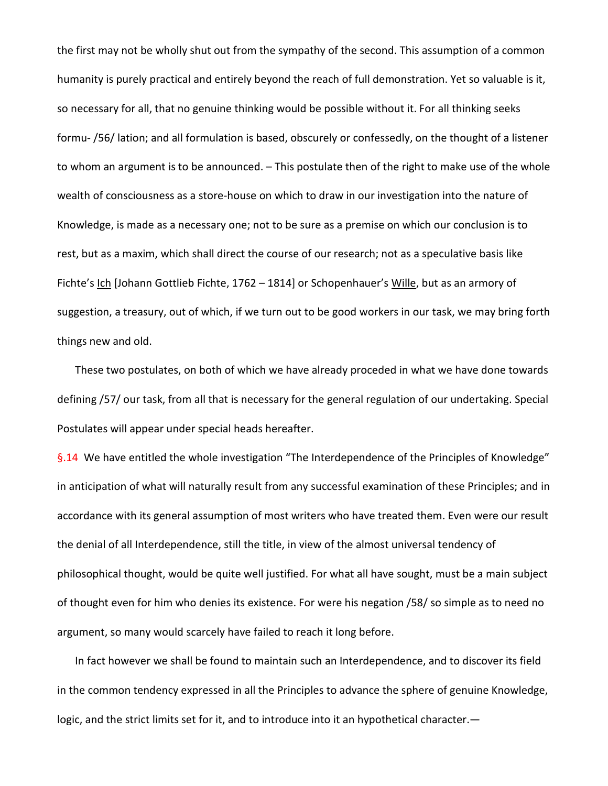the first may not be wholly shut out from the sympathy of the second. This assumption of a common humanity is purely practical and entirely beyond the reach of full demonstration. Yet so valuable is it, so necessary for all, that no genuine thinking would be possible without it. For all thinking seeks formu- /56/ lation; and all formulation is based, obscurely or confessedly, on the thought of a listener to whom an argument is to be announced. – This postulate then of the right to make use of the whole wealth of consciousness as a store-house on which to draw in our investigation into the nature of Knowledge, is made as a necessary one; not to be sure as a premise on which our conclusion is to rest, but as a maxim, which shall direct the course of our research; not as a speculative basis like Fichte's Ich [Johann Gottlieb Fichte, 1762 - 1814] or Schopenhauer's Wille, but as an armory of suggestion, a treasury, out of which, if we turn out to be good workers in our task, we may bring forth things new and old.

These two postulates, on both of which we have already proceded in what we have done towards defining /57/ our task, from all that is necessary for the general regulation of our undertaking. Special Postulates will appear under special heads hereafter.

§.14 We have entitled the whole investigation "The Interdependence of the Principles of Knowledge" in anticipation of what will naturally result from any successful examination of these Principles; and in accordance with its general assumption of most writers who have treated them. Even were our result the denial of all Interdependence, still the title, in view of the almost universal tendency of philosophical thought, would be quite well justified. For what all have sought, must be a main subject of thought even for him who denies its existence. For were his negation /58/ so simple as to need no argument, so many would scarcely have failed to reach it long before.

In fact however we shall be found to maintain such an Interdependence, and to discover its field in the common tendency expressed in all the Principles to advance the sphere of genuine Knowledge, logic, and the strict limits set for it, and to introduce into it an hypothetical character.—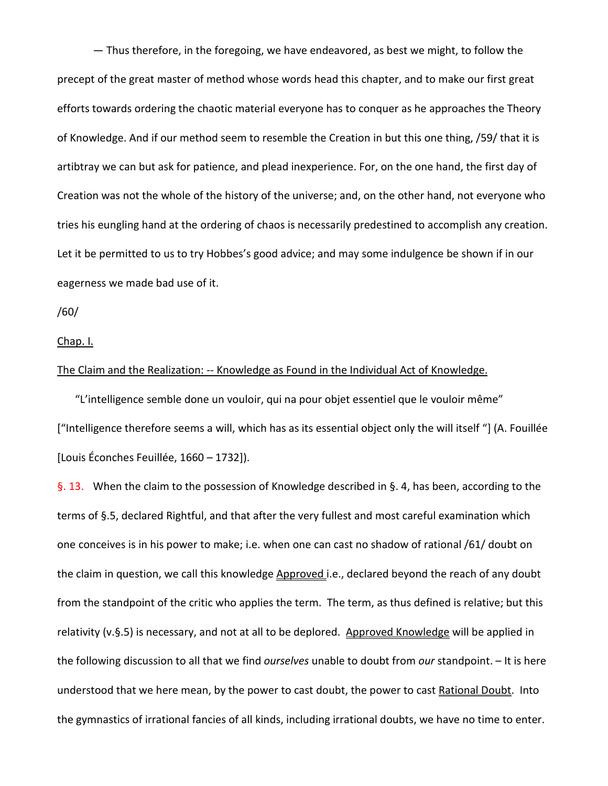— Thus therefore, in the foregoing, we have endeavored, as best we might, to follow the precept of the great master of method whose words head this chapter, and to make our first great efforts towards ordering the chaotic material everyone has to conquer as he approaches the Theory of Knowledge. And if our method seem to resemble the Creation in but this one thing, /59/ that it is artibtray we can but ask for patience, and plead inexperience. For, on the one hand, the first day of Creation was not the whole of the history of the universe; and, on the other hand, not everyone who tries his eungling hand at the ordering of chaos is necessarily predestined to accomplish any creation. Let it be permitted to us to try Hobbes's good advice; and may some indulgence be shown if in our eagerness we made bad use of it.

/60/

Chap. I.

### The Claim and the Realization: -- Knowledge as Found in the Individual Act of Knowledge.

"L'intelligence semble done un vouloir, qui na pour objet essentiel que le vouloir même" ["Intelligence therefore seems a will, which has as its essential object only the will itself "] (A. Fouillée [Louis Éconches Feuillée, 1660 – 1732]).

§. 13. When the claim to the possession of Knowledge described in §. 4, has been, according to the terms of §.5, declared Rightful, and that after the very fullest and most careful examination which one conceives is in his power to make; i.e. when one can cast no shadow of rational /61/ doubt on the claim in question, we call this knowledge Approved i.e., declared beyond the reach of any doubt from the standpoint of the critic who applies the term. The term, as thus defined is relative; but this relativity  $(v.\S.5)$  is necessary, and not at all to be deplored. Approved Knowledge will be applied in the following discussion to all that we find *ourselves* unable to doubt from *our* standpoint. – It is here understood that we here mean, by the power to cast doubt, the power to cast Rational Doubt. Into the gymnastics of irrational fancies of all kinds, including irrational doubts, we have no time to enter.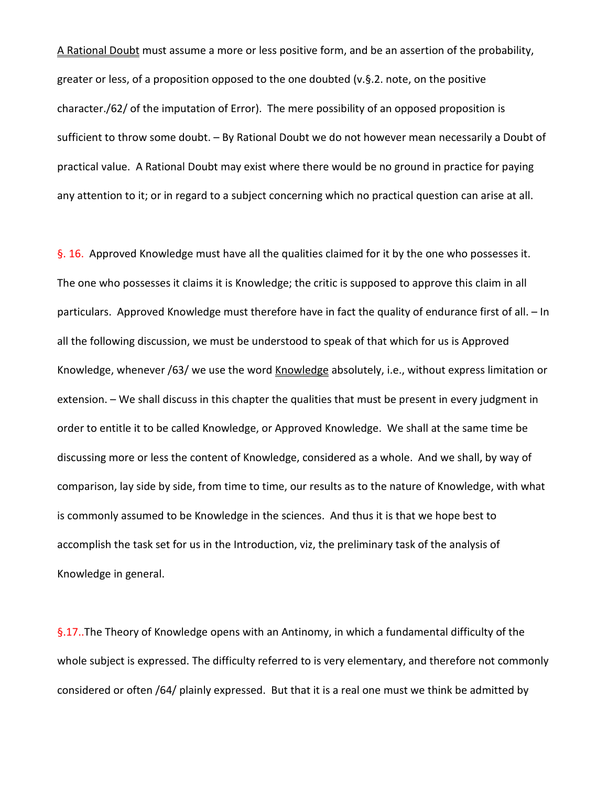A Rational Doubt must assume a more or less positive form, and be an assertion of the probability, greater or less, of a proposition opposed to the one doubted (v.§.2. note, on the positive character./62/ of the imputation of Error). The mere possibility of an opposed proposition is sufficient to throw some doubt. – By Rational Doubt we do not however mean necessarily a Doubt of practical value. A Rational Doubt may exist where there would be no ground in practice for paying any attention to it; or in regard to a subject concerning which no practical question can arise at all.

§. 16. Approved Knowledge must have all the qualities claimed for it by the one who possesses it. The one who possesses it claims it is Knowledge; the critic is supposed to approve this claim in all particulars. Approved Knowledge must therefore have in fact the quality of endurance first of all. – In all the following discussion, we must be understood to speak of that which for us is Approved Knowledge, whenever /63/ we use the word Knowledge absolutely, i.e., without express limitation or extension. – We shall discuss in this chapter the qualities that must be present in every judgment in order to entitle it to be called Knowledge, or Approved Knowledge. We shall at the same time be discussing more or less the content of Knowledge, considered as a whole. And we shall, by way of comparison, lay side by side, from time to time, our results as to the nature of Knowledge, with what is commonly assumed to be Knowledge in the sciences. And thus it is that we hope best to accomplish the task set for us in the Introduction, viz, the preliminary task of the analysis of Knowledge in general.

§.17..The Theory of Knowledge opens with an Antinomy, in which a fundamental difficulty of the whole subject is expressed. The difficulty referred to is very elementary, and therefore not commonly considered or often /64/ plainly expressed. But that it is a real one must we think be admitted by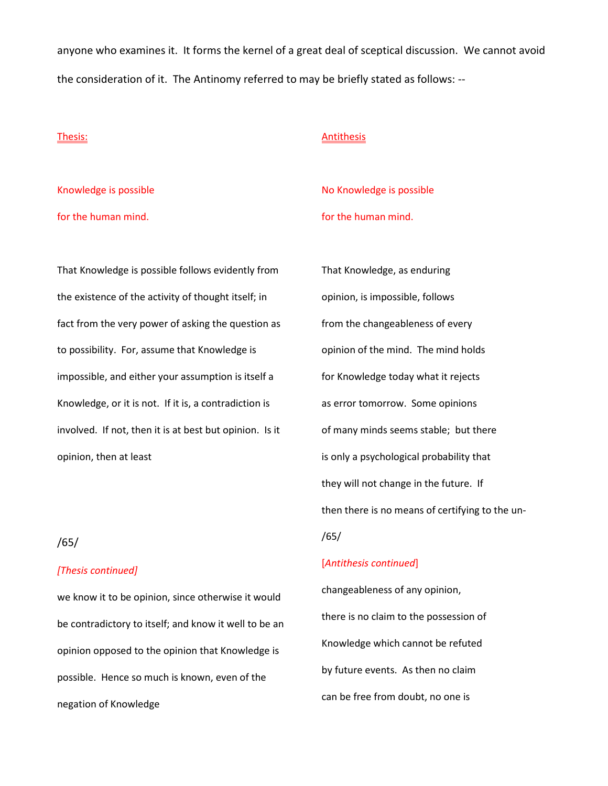anyone who examines it. It forms the kernel of a great deal of sceptical discussion. We cannot avoid the consideration of it. The Antinomy referred to may be briefly stated as follows: --

### Thesis:

**Antithesis** 

Knowledge is possible for the human mind.

No Knowledge is possible for the human mind.

That Knowledge is possible follows evidently from the existence of the activity of thought itself; in fact from the very power of asking the question as to possibility. For, assume that Knowledge is impossible, and either your assumption is itself a Knowledge, or it is not. If it is, a contradiction is involved. If not, then it is at best but opinion. Is it opinion, then at least

# /65/

### *[Thesis continued]*

we know it to be opinion, since otherwise it would be contradictory to itself; and know it well to be an opinion opposed to the opinion that Knowledge is possible. Hence so much is known, even of the negation of Knowledge

That Knowledge, as enduring opinion, is impossible, follows from the changeableness of every opinion of the mind. The mind holds for Knowledge today what it rejects as error tomorrow. Some opinions of many minds seems stable; but there is only a psychological probability that they will not change in the future. If then there is no means of certifying to the un- /65/

### [*Antithesis continued*]

changeableness of any opinion, there is no claim to the possession of Knowledge which cannot be refuted by future events. As then no claim can be free from doubt, no one is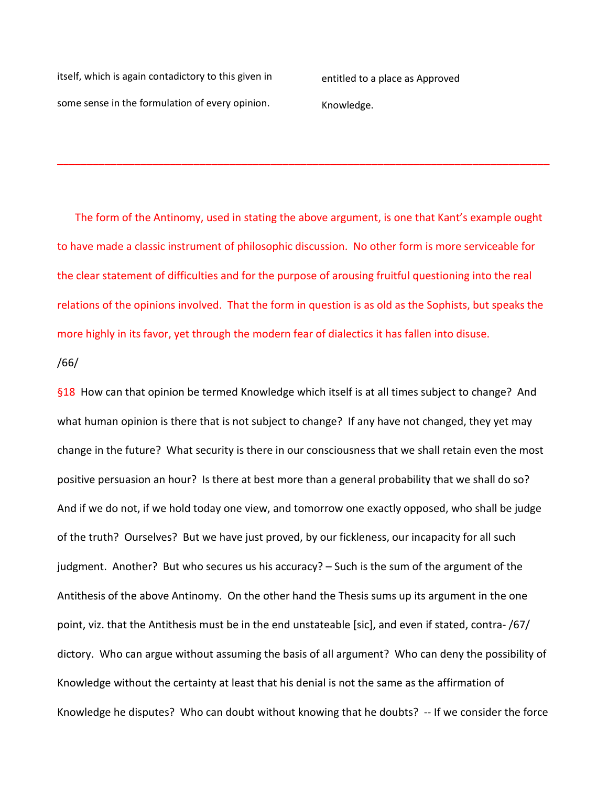itself, which is again contadictory to this given in some sense in the formulation of every opinion.

entitled to a place as Approved Knowledge.

The form of the Antinomy, used in stating the above argument, is one that Kant's example ought to have made a classic instrument of philosophic discussion. No other form is more serviceable for the clear statement of difficulties and for the purpose of arousing fruitful questioning into the real relations of the opinions involved. That the form in question is as old as the Sophists, but speaks the more highly in its favor, yet through the modern fear of dialectics it has fallen into disuse.

**\_\_\_\_\_\_\_\_\_\_\_\_\_\_\_\_\_\_\_\_\_\_\_\_\_\_\_\_\_\_\_\_\_\_\_\_\_\_\_\_\_\_\_\_\_\_\_\_\_\_\_\_\_\_\_\_\_\_\_\_\_\_\_\_\_\_\_\_\_\_\_\_\_\_\_\_\_\_\_\_\_\_\_**

# /66/

§18 How can that opinion be termed Knowledge which itself is at all times subject to change? And what human opinion is there that is not subject to change? If any have not changed, they yet may change in the future? What security is there in our consciousness that we shall retain even the most positive persuasion an hour? Is there at best more than a general probability that we shall do so? And if we do not, if we hold today one view, and tomorrow one exactly opposed, who shall be judge of the truth? Ourselves? But we have just proved, by our fickleness, our incapacity for all such judgment. Another? But who secures us his accuracy? – Such is the sum of the argument of the Antithesis of the above Antinomy. On the other hand the Thesis sums up its argument in the one point, viz. that the Antithesis must be in the end unstateable [sic], and even if stated, contra- /67/ dictory. Who can argue without assuming the basis of all argument? Who can deny the possibility of Knowledge without the certainty at least that his denial is not the same as the affirmation of Knowledge he disputes? Who can doubt without knowing that he doubts? -- If we consider the force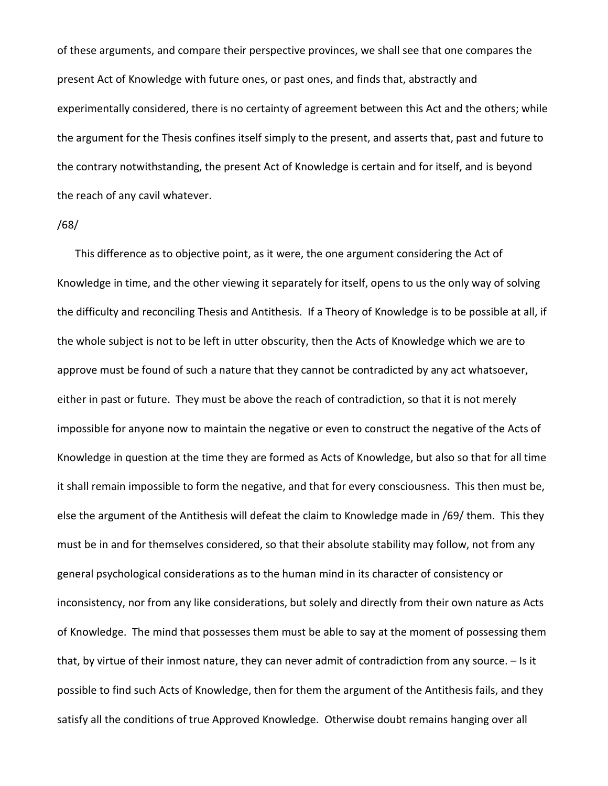of these arguments, and compare their perspective provinces, we shall see that one compares the present Act of Knowledge with future ones, or past ones, and finds that, abstractly and experimentally considered, there is no certainty of agreement between this Act and the others; while the argument for the Thesis confines itself simply to the present, and asserts that, past and future to the contrary notwithstanding, the present Act of Knowledge is certain and for itself, and is beyond the reach of any cavil whatever.

#### /68/

This difference as to objective point, as it were, the one argument considering the Act of Knowledge in time, and the other viewing it separately for itself, opens to us the only way of solving the difficulty and reconciling Thesis and Antithesis. If a Theory of Knowledge is to be possible at all, if the whole subject is not to be left in utter obscurity, then the Acts of Knowledge which we are to approve must be found of such a nature that they cannot be contradicted by any act whatsoever, either in past or future. They must be above the reach of contradiction, so that it is not merely impossible for anyone now to maintain the negative or even to construct the negative of the Acts of Knowledge in question at the time they are formed as Acts of Knowledge, but also so that for all time it shall remain impossible to form the negative, and that for every consciousness. This then must be, else the argument of the Antithesis will defeat the claim to Knowledge made in /69/ them. This they must be in and for themselves considered, so that their absolute stability may follow, not from any general psychological considerations as to the human mind in its character of consistency or inconsistency, nor from any like considerations, but solely and directly from their own nature as Acts of Knowledge. The mind that possesses them must be able to say at the moment of possessing them that, by virtue of their inmost nature, they can never admit of contradiction from any source. – Is it possible to find such Acts of Knowledge, then for them the argument of the Antithesis fails, and they satisfy all the conditions of true Approved Knowledge. Otherwise doubt remains hanging over all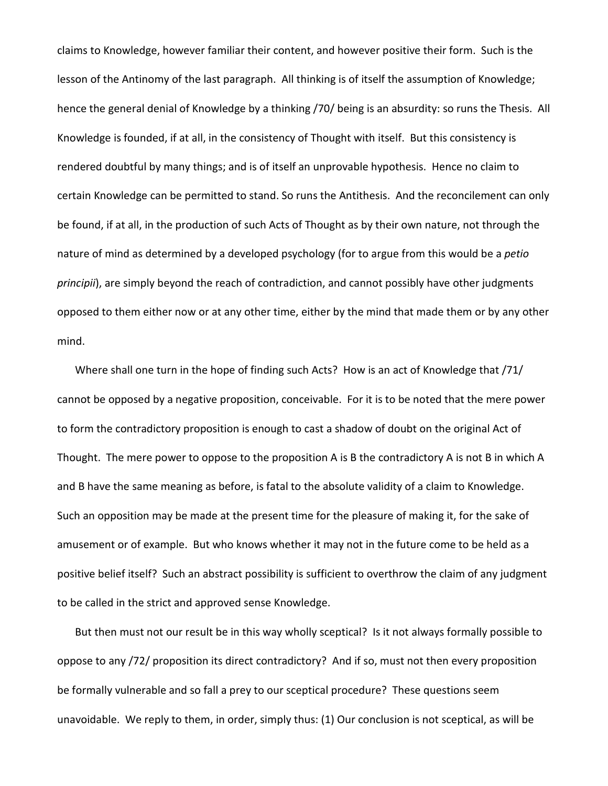claims to Knowledge, however familiar their content, and however positive their form. Such is the lesson of the Antinomy of the last paragraph. All thinking is of itself the assumption of Knowledge; hence the general denial of Knowledge by a thinking /70/ being is an absurdity: so runs the Thesis. All Knowledge is founded, if at all, in the consistency of Thought with itself. But this consistency is rendered doubtful by many things; and is of itself an unprovable hypothesis. Hence no claim to certain Knowledge can be permitted to stand. So runs the Antithesis. And the reconcilement can only be found, if at all, in the production of such Acts of Thought as by their own nature, not through the nature of mind as determined by a developed psychology (for to argue from this would be a *petio principii*), are simply beyond the reach of contradiction, and cannot possibly have other judgments opposed to them either now or at any other time, either by the mind that made them or by any other mind.

Where shall one turn in the hope of finding such Acts? How is an act of Knowledge that /71/ cannot be opposed by a negative proposition, conceivable. For it is to be noted that the mere power to form the contradictory proposition is enough to cast a shadow of doubt on the original Act of Thought. The mere power to oppose to the proposition A is B the contradictory A is not B in which A and B have the same meaning as before, is fatal to the absolute validity of a claim to Knowledge. Such an opposition may be made at the present time for the pleasure of making it, for the sake of amusement or of example. But who knows whether it may not in the future come to be held as a positive belief itself? Such an abstract possibility is sufficient to overthrow the claim of any judgment to be called in the strict and approved sense Knowledge.

But then must not our result be in this way wholly sceptical? Is it not always formally possible to oppose to any /72/ proposition its direct contradictory? And if so, must not then every proposition be formally vulnerable and so fall a prey to our sceptical procedure? These questions seem unavoidable. We reply to them, in order, simply thus: (1) Our conclusion is not sceptical, as will be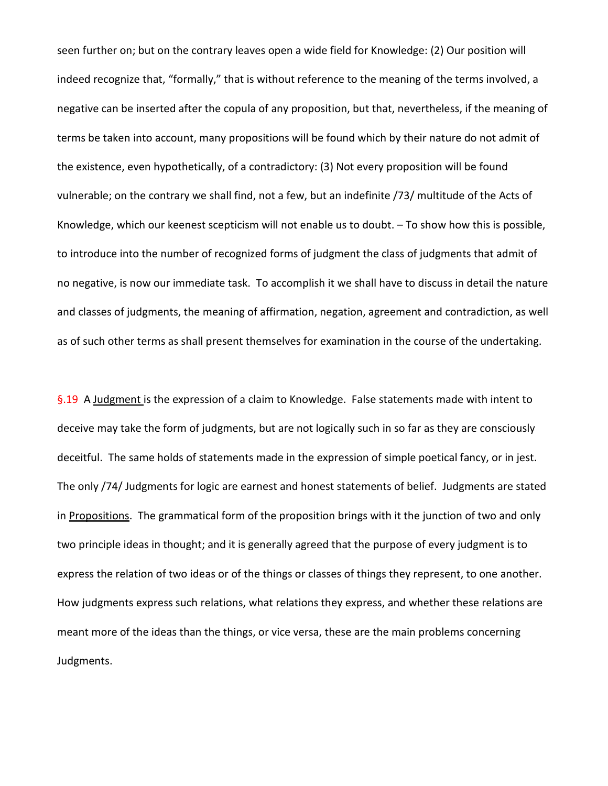seen further on; but on the contrary leaves open a wide field for Knowledge: (2) Our position will indeed recognize that, "formally," that is without reference to the meaning of the terms involved, a negative can be inserted after the copula of any proposition, but that, nevertheless, if the meaning of terms be taken into account, many propositions will be found which by their nature do not admit of the existence, even hypothetically, of a contradictory: (3) Not every proposition will be found vulnerable; on the contrary we shall find, not a few, but an indefinite /73/ multitude of the Acts of Knowledge, which our keenest scepticism will not enable us to doubt. – To show how this is possible, to introduce into the number of recognized forms of judgment the class of judgments that admit of no negative, is now our immediate task. To accomplish it we shall have to discuss in detail the nature and classes of judgments, the meaning of affirmation, negation, agreement and contradiction, as well as of such other terms as shall present themselves for examination in the course of the undertaking.

§.19 A Judgment is the expression of a claim to Knowledge. False statements made with intent to deceive may take the form of judgments, but are not logically such in so far as they are consciously deceitful. The same holds of statements made in the expression of simple poetical fancy, or in jest. The only /74/ Judgments for logic are earnest and honest statements of belief. Judgments are stated in Propositions. The grammatical form of the proposition brings with it the junction of two and only two principle ideas in thought; and it is generally agreed that the purpose of every judgment is to express the relation of two ideas or of the things or classes of things they represent, to one another. How judgments express such relations, what relations they express, and whether these relations are meant more of the ideas than the things, or vice versa, these are the main problems concerning Judgments.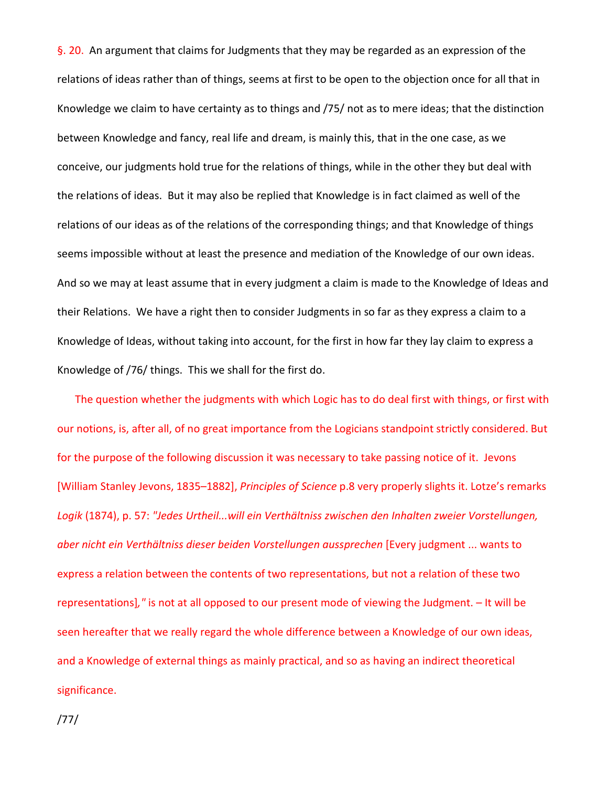§. 20. An argument that claims for Judgments that they may be regarded as an expression of the relations of ideas rather than of things, seems at first to be open to the objection once for all that in Knowledge we claim to have certainty as to things and /75/ not as to mere ideas; that the distinction between Knowledge and fancy, real life and dream, is mainly this, that in the one case, as we conceive, our judgments hold true for the relations of things, while in the other they but deal with the relations of ideas. But it may also be replied that Knowledge is in fact claimed as well of the relations of our ideas as of the relations of the corresponding things; and that Knowledge of things seems impossible without at least the presence and mediation of the Knowledge of our own ideas. And so we may at least assume that in every judgment a claim is made to the Knowledge of Ideas and their Relations. We have a right then to consider Judgments in so far as they express a claim to a Knowledge of Ideas, without taking into account, for the first in how far they lay claim to express a Knowledge of /76/ things. This we shall for the first do.

The question whether the judgments with which Logic has to do deal first with things, or first with our notions, is, after all, of no great importance from the Logicians standpoint strictly considered. But for the purpose of the following discussion it was necessary to take passing notice of it. Jevons [William Stanley Jevons, 1835–1882], *Principles of Science* p.8 very properly slights it. Lotze's remarks *Logik* (1874), p. 57: *"Jedes Urtheil...will ein Verthältniss zwischen den Inhalten zweier Vorstellungen, aber nicht ein Verthältniss dieser beiden Vorstellungen aussprechen* [Every judgment ... wants to express a relation between the contents of two representations, but not a relation of these two representations]*,"* is not at all opposed to our present mode of viewing the Judgment. – It will be seen hereafter that we really regard the whole difference between a Knowledge of our own ideas, and a Knowledge of external things as mainly practical, and so as having an indirect theoretical significance.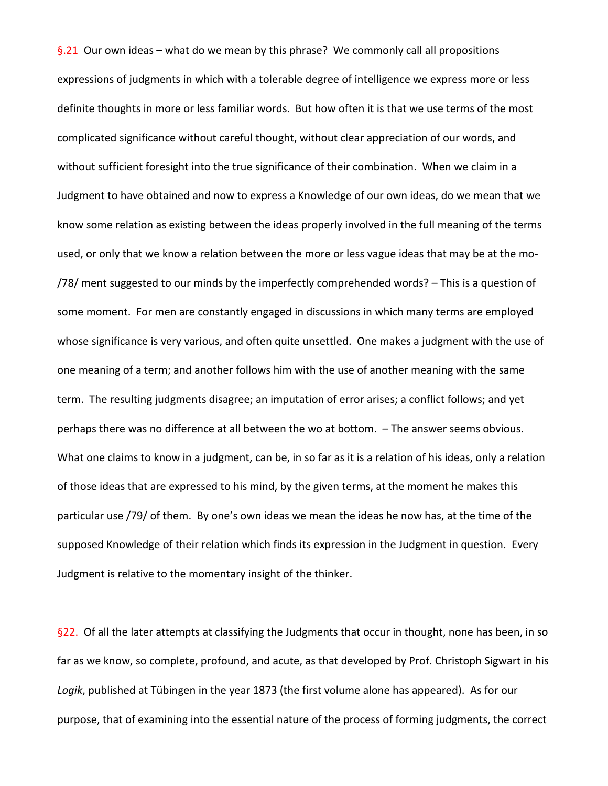§.21 Our own ideas – what do we mean by this phrase? We commonly call all propositions expressions of judgments in which with a tolerable degree of intelligence we express more or less definite thoughts in more or less familiar words. But how often it is that we use terms of the most complicated significance without careful thought, without clear appreciation of our words, and without sufficient foresight into the true significance of their combination. When we claim in a Judgment to have obtained and now to express a Knowledge of our own ideas, do we mean that we know some relation as existing between the ideas properly involved in the full meaning of the terms used, or only that we know a relation between the more or less vague ideas that may be at the mo- /78/ ment suggested to our minds by the imperfectly comprehended words? – This is a question of some moment. For men are constantly engaged in discussions in which many terms are employed whose significance is very various, and often quite unsettled. One makes a judgment with the use of one meaning of a term; and another follows him with the use of another meaning with the same term. The resulting judgments disagree; an imputation of error arises; a conflict follows; and yet perhaps there was no difference at all between the wo at bottom. – The answer seems obvious. What one claims to know in a judgment, can be, in so far as it is a relation of his ideas, only a relation of those ideas that are expressed to his mind, by the given terms, at the moment he makes this particular use /79/ of them. By one's own ideas we mean the ideas he now has, at the time of the supposed Knowledge of their relation which finds its expression in the Judgment in question. Every Judgment is relative to the momentary insight of the thinker.

§22. Of all the later attempts at classifying the Judgments that occur in thought, none has been, in so far as we know, so complete, profound, and acute, as that developed by Prof. Christoph Sigwart in his *Logik*, published at Tübingen in the year 1873 (the first volume alone has appeared). As for our purpose, that of examining into the essential nature of the process of forming judgments, the correct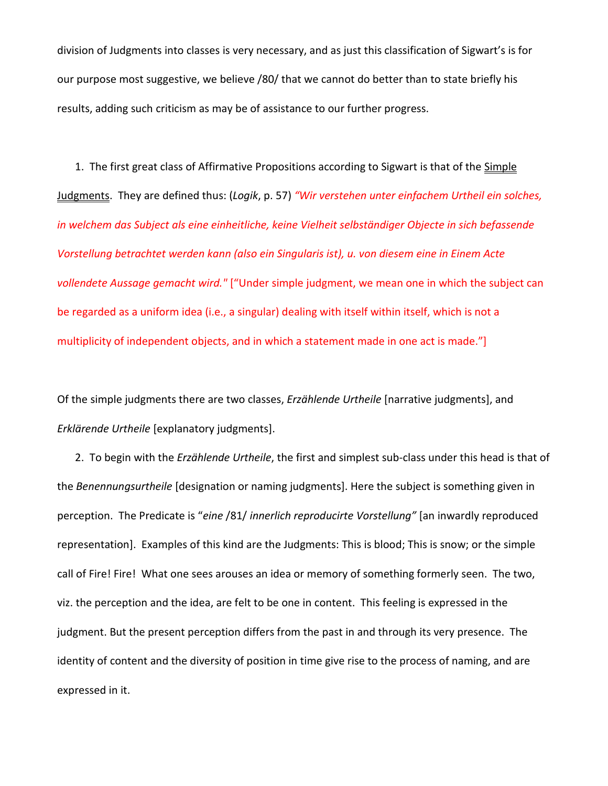division of Judgments into classes is very necessary, and as just this classification of Sigwart's is for our purpose most suggestive, we believe /80/ that we cannot do better than to state briefly his results, adding such criticism as may be of assistance to our further progress.

1. The first great class of Affirmative Propositions according to Sigwart is that of the Simple Judgments. They are defined thus: (*Logik*, p. 57) *"Wir verstehen unter einfachem Urtheil ein solches, in welchem das Subject als eine einheitliche, keine Vielheit selbständiger Objecte in sich befassende Vorstellung betrachtet werden kann (also ein Singularis ist), u. von diesem eine in Einem Acte vollendete Aussage gemacht wird."* ["Under simple judgment, we mean one in which the subject can be regarded as a uniform idea (i.e., a singular) dealing with itself within itself, which is not a multiplicity of independent objects, and in which a statement made in one act is made."]

Of the simple judgments there are two classes, *Erzählende Urtheile* [narrative judgments], and *Erklärende Urtheile* [explanatory judgments].

2. To begin with the *Erzählende Urtheile*, the first and simplest sub-class under this head is that of the *Benennungsurtheile* [designation or naming judgments]. Here the subject is something given in perception. The Predicate is "*eine* /81/ *innerlich reproducirte Vorstellung"* [an inwardly reproduced representation]. Examples of this kind are the Judgments: This is blood; This is snow; or the simple call of Fire! Fire! What one sees arouses an idea or memory of something formerly seen. The two, viz. the perception and the idea, are felt to be one in content. This feeling is expressed in the judgment. But the present perception differs from the past in and through its very presence. The identity of content and the diversity of position in time give rise to the process of naming, and are expressed in it.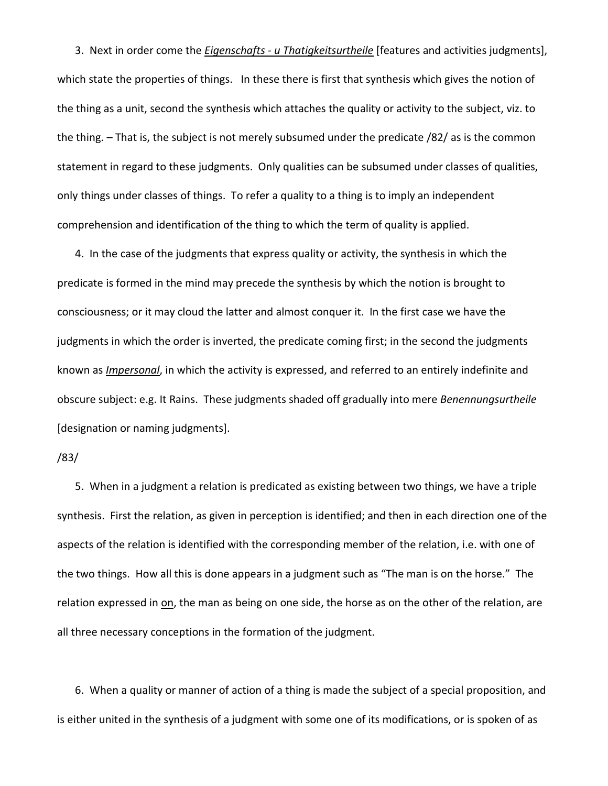3. Next in order come the *Eigenschafts - u Thatigkeitsurtheile* [features and activities judgments], which state the properties of things. In these there is first that synthesis which gives the notion of the thing as a unit, second the synthesis which attaches the quality or activity to the subject, viz. to the thing. – That is, the subject is not merely subsumed under the predicate /82/ as is the common statement in regard to these judgments. Only qualities can be subsumed under classes of qualities, only things under classes of things. To refer a quality to a thing is to imply an independent comprehension and identification of the thing to which the term of quality is applied.

4. In the case of the judgments that express quality or activity, the synthesis in which the predicate is formed in the mind may precede the synthesis by which the notion is brought to consciousness; or it may cloud the latter and almost conquer it. In the first case we have the judgments in which the order is inverted, the predicate coming first; in the second the judgments known as *Impersonal*, in which the activity is expressed, and referred to an entirely indefinite and obscure subject: e.g. It Rains. These judgments shaded off gradually into mere *Benennungsurtheile* [designation or naming judgments].

#### /83/

5. When in a judgment a relation is predicated as existing between two things, we have a triple synthesis. First the relation, as given in perception is identified; and then in each direction one of the aspects of the relation is identified with the corresponding member of the relation, i.e. with one of the two things. How all this is done appears in a judgment such as "The man is on the horse." The relation expressed in on, the man as being on one side, the horse as on the other of the relation, are all three necessary conceptions in the formation of the judgment.

6. When a quality or manner of action of a thing is made the subject of a special proposition, and is either united in the synthesis of a judgment with some one of its modifications, or is spoken of as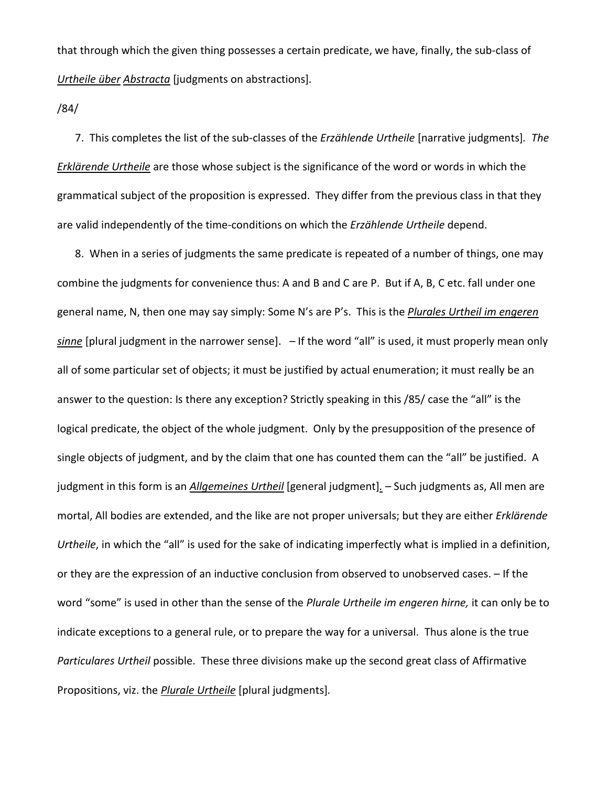that through which the given thing possesses a certain predicate, we have, finally, the sub-class of *Urtheile über Abstracta* [judgments on abstractions]*.*

/84/

7. This completes the list of the sub-classes of the *Erzählende Urtheile* [narrative judgments]*. The Erklärende Urtheile* are those whose subject is the significance of the word or words in which the grammatical subject of the proposition is expressed. They differ from the previous class in that they are valid independently of the time-conditions on which the *Erzählende Urtheile* depend.

8. When in a series of judgments the same predicate is repeated of a number of things, one may combine the judgments for convenience thus: A and B and C are P. But if A, B, C etc. fall under one general name, N, then one may say simply: Some N's are P's. This is the *Plurales Urtheil im engeren sinne* [plural judgment in the narrower sense]. – If the word "all" is used, it must properly mean only all of some particular set of objects; it must be justified by actual enumeration; it must really be an answer to the question: Is there any exception? Strictly speaking in this /85/ case the "all" is the logical predicate, the object of the whole judgment. Only by the presupposition of the presence of single objects of judgment, and by the claim that one has counted them can the "all" be justified. A judgment in this form is an *Allgemeines Urtheil* [general judgment]*.* – Such judgments as, All men are mortal, All bodies are extended, and the like are not proper universals; but they are either *Erklärende Urtheile*, in which the "all" is used for the sake of indicating imperfectly what is implied in a definition, or they are the expression of an inductive conclusion from observed to unobserved cases. – If the word "some" is used in other than the sense of the *Plurale Urtheile im engeren hirne,* it can only be to indicate exceptions to a general rule, or to prepare the way for a universal. Thus alone is the true *Particulares Urtheil* possible. These three divisions make up the second great class of Affirmative Propositions, viz. the *Plurale Urtheile* [plural judgments]*.*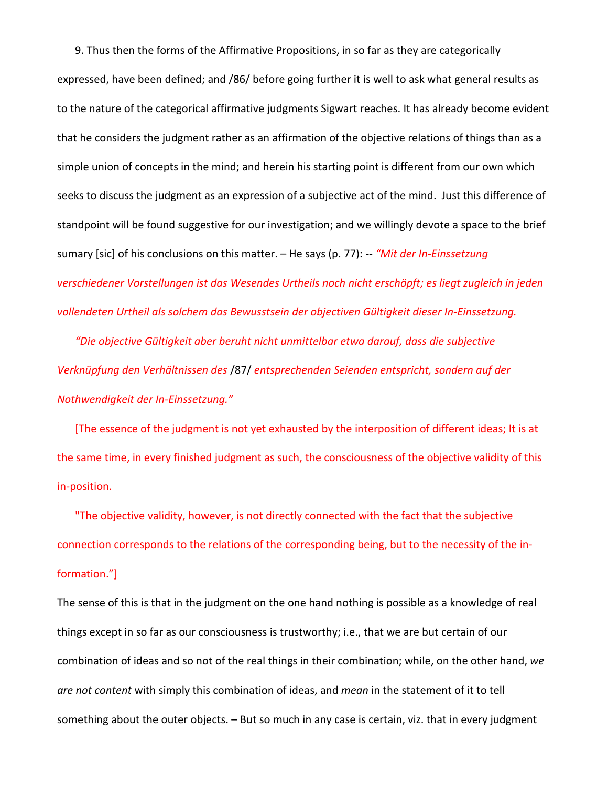9. Thus then the forms of the Affirmative Propositions, in so far as they are categorically expressed, have been defined; and /86/ before going further it is well to ask what general results as to the nature of the categorical affirmative judgments Sigwart reaches. It has already become evident that he considers the judgment rather as an affirmation of the objective relations of things than as a simple union of concepts in the mind; and herein his starting point is different from our own which seeks to discuss the judgment as an expression of a subjective act of the mind. Just this difference of standpoint will be found suggestive for our investigation; and we willingly devote a space to the brief sumary [sic] of his conclusions on this matter. – He says (p. 77): -- *"Mit der In-Einssetzung verschiedener Vorstellungen ist das Wesendes Urtheils noch nicht erschöpft; es liegt zugleich in jeden vollendeten Urtheil als solchem das Bewusstsein der objectiven Gültigkeit dieser In-Einssetzung.*

*"Die objective Gültigkeit aber beruht nicht unmittelbar etwa darauf, dass die subjective Verknüpfung den Verhältnissen des* /87/ *entsprechenden Seienden entspricht, sondern auf der Nothwendigkeit der In-Einssetzung."*

[The essence of the judgment is not yet exhausted by the interposition of different ideas; It is at the same time, in every finished judgment as such, the consciousness of the objective validity of this in-position.

"The objective validity, however, is not directly connected with the fact that the subjective connection corresponds to the relations of the corresponding being, but to the necessity of the information."]

The sense of this is that in the judgment on the one hand nothing is possible as a knowledge of real things except in so far as our consciousness is trustworthy; i.e., that we are but certain of our combination of ideas and so not of the real things in their combination; while, on the other hand, *we are not content* with simply this combination of ideas, and *mean* in the statement of it to tell something about the outer objects. – But so much in any case is certain, viz. that in every judgment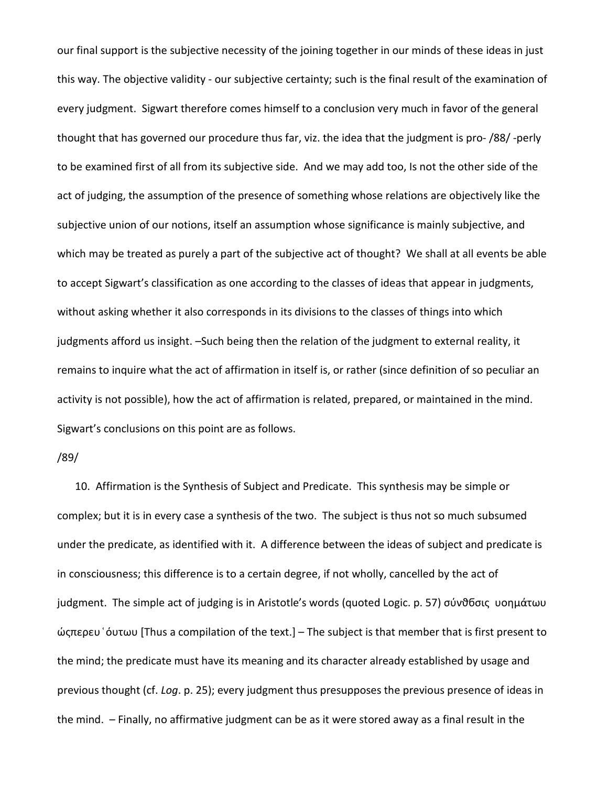our final support is the subjective necessity of the joining together in our minds of these ideas in just this way. The objective validity - our subjective certainty; such is the final result of the examination of every judgment. Sigwart therefore comes himself to a conclusion very much in favor of the general thought that has governed our procedure thus far, viz. the idea that the judgment is pro- /88/ -perly to be examined first of all from its subjective side. And we may add too, Is not the other side of the act of judging, the assumption of the presence of something whose relations are objectively like the subjective union of our notions, itself an assumption whose significance is mainly subjective, and which may be treated as purely a part of the subjective act of thought? We shall at all events be able to accept Sigwart's classification as one according to the classes of ideas that appear in judgments, without asking whether it also corresponds in its divisions to the classes of things into which judgments afford us insight. –Such being then the relation of the judgment to external reality, it remains to inquire what the act of affirmation in itself is, or rather (since definition of so peculiar an activity is not possible), how the act of affirmation is related, prepared, or maintained in the mind. Sigwart's conclusions on this point are as follows.

## /89/

10. Affirmation is the Synthesis of Subject and Predicate. This synthesis may be simple or complex; but it is in every case a synthesis of the two. The subject is thus not so much subsumed under the predicate, as identified with it. A difference between the ideas of subject and predicate is in consciousness; this difference is to a certain degree, if not wholly, cancelled by the act of judgment. The simple act of judging is in Aristotle's words (quoted Logic. p. 57) σύνθδσις υοημάτωυ ώςπερευ ͑όυτωυ [Thus a compilation of the text.] – The subject is that member that is first present to the mind; the predicate must have its meaning and its character already established by usage and previous thought (cf. *Log*. p. 25); every judgment thus presupposes the previous presence of ideas in the mind. – Finally, no affirmative judgment can be as it were stored away as a final result in the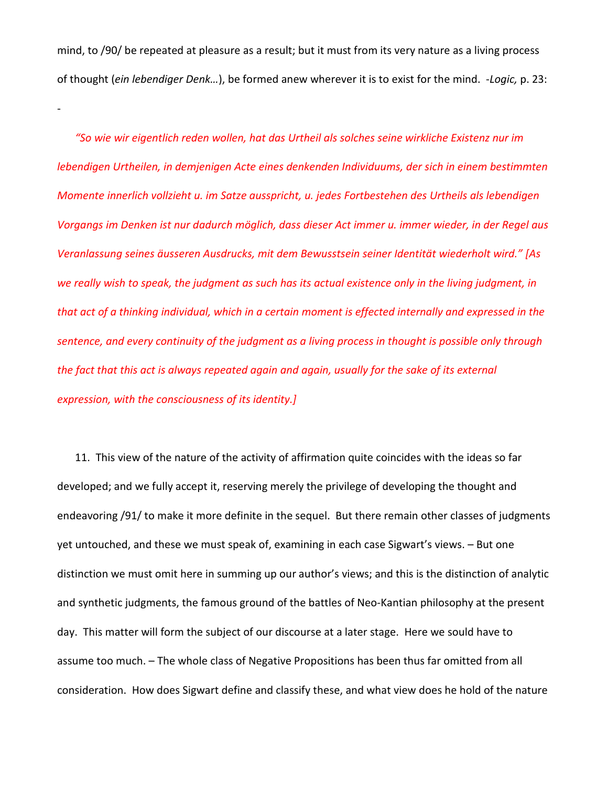mind, to /90/ be repeated at pleasure as a result; but it must from its very nature as a living process of thought (*ein lebendiger Denk…*), be formed anew wherever it is to exist for the mind. -*Logic,* p. 23:

-

*"So wie wir eigentlich reden wollen, hat das Urtheil als solches seine wirkliche Existenz nur im lebendigen Urtheilen, in demjenigen Acte eines denkenden Individuums, der sich in einem bestimmten Momente innerlich vollzieht u. im Satze ausspricht, u. jedes Fortbestehen des Urtheils als lebendigen Vorgangs im Denken ist nur dadurch möglich, dass dieser Act immer u. immer wieder, in der Regel aus Veranlassung seines äusseren Ausdrucks, mit dem Bewusstsein seiner Identität wiederholt wird." [As we really wish to speak, the judgment as such has its actual existence only in the living judgment, in that act of a thinking individual, which in a certain moment is effected internally and expressed in the sentence, and every continuity of the judgment as a living process in thought is possible only through the fact that this act is always repeated again and again, usually for the sake of its external expression, with the consciousness of its identity.]*

11. This view of the nature of the activity of affirmation quite coincides with the ideas so far developed; and we fully accept it, reserving merely the privilege of developing the thought and endeavoring /91/ to make it more definite in the sequel. But there remain other classes of judgments yet untouched, and these we must speak of, examining in each case Sigwart's views. – But one distinction we must omit here in summing up our author's views; and this is the distinction of analytic and synthetic judgments, the famous ground of the battles of Neo-Kantian philosophy at the present day. This matter will form the subject of our discourse at a later stage. Here we sould have to assume too much. – The whole class of Negative Propositions has been thus far omitted from all consideration. How does Sigwart define and classify these, and what view does he hold of the nature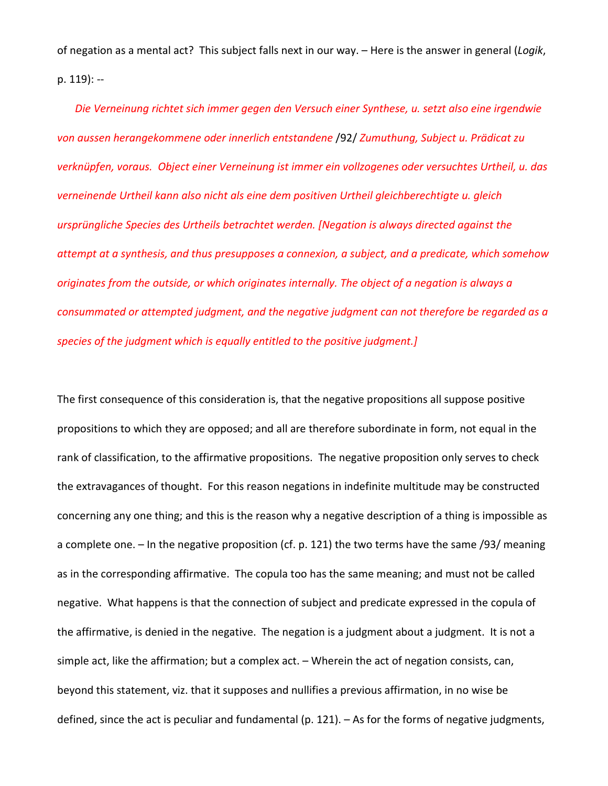of negation as a mental act? This subject falls next in our way. – Here is the answer in general (*Logik*, p. 119): --

*Die Verneinung richtet sich immer gegen den Versuch einer Synthese, u. setzt also eine irgendwie von aussen herangekommene oder innerlich entstandene* /92/ *Zumuthung, Subject u. Prädicat zu verknüpfen, voraus. Object einer Verneinung ist immer ein vollzogenes oder versuchtes Urtheil, u. das verneinende Urtheil kann also nicht als eine dem positiven Urtheil gleichberechtigte u. gleich ursprüngliche Species des Urtheils betrachtet werden. [Negation is always directed against the attempt at a synthesis, and thus presupposes a connexion, a subject, and a predicate, which somehow originates from the outside, or which originates internally. The object of a negation is always a consummated or attempted judgment, and the negative judgment can not therefore be regarded as a species of the judgment which is equally entitled to the positive judgment.]*

The first consequence of this consideration is, that the negative propositions all suppose positive propositions to which they are opposed; and all are therefore subordinate in form, not equal in the rank of classification, to the affirmative propositions. The negative proposition only serves to check the extravagances of thought. For this reason negations in indefinite multitude may be constructed concerning any one thing; and this is the reason why a negative description of a thing is impossible as a complete one. – In the negative proposition (cf. p. 121) the two terms have the same /93/ meaning as in the corresponding affirmative. The copula too has the same meaning; and must not be called negative. What happens is that the connection of subject and predicate expressed in the copula of the affirmative, is denied in the negative. The negation is a judgment about a judgment. It is not a simple act, like the affirmation; but a complex act. – Wherein the act of negation consists, can, beyond this statement, viz. that it supposes and nullifies a previous affirmation, in no wise be defined, since the act is peculiar and fundamental (p. 121). – As for the forms of negative judgments,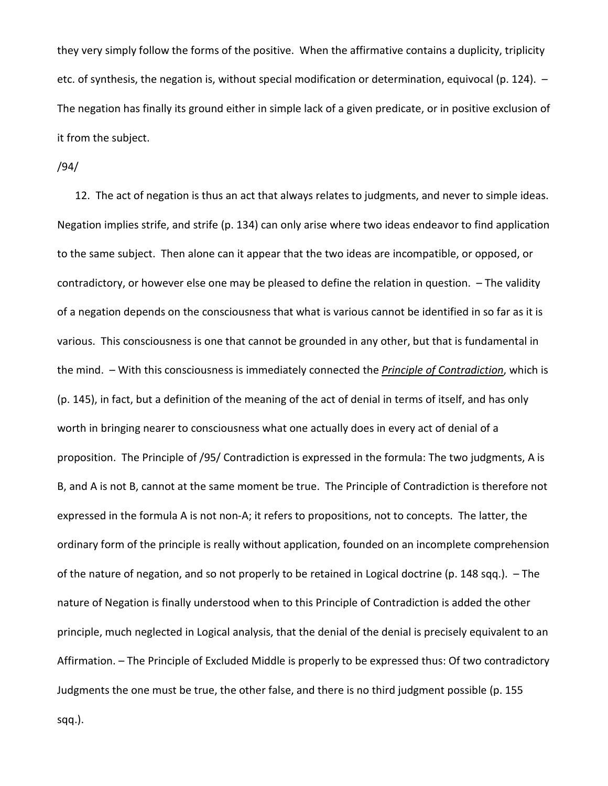they very simply follow the forms of the positive. When the affirmative contains a duplicity, triplicity etc. of synthesis, the negation is, without special modification or determination, equivocal (p. 124). – The negation has finally its ground either in simple lack of a given predicate, or in positive exclusion of it from the subject.

/94/

12. The act of negation is thus an act that always relates to judgments, and never to simple ideas. Negation implies strife, and strife (p. 134) can only arise where two ideas endeavor to find application to the same subject. Then alone can it appear that the two ideas are incompatible, or opposed, or contradictory, or however else one may be pleased to define the relation in question. – The validity of a negation depends on the consciousness that what is various cannot be identified in so far as it is various. This consciousness is one that cannot be grounded in any other, but that is fundamental in the mind. – With this consciousness is immediately connected the *Principle of Contradiction*, which is (p. 145), in fact, but a definition of the meaning of the act of denial in terms of itself, and has only worth in bringing nearer to consciousness what one actually does in every act of denial of a proposition. The Principle of /95/ Contradiction is expressed in the formula: The two judgments, A is B, and A is not B, cannot at the same moment be true. The Principle of Contradiction is therefore not expressed in the formula A is not non-A; it refers to propositions, not to concepts. The latter, the ordinary form of the principle is really without application, founded on an incomplete comprehension of the nature of negation, and so not properly to be retained in Logical doctrine (p. 148 sqq.). – The nature of Negation is finally understood when to this Principle of Contradiction is added the other principle, much neglected in Logical analysis, that the denial of the denial is precisely equivalent to an Affirmation. – The Principle of Excluded Middle is properly to be expressed thus: Of two contradictory Judgments the one must be true, the other false, and there is no third judgment possible (p. 155

sqq.).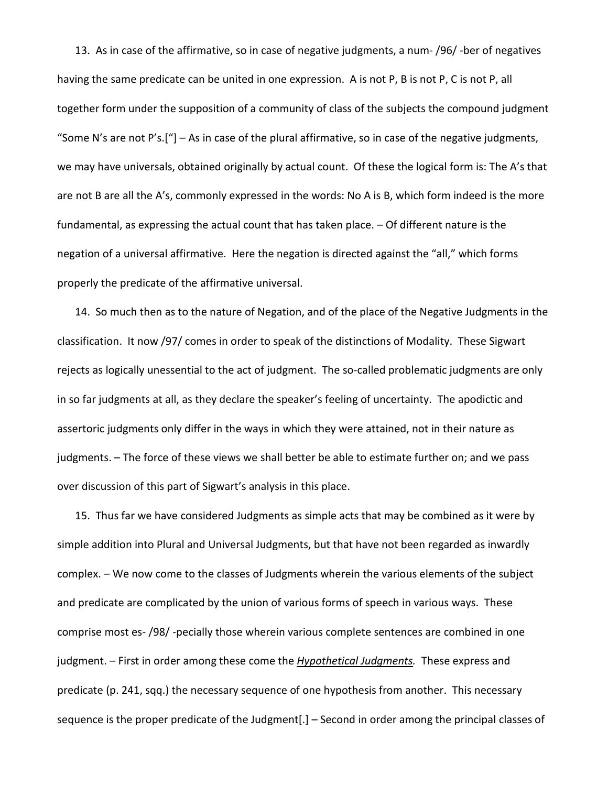13. As in case of the affirmative, so in case of negative judgments, a num- /96/ -ber of negatives having the same predicate can be united in one expression. A is not P, B is not P, C is not P, all together form under the supposition of a community of class of the subjects the compound judgment "Some N's are not P's.["] – As in case of the plural affirmative, so in case of the negative judgments, we may have universals, obtained originally by actual count. Of these the logical form is: The A's that are not B are all the A's, commonly expressed in the words: No A is B, which form indeed is the more fundamental, as expressing the actual count that has taken place. – Of different nature is the negation of a universal affirmative. Here the negation is directed against the "all," which forms properly the predicate of the affirmative universal.

14. So much then as to the nature of Negation, and of the place of the Negative Judgments in the classification. It now /97/ comes in order to speak of the distinctions of Modality. These Sigwart rejects as logically unessential to the act of judgment. The so-called problematic judgments are only in so far judgments at all, as they declare the speaker's feeling of uncertainty. The apodictic and assertoric judgments only differ in the ways in which they were attained, not in their nature as judgments. – The force of these views we shall better be able to estimate further on; and we pass over discussion of this part of Sigwart's analysis in this place.

15. Thus far we have considered Judgments as simple acts that may be combined as it were by simple addition into Plural and Universal Judgments, but that have not been regarded as inwardly complex. – We now come to the classes of Judgments wherein the various elements of the subject and predicate are complicated by the union of various forms of speech in various ways. These comprise most es- /98/ -pecially those wherein various complete sentences are combined in one judgment. – First in order among these come the *Hypothetical Judgments.* These express and predicate (p. 241, sqq.) the necessary sequence of one hypothesis from another. This necessary sequence is the proper predicate of the Judgment[.] – Second in order among the principal classes of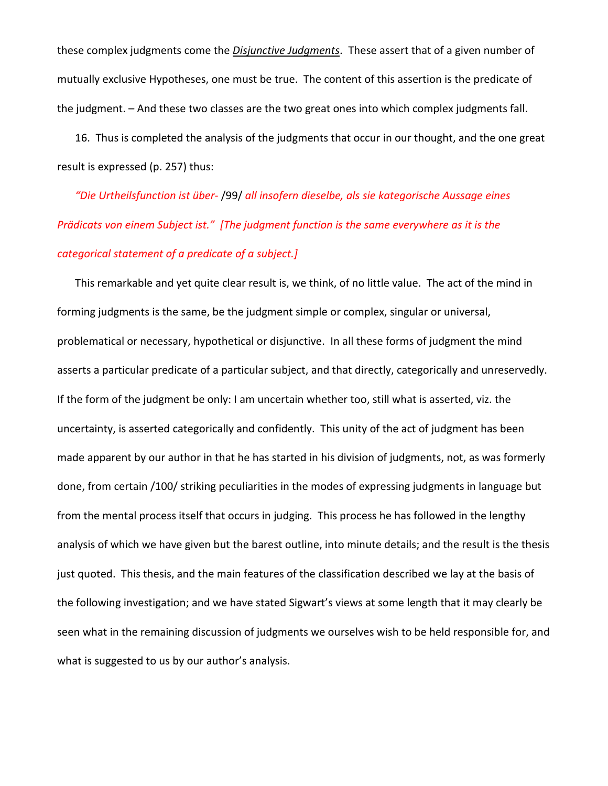these complex judgments come the *Disjunctive Judgments*. These assert that of a given number of mutually exclusive Hypotheses, one must be true. The content of this assertion is the predicate of the judgment. – And these two classes are the two great ones into which complex judgments fall.

16. Thus is completed the analysis of the judgments that occur in our thought, and the one great result is expressed (p. 257) thus:

*"Die Urtheilsfunction ist über-* /99/ *all insofern dieselbe, als sie kategorische Aussage eines Prädicats von einem Subject ist." [The judgment function is the same everywhere as it is the categorical statement of a predicate of a subject.]*

This remarkable and yet quite clear result is, we think, of no little value. The act of the mind in forming judgments is the same, be the judgment simple or complex, singular or universal, problematical or necessary, hypothetical or disjunctive. In all these forms of judgment the mind asserts a particular predicate of a particular subject, and that directly, categorically and unreservedly. If the form of the judgment be only: I am uncertain whether too, still what is asserted, viz. the uncertainty, is asserted categorically and confidently. This unity of the act of judgment has been made apparent by our author in that he has started in his division of judgments, not, as was formerly done, from certain /100/ striking peculiarities in the modes of expressing judgments in language but from the mental process itself that occurs in judging. This process he has followed in the lengthy analysis of which we have given but the barest outline, into minute details; and the result is the thesis just quoted. This thesis, and the main features of the classification described we lay at the basis of the following investigation; and we have stated Sigwart's views at some length that it may clearly be seen what in the remaining discussion of judgments we ourselves wish to be held responsible for, and what is suggested to us by our author's analysis.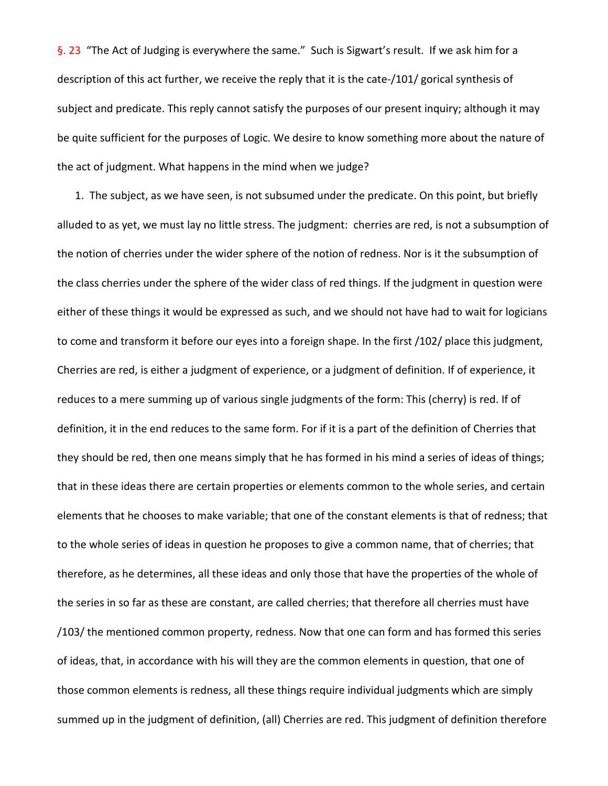§. 23 "The Act of Judging is everywhere the same." Such is Sigwart's result. If we ask him for a description of this act further, we receive the reply that it is the cate-/101/ gorical synthesis of subject and predicate. This reply cannot satisfy the purposes of our present inquiry; although it may be quite sufficient for the purposes of Logic. We desire to know something more about the nature of the act of judgment. What happens in the mind when we judge?

1. The subject, as we have seen, is not subsumed under the predicate. On this point, but briefly alluded to as yet, we must lay no little stress. The judgment: cherries are red, is not a subsumption of the notion of cherries under the wider sphere of the notion of redness. Nor is it the subsumption of the class cherries under the sphere of the wider class of red things. If the judgment in question were either of these things it would be expressed as such, and we should not have had to wait for logicians to come and transform it before our eyes into a foreign shape. In the first /102/ place this judgment, Cherries are red, is either a judgment of experience, or a judgment of definition. If of experience, it reduces to a mere summing up of various single judgments of the form: This (cherry) is red. If of definition, it in the end reduces to the same form. For if it is a part of the definition of Cherries that they should be red, then one means simply that he has formed in his mind a series of ideas of things; that in these ideas there are certain properties or elements common to the whole series, and certain elements that he chooses to make variable; that one of the constant elements is that of redness; that to the whole series of ideas in question he proposes to give a common name, that of cherries; that therefore, as he determines, all these ideas and only those that have the properties of the whole of the series in so far as these are constant, are called cherries; that therefore all cherries must have /103/ the mentioned common property, redness. Now that one can form and has formed this series of ideas, that, in accordance with his will they are the common elements in question, that one of those common elements is redness, all these things require individual judgments which are simply summed up in the judgment of definition, (all) Cherries are red. This judgment of definition therefore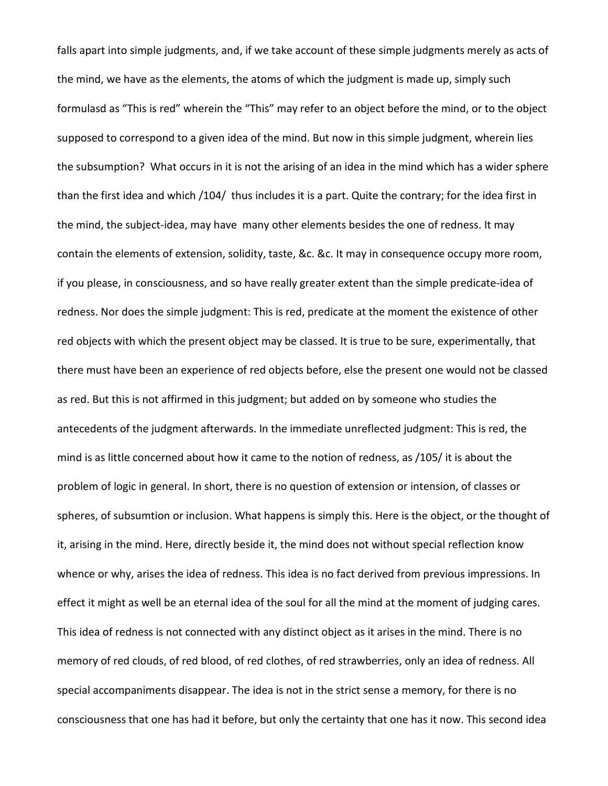falls apart into simple judgments, and, if we take account of these simple judgments merely as acts of the mind, we have as the elements, the atoms of which the judgment is made up, simply such formulasd as "This is red" wherein the "This" may refer to an object before the mind, or to the object supposed to correspond to a given idea of the mind. But now in this simple judgment, wherein lies the subsumption? What occurs in it is not the arising of an idea in the mind which has a wider sphere than the first idea and which /104/ thus includes it is a part. Quite the contrary; for the idea first in the mind, the subject-idea, may have many other elements besides the one of redness. It may contain the elements of extension, solidity, taste, &c. &c. It may in consequence occupy more room, if you please, in consciousness, and so have really greater extent than the simple predicate-idea of redness. Nor does the simple judgment: This is red, predicate at the moment the existence of other red objects with which the present object may be classed. It is true to be sure, experimentally, that there must have been an experience of red objects before, else the present one would not be classed as red. But this is not affirmed in this judgment; but added on by someone who studies the antecedents of the judgment afterwards. In the immediate unreflected judgment: This is red, the mind is as little concerned about how it came to the notion of redness, as /105/ it is about the problem of logic in general. In short, there is no question of extension or intension, of classes or spheres, of subsumtion or inclusion. What happens is simply this. Here is the object, or the thought of it, arising in the mind. Here, directly beside it, the mind does not without special reflection know whence or why, arises the idea of redness. This idea is no fact derived from previous impressions. In effect it might as well be an eternal idea of the soul for all the mind at the moment of judging cares. This idea of redness is not connected with any distinct object as it arises in the mind. There is no memory of red clouds, of red blood, of red clothes, of red strawberries, only an idea of redness. All special accompaniments disappear. The idea is not in the strict sense a memory, for there is no consciousness that one has had it before, but only the certainty that one has it now. This second idea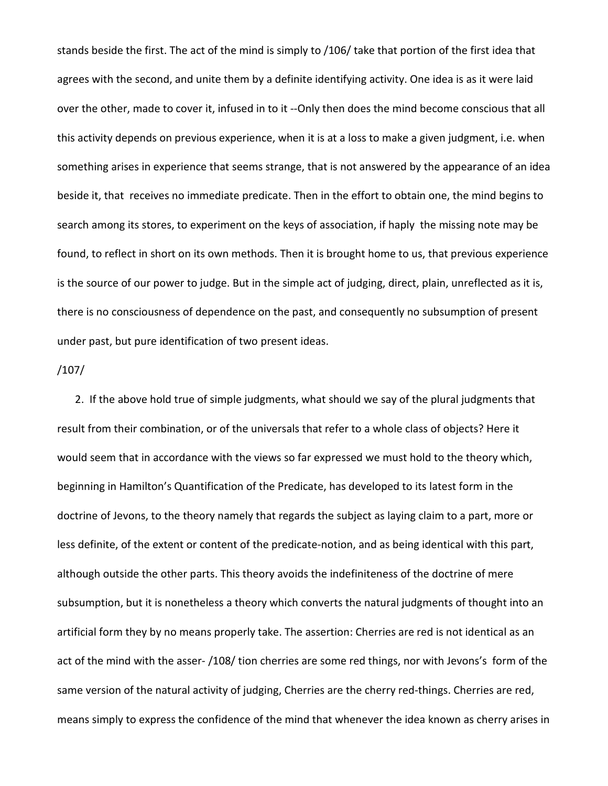stands beside the first. The act of the mind is simply to /106/ take that portion of the first idea that agrees with the second, and unite them by a definite identifying activity. One idea is as it were laid over the other, made to cover it, infused in to it --Only then does the mind become conscious that all this activity depends on previous experience, when it is at a loss to make a given judgment, i.e. when something arises in experience that seems strange, that is not answered by the appearance of an idea beside it, that receives no immediate predicate. Then in the effort to obtain one, the mind begins to search among its stores, to experiment on the keys of association, if haply the missing note may be found, to reflect in short on its own methods. Then it is brought home to us, that previous experience is the source of our power to judge. But in the simple act of judging, direct, plain, unreflected as it is, there is no consciousness of dependence on the past, and consequently no subsumption of present under past, but pure identification of two present ideas.

## /107/

2. If the above hold true of simple judgments, what should we say of the plural judgments that result from their combination, or of the universals that refer to a whole class of objects? Here it would seem that in accordance with the views so far expressed we must hold to the theory which, beginning in Hamilton's Quantification of the Predicate, has developed to its latest form in the doctrine of Jevons, to the theory namely that regards the subject as laying claim to a part, more or less definite, of the extent or content of the predicate-notion, and as being identical with this part, although outside the other parts. This theory avoids the indefiniteness of the doctrine of mere subsumption, but it is nonetheless a theory which converts the natural judgments of thought into an artificial form they by no means properly take. The assertion: Cherries are red is not identical as an act of the mind with the asser- /108/ tion cherries are some red things, nor with Jevons's form of the same version of the natural activity of judging, Cherries are the cherry red-things. Cherries are red, means simply to express the confidence of the mind that whenever the idea known as cherry arises in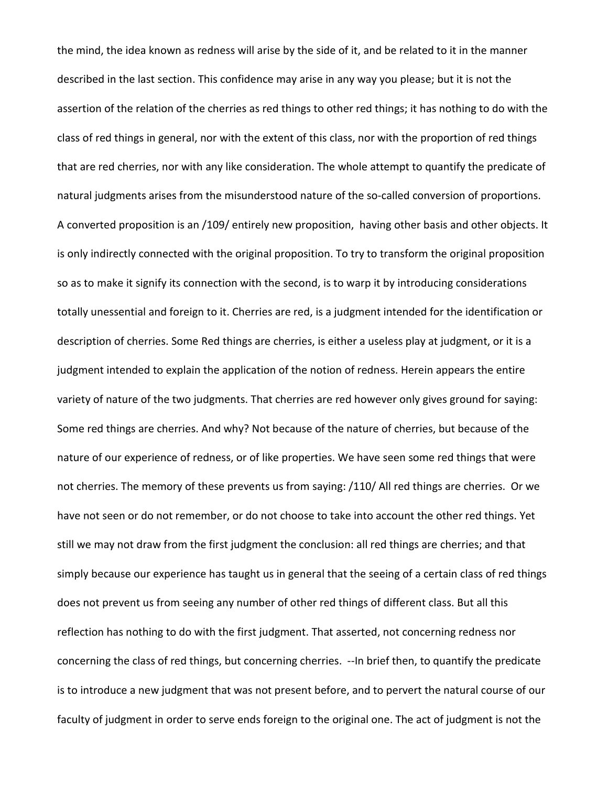the mind, the idea known as redness will arise by the side of it, and be related to it in the manner described in the last section. This confidence may arise in any way you please; but it is not the assertion of the relation of the cherries as red things to other red things; it has nothing to do with the class of red things in general, nor with the extent of this class, nor with the proportion of red things that are red cherries, nor with any like consideration. The whole attempt to quantify the predicate of natural judgments arises from the misunderstood nature of the so-called conversion of proportions. A converted proposition is an /109/ entirely new proposition, having other basis and other objects. It is only indirectly connected with the original proposition. To try to transform the original proposition so as to make it signify its connection with the second, is to warp it by introducing considerations totally unessential and foreign to it. Cherries are red, is a judgment intended for the identification or description of cherries. Some Red things are cherries, is either a useless play at judgment, or it is a judgment intended to explain the application of the notion of redness. Herein appears the entire variety of nature of the two judgments. That cherries are red however only gives ground for saying: Some red things are cherries. And why? Not because of the nature of cherries, but because of the nature of our experience of redness, or of like properties. We have seen some red things that were not cherries. The memory of these prevents us from saying: /110/ All red things are cherries. Or we have not seen or do not remember, or do not choose to take into account the other red things. Yet still we may not draw from the first judgment the conclusion: all red things are cherries; and that simply because our experience has taught us in general that the seeing of a certain class of red things does not prevent us from seeing any number of other red things of different class. But all this reflection has nothing to do with the first judgment. That asserted, not concerning redness nor concerning the class of red things, but concerning cherries. --In brief then, to quantify the predicate is to introduce a new judgment that was not present before, and to pervert the natural course of our faculty of judgment in order to serve ends foreign to the original one. The act of judgment is not the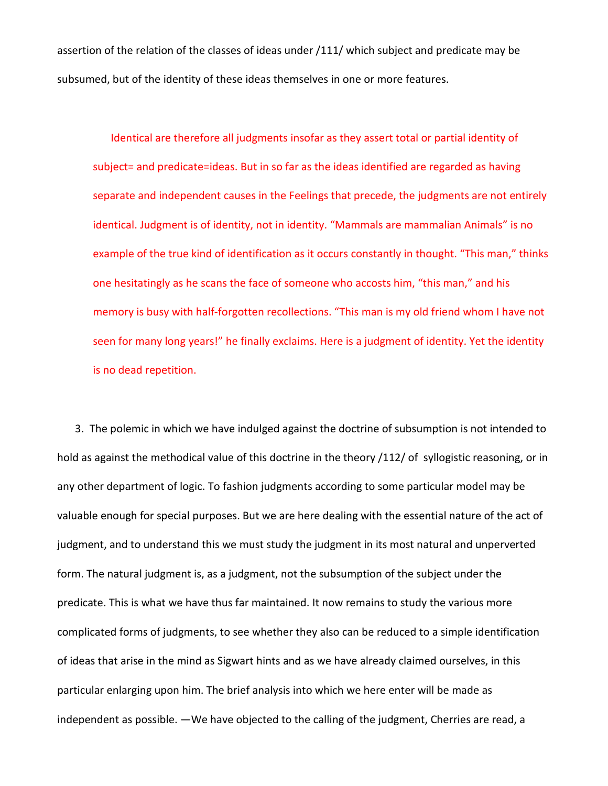assertion of the relation of the classes of ideas under /111/ which subject and predicate may be subsumed, but of the identity of these ideas themselves in one or more features.

Identical are therefore all judgments insofar as they assert total or partial identity of subject= and predicate=ideas. But in so far as the ideas identified are regarded as having separate and independent causes in the Feelings that precede, the judgments are not entirely identical. Judgment is of identity, not in identity. "Mammals are mammalian Animals" is no example of the true kind of identification as it occurs constantly in thought. "This man," thinks one hesitatingly as he scans the face of someone who accosts him, "this man," and his memory is busy with half-forgotten recollections. "This man is my old friend whom I have not seen for many long years!" he finally exclaims. Here is a judgment of identity. Yet the identity is no dead repetition.

3. The polemic in which we have indulged against the doctrine of subsumption is not intended to hold as against the methodical value of this doctrine in the theory /112/ of syllogistic reasoning, or in any other department of logic. To fashion judgments according to some particular model may be valuable enough for special purposes. But we are here dealing with the essential nature of the act of judgment, and to understand this we must study the judgment in its most natural and unperverted form. The natural judgment is, as a judgment, not the subsumption of the subject under the predicate. This is what we have thus far maintained. It now remains to study the various more complicated forms of judgments, to see whether they also can be reduced to a simple identification of ideas that arise in the mind as Sigwart hints and as we have already claimed ourselves, in this particular enlarging upon him. The brief analysis into which we here enter will be made as independent as possible. —We have objected to the calling of the judgment, Cherries are read, a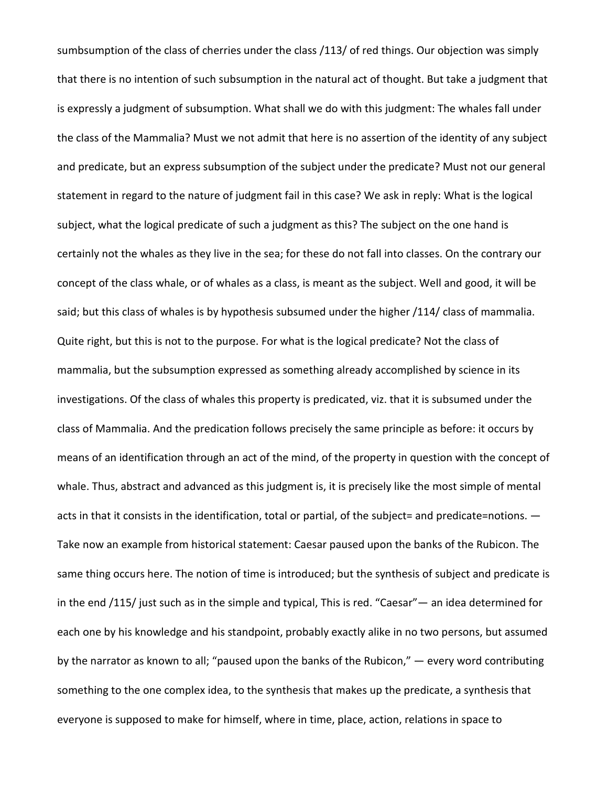sumbsumption of the class of cherries under the class /113/ of red things. Our objection was simply that there is no intention of such subsumption in the natural act of thought. But take a judgment that is expressly a judgment of subsumption. What shall we do with this judgment: The whales fall under the class of the Mammalia? Must we not admit that here is no assertion of the identity of any subject and predicate, but an express subsumption of the subject under the predicate? Must not our general statement in regard to the nature of judgment fail in this case? We ask in reply: What is the logical subject, what the logical predicate of such a judgment as this? The subject on the one hand is certainly not the whales as they live in the sea; for these do not fall into classes. On the contrary our concept of the class whale, or of whales as a class, is meant as the subject. Well and good, it will be said; but this class of whales is by hypothesis subsumed under the higher /114/ class of mammalia. Quite right, but this is not to the purpose. For what is the logical predicate? Not the class of mammalia, but the subsumption expressed as something already accomplished by science in its investigations. Of the class of whales this property is predicated, viz. that it is subsumed under the class of Mammalia. And the predication follows precisely the same principle as before: it occurs by means of an identification through an act of the mind, of the property in question with the concept of whale. Thus, abstract and advanced as this judgment is, it is precisely like the most simple of mental acts in that it consists in the identification, total or partial, of the subject= and predicate=notions. — Take now an example from historical statement: Caesar paused upon the banks of the Rubicon. The same thing occurs here. The notion of time is introduced; but the synthesis of subject and predicate is in the end /115/ just such as in the simple and typical, This is red. "Caesar"— an idea determined for each one by his knowledge and his standpoint, probably exactly alike in no two persons, but assumed by the narrator as known to all; "paused upon the banks of the Rubicon," — every word contributing something to the one complex idea, to the synthesis that makes up the predicate, a synthesis that everyone is supposed to make for himself, where in time, place, action, relations in space to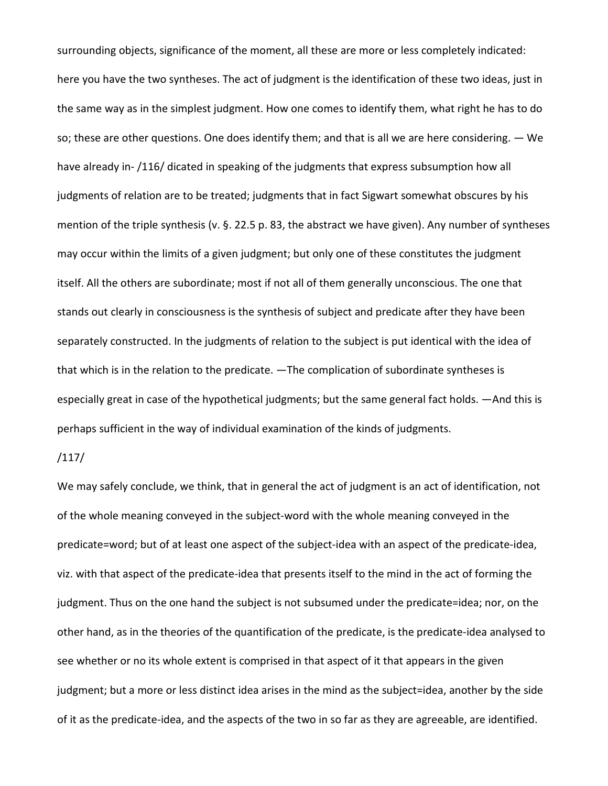surrounding objects, significance of the moment, all these are more or less completely indicated: here you have the two syntheses. The act of judgment is the identification of these two ideas, just in the same way as in the simplest judgment. How one comes to identify them, what right he has to do so; these are other questions. One does identify them; and that is all we are here considering. — We have already in- /116/ dicated in speaking of the judgments that express subsumption how all judgments of relation are to be treated; judgments that in fact Sigwart somewhat obscures by his mention of the triple synthesis (v. §. 22.5 p. 83, the abstract we have given). Any number of syntheses may occur within the limits of a given judgment; but only one of these constitutes the judgment itself. All the others are subordinate; most if not all of them generally unconscious. The one that stands out clearly in consciousness is the synthesis of subject and predicate after they have been separately constructed. In the judgments of relation to the subject is put identical with the idea of that which is in the relation to the predicate. —The complication of subordinate syntheses is especially great in case of the hypothetical judgments; but the same general fact holds. —And this is perhaps sufficient in the way of individual examination of the kinds of judgments.

## /117/

We may safely conclude, we think, that in general the act of judgment is an act of identification, not of the whole meaning conveyed in the subject-word with the whole meaning conveyed in the predicate=word; but of at least one aspect of the subject-idea with an aspect of the predicate-idea, viz. with that aspect of the predicate-idea that presents itself to the mind in the act of forming the judgment. Thus on the one hand the subject is not subsumed under the predicate=idea; nor, on the other hand, as in the theories of the quantification of the predicate, is the predicate-idea analysed to see whether or no its whole extent is comprised in that aspect of it that appears in the given judgment; but a more or less distinct idea arises in the mind as the subject=idea, another by the side of it as the predicate-idea, and the aspects of the two in so far as they are agreeable, are identified.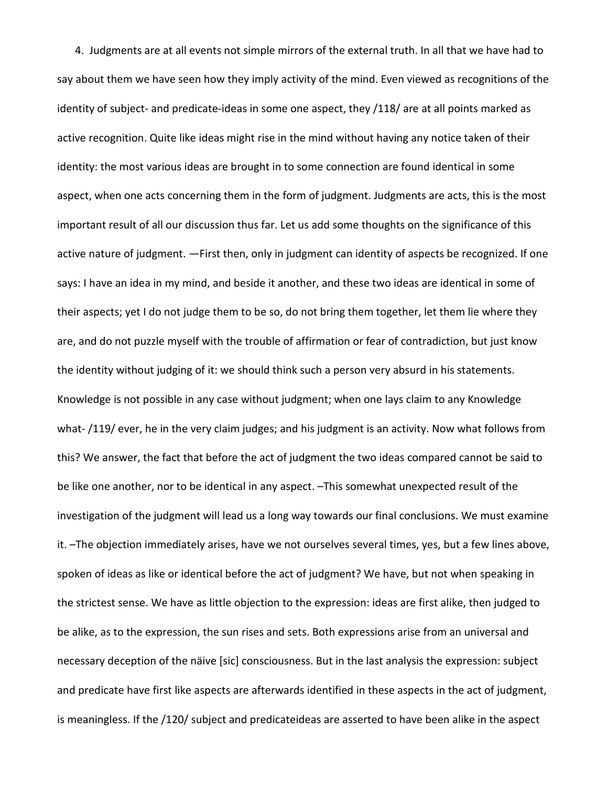4. Judgments are at all events not simple mirrors of the external truth. In all that we have had to say about them we have seen how they imply activity of the mind. Even viewed as recognitions of the identity of subject- and predicate-ideas in some one aspect, they /118/ are at all points marked as active recognition. Quite like ideas might rise in the mind without having any notice taken of their identity: the most various ideas are brought in to some connection are found identical in some aspect, when one acts concerning them in the form of judgment. Judgments are acts, this is the most important result of all our discussion thus far. Let us add some thoughts on the significance of this active nature of judgment. —First then, only in judgment can identity of aspects be recognized. If one says: I have an idea in my mind, and beside it another, and these two ideas are identical in some of their aspects; yet I do not judge them to be so, do not bring them together, let them lie where they are, and do not puzzle myself with the trouble of affirmation or fear of contradiction, but just know the identity without judging of it: we should think such a person very absurd in his statements. Knowledge is not possible in any case without judgment; when one lays claim to any Knowledge what- /119/ ever, he in the very claim judges; and his judgment is an activity. Now what follows from this? We answer, the fact that before the act of judgment the two ideas compared cannot be said to be like one another, nor to be identical in any aspect. –This somewhat unexpected result of the investigation of the judgment will lead us a long way towards our final conclusions. We must examine it. –The objection immediately arises, have we not ourselves several times, yes, but a few lines above, spoken of ideas as like or identical before the act of judgment? We have, but not when speaking in the strictest sense. We have as little objection to the expression: ideas are first alike, then judged to be alike, as to the expression, the sun rises and sets. Both expressions arise from an universal and necessary deception of the näive [sic] consciousness. But in the last analysis the expression: subject and predicate have first like aspects are afterwards identified in these aspects in the act of judgment, is meaningless. If the /120/ subject and predicateideas are asserted to have been alike in the aspect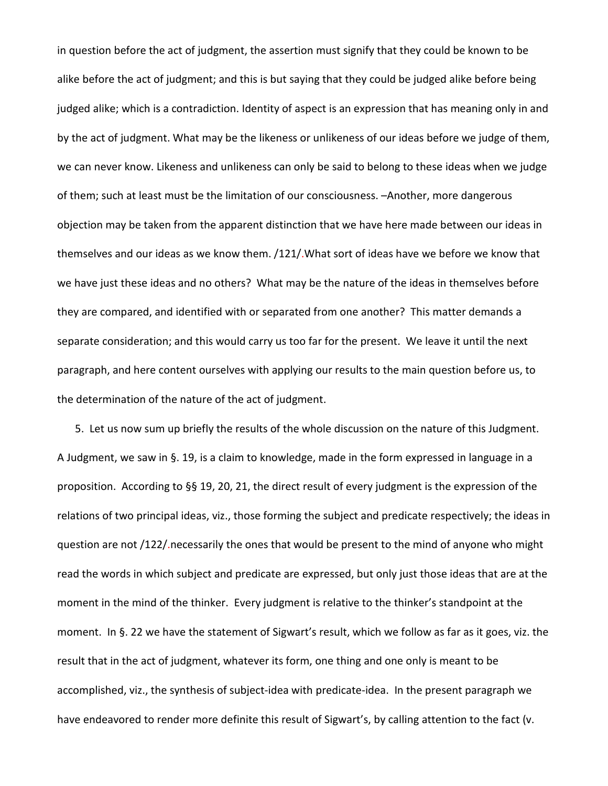in question before the act of judgment, the assertion must signify that they could be known to be alike before the act of judgment; and this is but saying that they could be judged alike before being judged alike; which is a contradiction. Identity of aspect is an expression that has meaning only in and by the act of judgment. What may be the likeness or unlikeness of our ideas before we judge of them, we can never know. Likeness and unlikeness can only be said to belong to these ideas when we judge of them; such at least must be the limitation of our consciousness. –Another, more dangerous objection may be taken from the apparent distinction that we have here made between our ideas in themselves and our ideas as we know them. /121/.What sort of ideas have we before we know that we have just these ideas and no others? What may be the nature of the ideas in themselves before they are compared, and identified with or separated from one another? This matter demands a separate consideration; and this would carry us too far for the present. We leave it until the next paragraph, and here content ourselves with applying our results to the main question before us, to the determination of the nature of the act of judgment.

5. Let us now sum up briefly the results of the whole discussion on the nature of this Judgment. A Judgment, we saw in §. 19, is a claim to knowledge, made in the form expressed in language in a proposition. According to §§ 19, 20, 21, the direct result of every judgment is the expression of the relations of two principal ideas, viz., those forming the subject and predicate respectively; the ideas in question are not /122/.necessarily the ones that would be present to the mind of anyone who might read the words in which subject and predicate are expressed, but only just those ideas that are at the moment in the mind of the thinker. Every judgment is relative to the thinker's standpoint at the moment. In §. 22 we have the statement of Sigwart's result, which we follow as far as it goes, viz. the result that in the act of judgment, whatever its form, one thing and one only is meant to be accomplished, viz., the synthesis of subject-idea with predicate-idea. In the present paragraph we have endeavored to render more definite this result of Sigwart's, by calling attention to the fact (v.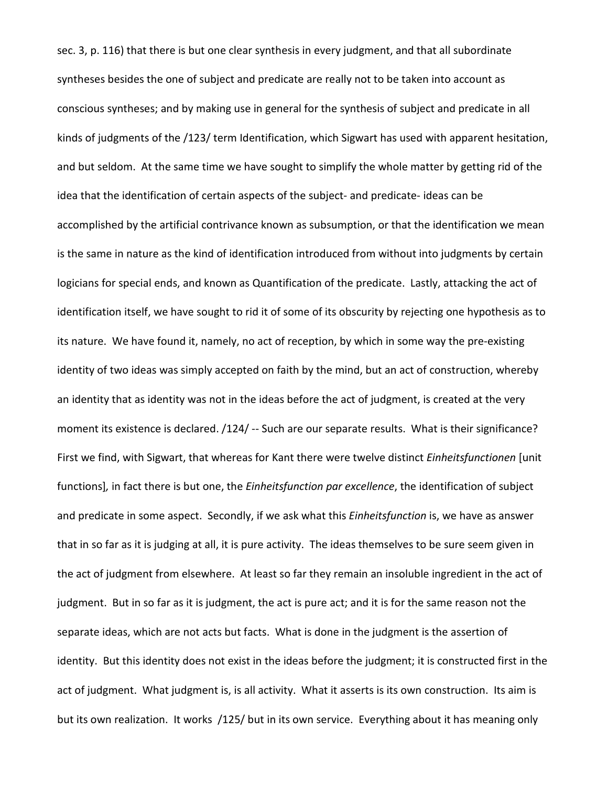sec. 3, p. 116) that there is but one clear synthesis in every judgment, and that all subordinate syntheses besides the one of subject and predicate are really not to be taken into account as conscious syntheses; and by making use in general for the synthesis of subject and predicate in all kinds of judgments of the /123/ term Identification, which Sigwart has used with apparent hesitation, and but seldom. At the same time we have sought to simplify the whole matter by getting rid of the idea that the identification of certain aspects of the subject- and predicate- ideas can be accomplished by the artificial contrivance known as subsumption, or that the identification we mean is the same in nature as the kind of identification introduced from without into judgments by certain logicians for special ends, and known as Quantification of the predicate. Lastly, attacking the act of identification itself, we have sought to rid it of some of its obscurity by rejecting one hypothesis as to its nature. We have found it, namely, no act of reception, by which in some way the pre-existing identity of two ideas was simply accepted on faith by the mind, but an act of construction, whereby an identity that as identity was not in the ideas before the act of judgment, is created at the very moment its existence is declared. /124/ -- Such are our separate results. What is their significance? First we find, with Sigwart, that whereas for Kant there were twelve distinct *Einheitsfunctionen* [unit functions]*,* in fact there is but one, the *Einheitsfunction par excellence*, the identification of subject and predicate in some aspect. Secondly, if we ask what this *Einheitsfunction* is, we have as answer that in so far as it is judging at all, it is pure activity. The ideas themselves to be sure seem given in the act of judgment from elsewhere. At least so far they remain an insoluble ingredient in the act of judgment. But in so far as it is judgment, the act is pure act; and it is for the same reason not the separate ideas, which are not acts but facts. What is done in the judgment is the assertion of identity. But this identity does not exist in the ideas before the judgment; it is constructed first in the act of judgment. What judgment is, is all activity. What it asserts is its own construction. Its aim is but its own realization. It works /125/ but in its own service. Everything about it has meaning only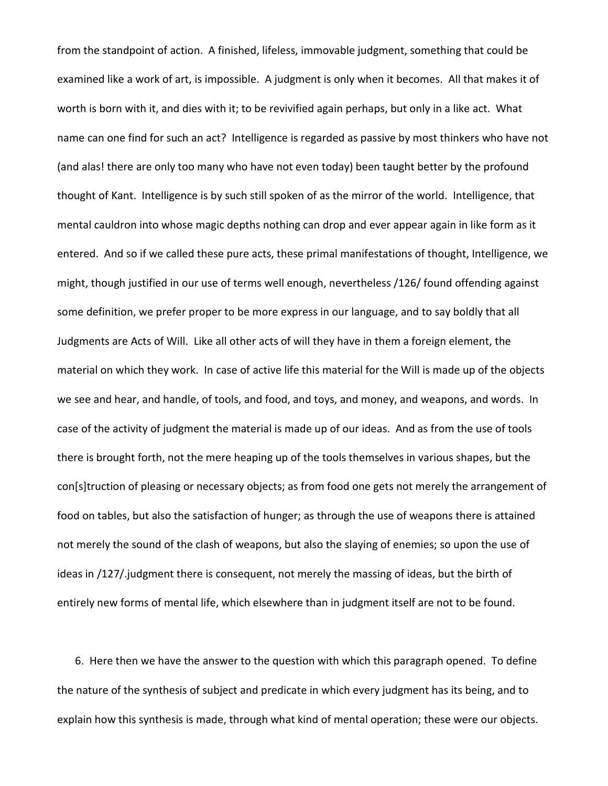from the standpoint of action. A finished, lifeless, immovable judgment, something that could be examined like a work of art, is impossible. A judgment is only when it becomes. All that makes it of worth is born with it, and dies with it; to be revivified again perhaps, but only in a like act. What name can one find for such an act? Intelligence is regarded as passive by most thinkers who have not (and alas! there are only too many who have not even today) been taught better by the profound thought of Kant. Intelligence is by such still spoken of as the mirror of the world. Intelligence, that mental cauldron into whose magic depths nothing can drop and ever appear again in like form as it entered. And so if we called these pure acts, these primal manifestations of thought, Intelligence, we might, though justified in our use of terms well enough, nevertheless /126/ found offending against some definition, we prefer proper to be more express in our language, and to say boldly that all Judgments are Acts of Will. Like all other acts of will they have in them a foreign element, the material on which they work. In case of active life this material for the Will is made up of the objects we see and hear, and handle, of tools, and food, and toys, and money, and weapons, and words. In case of the activity of judgment the material is made up of our ideas. And as from the use of tools there is brought forth, not the mere heaping up of the tools themselves in various shapes, but the con[s]truction of pleasing or necessary objects; as from food one gets not merely the arrangement of food on tables, but also the satisfaction of hunger; as through the use of weapons there is attained not merely the sound of the clash of weapons, but also the slaying of enemies; so upon the use of ideas in /127/.judgment there is consequent, not merely the massing of ideas, but the birth of entirely new forms of mental life, which elsewhere than in judgment itself are not to be found.

6. Here then we have the answer to the question with which this paragraph opened. To define the nature of the synthesis of subject and predicate in which every judgment has its being, and to explain how this synthesis is made, through what kind of mental operation; these were our objects.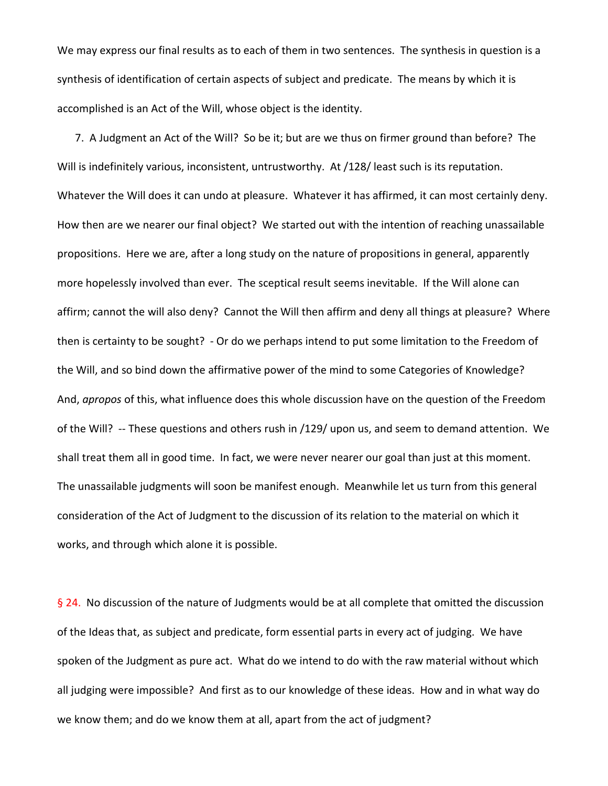We may express our final results as to each of them in two sentences. The synthesis in question is a synthesis of identification of certain aspects of subject and predicate. The means by which it is accomplished is an Act of the Will, whose object is the identity.

7. A Judgment an Act of the Will? So be it; but are we thus on firmer ground than before? The Will is indefinitely various, inconsistent, untrustworthy. At /128/ least such is its reputation. Whatever the Will does it can undo at pleasure. Whatever it has affirmed, it can most certainly deny. How then are we nearer our final object? We started out with the intention of reaching unassailable propositions. Here we are, after a long study on the nature of propositions in general, apparently more hopelessly involved than ever. The sceptical result seems inevitable. If the Will alone can affirm; cannot the will also deny? Cannot the Will then affirm and deny all things at pleasure? Where then is certainty to be sought? - Or do we perhaps intend to put some limitation to the Freedom of the Will, and so bind down the affirmative power of the mind to some Categories of Knowledge? And, *apropos* of this, what influence does this whole discussion have on the question of the Freedom of the Will? -- These questions and others rush in /129/ upon us, and seem to demand attention. We shall treat them all in good time. In fact, we were never nearer our goal than just at this moment. The unassailable judgments will soon be manifest enough. Meanwhile let us turn from this general consideration of the Act of Judgment to the discussion of its relation to the material on which it works, and through which alone it is possible.

§ 24. No discussion of the nature of Judgments would be at all complete that omitted the discussion of the Ideas that, as subject and predicate, form essential parts in every act of judging. We have spoken of the Judgment as pure act. What do we intend to do with the raw material without which all judging were impossible? And first as to our knowledge of these ideas. How and in what way do we know them; and do we know them at all, apart from the act of judgment?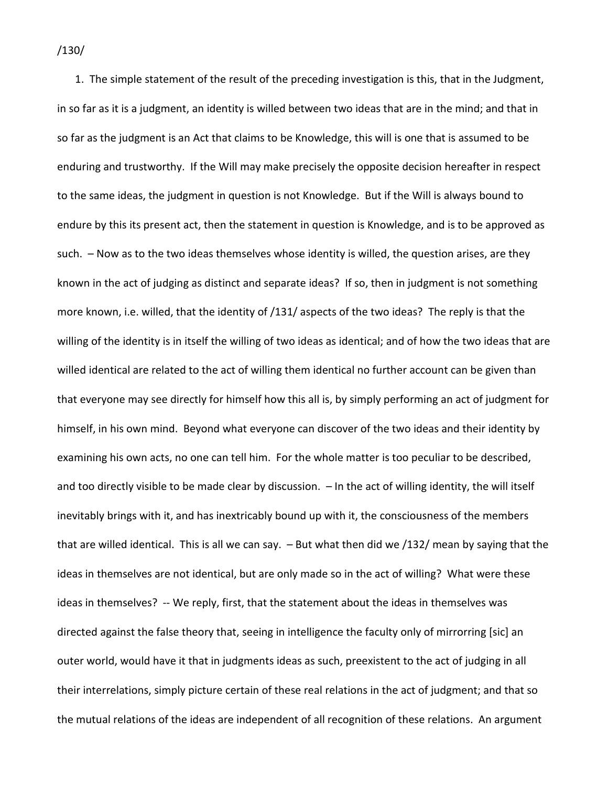1. The simple statement of the result of the preceding investigation is this, that in the Judgment, in so far as it is a judgment, an identity is willed between two ideas that are in the mind; and that in so far as the judgment is an Act that claims to be Knowledge, this will is one that is assumed to be enduring and trustworthy. If the Will may make precisely the opposite decision hereafter in respect to the same ideas, the judgment in question is not Knowledge. But if the Will is always bound to endure by this its present act, then the statement in question is Knowledge, and is to be approved as such. – Now as to the two ideas themselves whose identity is willed, the question arises, are they known in the act of judging as distinct and separate ideas? If so, then in judgment is not something more known, i.e. willed, that the identity of /131/ aspects of the two ideas? The reply is that the willing of the identity is in itself the willing of two ideas as identical; and of how the two ideas that are willed identical are related to the act of willing them identical no further account can be given than that everyone may see directly for himself how this all is, by simply performing an act of judgment for himself, in his own mind. Beyond what everyone can discover of the two ideas and their identity by examining his own acts, no one can tell him. For the whole matter is too peculiar to be described, and too directly visible to be made clear by discussion. – In the act of willing identity, the will itself inevitably brings with it, and has inextricably bound up with it, the consciousness of the members that are willed identical. This is all we can say. – But what then did we /132/ mean by saying that the ideas in themselves are not identical, but are only made so in the act of willing? What were these ideas in themselves? -- We reply, first, that the statement about the ideas in themselves was directed against the false theory that, seeing in intelligence the faculty only of mirrorring [sic] an outer world, would have it that in judgments ideas as such, preexistent to the act of judging in all their interrelations, simply picture certain of these real relations in the act of judgment; and that so the mutual relations of the ideas are independent of all recognition of these relations. An argument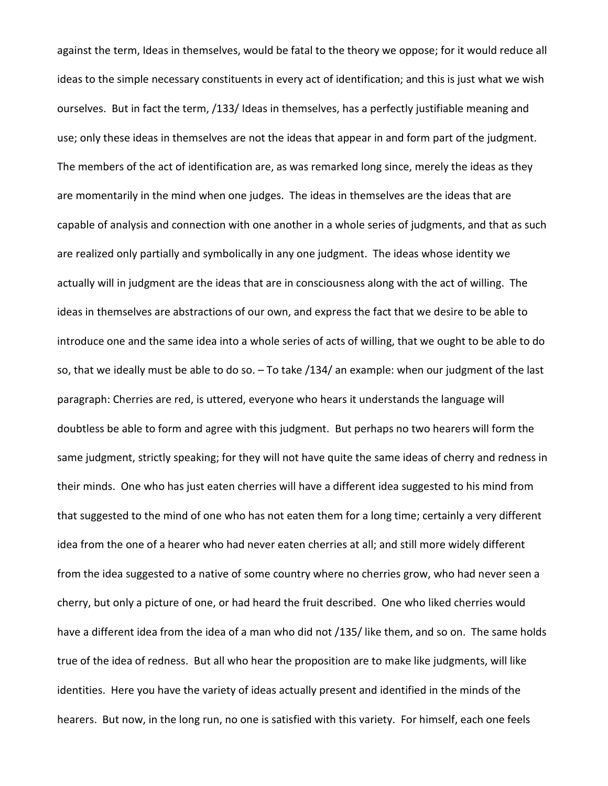against the term, Ideas in themselves, would be fatal to the theory we oppose; for it would reduce all ideas to the simple necessary constituents in every act of identification; and this is just what we wish ourselves. But in fact the term, /133/ Ideas in themselves, has a perfectly justifiable meaning and use; only these ideas in themselves are not the ideas that appear in and form part of the judgment. The members of the act of identification are, as was remarked long since, merely the ideas as they are momentarily in the mind when one judges. The ideas in themselves are the ideas that are capable of analysis and connection with one another in a whole series of judgments, and that as such are realized only partially and symbolically in any one judgment. The ideas whose identity we actually will in judgment are the ideas that are in consciousness along with the act of willing. The ideas in themselves are abstractions of our own, and express the fact that we desire to be able to introduce one and the same idea into a whole series of acts of willing, that we ought to be able to do so, that we ideally must be able to do so. – To take /134/ an example: when our judgment of the last paragraph: Cherries are red, is uttered, everyone who hears it understands the language will doubtless be able to form and agree with this judgment. But perhaps no two hearers will form the same judgment, strictly speaking; for they will not have quite the same ideas of cherry and redness in their minds. One who has just eaten cherries will have a different idea suggested to his mind from that suggested to the mind of one who has not eaten them for a long time; certainly a very different idea from the one of a hearer who had never eaten cherries at all; and still more widely different from the idea suggested to a native of some country where no cherries grow, who had never seen a cherry, but only a picture of one, or had heard the fruit described. One who liked cherries would have a different idea from the idea of a man who did not /135/ like them, and so on. The same holds true of the idea of redness. But all who hear the proposition are to make like judgments, will like identities. Here you have the variety of ideas actually present and identified in the minds of the hearers. But now, in the long run, no one is satisfied with this variety. For himself, each one feels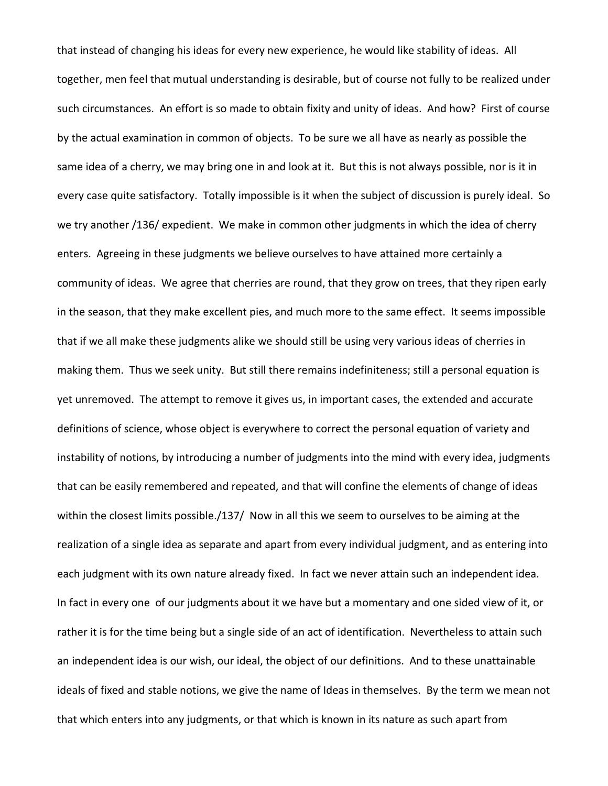that instead of changing his ideas for every new experience, he would like stability of ideas. All together, men feel that mutual understanding is desirable, but of course not fully to be realized under such circumstances. An effort is so made to obtain fixity and unity of ideas. And how? First of course by the actual examination in common of objects. To be sure we all have as nearly as possible the same idea of a cherry, we may bring one in and look at it. But this is not always possible, nor is it in every case quite satisfactory. Totally impossible is it when the subject of discussion is purely ideal. So we try another /136/ expedient. We make in common other judgments in which the idea of cherry enters. Agreeing in these judgments we believe ourselves to have attained more certainly a community of ideas. We agree that cherries are round, that they grow on trees, that they ripen early in the season, that they make excellent pies, and much more to the same effect. It seems impossible that if we all make these judgments alike we should still be using very various ideas of cherries in making them. Thus we seek unity. But still there remains indefiniteness; still a personal equation is yet unremoved. The attempt to remove it gives us, in important cases, the extended and accurate definitions of science, whose object is everywhere to correct the personal equation of variety and instability of notions, by introducing a number of judgments into the mind with every idea, judgments that can be easily remembered and repeated, and that will confine the elements of change of ideas within the closest limits possible./137/ Now in all this we seem to ourselves to be aiming at the realization of a single idea as separate and apart from every individual judgment, and as entering into each judgment with its own nature already fixed. In fact we never attain such an independent idea. In fact in every one of our judgments about it we have but a momentary and one sided view of it, or rather it is for the time being but a single side of an act of identification. Nevertheless to attain such an independent idea is our wish, our ideal, the object of our definitions. And to these unattainable ideals of fixed and stable notions, we give the name of Ideas in themselves. By the term we mean not that which enters into any judgments, or that which is known in its nature as such apart from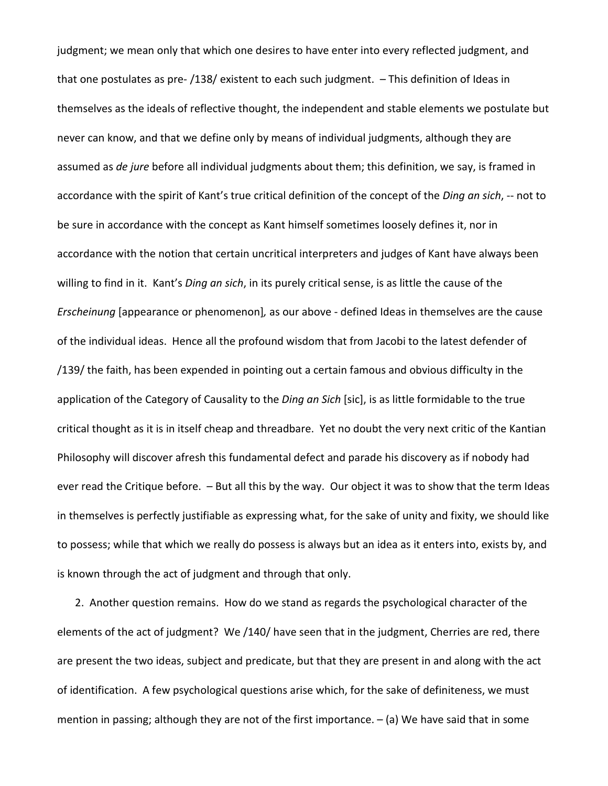judgment; we mean only that which one desires to have enter into every reflected judgment, and that one postulates as pre- /138/ existent to each such judgment. – This definition of Ideas in themselves as the ideals of reflective thought, the independent and stable elements we postulate but never can know, and that we define only by means of individual judgments, although they are assumed as *de jure* before all individual judgments about them; this definition, we say, is framed in accordance with the spirit of Kant's true critical definition of the concept of the *Ding an sich*, -- not to be sure in accordance with the concept as Kant himself sometimes loosely defines it, nor in accordance with the notion that certain uncritical interpreters and judges of Kant have always been willing to find in it. Kant's *Ding an sich*, in its purely critical sense, is as little the cause of the *Erscheinung* [appearance or phenomenon]*,* as our above - defined Ideas in themselves are the cause of the individual ideas. Hence all the profound wisdom that from Jacobi to the latest defender of /139/ the faith, has been expended in pointing out a certain famous and obvious difficulty in the application of the Category of Causality to the *Ding an Sich* [sic], is as little formidable to the true critical thought as it is in itself cheap and threadbare. Yet no doubt the very next critic of the Kantian Philosophy will discover afresh this fundamental defect and parade his discovery as if nobody had ever read the Critique before. – But all this by the way. Our object it was to show that the term Ideas in themselves is perfectly justifiable as expressing what, for the sake of unity and fixity, we should like to possess; while that which we really do possess is always but an idea as it enters into, exists by, and is known through the act of judgment and through that only.

2. Another question remains. How do we stand as regards the psychological character of the elements of the act of judgment? We /140/ have seen that in the judgment, Cherries are red, there are present the two ideas, subject and predicate, but that they are present in and along with the act of identification. A few psychological questions arise which, for the sake of definiteness, we must mention in passing; although they are not of the first importance. – (a) We have said that in some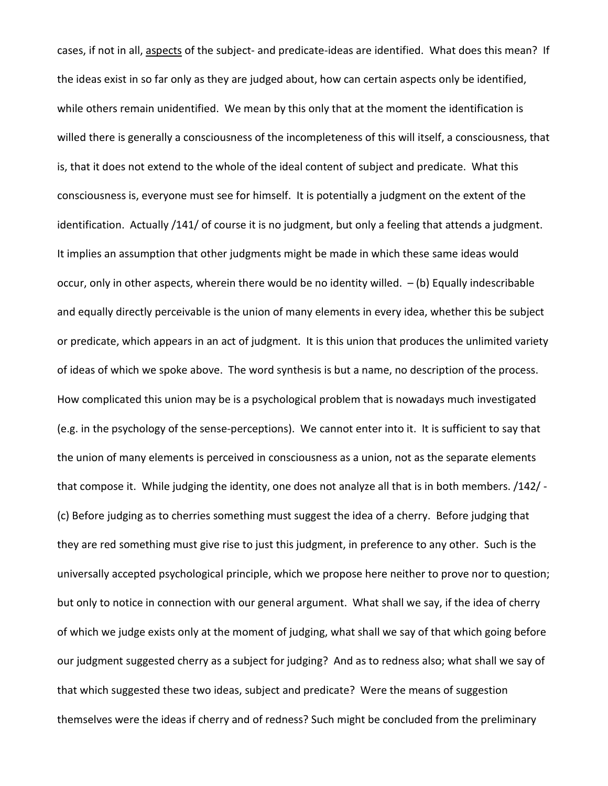cases, if not in all, aspects of the subject- and predicate-ideas are identified. What does this mean? If the ideas exist in so far only as they are judged about, how can certain aspects only be identified, while others remain unidentified. We mean by this only that at the moment the identification is willed there is generally a consciousness of the incompleteness of this will itself, a consciousness, that is, that it does not extend to the whole of the ideal content of subject and predicate. What this consciousness is, everyone must see for himself. It is potentially a judgment on the extent of the identification. Actually /141/ of course it is no judgment, but only a feeling that attends a judgment. It implies an assumption that other judgments might be made in which these same ideas would occur, only in other aspects, wherein there would be no identity willed.  $-$  (b) Equally indescribable and equally directly perceivable is the union of many elements in every idea, whether this be subject or predicate, which appears in an act of judgment. It is this union that produces the unlimited variety of ideas of which we spoke above. The word synthesis is but a name, no description of the process. How complicated this union may be is a psychological problem that is nowadays much investigated (e.g. in the psychology of the sense-perceptions). We cannot enter into it. It is sufficient to say that the union of many elements is perceived in consciousness as a union, not as the separate elements that compose it. While judging the identity, one does not analyze all that is in both members. /142/ - (c) Before judging as to cherries something must suggest the idea of a cherry. Before judging that they are red something must give rise to just this judgment, in preference to any other. Such is the universally accepted psychological principle, which we propose here neither to prove nor to question; but only to notice in connection with our general argument. What shall we say, if the idea of cherry of which we judge exists only at the moment of judging, what shall we say of that which going before our judgment suggested cherry as a subject for judging? And as to redness also; what shall we say of that which suggested these two ideas, subject and predicate? Were the means of suggestion themselves were the ideas if cherry and of redness? Such might be concluded from the preliminary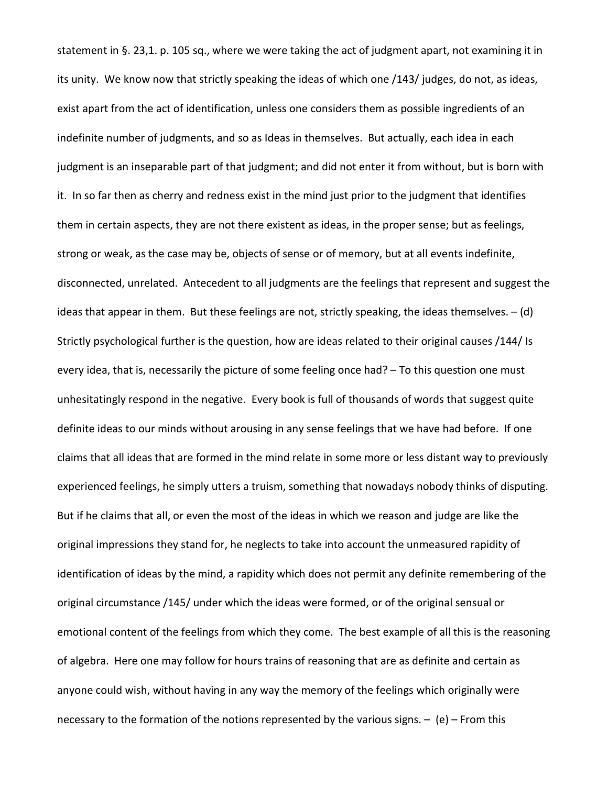statement in §. 23,1. p. 105 sq., where we were taking the act of judgment apart, not examining it in its unity. We know now that strictly speaking the ideas of which one /143/ judges, do not, as ideas, exist apart from the act of identification, unless one considers them as possible ingredients of an indefinite number of judgments, and so as Ideas in themselves. But actually, each idea in each judgment is an inseparable part of that judgment; and did not enter it from without, but is born with it. In so far then as cherry and redness exist in the mind just prior to the judgment that identifies them in certain aspects, they are not there existent as ideas, in the proper sense; but as feelings, strong or weak, as the case may be, objects of sense or of memory, but at all events indefinite, disconnected, unrelated. Antecedent to all judgments are the feelings that represent and suggest the ideas that appear in them. But these feelings are not, strictly speaking, the ideas themselves. – (d) Strictly psychological further is the question, how are ideas related to their original causes /144/ Is every idea, that is, necessarily the picture of some feeling once had? – To this question one must unhesitatingly respond in the negative. Every book is full of thousands of words that suggest quite definite ideas to our minds without arousing in any sense feelings that we have had before. If one claims that all ideas that are formed in the mind relate in some more or less distant way to previously experienced feelings, he simply utters a truism, something that nowadays nobody thinks of disputing. But if he claims that all, or even the most of the ideas in which we reason and judge are like the original impressions they stand for, he neglects to take into account the unmeasured rapidity of identification of ideas by the mind, a rapidity which does not permit any definite remembering of the original circumstance /145/ under which the ideas were formed, or of the original sensual or emotional content of the feelings from which they come. The best example of all this is the reasoning of algebra. Here one may follow for hours trains of reasoning that are as definite and certain as anyone could wish, without having in any way the memory of the feelings which originally were necessary to the formation of the notions represented by the various signs.  $-$  (e) – From this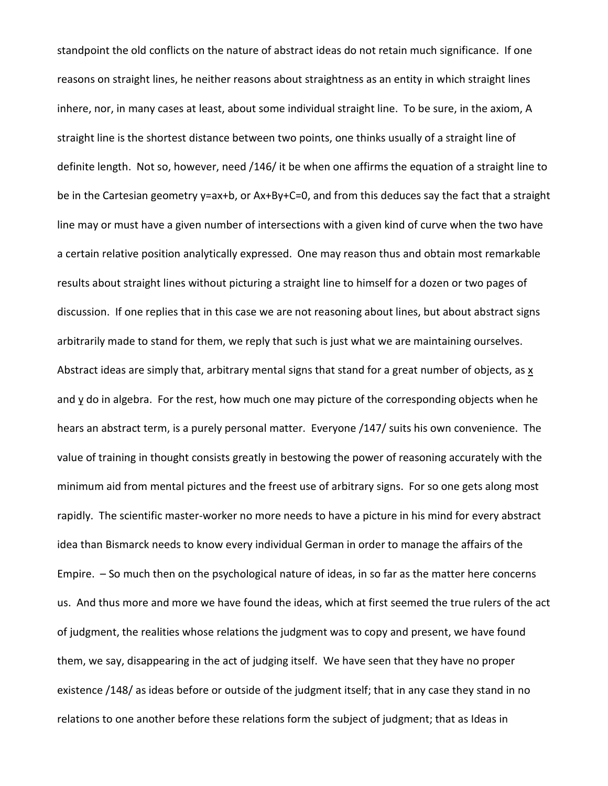standpoint the old conflicts on the nature of abstract ideas do not retain much significance. If one reasons on straight lines, he neither reasons about straightness as an entity in which straight lines inhere, nor, in many cases at least, about some individual straight line. To be sure, in the axiom, A straight line is the shortest distance between two points, one thinks usually of a straight line of definite length. Not so, however, need /146/ it be when one affirms the equation of a straight line to be in the Cartesian geometry y=ax+b, or Ax+By+C=0, and from this deduces say the fact that a straight line may or must have a given number of intersections with a given kind of curve when the two have a certain relative position analytically expressed. One may reason thus and obtain most remarkable results about straight lines without picturing a straight line to himself for a dozen or two pages of discussion. If one replies that in this case we are not reasoning about lines, but about abstract signs arbitrarily made to stand for them, we reply that such is just what we are maintaining ourselves. Abstract ideas are simply that, arbitrary mental signs that stand for a great number of objects, as  $x$ and  $\underline{v}$  do in algebra. For the rest, how much one may picture of the corresponding objects when he hears an abstract term, is a purely personal matter. Everyone /147/ suits his own convenience. The value of training in thought consists greatly in bestowing the power of reasoning accurately with the minimum aid from mental pictures and the freest use of arbitrary signs. For so one gets along most rapidly. The scientific master-worker no more needs to have a picture in his mind for every abstract idea than Bismarck needs to know every individual German in order to manage the affairs of the Empire. – So much then on the psychological nature of ideas, in so far as the matter here concerns us. And thus more and more we have found the ideas, which at first seemed the true rulers of the act of judgment, the realities whose relations the judgment was to copy and present, we have found them, we say, disappearing in the act of judging itself. We have seen that they have no proper existence /148/ as ideas before or outside of the judgment itself; that in any case they stand in no relations to one another before these relations form the subject of judgment; that as Ideas in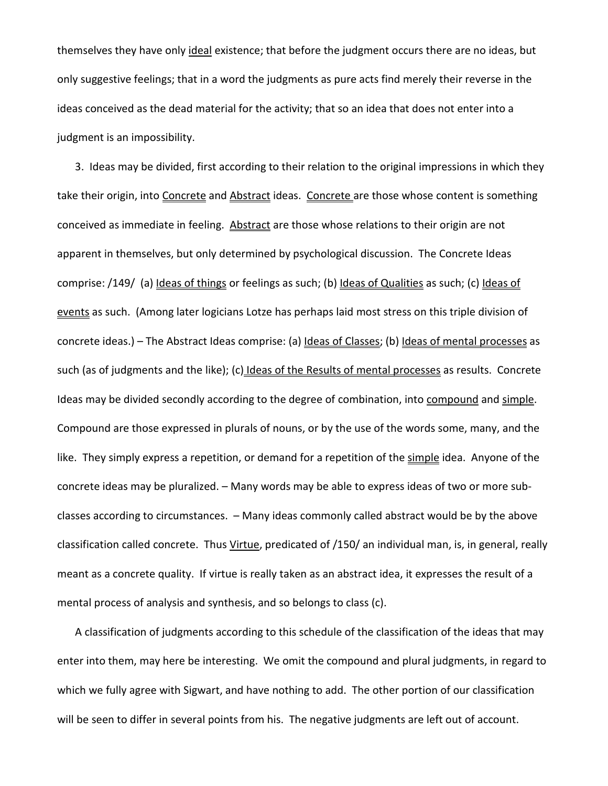themselves they have only ideal existence; that before the judgment occurs there are no ideas, but only suggestive feelings; that in a word the judgments as pure acts find merely their reverse in the ideas conceived as the dead material for the activity; that so an idea that does not enter into a judgment is an impossibility.

3. Ideas may be divided, first according to their relation to the original impressions in which they take their origin, into Concrete and Abstract ideas. Concrete are those whose content is something conceived as immediate in feeling. Abstract are those whose relations to their origin are not apparent in themselves, but only determined by psychological discussion. The Concrete Ideas comprise: /149/ (a) Ideas of things or feelings as such; (b) Ideas of Qualities as such; (c) Ideas of events as such. (Among later logicians Lotze has perhaps laid most stress on this triple division of concrete ideas.) - The Abstract Ideas comprise: (a) Ideas of Classes; (b) Ideas of mental processes as such (as of judgments and the like); (c) Ideas of the Results of mental processes as results. Concrete Ideas may be divided secondly according to the degree of combination, into compound and simple. Compound are those expressed in plurals of nouns, or by the use of the words some, many, and the like. They simply express a repetition, or demand for a repetition of the simple idea. Anyone of the concrete ideas may be pluralized. – Many words may be able to express ideas of two or more subclasses according to circumstances. – Many ideas commonly called abstract would be by the above classification called concrete. Thus Virtue, predicated of /150/ an individual man, is, in general, really meant as a concrete quality. If virtue is really taken as an abstract idea, it expresses the result of a mental process of analysis and synthesis, and so belongs to class (c).

A classification of judgments according to this schedule of the classification of the ideas that may enter into them, may here be interesting. We omit the compound and plural judgments, in regard to which we fully agree with Sigwart, and have nothing to add. The other portion of our classification will be seen to differ in several points from his. The negative judgments are left out of account.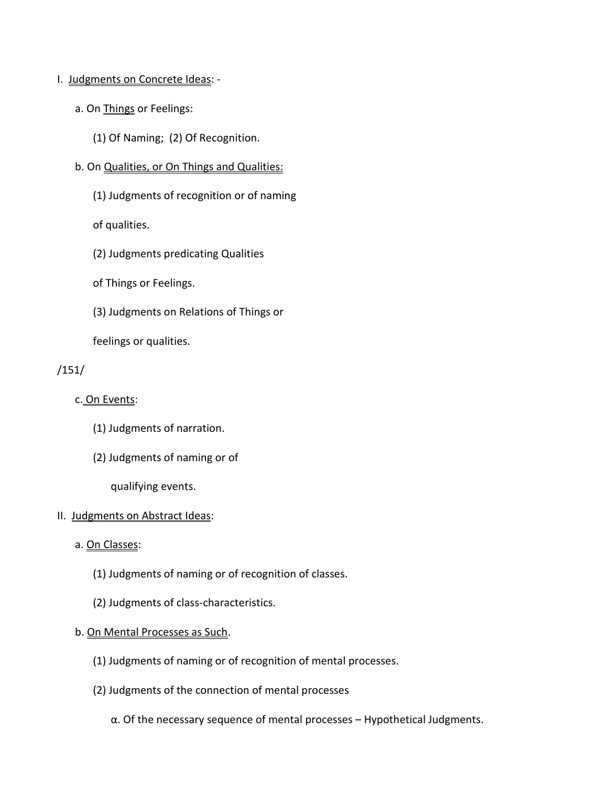# I. Judgments on Concrete Ideas: -

- a. On **Things** or Feelings:
	- (1) Of Naming; (2) Of Recognition.
- b. On Qualities, or On Things and Qualities:
	- (1) Judgments of recognition or of naming

of qualities.

- (2) Judgments predicating Qualities
- of Things or Feelings.
- (3) Judgments on Relations of Things or

feelings or qualities.

```
/151/
```
- c. On Events:
	- (1) Judgments of narration.
	- (2) Judgments of naming or of

qualifying events.

# II. Judgments on Abstract Ideas:

- a. On Classes:
	- (1) Judgments of naming or of recognition of classes.
	- (2) Judgments of class-characteristics.

# b. On Mental Processes as Such.

- (1) Judgments of naming or of recognition of mental processes.
- (2) Judgments of the connection of mental processes
	- α. Of the necessary sequence of mental processes Hypothetical Judgments.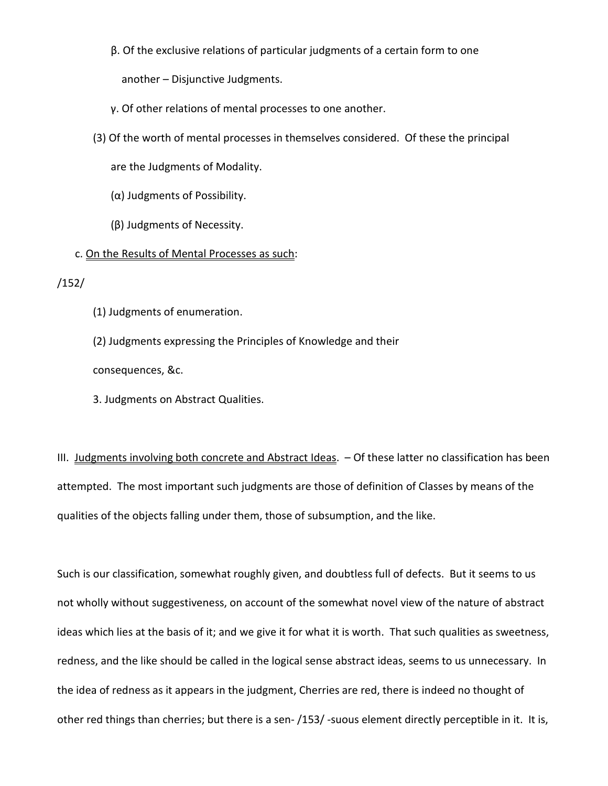β. Of the exclusive relations of particular judgments of a certain form to one

another – Disjunctive Judgments.

- γ. Of other relations of mental processes to one another.
- (3) Of the worth of mental processes in themselves considered. Of these the principal

are the Judgments of Modality.

- (α) Judgments of Possibility.
- (β) Judgments of Necessity.

## c. On the Results of Mental Processes as such:

/152/

(1) Judgments of enumeration.

(2) Judgments expressing the Principles of Knowledge and their

consequences, &c.

3. Judgments on Abstract Qualities.

III. Judgments involving both concrete and Abstract Ideas. - Of these latter no classification has been attempted. The most important such judgments are those of definition of Classes by means of the qualities of the objects falling under them, those of subsumption, and the like.

Such is our classification, somewhat roughly given, and doubtless full of defects. But it seems to us not wholly without suggestiveness, on account of the somewhat novel view of the nature of abstract ideas which lies at the basis of it; and we give it for what it is worth. That such qualities as sweetness, redness, and the like should be called in the logical sense abstract ideas, seems to us unnecessary. In the idea of redness as it appears in the judgment, Cherries are red, there is indeed no thought of other red things than cherries; but there is a sen- /153/ -suous element directly perceptible in it. It is,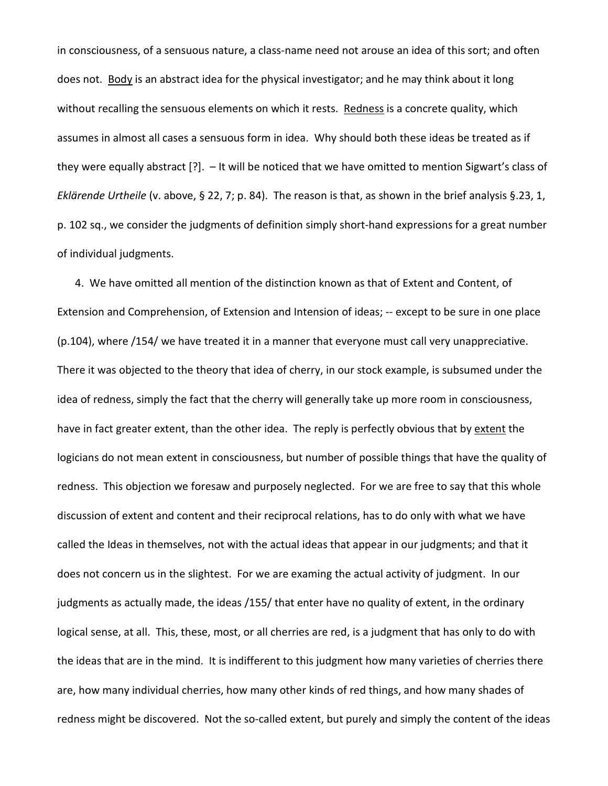in consciousness, of a sensuous nature, a class-name need not arouse an idea of this sort; and often does not. Body is an abstract idea for the physical investigator; and he may think about it long without recalling the sensuous elements on which it rests. Redness is a concrete quality, which assumes in almost all cases a sensuous form in idea. Why should both these ideas be treated as if they were equally abstract [?]. – It will be noticed that we have omitted to mention Sigwart's class of *Eklärende Urtheile* (v. above, § 22, 7; p. 84). The reason is that, as shown in the brief analysis §.23, 1, p. 102 sq., we consider the judgments of definition simply short-hand expressions for a great number of individual judgments.

4. We have omitted all mention of the distinction known as that of Extent and Content, of Extension and Comprehension, of Extension and Intension of ideas; -- except to be sure in one place (p.104), where /154/ we have treated it in a manner that everyone must call very unappreciative. There it was objected to the theory that idea of cherry, in our stock example, is subsumed under the idea of redness, simply the fact that the cherry will generally take up more room in consciousness, have in fact greater extent, than the other idea. The reply is perfectly obvious that by extent the logicians do not mean extent in consciousness, but number of possible things that have the quality of redness. This objection we foresaw and purposely neglected. For we are free to say that this whole discussion of extent and content and their reciprocal relations, has to do only with what we have called the Ideas in themselves, not with the actual ideas that appear in our judgments; and that it does not concern us in the slightest. For we are examing the actual activity of judgment. In our judgments as actually made, the ideas /155/ that enter have no quality of extent, in the ordinary logical sense, at all. This, these, most, or all cherries are red, is a judgment that has only to do with the ideas that are in the mind. It is indifferent to this judgment how many varieties of cherries there are, how many individual cherries, how many other kinds of red things, and how many shades of redness might be discovered. Not the so-called extent, but purely and simply the content of the ideas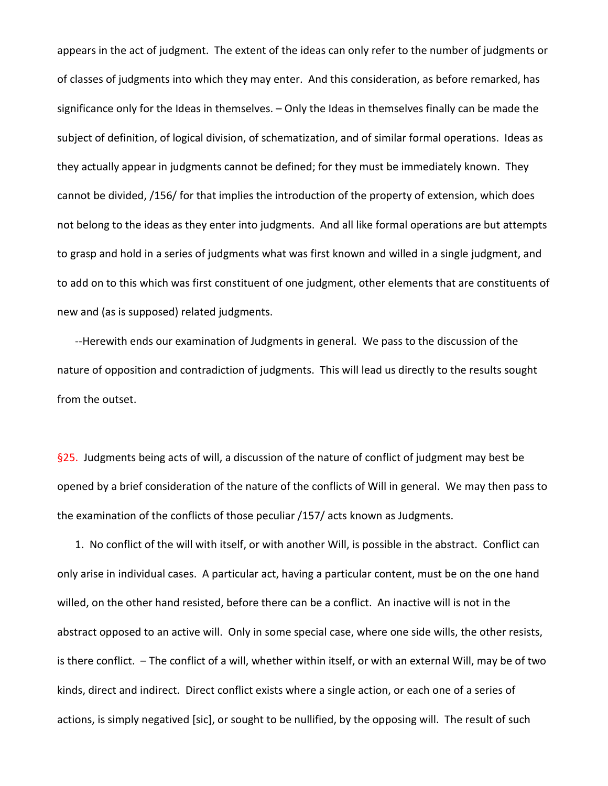appears in the act of judgment. The extent of the ideas can only refer to the number of judgments or of classes of judgments into which they may enter. And this consideration, as before remarked, has significance only for the Ideas in themselves. – Only the Ideas in themselves finally can be made the subject of definition, of logical division, of schematization, and of similar formal operations. Ideas as they actually appear in judgments cannot be defined; for they must be immediately known. They cannot be divided, /156/ for that implies the introduction of the property of extension, which does not belong to the ideas as they enter into judgments. And all like formal operations are but attempts to grasp and hold in a series of judgments what was first known and willed in a single judgment, and to add on to this which was first constituent of one judgment, other elements that are constituents of new and (as is supposed) related judgments.

--Herewith ends our examination of Judgments in general. We pass to the discussion of the nature of opposition and contradiction of judgments. This will lead us directly to the results sought from the outset.

§25. Judgments being acts of will, a discussion of the nature of conflict of judgment may best be opened by a brief consideration of the nature of the conflicts of Will in general. We may then pass to the examination of the conflicts of those peculiar /157/ acts known as Judgments.

1. No conflict of the will with itself, or with another Will, is possible in the abstract. Conflict can only arise in individual cases. A particular act, having a particular content, must be on the one hand willed, on the other hand resisted, before there can be a conflict. An inactive will is not in the abstract opposed to an active will. Only in some special case, where one side wills, the other resists, is there conflict. – The conflict of a will, whether within itself, or with an external Will, may be of two kinds, direct and indirect. Direct conflict exists where a single action, or each one of a series of actions, is simply negatived [sic], or sought to be nullified, by the opposing will. The result of such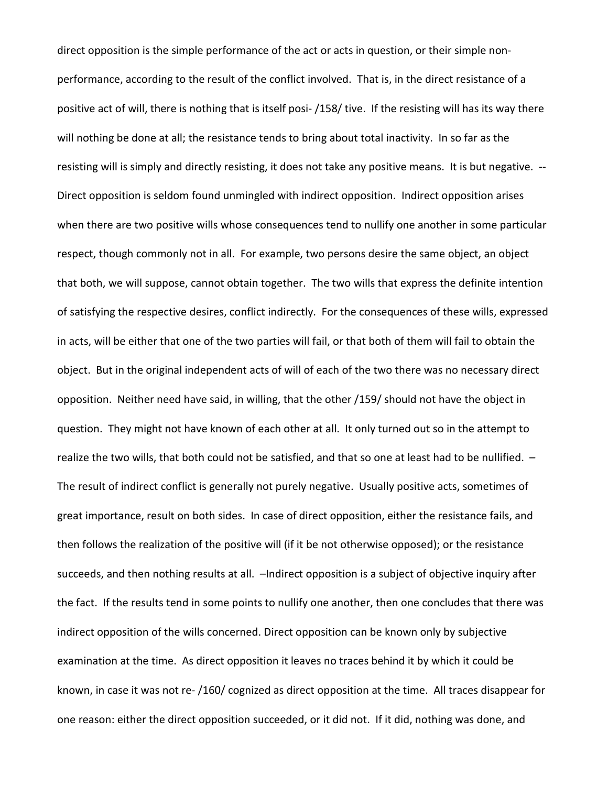direct opposition is the simple performance of the act or acts in question, or their simple nonperformance, according to the result of the conflict involved. That is, in the direct resistance of a positive act of will, there is nothing that is itself posi- /158/ tive. If the resisting will has its way there will nothing be done at all; the resistance tends to bring about total inactivity. In so far as the resisting will is simply and directly resisting, it does not take any positive means. It is but negative. -- Direct opposition is seldom found unmingled with indirect opposition. Indirect opposition arises when there are two positive wills whose consequences tend to nullify one another in some particular respect, though commonly not in all. For example, two persons desire the same object, an object that both, we will suppose, cannot obtain together. The two wills that express the definite intention of satisfying the respective desires, conflict indirectly. For the consequences of these wills, expressed in acts, will be either that one of the two parties will fail, or that both of them will fail to obtain the object. But in the original independent acts of will of each of the two there was no necessary direct opposition. Neither need have said, in willing, that the other /159/ should not have the object in question. They might not have known of each other at all. It only turned out so in the attempt to realize the two wills, that both could not be satisfied, and that so one at least had to be nullified. – The result of indirect conflict is generally not purely negative. Usually positive acts, sometimes of great importance, result on both sides. In case of direct opposition, either the resistance fails, and then follows the realization of the positive will (if it be not otherwise opposed); or the resistance succeeds, and then nothing results at all. –Indirect opposition is a subject of objective inquiry after the fact. If the results tend in some points to nullify one another, then one concludes that there was indirect opposition of the wills concerned. Direct opposition can be known only by subjective examination at the time. As direct opposition it leaves no traces behind it by which it could be known, in case it was not re- /160/ cognized as direct opposition at the time. All traces disappear for one reason: either the direct opposition succeeded, or it did not. If it did, nothing was done, and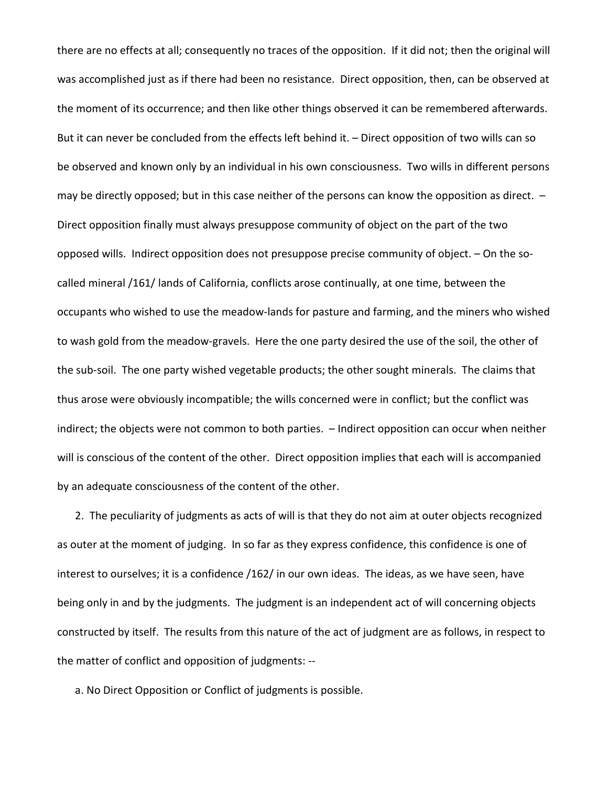there are no effects at all; consequently no traces of the opposition. If it did not; then the original will was accomplished just as if there had been no resistance. Direct opposition, then, can be observed at the moment of its occurrence; and then like other things observed it can be remembered afterwards. But it can never be concluded from the effects left behind it. – Direct opposition of two wills can so be observed and known only by an individual in his own consciousness. Two wills in different persons may be directly opposed; but in this case neither of the persons can know the opposition as direct. – Direct opposition finally must always presuppose community of object on the part of the two opposed wills. Indirect opposition does not presuppose precise community of object. – On the socalled mineral /161/ lands of California, conflicts arose continually, at one time, between the occupants who wished to use the meadow-lands for pasture and farming, and the miners who wished to wash gold from the meadow-gravels. Here the one party desired the use of the soil, the other of the sub-soil. The one party wished vegetable products; the other sought minerals. The claims that thus arose were obviously incompatible; the wills concerned were in conflict; but the conflict was indirect; the objects were not common to both parties. – Indirect opposition can occur when neither will is conscious of the content of the other. Direct opposition implies that each will is accompanied by an adequate consciousness of the content of the other.

2. The peculiarity of judgments as acts of will is that they do not aim at outer objects recognized as outer at the moment of judging. In so far as they express confidence, this confidence is one of interest to ourselves; it is a confidence /162/ in our own ideas. The ideas, as we have seen, have being only in and by the judgments. The judgment is an independent act of will concerning objects constructed by itself. The results from this nature of the act of judgment are as follows, in respect to the matter of conflict and opposition of judgments: --

a. No Direct Opposition or Conflict of judgments is possible.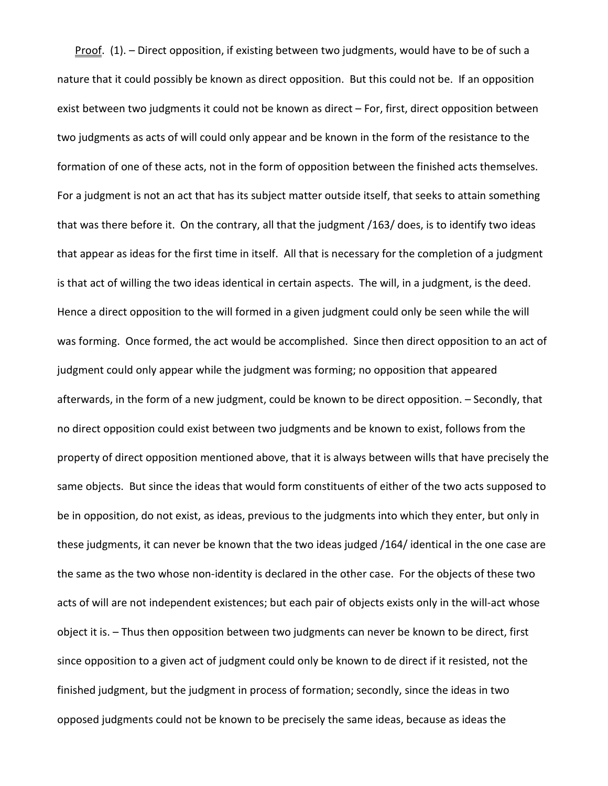Proof. (1). – Direct opposition, if existing between two judgments, would have to be of such a nature that it could possibly be known as direct opposition. But this could not be. If an opposition exist between two judgments it could not be known as direct – For, first, direct opposition between two judgments as acts of will could only appear and be known in the form of the resistance to the formation of one of these acts, not in the form of opposition between the finished acts themselves. For a judgment is not an act that has its subject matter outside itself, that seeks to attain something that was there before it. On the contrary, all that the judgment /163/ does, is to identify two ideas that appear as ideas for the first time in itself. All that is necessary for the completion of a judgment is that act of willing the two ideas identical in certain aspects. The will, in a judgment, is the deed. Hence a direct opposition to the will formed in a given judgment could only be seen while the will was forming. Once formed, the act would be accomplished. Since then direct opposition to an act of judgment could only appear while the judgment was forming; no opposition that appeared afterwards, in the form of a new judgment, could be known to be direct opposition. – Secondly, that no direct opposition could exist between two judgments and be known to exist, follows from the property of direct opposition mentioned above, that it is always between wills that have precisely the same objects. But since the ideas that would form constituents of either of the two acts supposed to be in opposition, do not exist, as ideas, previous to the judgments into which they enter, but only in these judgments, it can never be known that the two ideas judged /164/ identical in the one case are the same as the two whose non-identity is declared in the other case. For the objects of these two acts of will are not independent existences; but each pair of objects exists only in the will-act whose object it is. – Thus then opposition between two judgments can never be known to be direct, first since opposition to a given act of judgment could only be known to de direct if it resisted, not the finished judgment, but the judgment in process of formation; secondly, since the ideas in two opposed judgments could not be known to be precisely the same ideas, because as ideas the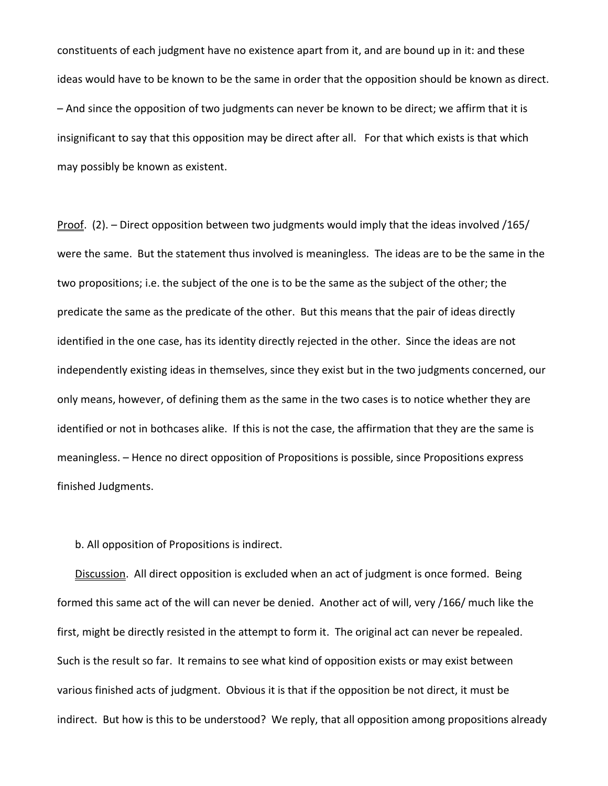constituents of each judgment have no existence apart from it, and are bound up in it: and these ideas would have to be known to be the same in order that the opposition should be known as direct. – And since the opposition of two judgments can never be known to be direct; we affirm that it is insignificant to say that this opposition may be direct after all. For that which exists is that which may possibly be known as existent.

Proof. (2). – Direct opposition between two judgments would imply that the ideas involved /165/ were the same. But the statement thus involved is meaningless. The ideas are to be the same in the two propositions; i.e. the subject of the one is to be the same as the subject of the other; the predicate the same as the predicate of the other. But this means that the pair of ideas directly identified in the one case, has its identity directly rejected in the other. Since the ideas are not independently existing ideas in themselves, since they exist but in the two judgments concerned, our only means, however, of defining them as the same in the two cases is to notice whether they are identified or not in bothcases alike. If this is not the case, the affirmation that they are the same is meaningless. – Hence no direct opposition of Propositions is possible, since Propositions express finished Judgments.

b. All opposition of Propositions is indirect.

Discussion. All direct opposition is excluded when an act of judgment is once formed. Being formed this same act of the will can never be denied. Another act of will, very /166/ much like the first, might be directly resisted in the attempt to form it. The original act can never be repealed. Such is the result so far. It remains to see what kind of opposition exists or may exist between various finished acts of judgment. Obvious it is that if the opposition be not direct, it must be indirect. But how is this to be understood? We reply, that all opposition among propositions already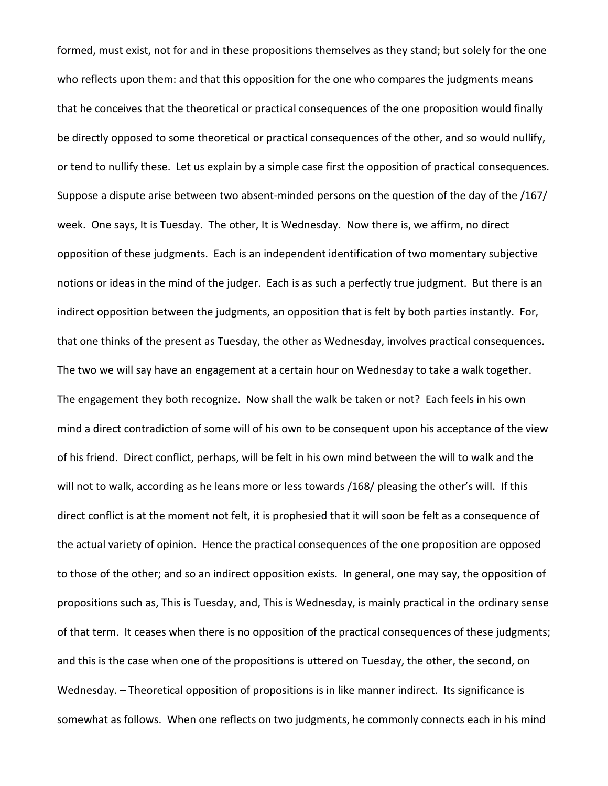formed, must exist, not for and in these propositions themselves as they stand; but solely for the one who reflects upon them: and that this opposition for the one who compares the judgments means that he conceives that the theoretical or practical consequences of the one proposition would finally be directly opposed to some theoretical or practical consequences of the other, and so would nullify, or tend to nullify these. Let us explain by a simple case first the opposition of practical consequences. Suppose a dispute arise between two absent-minded persons on the question of the day of the /167/ week. One says, It is Tuesday. The other, It is Wednesday. Now there is, we affirm, no direct opposition of these judgments. Each is an independent identification of two momentary subjective notions or ideas in the mind of the judger. Each is as such a perfectly true judgment. But there is an indirect opposition between the judgments, an opposition that is felt by both parties instantly. For, that one thinks of the present as Tuesday, the other as Wednesday, involves practical consequences. The two we will say have an engagement at a certain hour on Wednesday to take a walk together. The engagement they both recognize. Now shall the walk be taken or not? Each feels in his own mind a direct contradiction of some will of his own to be consequent upon his acceptance of the view of his friend. Direct conflict, perhaps, will be felt in his own mind between the will to walk and the will not to walk, according as he leans more or less towards /168/ pleasing the other's will. If this direct conflict is at the moment not felt, it is prophesied that it will soon be felt as a consequence of the actual variety of opinion. Hence the practical consequences of the one proposition are opposed to those of the other; and so an indirect opposition exists. In general, one may say, the opposition of propositions such as, This is Tuesday, and, This is Wednesday, is mainly practical in the ordinary sense of that term. It ceases when there is no opposition of the practical consequences of these judgments; and this is the case when one of the propositions is uttered on Tuesday, the other, the second, on Wednesday. – Theoretical opposition of propositions is in like manner indirect. Its significance is somewhat as follows. When one reflects on two judgments, he commonly connects each in his mind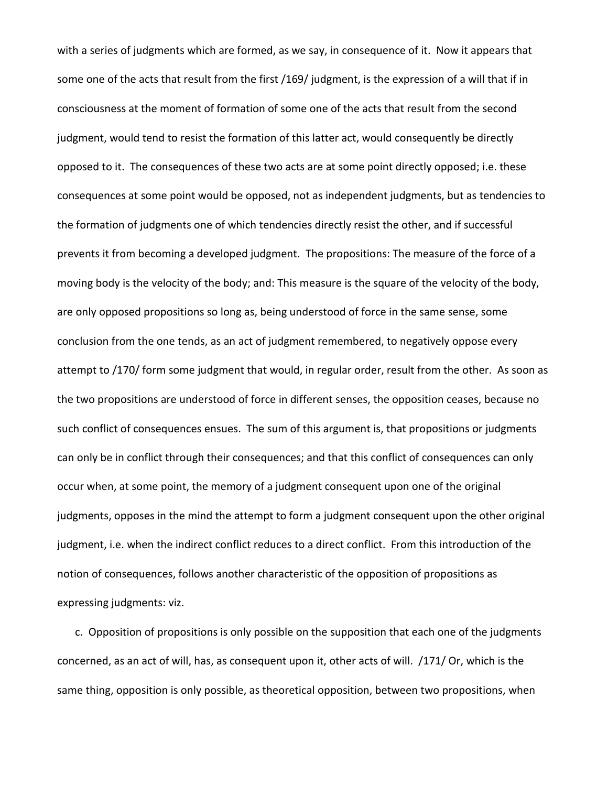with a series of judgments which are formed, as we say, in consequence of it. Now it appears that some one of the acts that result from the first /169/ judgment, is the expression of a will that if in consciousness at the moment of formation of some one of the acts that result from the second judgment, would tend to resist the formation of this latter act, would consequently be directly opposed to it. The consequences of these two acts are at some point directly opposed; i.e. these consequences at some point would be opposed, not as independent judgments, but as tendencies to the formation of judgments one of which tendencies directly resist the other, and if successful prevents it from becoming a developed judgment. The propositions: The measure of the force of a moving body is the velocity of the body; and: This measure is the square of the velocity of the body, are only opposed propositions so long as, being understood of force in the same sense, some conclusion from the one tends, as an act of judgment remembered, to negatively oppose every attempt to /170/ form some judgment that would, in regular order, result from the other. As soon as the two propositions are understood of force in different senses, the opposition ceases, because no such conflict of consequences ensues. The sum of this argument is, that propositions or judgments can only be in conflict through their consequences; and that this conflict of consequences can only occur when, at some point, the memory of a judgment consequent upon one of the original judgments, opposes in the mind the attempt to form a judgment consequent upon the other original judgment, i.e. when the indirect conflict reduces to a direct conflict. From this introduction of the notion of consequences, follows another characteristic of the opposition of propositions as expressing judgments: viz.

c. Opposition of propositions is only possible on the supposition that each one of the judgments concerned, as an act of will, has, as consequent upon it, other acts of will. /171/ Or, which is the same thing, opposition is only possible, as theoretical opposition, between two propositions, when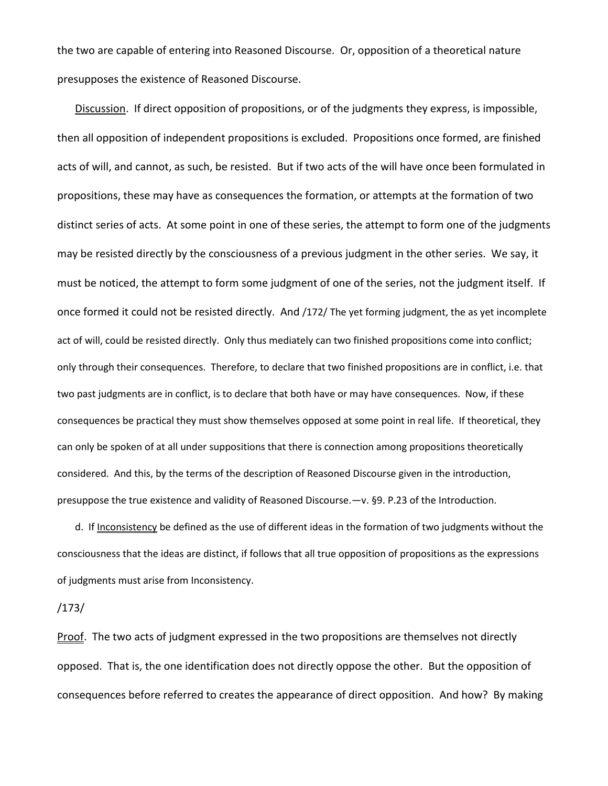the two are capable of entering into Reasoned Discourse. Or, opposition of a theoretical nature presupposes the existence of Reasoned Discourse.

Discussion. If direct opposition of propositions, or of the judgments they express, is impossible, then all opposition of independent propositions is excluded. Propositions once formed, are finished acts of will, and cannot, as such, be resisted. But if two acts of the will have once been formulated in propositions, these may have as consequences the formation, or attempts at the formation of two distinct series of acts. At some point in one of these series, the attempt to form one of the judgments may be resisted directly by the consciousness of a previous judgment in the other series. We say, it must be noticed, the attempt to form some judgment of one of the series, not the judgment itself. If once formed it could not be resisted directly. And /172/ The yet forming judgment, the as yet incomplete act of will, could be resisted directly. Only thus mediately can two finished propositions come into conflict; only through their consequences. Therefore, to declare that two finished propositions are in conflict, i.e. that two past judgments are in conflict, is to declare that both have or may have consequences. Now, if these consequences be practical they must show themselves opposed at some point in real life. If theoretical, they can only be spoken of at all under suppositions that there is connection among propositions theoretically considered. And this, by the terms of the description of Reasoned Discourse given in the introduction, presuppose the true existence and validity of Reasoned Discourse.—v. §9. P.23 of the Introduction.

d. If Inconsistency be defined as the use of different ideas in the formation of two judgments without the consciousness that the ideas are distinct, if follows that all true opposition of propositions as the expressions of judgments must arise from Inconsistency.

/173/

Proof. The two acts of judgment expressed in the two propositions are themselves not directly opposed. That is, the one identification does not directly oppose the other. But the opposition of consequences before referred to creates the appearance of direct opposition. And how? By making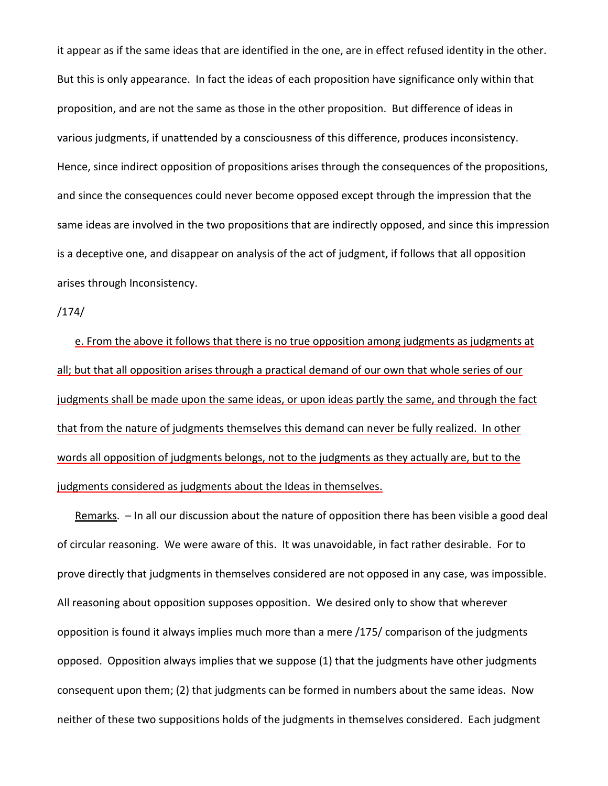it appear as if the same ideas that are identified in the one, are in effect refused identity in the other. But this is only appearance. In fact the ideas of each proposition have significance only within that proposition, and are not the same as those in the other proposition. But difference of ideas in various judgments, if unattended by a consciousness of this difference, produces inconsistency. Hence, since indirect opposition of propositions arises through the consequences of the propositions, and since the consequences could never become opposed except through the impression that the same ideas are involved in the two propositions that are indirectly opposed, and since this impression is a deceptive one, and disappear on analysis of the act of judgment, if follows that all opposition arises through Inconsistency.

### /174/

e. From the above it follows that there is no true opposition among judgments as judgments at all; but that all opposition arises through a practical demand of our own that whole series of our judgments shall be made upon the same ideas, or upon ideas partly the same, and through the fact that from the nature of judgments themselves this demand can never be fully realized. In other words all opposition of judgments belongs, not to the judgments as they actually are, but to the judgments considered as judgments about the Ideas in themselves.

<u>Remarks</u>.  $-$  In all our discussion about the nature of opposition there has been visible a good deal of circular reasoning. We were aware of this. It was unavoidable, in fact rather desirable. For to prove directly that judgments in themselves considered are not opposed in any case, was impossible. All reasoning about opposition supposes opposition. We desired only to show that wherever opposition is found it always implies much more than a mere /175/ comparison of the judgments opposed. Opposition always implies that we suppose (1) that the judgments have other judgments consequent upon them; (2) that judgments can be formed in numbers about the same ideas. Now neither of these two suppositions holds of the judgments in themselves considered. Each judgment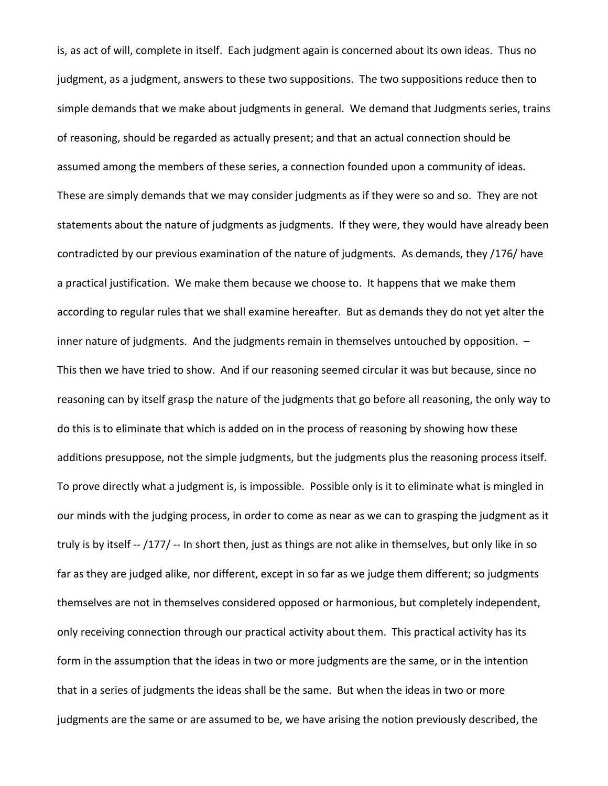is, as act of will, complete in itself. Each judgment again is concerned about its own ideas. Thus no judgment, as a judgment, answers to these two suppositions. The two suppositions reduce then to simple demands that we make about judgments in general. We demand that Judgments series, trains of reasoning, should be regarded as actually present; and that an actual connection should be assumed among the members of these series, a connection founded upon a community of ideas. These are simply demands that we may consider judgments as if they were so and so. They are not statements about the nature of judgments as judgments. If they were, they would have already been contradicted by our previous examination of the nature of judgments. As demands, they /176/ have a practical justification. We make them because we choose to. It happens that we make them according to regular rules that we shall examine hereafter. But as demands they do not yet alter the inner nature of judgments. And the judgments remain in themselves untouched by opposition. – This then we have tried to show. And if our reasoning seemed circular it was but because, since no reasoning can by itself grasp the nature of the judgments that go before all reasoning, the only way to do this is to eliminate that which is added on in the process of reasoning by showing how these additions presuppose, not the simple judgments, but the judgments plus the reasoning process itself. To prove directly what a judgment is, is impossible. Possible only is it to eliminate what is mingled in our minds with the judging process, in order to come as near as we can to grasping the judgment as it truly is by itself -- /177/ -- In short then, just as things are not alike in themselves, but only like in so far as they are judged alike, nor different, except in so far as we judge them different; so judgments themselves are not in themselves considered opposed or harmonious, but completely independent, only receiving connection through our practical activity about them. This practical activity has its form in the assumption that the ideas in two or more judgments are the same, or in the intention that in a series of judgments the ideas shall be the same. But when the ideas in two or more judgments are the same or are assumed to be, we have arising the notion previously described, the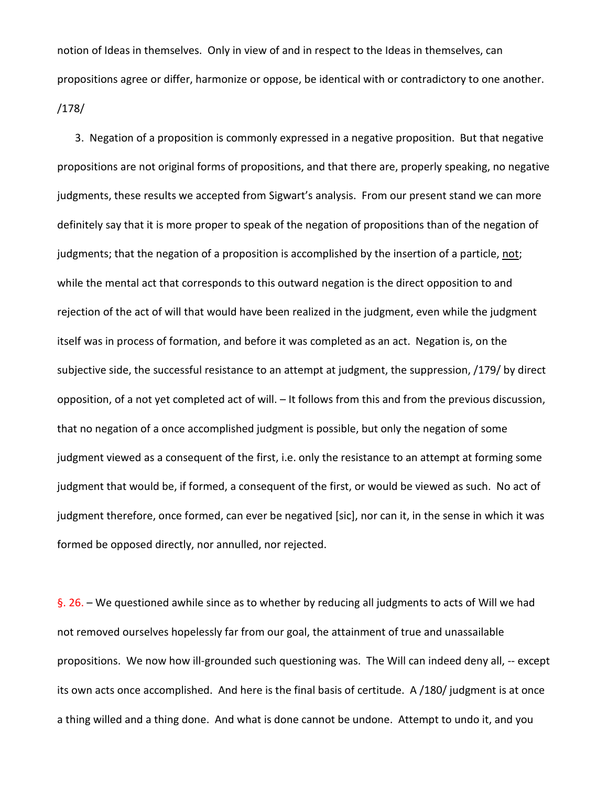notion of Ideas in themselves. Only in view of and in respect to the Ideas in themselves, can propositions agree or differ, harmonize or oppose, be identical with or contradictory to one another. /178/

3. Negation of a proposition is commonly expressed in a negative proposition. But that negative propositions are not original forms of propositions, and that there are, properly speaking, no negative judgments, these results we accepted from Sigwart's analysis. From our present stand we can more definitely say that it is more proper to speak of the negation of propositions than of the negation of judgments; that the negation of a proposition is accomplished by the insertion of a particle, not; while the mental act that corresponds to this outward negation is the direct opposition to and rejection of the act of will that would have been realized in the judgment, even while the judgment itself was in process of formation, and before it was completed as an act. Negation is, on the subjective side, the successful resistance to an attempt at judgment, the suppression, /179/ by direct opposition, of a not yet completed act of will. – It follows from this and from the previous discussion, that no negation of a once accomplished judgment is possible, but only the negation of some judgment viewed as a consequent of the first, i.e. only the resistance to an attempt at forming some judgment that would be, if formed, a consequent of the first, or would be viewed as such. No act of judgment therefore, once formed, can ever be negatived [sic], nor can it, in the sense in which it was formed be opposed directly, nor annulled, nor rejected.

§. 26. – We questioned awhile since as to whether by reducing all judgments to acts of Will we had not removed ourselves hopelessly far from our goal, the attainment of true and unassailable propositions. We now how ill-grounded such questioning was. The Will can indeed deny all, -- except its own acts once accomplished. And here is the final basis of certitude. A /180/ judgment is at once a thing willed and a thing done. And what is done cannot be undone. Attempt to undo it, and you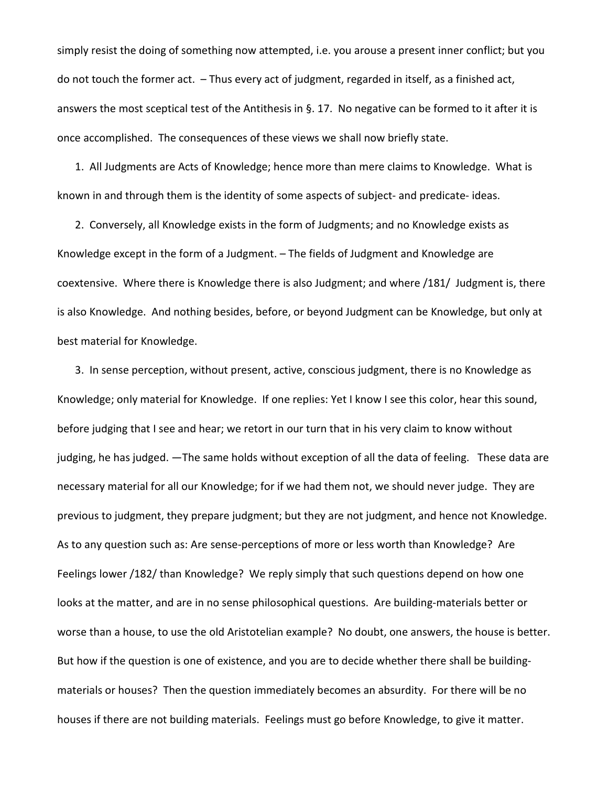simply resist the doing of something now attempted, i.e. you arouse a present inner conflict; but you do not touch the former act. – Thus every act of judgment, regarded in itself, as a finished act, answers the most sceptical test of the Antithesis in §. 17. No negative can be formed to it after it is once accomplished. The consequences of these views we shall now briefly state.

1. All Judgments are Acts of Knowledge; hence more than mere claims to Knowledge. What is known in and through them is the identity of some aspects of subject- and predicate- ideas.

2. Conversely, all Knowledge exists in the form of Judgments; and no Knowledge exists as Knowledge except in the form of a Judgment. – The fields of Judgment and Knowledge are coextensive. Where there is Knowledge there is also Judgment; and where /181/ Judgment is, there is also Knowledge. And nothing besides, before, or beyond Judgment can be Knowledge, but only at best material for Knowledge.

3. In sense perception, without present, active, conscious judgment, there is no Knowledge as Knowledge; only material for Knowledge. If one replies: Yet I know I see this color, hear this sound, before judging that I see and hear; we retort in our turn that in his very claim to know without judging, he has judged. —The same holds without exception of all the data of feeling. These data are necessary material for all our Knowledge; for if we had them not, we should never judge. They are previous to judgment, they prepare judgment; but they are not judgment, and hence not Knowledge. As to any question such as: Are sense-perceptions of more or less worth than Knowledge? Are Feelings lower /182/ than Knowledge? We reply simply that such questions depend on how one looks at the matter, and are in no sense philosophical questions. Are building-materials better or worse than a house, to use the old Aristotelian example? No doubt, one answers, the house is better. But how if the question is one of existence, and you are to decide whether there shall be buildingmaterials or houses? Then the question immediately becomes an absurdity. For there will be no houses if there are not building materials. Feelings must go before Knowledge, to give it matter.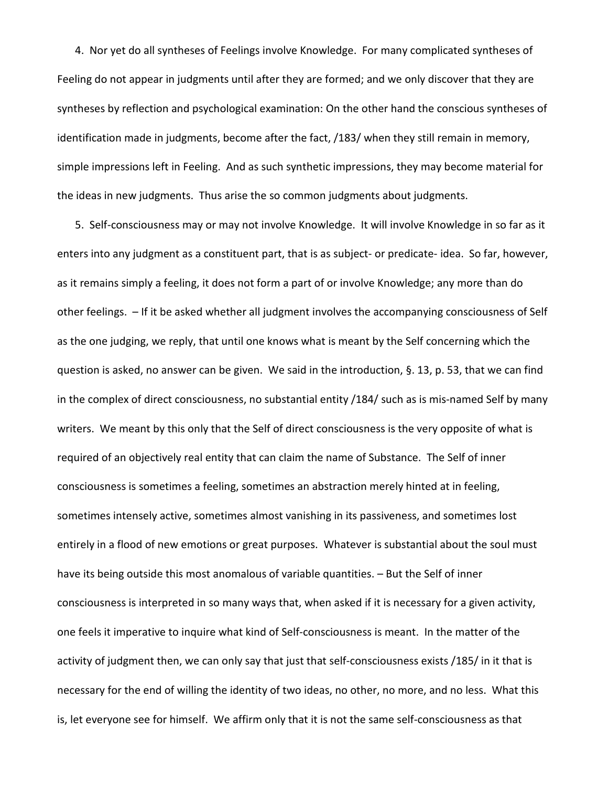4. Nor yet do all syntheses of Feelings involve Knowledge. For many complicated syntheses of Feeling do not appear in judgments until after they are formed; and we only discover that they are syntheses by reflection and psychological examination: On the other hand the conscious syntheses of identification made in judgments, become after the fact, /183/ when they still remain in memory, simple impressions left in Feeling. And as such synthetic impressions, they may become material for the ideas in new judgments. Thus arise the so common judgments about judgments.

5. Self-consciousness may or may not involve Knowledge. It will involve Knowledge in so far as it enters into any judgment as a constituent part, that is as subject- or predicate- idea. So far, however, as it remains simply a feeling, it does not form a part of or involve Knowledge; any more than do other feelings. – If it be asked whether all judgment involves the accompanying consciousness of Self as the one judging, we reply, that until one knows what is meant by the Self concerning which the question is asked, no answer can be given. We said in the introduction, §. 13, p. 53, that we can find in the complex of direct consciousness, no substantial entity /184/ such as is mis-named Self by many writers. We meant by this only that the Self of direct consciousness is the very opposite of what is required of an objectively real entity that can claim the name of Substance. The Self of inner consciousness is sometimes a feeling, sometimes an abstraction merely hinted at in feeling, sometimes intensely active, sometimes almost vanishing in its passiveness, and sometimes lost entirely in a flood of new emotions or great purposes. Whatever is substantial about the soul must have its being outside this most anomalous of variable quantities. – But the Self of inner consciousness is interpreted in so many ways that, when asked if it is necessary for a given activity, one feels it imperative to inquire what kind of Self-consciousness is meant. In the matter of the activity of judgment then, we can only say that just that self-consciousness exists /185/ in it that is necessary for the end of willing the identity of two ideas, no other, no more, and no less. What this is, let everyone see for himself. We affirm only that it is not the same self-consciousness as that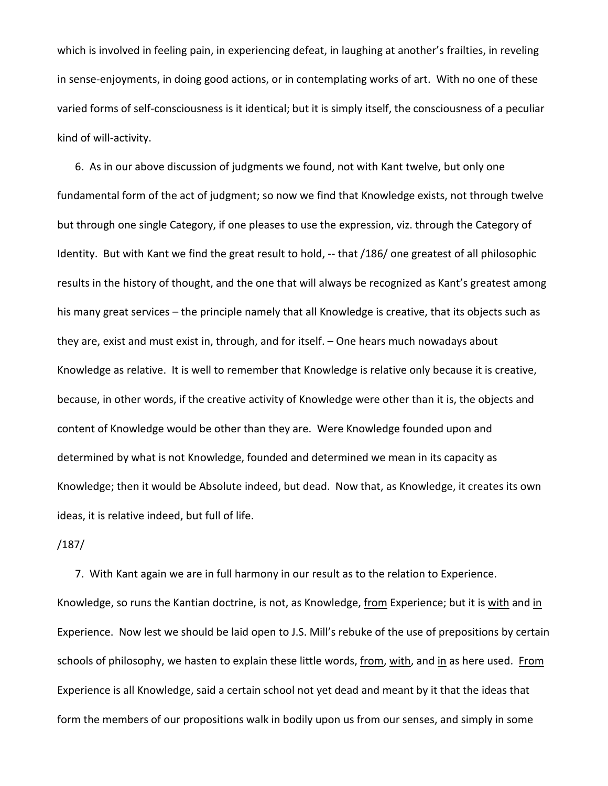which is involved in feeling pain, in experiencing defeat, in laughing at another's frailties, in reveling in sense-enjoyments, in doing good actions, or in contemplating works of art. With no one of these varied forms of self-consciousness is it identical; but it is simply itself, the consciousness of a peculiar kind of will-activity.

6. As in our above discussion of judgments we found, not with Kant twelve, but only one fundamental form of the act of judgment; so now we find that Knowledge exists, not through twelve but through one single Category, if one pleases to use the expression, viz. through the Category of Identity. But with Kant we find the great result to hold, -- that /186/ one greatest of all philosophic results in the history of thought, and the one that will always be recognized as Kant's greatest among his many great services – the principle namely that all Knowledge is creative, that its objects such as they are, exist and must exist in, through, and for itself. – One hears much nowadays about Knowledge as relative. It is well to remember that Knowledge is relative only because it is creative, because, in other words, if the creative activity of Knowledge were other than it is, the objects and content of Knowledge would be other than they are. Were Knowledge founded upon and determined by what is not Knowledge, founded and determined we mean in its capacity as Knowledge; then it would be Absolute indeed, but dead. Now that, as Knowledge, it creates its own ideas, it is relative indeed, but full of life.

#### /187/

7. With Kant again we are in full harmony in our result as to the relation to Experience. Knowledge, so runs the Kantian doctrine, is not, as Knowledge, from Experience; but it is with and in Experience. Now lest we should be laid open to J.S. Mill's rebuke of the use of prepositions by certain schools of philosophy, we hasten to explain these little words, from, with, and in as here used. From Experience is all Knowledge, said a certain school not yet dead and meant by it that the ideas that form the members of our propositions walk in bodily upon us from our senses, and simply in some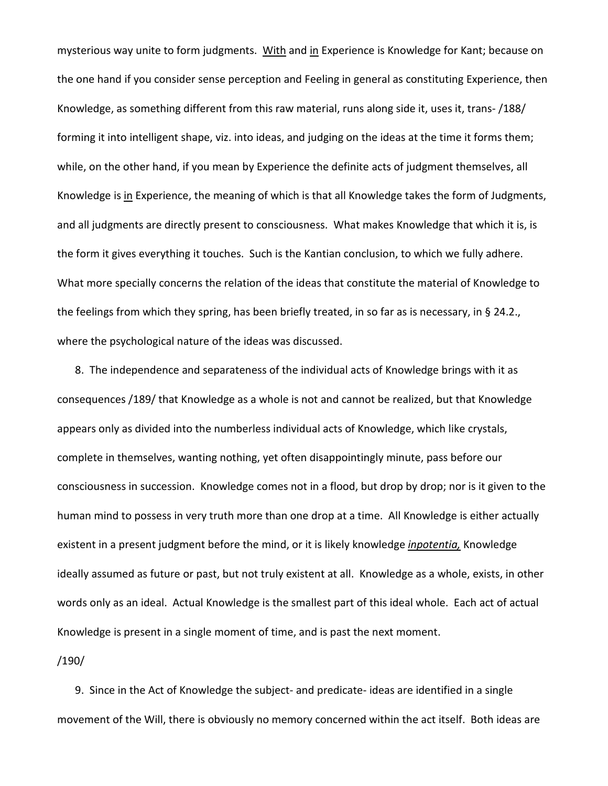mysterious way unite to form judgments. With and in Experience is Knowledge for Kant; because on the one hand if you consider sense perception and Feeling in general as constituting Experience, then Knowledge, as something different from this raw material, runs along side it, uses it, trans- /188/ forming it into intelligent shape, viz. into ideas, and judging on the ideas at the time it forms them; while, on the other hand, if you mean by Experience the definite acts of judgment themselves, all Knowledge is in Experience, the meaning of which is that all Knowledge takes the form of Judgments, and all judgments are directly present to consciousness. What makes Knowledge that which it is, is the form it gives everything it touches. Such is the Kantian conclusion, to which we fully adhere. What more specially concerns the relation of the ideas that constitute the material of Knowledge to the feelings from which they spring, has been briefly treated, in so far as is necessary, in § 24.2., where the psychological nature of the ideas was discussed.

8. The independence and separateness of the individual acts of Knowledge brings with it as consequences /189/ that Knowledge as a whole is not and cannot be realized, but that Knowledge appears only as divided into the numberless individual acts of Knowledge, which like crystals, complete in themselves, wanting nothing, yet often disappointingly minute, pass before our consciousness in succession. Knowledge comes not in a flood, but drop by drop; nor is it given to the human mind to possess in very truth more than one drop at a time. All Knowledge is either actually existent in a present judgment before the mind, or it is likely knowledge *inpotentia,* Knowledge ideally assumed as future or past, but not truly existent at all. Knowledge as a whole, exists, in other words only as an ideal. Actual Knowledge is the smallest part of this ideal whole. Each act of actual Knowledge is present in a single moment of time, and is past the next moment.

# /190/

9. Since in the Act of Knowledge the subject- and predicate- ideas are identified in a single movement of the Will, there is obviously no memory concerned within the act itself. Both ideas are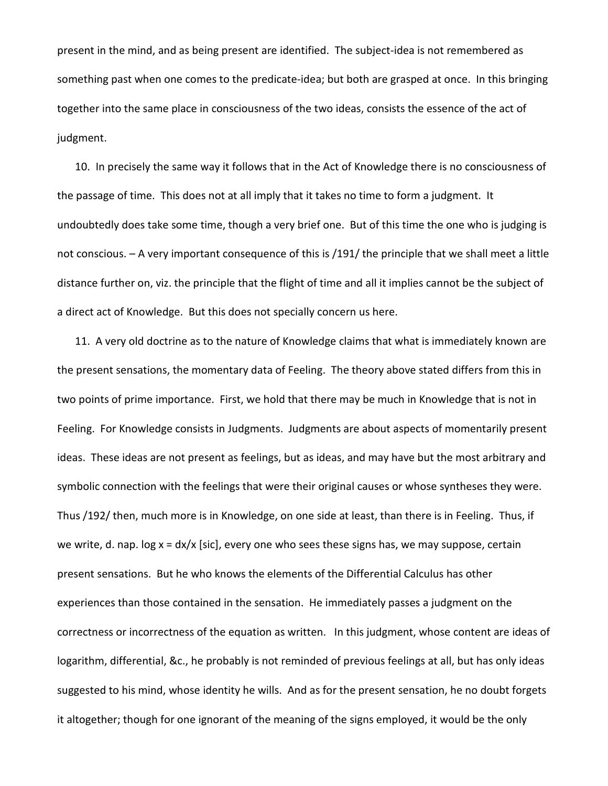present in the mind, and as being present are identified. The subject-idea is not remembered as something past when one comes to the predicate-idea; but both are grasped at once. In this bringing together into the same place in consciousness of the two ideas, consists the essence of the act of judgment.

10. In precisely the same way it follows that in the Act of Knowledge there is no consciousness of the passage of time. This does not at all imply that it takes no time to form a judgment. It undoubtedly does take some time, though a very brief one. But of this time the one who is judging is not conscious. – A very important consequence of this is /191/ the principle that we shall meet a little distance further on, viz. the principle that the flight of time and all it implies cannot be the subject of a direct act of Knowledge. But this does not specially concern us here.

11. A very old doctrine as to the nature of Knowledge claims that what is immediately known are the present sensations, the momentary data of Feeling. The theory above stated differs from this in two points of prime importance. First, we hold that there may be much in Knowledge that is not in Feeling. For Knowledge consists in Judgments. Judgments are about aspects of momentarily present ideas. These ideas are not present as feelings, but as ideas, and may have but the most arbitrary and symbolic connection with the feelings that were their original causes or whose syntheses they were. Thus /192/ then, much more is in Knowledge, on one side at least, than there is in Feeling. Thus, if we write, d. nap. log x = dx/x [sic], every one who sees these signs has, we may suppose, certain present sensations. But he who knows the elements of the Differential Calculus has other experiences than those contained in the sensation. He immediately passes a judgment on the correctness or incorrectness of the equation as written. In this judgment, whose content are ideas of logarithm, differential, &c., he probably is not reminded of previous feelings at all, but has only ideas suggested to his mind, whose identity he wills. And as for the present sensation, he no doubt forgets it altogether; though for one ignorant of the meaning of the signs employed, it would be the only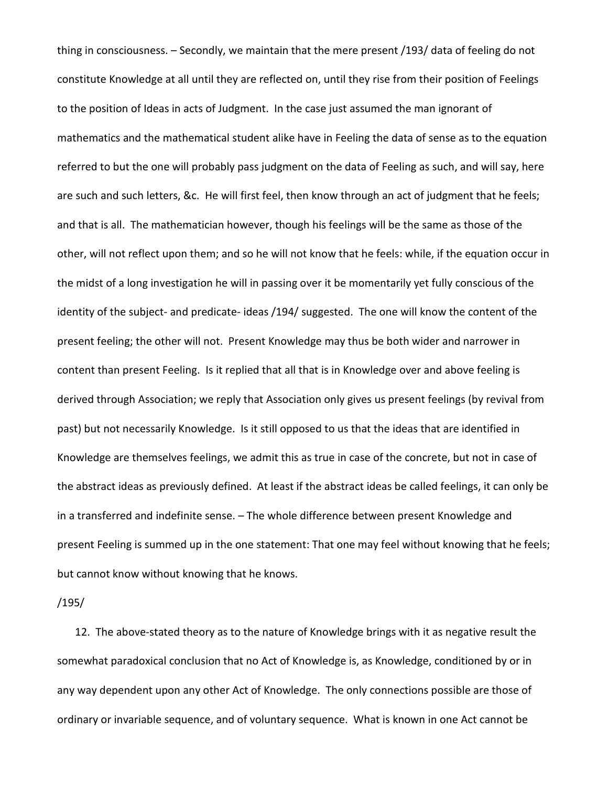thing in consciousness. – Secondly, we maintain that the mere present /193/ data of feeling do not constitute Knowledge at all until they are reflected on, until they rise from their position of Feelings to the position of Ideas in acts of Judgment. In the case just assumed the man ignorant of mathematics and the mathematical student alike have in Feeling the data of sense as to the equation referred to but the one will probably pass judgment on the data of Feeling as such, and will say, here are such and such letters, &c. He will first feel, then know through an act of judgment that he feels; and that is all. The mathematician however, though his feelings will be the same as those of the other, will not reflect upon them; and so he will not know that he feels: while, if the equation occur in the midst of a long investigation he will in passing over it be momentarily yet fully conscious of the identity of the subject- and predicate- ideas /194/ suggested. The one will know the content of the present feeling; the other will not. Present Knowledge may thus be both wider and narrower in content than present Feeling. Is it replied that all that is in Knowledge over and above feeling is derived through Association; we reply that Association only gives us present feelings (by revival from past) but not necessarily Knowledge. Is it still opposed to us that the ideas that are identified in Knowledge are themselves feelings, we admit this as true in case of the concrete, but not in case of the abstract ideas as previously defined. At least if the abstract ideas be called feelings, it can only be in a transferred and indefinite sense. – The whole difference between present Knowledge and present Feeling is summed up in the one statement: That one may feel without knowing that he feels; but cannot know without knowing that he knows.

/195/

12. The above-stated theory as to the nature of Knowledge brings with it as negative result the somewhat paradoxical conclusion that no Act of Knowledge is, as Knowledge, conditioned by or in any way dependent upon any other Act of Knowledge. The only connections possible are those of ordinary or invariable sequence, and of voluntary sequence. What is known in one Act cannot be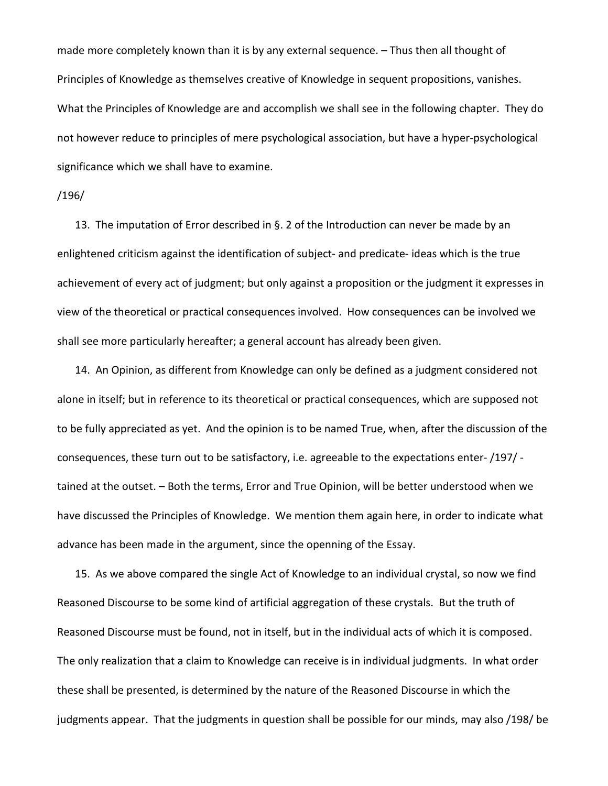made more completely known than it is by any external sequence. – Thus then all thought of Principles of Knowledge as themselves creative of Knowledge in sequent propositions, vanishes. What the Principles of Knowledge are and accomplish we shall see in the following chapter. They do not however reduce to principles of mere psychological association, but have a hyper-psychological significance which we shall have to examine.

# /196/

13. The imputation of Error described in §. 2 of the Introduction can never be made by an enlightened criticism against the identification of subject- and predicate- ideas which is the true achievement of every act of judgment; but only against a proposition or the judgment it expresses in view of the theoretical or practical consequences involved. How consequences can be involved we shall see more particularly hereafter; a general account has already been given.

14. An Opinion, as different from Knowledge can only be defined as a judgment considered not alone in itself; but in reference to its theoretical or practical consequences, which are supposed not to be fully appreciated as yet. And the opinion is to be named True, when, after the discussion of the consequences, these turn out to be satisfactory, i.e. agreeable to the expectations enter- /197/ tained at the outset. – Both the terms, Error and True Opinion, will be better understood when we have discussed the Principles of Knowledge. We mention them again here, in order to indicate what advance has been made in the argument, since the openning of the Essay.

15. As we above compared the single Act of Knowledge to an individual crystal, so now we find Reasoned Discourse to be some kind of artificial aggregation of these crystals. But the truth of Reasoned Discourse must be found, not in itself, but in the individual acts of which it is composed. The only realization that a claim to Knowledge can receive is in individual judgments. In what order these shall be presented, is determined by the nature of the Reasoned Discourse in which the judgments appear. That the judgments in question shall be possible for our minds, may also /198/ be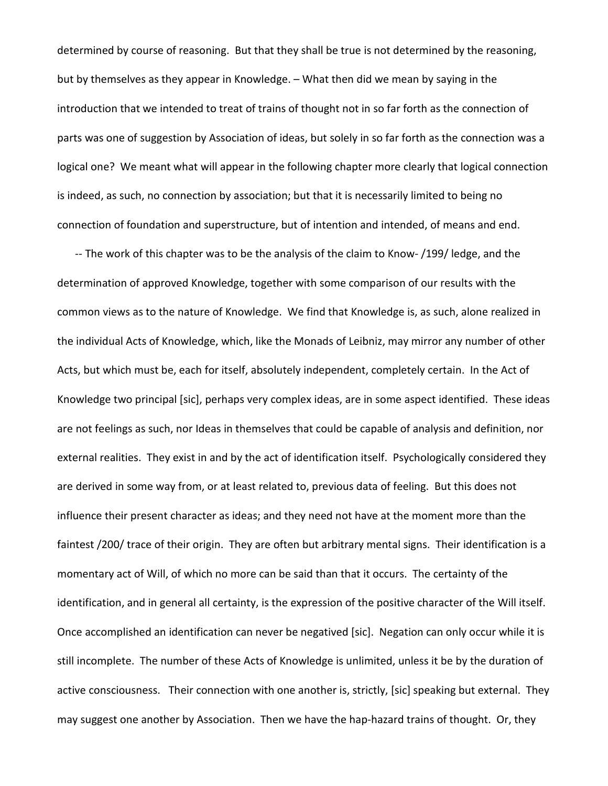determined by course of reasoning. But that they shall be true is not determined by the reasoning, but by themselves as they appear in Knowledge. – What then did we mean by saying in the introduction that we intended to treat of trains of thought not in so far forth as the connection of parts was one of suggestion by Association of ideas, but solely in so far forth as the connection was a logical one? We meant what will appear in the following chapter more clearly that logical connection is indeed, as such, no connection by association; but that it is necessarily limited to being no connection of foundation and superstructure, but of intention and intended, of means and end.

-- The work of this chapter was to be the analysis of the claim to Know- /199/ ledge, and the determination of approved Knowledge, together with some comparison of our results with the common views as to the nature of Knowledge. We find that Knowledge is, as such, alone realized in the individual Acts of Knowledge, which, like the Monads of Leibniz, may mirror any number of other Acts, but which must be, each for itself, absolutely independent, completely certain. In the Act of Knowledge two principal [sic], perhaps very complex ideas, are in some aspect identified. These ideas are not feelings as such, nor Ideas in themselves that could be capable of analysis and definition, nor external realities. They exist in and by the act of identification itself. Psychologically considered they are derived in some way from, or at least related to, previous data of feeling. But this does not influence their present character as ideas; and they need not have at the moment more than the faintest /200/ trace of their origin. They are often but arbitrary mental signs. Their identification is a momentary act of Will, of which no more can be said than that it occurs. The certainty of the identification, and in general all certainty, is the expression of the positive character of the Will itself. Once accomplished an identification can never be negatived [sic]. Negation can only occur while it is still incomplete. The number of these Acts of Knowledge is unlimited, unless it be by the duration of active consciousness. Their connection with one another is, strictly, [sic] speaking but external. They may suggest one another by Association. Then we have the hap-hazard trains of thought. Or, they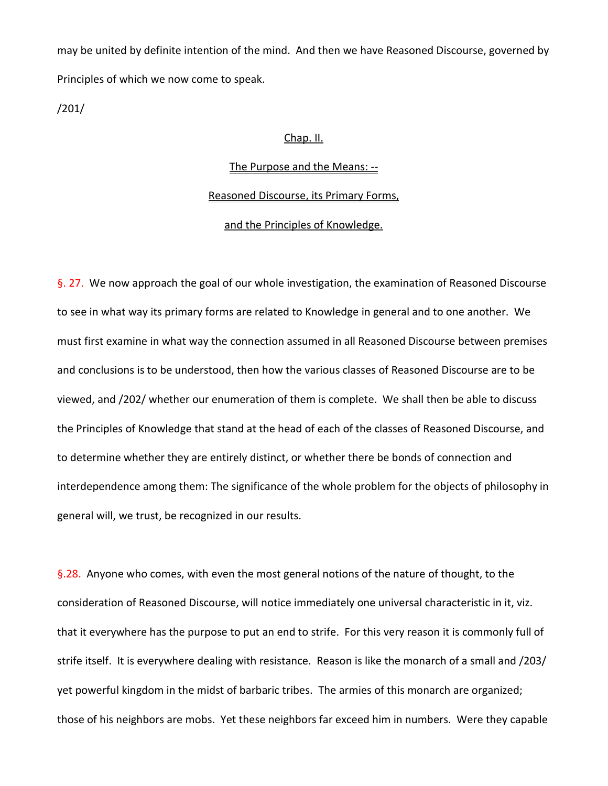may be united by definite intention of the mind. And then we have Reasoned Discourse, governed by Principles of which we now come to speak.

/201/

## Chap. II.

## The Purpose and the Means: --

## Reasoned Discourse, its Primary Forms,

# and the Principles of Knowledge.

§. 27. We now approach the goal of our whole investigation, the examination of Reasoned Discourse to see in what way its primary forms are related to Knowledge in general and to one another. We must first examine in what way the connection assumed in all Reasoned Discourse between premises and conclusions is to be understood, then how the various classes of Reasoned Discourse are to be viewed, and /202/ whether our enumeration of them is complete. We shall then be able to discuss the Principles of Knowledge that stand at the head of each of the classes of Reasoned Discourse, and to determine whether they are entirely distinct, or whether there be bonds of connection and interdependence among them: The significance of the whole problem for the objects of philosophy in general will, we trust, be recognized in our results.

§.28. Anyone who comes, with even the most general notions of the nature of thought, to the consideration of Reasoned Discourse, will notice immediately one universal characteristic in it, viz. that it everywhere has the purpose to put an end to strife. For this very reason it is commonly full of strife itself. It is everywhere dealing with resistance. Reason is like the monarch of a small and /203/ yet powerful kingdom in the midst of barbaric tribes. The armies of this monarch are organized; those of his neighbors are mobs. Yet these neighbors far exceed him in numbers. Were they capable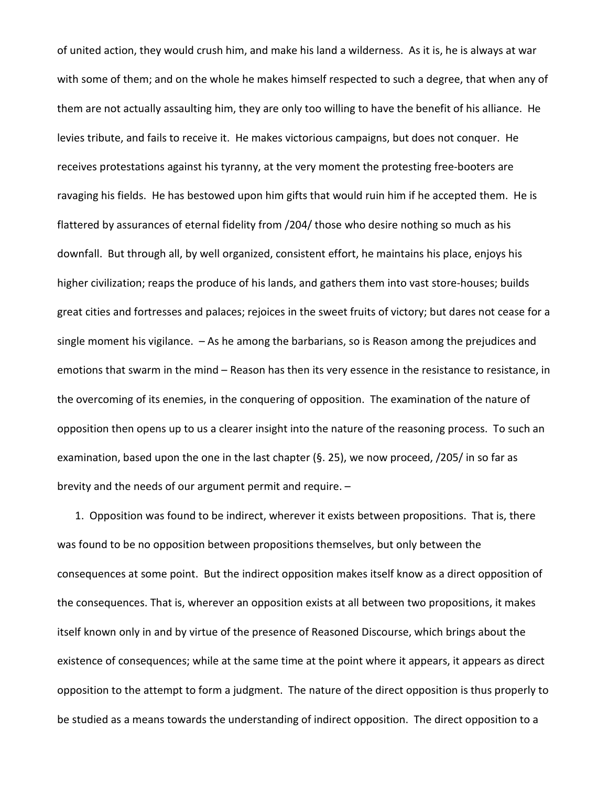of united action, they would crush him, and make his land a wilderness. As it is, he is always at war with some of them; and on the whole he makes himself respected to such a degree, that when any of them are not actually assaulting him, they are only too willing to have the benefit of his alliance. He levies tribute, and fails to receive it. He makes victorious campaigns, but does not conquer. He receives protestations against his tyranny, at the very moment the protesting free-booters are ravaging his fields. He has bestowed upon him gifts that would ruin him if he accepted them. He is flattered by assurances of eternal fidelity from /204/ those who desire nothing so much as his downfall. But through all, by well organized, consistent effort, he maintains his place, enjoys his higher civilization; reaps the produce of his lands, and gathers them into vast store-houses; builds great cities and fortresses and palaces; rejoices in the sweet fruits of victory; but dares not cease for a single moment his vigilance. – As he among the barbarians, so is Reason among the prejudices and emotions that swarm in the mind – Reason has then its very essence in the resistance to resistance, in the overcoming of its enemies, in the conquering of opposition. The examination of the nature of opposition then opens up to us a clearer insight into the nature of the reasoning process. To such an examination, based upon the one in the last chapter (§. 25), we now proceed, /205/ in so far as brevity and the needs of our argument permit and require. –

1. Opposition was found to be indirect, wherever it exists between propositions. That is, there was found to be no opposition between propositions themselves, but only between the consequences at some point. But the indirect opposition makes itself know as a direct opposition of the consequences. That is, wherever an opposition exists at all between two propositions, it makes itself known only in and by virtue of the presence of Reasoned Discourse, which brings about the existence of consequences; while at the same time at the point where it appears, it appears as direct opposition to the attempt to form a judgment. The nature of the direct opposition is thus properly to be studied as a means towards the understanding of indirect opposition. The direct opposition to a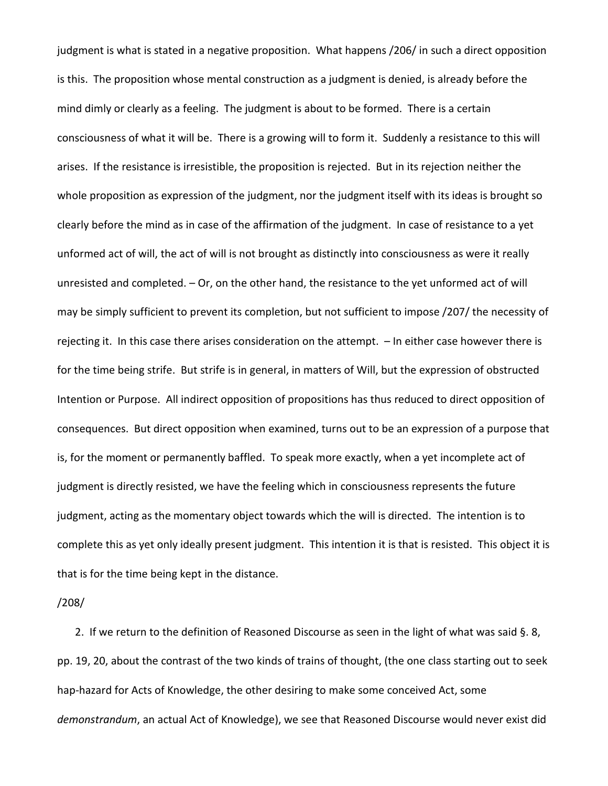judgment is what is stated in a negative proposition. What happens /206/ in such a direct opposition is this. The proposition whose mental construction as a judgment is denied, is already before the mind dimly or clearly as a feeling. The judgment is about to be formed. There is a certain consciousness of what it will be. There is a growing will to form it. Suddenly a resistance to this will arises. If the resistance is irresistible, the proposition is rejected. But in its rejection neither the whole proposition as expression of the judgment, nor the judgment itself with its ideas is brought so clearly before the mind as in case of the affirmation of the judgment. In case of resistance to a yet unformed act of will, the act of will is not brought as distinctly into consciousness as were it really unresisted and completed. – Or, on the other hand, the resistance to the yet unformed act of will may be simply sufficient to prevent its completion, but not sufficient to impose /207/ the necessity of rejecting it. In this case there arises consideration on the attempt. – In either case however there is for the time being strife. But strife is in general, in matters of Will, but the expression of obstructed Intention or Purpose. All indirect opposition of propositions has thus reduced to direct opposition of consequences. But direct opposition when examined, turns out to be an expression of a purpose that is, for the moment or permanently baffled. To speak more exactly, when a yet incomplete act of judgment is directly resisted, we have the feeling which in consciousness represents the future judgment, acting as the momentary object towards which the will is directed. The intention is to complete this as yet only ideally present judgment. This intention it is that is resisted. This object it is that is for the time being kept in the distance.

### /208/

2. If we return to the definition of Reasoned Discourse as seen in the light of what was said §. 8, pp. 19, 20, about the contrast of the two kinds of trains of thought, (the one class starting out to seek hap-hazard for Acts of Knowledge, the other desiring to make some conceived Act, some *demonstrandum*, an actual Act of Knowledge), we see that Reasoned Discourse would never exist did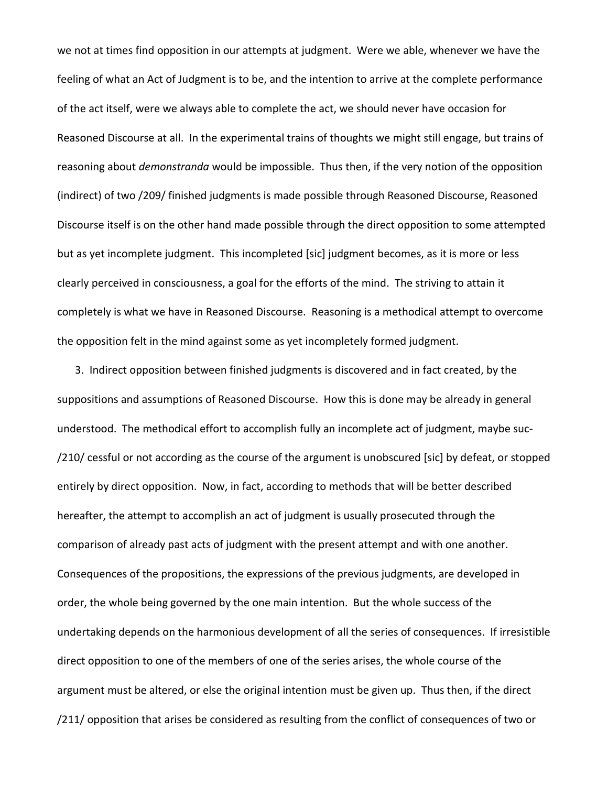we not at times find opposition in our attempts at judgment. Were we able, whenever we have the feeling of what an Act of Judgment is to be, and the intention to arrive at the complete performance of the act itself, were we always able to complete the act, we should never have occasion for Reasoned Discourse at all. In the experimental trains of thoughts we might still engage, but trains of reasoning about *demonstranda* would be impossible. Thus then, if the very notion of the opposition (indirect) of two /209/ finished judgments is made possible through Reasoned Discourse, Reasoned Discourse itself is on the other hand made possible through the direct opposition to some attempted but as yet incomplete judgment. This incompleted [sic] judgment becomes, as it is more or less clearly perceived in consciousness, a goal for the efforts of the mind. The striving to attain it completely is what we have in Reasoned Discourse. Reasoning is a methodical attempt to overcome the opposition felt in the mind against some as yet incompletely formed judgment.

3. Indirect opposition between finished judgments is discovered and in fact created, by the suppositions and assumptions of Reasoned Discourse. How this is done may be already in general understood. The methodical effort to accomplish fully an incomplete act of judgment, maybe suc- /210/ cessful or not according as the course of the argument is unobscured [sic] by defeat, or stopped entirely by direct opposition. Now, in fact, according to methods that will be better described hereafter, the attempt to accomplish an act of judgment is usually prosecuted through the comparison of already past acts of judgment with the present attempt and with one another. Consequences of the propositions, the expressions of the previous judgments, are developed in order, the whole being governed by the one main intention. But the whole success of the undertaking depends on the harmonious development of all the series of consequences. If irresistible direct opposition to one of the members of one of the series arises, the whole course of the argument must be altered, or else the original intention must be given up. Thus then, if the direct /211/ opposition that arises be considered as resulting from the conflict of consequences of two or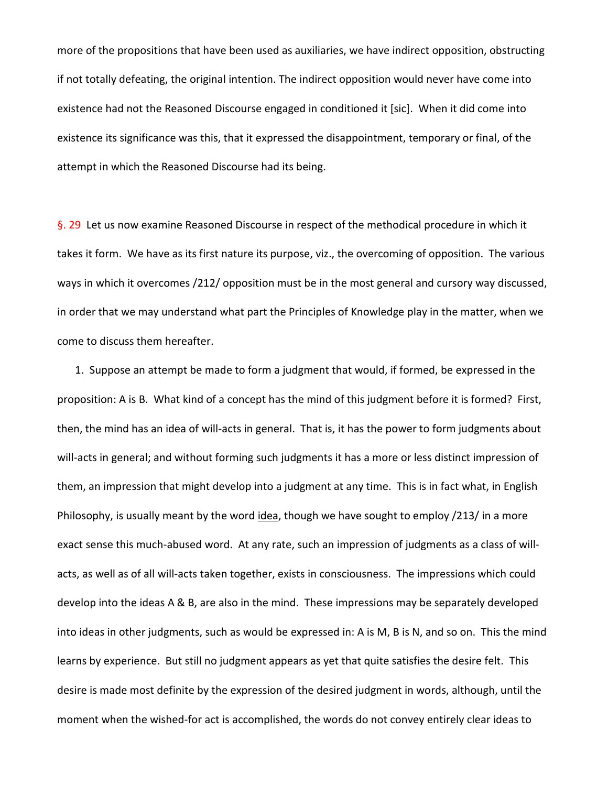more of the propositions that have been used as auxiliaries, we have indirect opposition, obstructing if not totally defeating, the original intention. The indirect opposition would never have come into existence had not the Reasoned Discourse engaged in conditioned it [sic]. When it did come into existence its significance was this, that it expressed the disappointment, temporary or final, of the attempt in which the Reasoned Discourse had its being.

§. 29 Let us now examine Reasoned Discourse in respect of the methodical procedure in which it takes it form. We have as its first nature its purpose, viz., the overcoming of opposition. The various ways in which it overcomes /212/ opposition must be in the most general and cursory way discussed, in order that we may understand what part the Principles of Knowledge play in the matter, when we come to discuss them hereafter.

1. Suppose an attempt be made to form a judgment that would, if formed, be expressed in the proposition: A is B. What kind of a concept has the mind of this judgment before it is formed? First, then, the mind has an idea of will-acts in general. That is, it has the power to form judgments about will-acts in general; and without forming such judgments it has a more or less distinct impression of them, an impression that might develop into a judgment at any time. This is in fact what, in English Philosophy, is usually meant by the word idea, though we have sought to employ /213/ in a more exact sense this much-abused word. At any rate, such an impression of judgments as a class of willacts, as well as of all will-acts taken together, exists in consciousness. The impressions which could develop into the ideas A & B, are also in the mind. These impressions may be separately developed into ideas in other judgments, such as would be expressed in: A is M, B is N, and so on. This the mind learns by experience. But still no judgment appears as yet that quite satisfies the desire felt. This desire is made most definite by the expression of the desired judgment in words, although, until the moment when the wished-for act is accomplished, the words do not convey entirely clear ideas to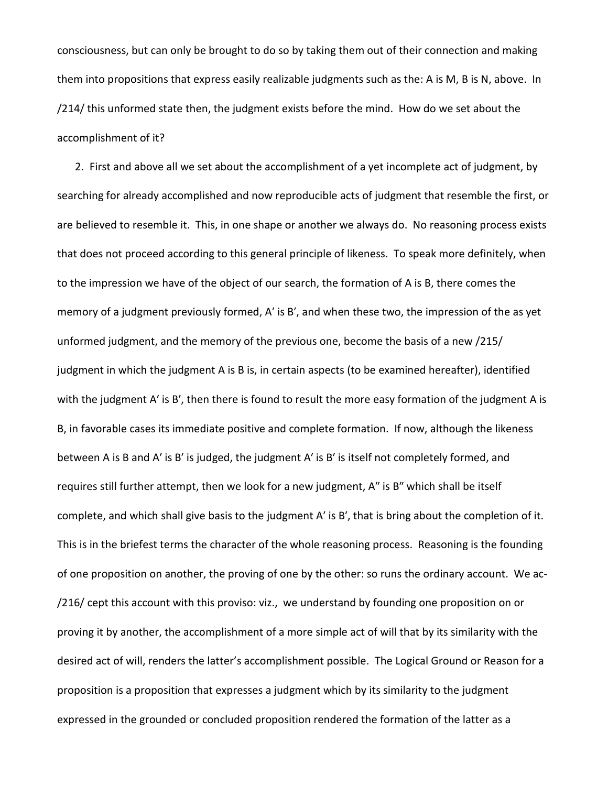consciousness, but can only be brought to do so by taking them out of their connection and making them into propositions that express easily realizable judgments such as the: A is M, B is N, above. In /214/ this unformed state then, the judgment exists before the mind. How do we set about the accomplishment of it?

2. First and above all we set about the accomplishment of a yet incomplete act of judgment, by searching for already accomplished and now reproducible acts of judgment that resemble the first, or are believed to resemble it. This, in one shape or another we always do. No reasoning process exists that does not proceed according to this general principle of likeness. To speak more definitely, when to the impression we have of the object of our search, the formation of A is B, there comes the memory of a judgment previously formed, Aʹ is Bʹ, and when these two, the impression of the as yet unformed judgment, and the memory of the previous one, become the basis of a new /215/ judgment in which the judgment A is B is, in certain aspects (to be examined hereafter), identified with the judgment A' is B', then there is found to result the more easy formation of the judgment A is B, in favorable cases its immediate positive and complete formation. If now, although the likeness between A is B and A' is B' is judged, the judgment A' is B' is itself not completely formed, and requires still further attempt, then we look for a new judgment, A" is B" which shall be itself complete, and which shall give basis to the judgment Aʹ is Bʹ, that is bring about the completion of it. This is in the briefest terms the character of the whole reasoning process. Reasoning is the founding of one proposition on another, the proving of one by the other: so runs the ordinary account. We ac- /216/ cept this account with this proviso: viz., we understand by founding one proposition on or proving it by another, the accomplishment of a more simple act of will that by its similarity with the desired act of will, renders the latter's accomplishment possible. The Logical Ground or Reason for a proposition is a proposition that expresses a judgment which by its similarity to the judgment expressed in the grounded or concluded proposition rendered the formation of the latter as a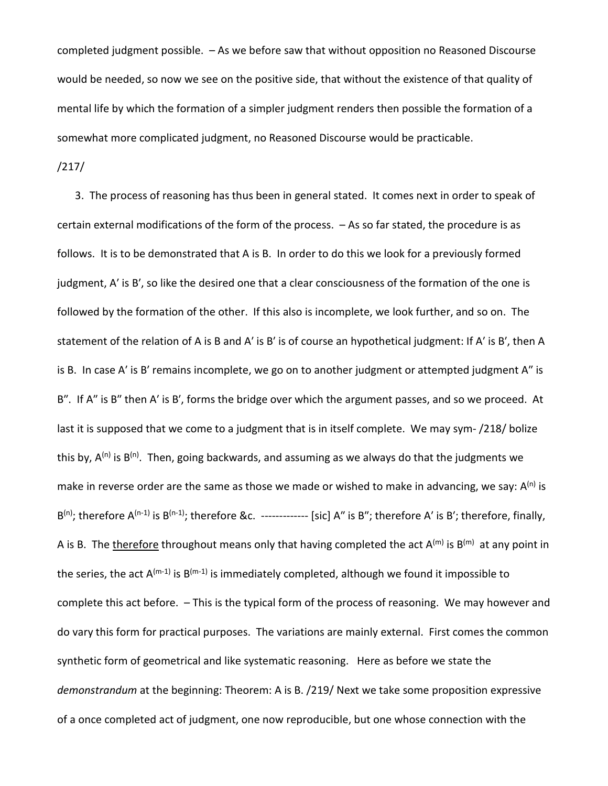completed judgment possible. – As we before saw that without opposition no Reasoned Discourse would be needed, so now we see on the positive side, that without the existence of that quality of mental life by which the formation of a simpler judgment renders then possible the formation of a somewhat more complicated judgment, no Reasoned Discourse would be practicable.

/217/

3. The process of reasoning has thus been in general stated. It comes next in order to speak of certain external modifications of the form of the process. – As so far stated, the procedure is as follows. It is to be demonstrated that A is B. In order to do this we look for a previously formed judgment, Aʹ is Bʹ, so like the desired one that a clear consciousness of the formation of the one is followed by the formation of the other. If this also is incomplete, we look further, and so on. The statement of the relation of A is B and Aʹ is Bʹ is of course an hypothetical judgment: If Aʹ is Bʹ, then A is B. In case A' is B' remains incomplete, we go on to another judgment or attempted judgment A" is B". If A" is B" then A' is B', forms the bridge over which the argument passes, and so we proceed. At last it is supposed that we come to a judgment that is in itself complete. We may sym- /218/ bolize this by,  $A^{(n)}$  is  $B^{(n)}$ . Then, going backwards, and assuming as we always do that the judgments we make in reverse order are the same as those we made or wished to make in advancing, we say:  $A^{(n)}$  is  $B^{(n)}$ ; therefore  $A^{(n-1)}$  is  $B^{(n-1)}$ ; therefore &c. ------------- [sic] A'' is B''; therefore A' is B'; therefore, finally, A is B. The therefore throughout means only that having completed the act  $A^{(m)}$  is  $B^{(m)}$  at any point in the series, the act  $A^{(m-1)}$  is  $B^{(m-1)}$  is immediately completed, although we found it impossible to complete this act before. – This is the typical form of the process of reasoning. We may however and do vary this form for practical purposes. The variations are mainly external. First comes the common synthetic form of geometrical and like systematic reasoning. Here as before we state the *demonstrandum* at the beginning: Theorem: A is B. /219/ Next we take some proposition expressive of a once completed act of judgment, one now reproducible, but one whose connection with the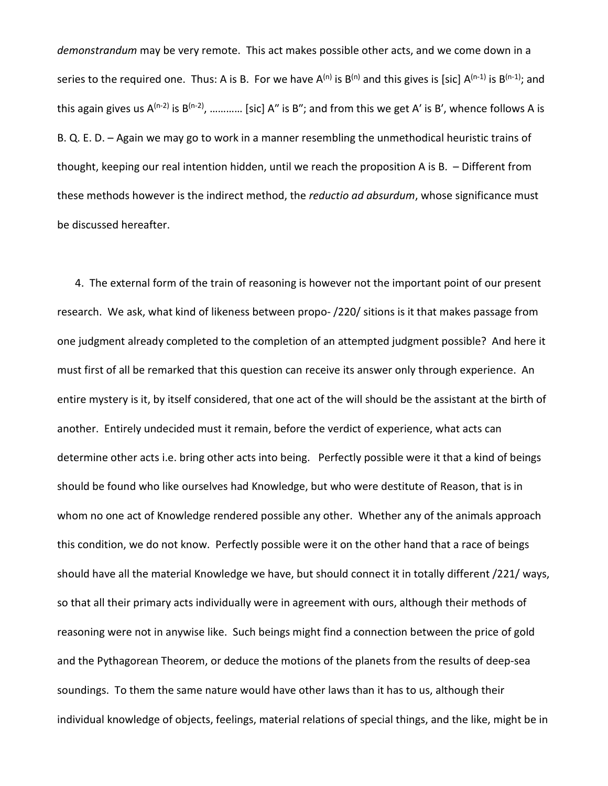*demonstrandum* may be very remote. This act makes possible other acts, and we come down in a series to the required one. Thus: A is B. For we have  $A^{(n)}$  is  $B^{(n)}$  and this gives is [sic]  $A^{(n-1)}$  is  $B^{(n-1)}$ ; and this again gives us  $A^{(n-2)}$  is  $B^{(n-2)}$ , ………… [sic] A" is B"; and from this we get A' is B', whence follows A is B. Q. E. D. – Again we may go to work in a manner resembling the unmethodical heuristic trains of thought, keeping our real intention hidden, until we reach the proposition A is B. – Different from these methods however is the indirect method, the *reductio ad absurdum*, whose significance must be discussed hereafter.

4. The external form of the train of reasoning is however not the important point of our present research. We ask, what kind of likeness between propo- /220/ sitions is it that makes passage from one judgment already completed to the completion of an attempted judgment possible? And here it must first of all be remarked that this question can receive its answer only through experience. An entire mystery is it, by itself considered, that one act of the will should be the assistant at the birth of another. Entirely undecided must it remain, before the verdict of experience, what acts can determine other acts i.e. bring other acts into being. Perfectly possible were it that a kind of beings should be found who like ourselves had Knowledge, but who were destitute of Reason, that is in whom no one act of Knowledge rendered possible any other. Whether any of the animals approach this condition, we do not know. Perfectly possible were it on the other hand that a race of beings should have all the material Knowledge we have, but should connect it in totally different /221/ ways, so that all their primary acts individually were in agreement with ours, although their methods of reasoning were not in anywise like. Such beings might find a connection between the price of gold and the Pythagorean Theorem, or deduce the motions of the planets from the results of deep-sea soundings. To them the same nature would have other laws than it has to us, although their individual knowledge of objects, feelings, material relations of special things, and the like, might be in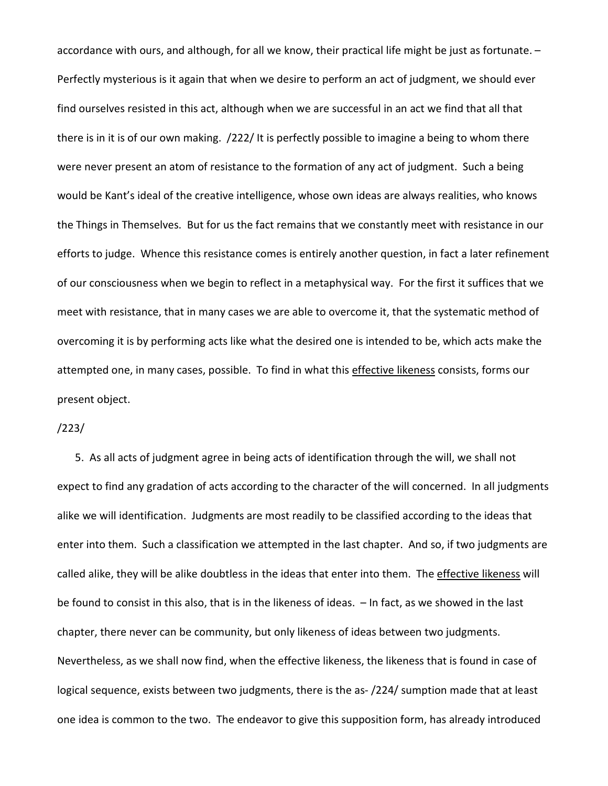accordance with ours, and although, for all we know, their practical life might be just as fortunate. – Perfectly mysterious is it again that when we desire to perform an act of judgment, we should ever find ourselves resisted in this act, although when we are successful in an act we find that all that there is in it is of our own making. /222/ It is perfectly possible to imagine a being to whom there were never present an atom of resistance to the formation of any act of judgment. Such a being would be Kant's ideal of the creative intelligence, whose own ideas are always realities, who knows the Things in Themselves. But for us the fact remains that we constantly meet with resistance in our efforts to judge. Whence this resistance comes is entirely another question, in fact a later refinement of our consciousness when we begin to reflect in a metaphysical way. For the first it suffices that we meet with resistance, that in many cases we are able to overcome it, that the systematic method of overcoming it is by performing acts like what the desired one is intended to be, which acts make the attempted one, in many cases, possible. To find in what this effective likeness consists, forms our present object.

### /223/

5. As all acts of judgment agree in being acts of identification through the will, we shall not expect to find any gradation of acts according to the character of the will concerned. In all judgments alike we will identification. Judgments are most readily to be classified according to the ideas that enter into them. Such a classification we attempted in the last chapter. And so, if two judgments are called alike, they will be alike doubtless in the ideas that enter into them. The effective likeness will be found to consist in this also, that is in the likeness of ideas. – In fact, as we showed in the last chapter, there never can be community, but only likeness of ideas between two judgments. Nevertheless, as we shall now find, when the effective likeness, the likeness that is found in case of logical sequence, exists between two judgments, there is the as- /224/ sumption made that at least one idea is common to the two. The endeavor to give this supposition form, has already introduced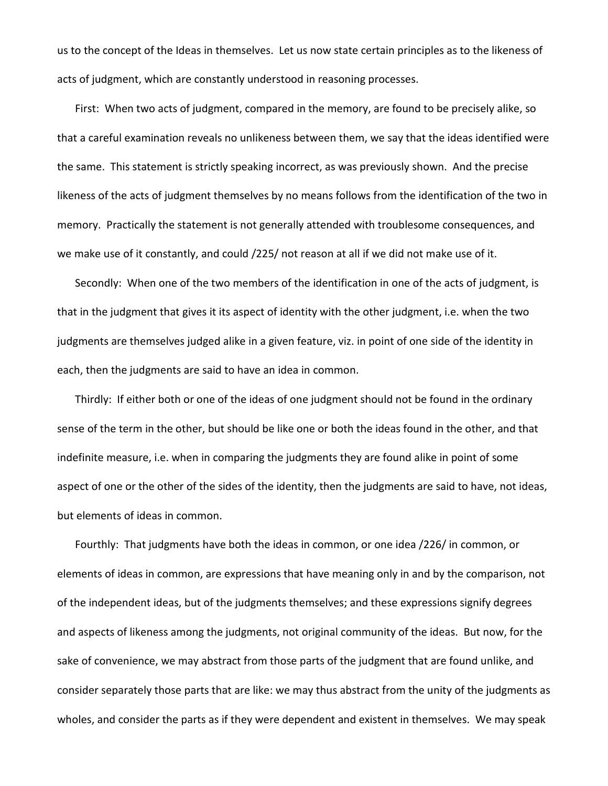us to the concept of the Ideas in themselves. Let us now state certain principles as to the likeness of acts of judgment, which are constantly understood in reasoning processes.

First: When two acts of judgment, compared in the memory, are found to be precisely alike, so that a careful examination reveals no unlikeness between them, we say that the ideas identified were the same. This statement is strictly speaking incorrect, as was previously shown. And the precise likeness of the acts of judgment themselves by no means follows from the identification of the two in memory. Practically the statement is not generally attended with troublesome consequences, and we make use of it constantly, and could /225/ not reason at all if we did not make use of it.

Secondly: When one of the two members of the identification in one of the acts of judgment, is that in the judgment that gives it its aspect of identity with the other judgment, i.e. when the two judgments are themselves judged alike in a given feature, viz. in point of one side of the identity in each, then the judgments are said to have an idea in common.

Thirdly: If either both or one of the ideas of one judgment should not be found in the ordinary sense of the term in the other, but should be like one or both the ideas found in the other, and that indefinite measure, i.e. when in comparing the judgments they are found alike in point of some aspect of one or the other of the sides of the identity, then the judgments are said to have, not ideas, but elements of ideas in common.

Fourthly: That judgments have both the ideas in common, or one idea /226/ in common, or elements of ideas in common, are expressions that have meaning only in and by the comparison, not of the independent ideas, but of the judgments themselves; and these expressions signify degrees and aspects of likeness among the judgments, not original community of the ideas. But now, for the sake of convenience, we may abstract from those parts of the judgment that are found unlike, and consider separately those parts that are like: we may thus abstract from the unity of the judgments as wholes, and consider the parts as if they were dependent and existent in themselves. We may speak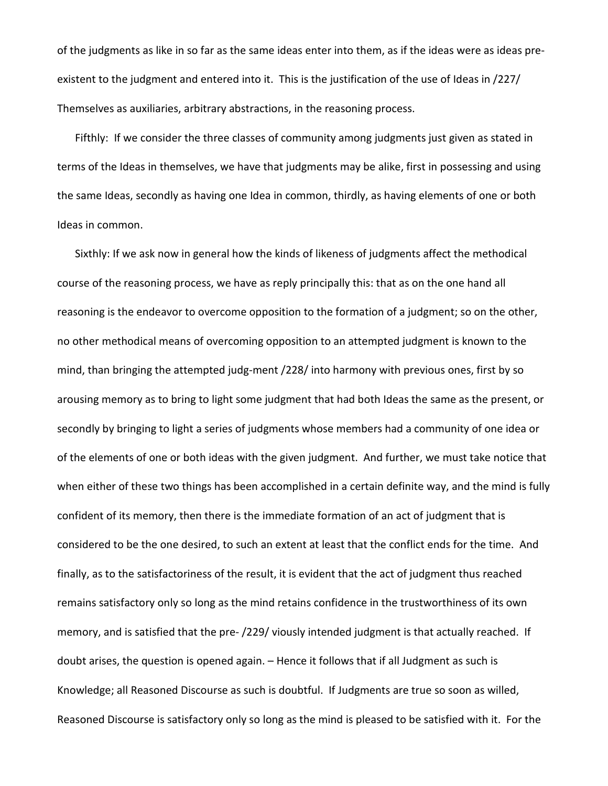of the judgments as like in so far as the same ideas enter into them, as if the ideas were as ideas preexistent to the judgment and entered into it. This is the justification of the use of Ideas in /227/ Themselves as auxiliaries, arbitrary abstractions, in the reasoning process.

Fifthly: If we consider the three classes of community among judgments just given as stated in terms of the Ideas in themselves, we have that judgments may be alike, first in possessing and using the same Ideas, secondly as having one Idea in common, thirdly, as having elements of one or both Ideas in common.

Sixthly: If we ask now in general how the kinds of likeness of judgments affect the methodical course of the reasoning process, we have as reply principally this: that as on the one hand all reasoning is the endeavor to overcome opposition to the formation of a judgment; so on the other, no other methodical means of overcoming opposition to an attempted judgment is known to the mind, than bringing the attempted judg-ment /228/ into harmony with previous ones, first by so arousing memory as to bring to light some judgment that had both Ideas the same as the present, or secondly by bringing to light a series of judgments whose members had a community of one idea or of the elements of one or both ideas with the given judgment. And further, we must take notice that when either of these two things has been accomplished in a certain definite way, and the mind is fully confident of its memory, then there is the immediate formation of an act of judgment that is considered to be the one desired, to such an extent at least that the conflict ends for the time. And finally, as to the satisfactoriness of the result, it is evident that the act of judgment thus reached remains satisfactory only so long as the mind retains confidence in the trustworthiness of its own memory, and is satisfied that the pre- /229/ viously intended judgment is that actually reached. If doubt arises, the question is opened again. – Hence it follows that if all Judgment as such is Knowledge; all Reasoned Discourse as such is doubtful. If Judgments are true so soon as willed, Reasoned Discourse is satisfactory only so long as the mind is pleased to be satisfied with it. For the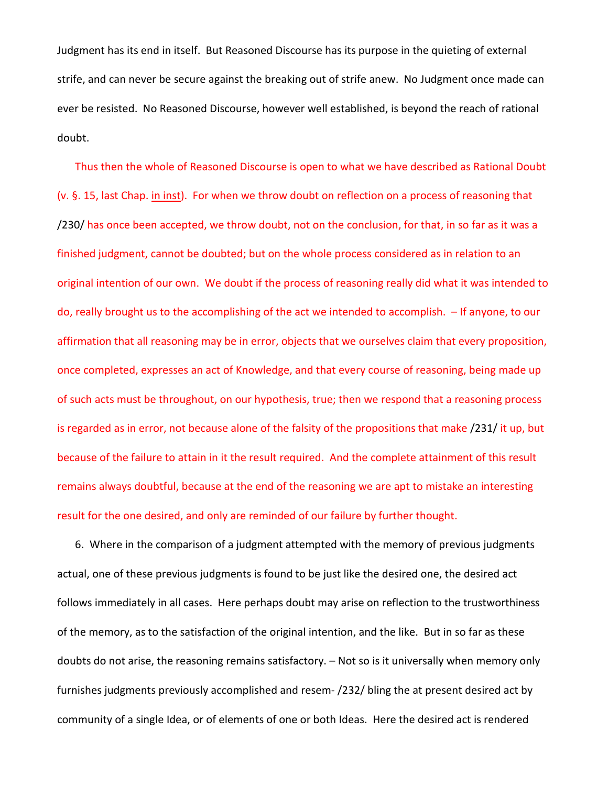Judgment has its end in itself. But Reasoned Discourse has its purpose in the quieting of external strife, and can never be secure against the breaking out of strife anew. No Judgment once made can ever be resisted. No Reasoned Discourse, however well established, is beyond the reach of rational doubt.

Thus then the whole of Reasoned Discourse is open to what we have described as Rational Doubt (v. §. 15, last Chap. in inst). For when we throw doubt on reflection on a process of reasoning that /230/ has once been accepted, we throw doubt, not on the conclusion, for that, in so far as it was a finished judgment, cannot be doubted; but on the whole process considered as in relation to an original intention of our own. We doubt if the process of reasoning really did what it was intended to do, really brought us to the accomplishing of the act we intended to accomplish. – If anyone, to our affirmation that all reasoning may be in error, objects that we ourselves claim that every proposition, once completed, expresses an act of Knowledge, and that every course of reasoning, being made up of such acts must be throughout, on our hypothesis, true; then we respond that a reasoning process is regarded as in error, not because alone of the falsity of the propositions that make /231/ it up, but because of the failure to attain in it the result required. And the complete attainment of this result remains always doubtful, because at the end of the reasoning we are apt to mistake an interesting result for the one desired, and only are reminded of our failure by further thought.

6. Where in the comparison of a judgment attempted with the memory of previous judgments actual, one of these previous judgments is found to be just like the desired one, the desired act follows immediately in all cases. Here perhaps doubt may arise on reflection to the trustworthiness of the memory, as to the satisfaction of the original intention, and the like. But in so far as these doubts do not arise, the reasoning remains satisfactory. – Not so is it universally when memory only furnishes judgments previously accomplished and resem- /232/ bling the at present desired act by community of a single Idea, or of elements of one or both Ideas. Here the desired act is rendered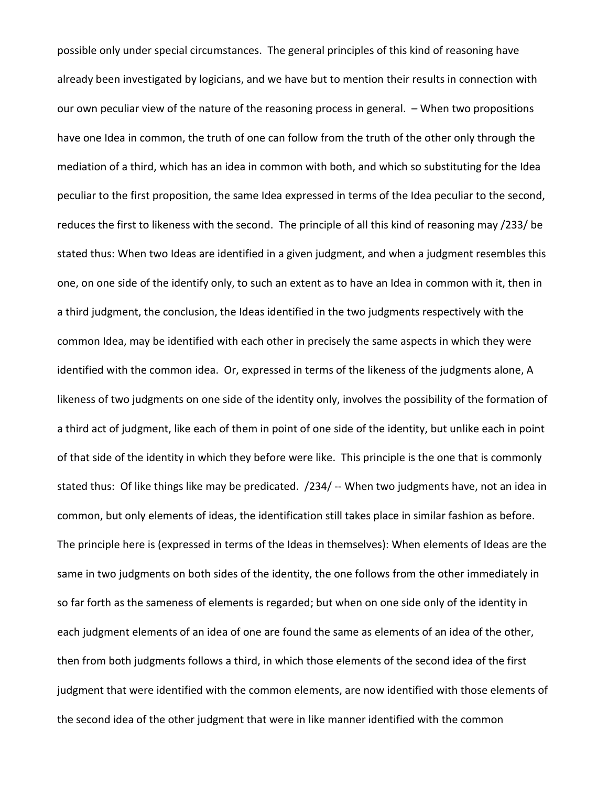possible only under special circumstances. The general principles of this kind of reasoning have already been investigated by logicians, and we have but to mention their results in connection with our own peculiar view of the nature of the reasoning process in general. – When two propositions have one Idea in common, the truth of one can follow from the truth of the other only through the mediation of a third, which has an idea in common with both, and which so substituting for the Idea peculiar to the first proposition, the same Idea expressed in terms of the Idea peculiar to the second, reduces the first to likeness with the second. The principle of all this kind of reasoning may /233/ be stated thus: When two Ideas are identified in a given judgment, and when a judgment resembles this one, on one side of the identify only, to such an extent as to have an Idea in common with it, then in a third judgment, the conclusion, the Ideas identified in the two judgments respectively with the common Idea, may be identified with each other in precisely the same aspects in which they were identified with the common idea. Or, expressed in terms of the likeness of the judgments alone, A likeness of two judgments on one side of the identity only, involves the possibility of the formation of a third act of judgment, like each of them in point of one side of the identity, but unlike each in point of that side of the identity in which they before were like. This principle is the one that is commonly stated thus: Of like things like may be predicated. /234/ -- When two judgments have, not an idea in common, but only elements of ideas, the identification still takes place in similar fashion as before. The principle here is (expressed in terms of the Ideas in themselves): When elements of Ideas are the same in two judgments on both sides of the identity, the one follows from the other immediately in so far forth as the sameness of elements is regarded; but when on one side only of the identity in each judgment elements of an idea of one are found the same as elements of an idea of the other, then from both judgments follows a third, in which those elements of the second idea of the first judgment that were identified with the common elements, are now identified with those elements of the second idea of the other judgment that were in like manner identified with the common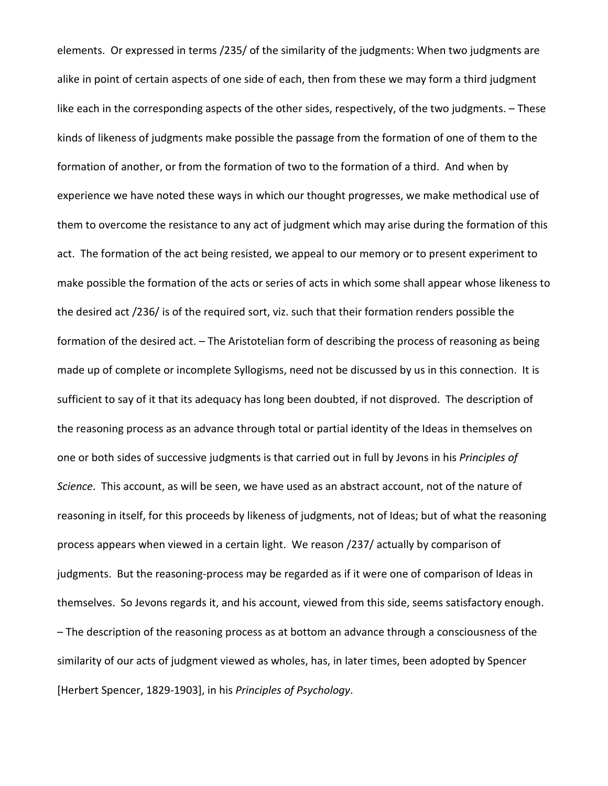elements. Or expressed in terms /235/ of the similarity of the judgments: When two judgments are alike in point of certain aspects of one side of each, then from these we may form a third judgment like each in the corresponding aspects of the other sides, respectively, of the two judgments. – These kinds of likeness of judgments make possible the passage from the formation of one of them to the formation of another, or from the formation of two to the formation of a third. And when by experience we have noted these ways in which our thought progresses, we make methodical use of them to overcome the resistance to any act of judgment which may arise during the formation of this act. The formation of the act being resisted, we appeal to our memory or to present experiment to make possible the formation of the acts or series of acts in which some shall appear whose likeness to the desired act /236/ is of the required sort, viz. such that their formation renders possible the formation of the desired act. – The Aristotelian form of describing the process of reasoning as being made up of complete or incomplete Syllogisms, need not be discussed by us in this connection. It is sufficient to say of it that its adequacy has long been doubted, if not disproved. The description of the reasoning process as an advance through total or partial identity of the Ideas in themselves on one or both sides of successive judgments is that carried out in full by Jevons in his *Principles of Science*. This account, as will be seen, we have used as an abstract account, not of the nature of reasoning in itself, for this proceeds by likeness of judgments, not of Ideas; but of what the reasoning process appears when viewed in a certain light. We reason /237/ actually by comparison of judgments. But the reasoning-process may be regarded as if it were one of comparison of Ideas in themselves. So Jevons regards it, and his account, viewed from this side, seems satisfactory enough. – The description of the reasoning process as at bottom an advance through a consciousness of the similarity of our acts of judgment viewed as wholes, has, in later times, been adopted by Spencer [Herbert Spencer, 1829-1903], in his *Principles of Psychology*.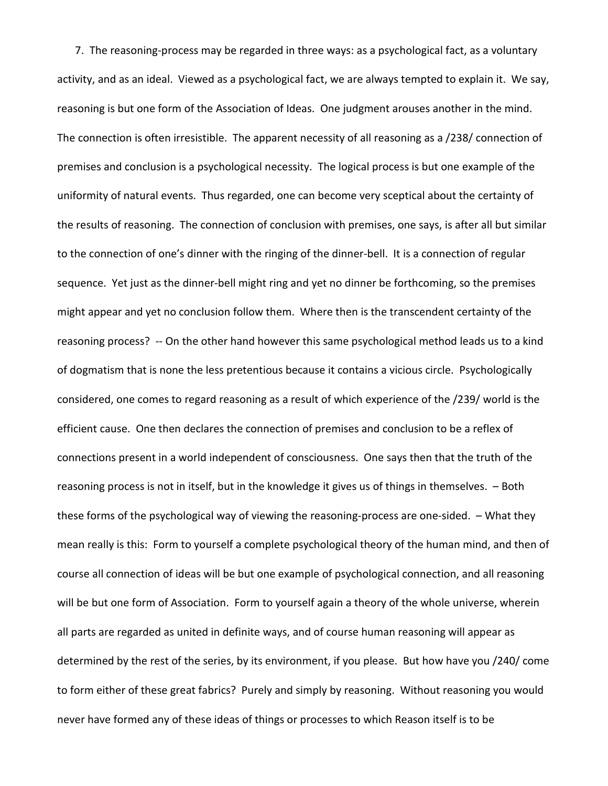7. The reasoning-process may be regarded in three ways: as a psychological fact, as a voluntary activity, and as an ideal. Viewed as a psychological fact, we are always tempted to explain it. We say, reasoning is but one form of the Association of Ideas. One judgment arouses another in the mind. The connection is often irresistible. The apparent necessity of all reasoning as a /238/ connection of premises and conclusion is a psychological necessity. The logical process is but one example of the uniformity of natural events. Thus regarded, one can become very sceptical about the certainty of the results of reasoning. The connection of conclusion with premises, one says, is after all but similar to the connection of one's dinner with the ringing of the dinner-bell. It is a connection of regular sequence. Yet just as the dinner-bell might ring and yet no dinner be forthcoming, so the premises might appear and yet no conclusion follow them. Where then is the transcendent certainty of the reasoning process? -- On the other hand however this same psychological method leads us to a kind of dogmatism that is none the less pretentious because it contains a vicious circle. Psychologically considered, one comes to regard reasoning as a result of which experience of the /239/ world is the efficient cause. One then declares the connection of premises and conclusion to be a reflex of connections present in a world independent of consciousness. One says then that the truth of the reasoning process is not in itself, but in the knowledge it gives us of things in themselves. – Both these forms of the psychological way of viewing the reasoning-process are one-sided. – What they mean really is this: Form to yourself a complete psychological theory of the human mind, and then of course all connection of ideas will be but one example of psychological connection, and all reasoning will be but one form of Association. Form to yourself again a theory of the whole universe, wherein all parts are regarded as united in definite ways, and of course human reasoning will appear as determined by the rest of the series, by its environment, if you please. But how have you /240/ come to form either of these great fabrics? Purely and simply by reasoning. Without reasoning you would never have formed any of these ideas of things or processes to which Reason itself is to be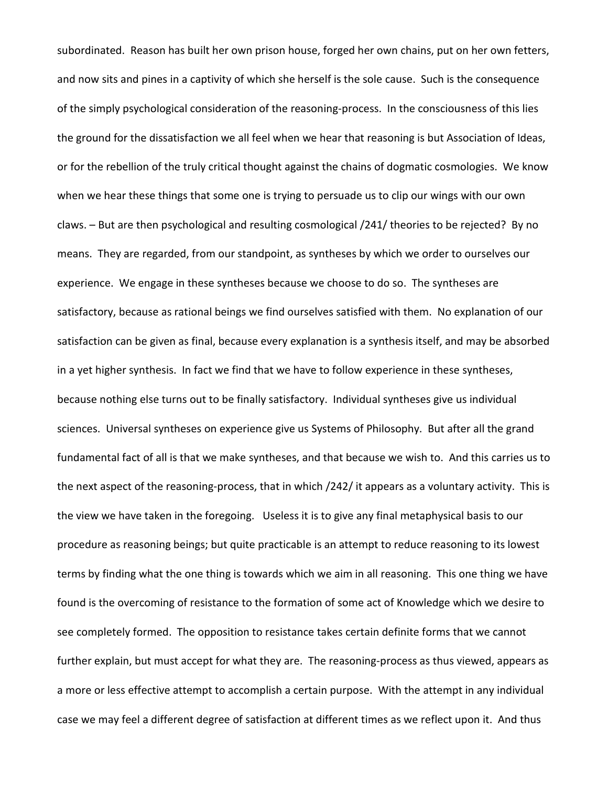subordinated. Reason has built her own prison house, forged her own chains, put on her own fetters, and now sits and pines in a captivity of which she herself is the sole cause. Such is the consequence of the simply psychological consideration of the reasoning-process. In the consciousness of this lies the ground for the dissatisfaction we all feel when we hear that reasoning is but Association of Ideas, or for the rebellion of the truly critical thought against the chains of dogmatic cosmologies. We know when we hear these things that some one is trying to persuade us to clip our wings with our own claws. – But are then psychological and resulting cosmological /241/ theories to be rejected? By no means. They are regarded, from our standpoint, as syntheses by which we order to ourselves our experience. We engage in these syntheses because we choose to do so. The syntheses are satisfactory, because as rational beings we find ourselves satisfied with them. No explanation of our satisfaction can be given as final, because every explanation is a synthesis itself, and may be absorbed in a yet higher synthesis. In fact we find that we have to follow experience in these syntheses, because nothing else turns out to be finally satisfactory. Individual syntheses give us individual sciences. Universal syntheses on experience give us Systems of Philosophy. But after all the grand fundamental fact of all is that we make syntheses, and that because we wish to. And this carries us to the next aspect of the reasoning-process, that in which /242/ it appears as a voluntary activity. This is the view we have taken in the foregoing. Useless it is to give any final metaphysical basis to our procedure as reasoning beings; but quite practicable is an attempt to reduce reasoning to its lowest terms by finding what the one thing is towards which we aim in all reasoning. This one thing we have found is the overcoming of resistance to the formation of some act of Knowledge which we desire to see completely formed. The opposition to resistance takes certain definite forms that we cannot further explain, but must accept for what they are. The reasoning-process as thus viewed, appears as a more or less effective attempt to accomplish a certain purpose. With the attempt in any individual case we may feel a different degree of satisfaction at different times as we reflect upon it. And thus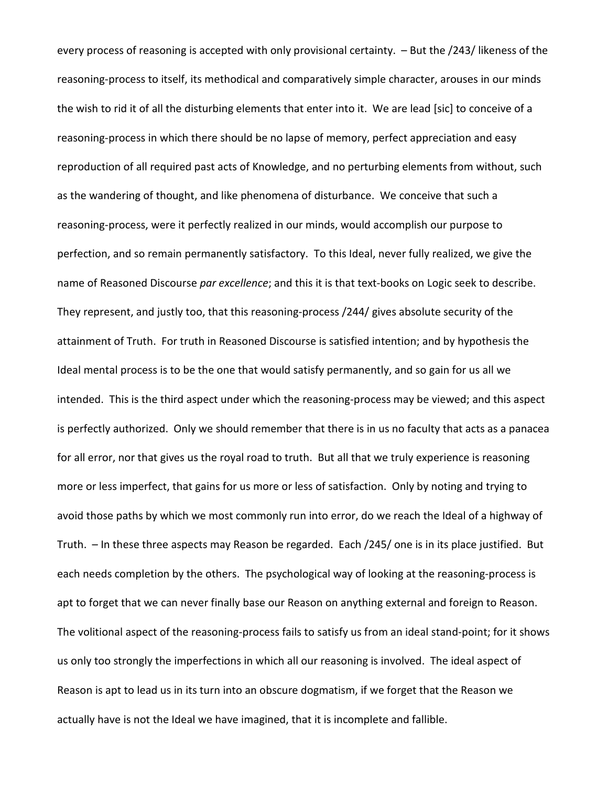every process of reasoning is accepted with only provisional certainty. – But the /243/ likeness of the reasoning-process to itself, its methodical and comparatively simple character, arouses in our minds the wish to rid it of all the disturbing elements that enter into it. We are lead [sic] to conceive of a reasoning-process in which there should be no lapse of memory, perfect appreciation and easy reproduction of all required past acts of Knowledge, and no perturbing elements from without, such as the wandering of thought, and like phenomena of disturbance. We conceive that such a reasoning-process, were it perfectly realized in our minds, would accomplish our purpose to perfection, and so remain permanently satisfactory. To this Ideal, never fully realized, we give the name of Reasoned Discourse *par excellence*; and this it is that text-books on Logic seek to describe. They represent, and justly too, that this reasoning-process /244/ gives absolute security of the attainment of Truth. For truth in Reasoned Discourse is satisfied intention; and by hypothesis the Ideal mental process is to be the one that would satisfy permanently, and so gain for us all we intended. This is the third aspect under which the reasoning-process may be viewed; and this aspect is perfectly authorized. Only we should remember that there is in us no faculty that acts as a panacea for all error, nor that gives us the royal road to truth. But all that we truly experience is reasoning more or less imperfect, that gains for us more or less of satisfaction. Only by noting and trying to avoid those paths by which we most commonly run into error, do we reach the Ideal of a highway of Truth. – In these three aspects may Reason be regarded. Each /245/ one is in its place justified. But each needs completion by the others. The psychological way of looking at the reasoning-process is apt to forget that we can never finally base our Reason on anything external and foreign to Reason. The volitional aspect of the reasoning-process fails to satisfy us from an ideal stand-point; for it shows us only too strongly the imperfections in which all our reasoning is involved. The ideal aspect of Reason is apt to lead us in its turn into an obscure dogmatism, if we forget that the Reason we actually have is not the Ideal we have imagined, that it is incomplete and fallible.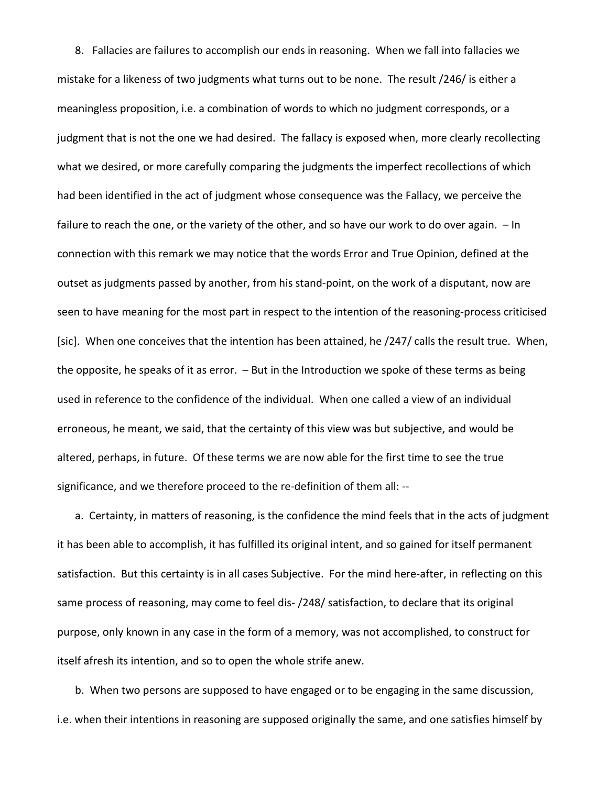8. Fallacies are failures to accomplish our ends in reasoning. When we fall into fallacies we mistake for a likeness of two judgments what turns out to be none. The result /246/ is either a meaningless proposition, i.e. a combination of words to which no judgment corresponds, or a judgment that is not the one we had desired. The fallacy is exposed when, more clearly recollecting what we desired, or more carefully comparing the judgments the imperfect recollections of which had been identified in the act of judgment whose consequence was the Fallacy, we perceive the failure to reach the one, or the variety of the other, and so have our work to do over again.  $-$  In connection with this remark we may notice that the words Error and True Opinion, defined at the outset as judgments passed by another, from his stand-point, on the work of a disputant, now are seen to have meaning for the most part in respect to the intention of the reasoning-process criticised [sic]. When one conceives that the intention has been attained, he /247/ calls the result true. When, the opposite, he speaks of it as error. – But in the Introduction we spoke of these terms as being used in reference to the confidence of the individual. When one called a view of an individual erroneous, he meant, we said, that the certainty of this view was but subjective, and would be altered, perhaps, in future. Of these terms we are now able for the first time to see the true significance, and we therefore proceed to the re-definition of them all: --

a. Certainty, in matters of reasoning, is the confidence the mind feels that in the acts of judgment it has been able to accomplish, it has fulfilled its original intent, and so gained for itself permanent satisfaction. But this certainty is in all cases Subjective. For the mind here-after, in reflecting on this same process of reasoning, may come to feel dis- /248/ satisfaction, to declare that its original purpose, only known in any case in the form of a memory, was not accomplished, to construct for itself afresh its intention, and so to open the whole strife anew.

b. When two persons are supposed to have engaged or to be engaging in the same discussion, i.e. when their intentions in reasoning are supposed originally the same, and one satisfies himself by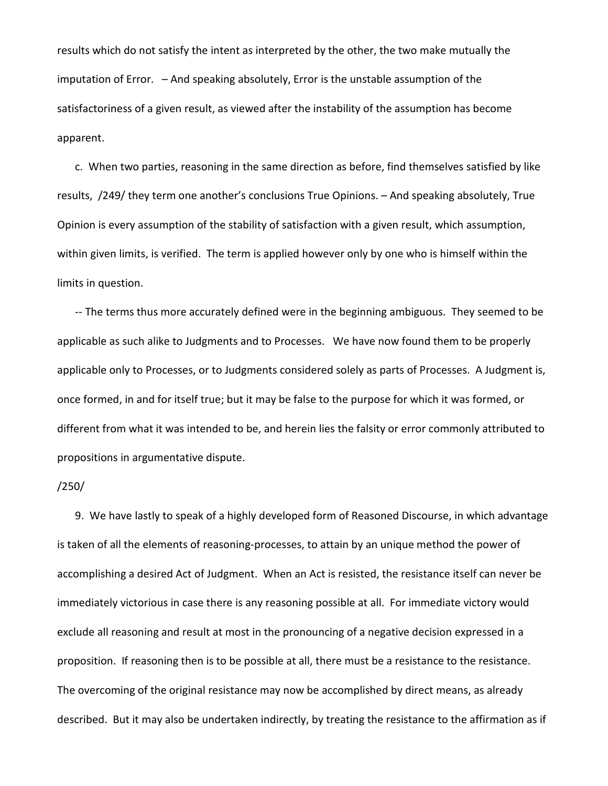results which do not satisfy the intent as interpreted by the other, the two make mutually the imputation of Error. – And speaking absolutely, Error is the unstable assumption of the satisfactoriness of a given result, as viewed after the instability of the assumption has become apparent.

c. When two parties, reasoning in the same direction as before, find themselves satisfied by like results, /249/ they term one another's conclusions True Opinions. – And speaking absolutely, True Opinion is every assumption of the stability of satisfaction with a given result, which assumption, within given limits, is verified. The term is applied however only by one who is himself within the limits in question.

-- The terms thus more accurately defined were in the beginning ambiguous. They seemed to be applicable as such alike to Judgments and to Processes. We have now found them to be properly applicable only to Processes, or to Judgments considered solely as parts of Processes. A Judgment is, once formed, in and for itself true; but it may be false to the purpose for which it was formed, or different from what it was intended to be, and herein lies the falsity or error commonly attributed to propositions in argumentative dispute.

#### /250/

9. We have lastly to speak of a highly developed form of Reasoned Discourse, in which advantage is taken of all the elements of reasoning-processes, to attain by an unique method the power of accomplishing a desired Act of Judgment. When an Act is resisted, the resistance itself can never be immediately victorious in case there is any reasoning possible at all. For immediate victory would exclude all reasoning and result at most in the pronouncing of a negative decision expressed in a proposition. If reasoning then is to be possible at all, there must be a resistance to the resistance. The overcoming of the original resistance may now be accomplished by direct means, as already described. But it may also be undertaken indirectly, by treating the resistance to the affirmation as if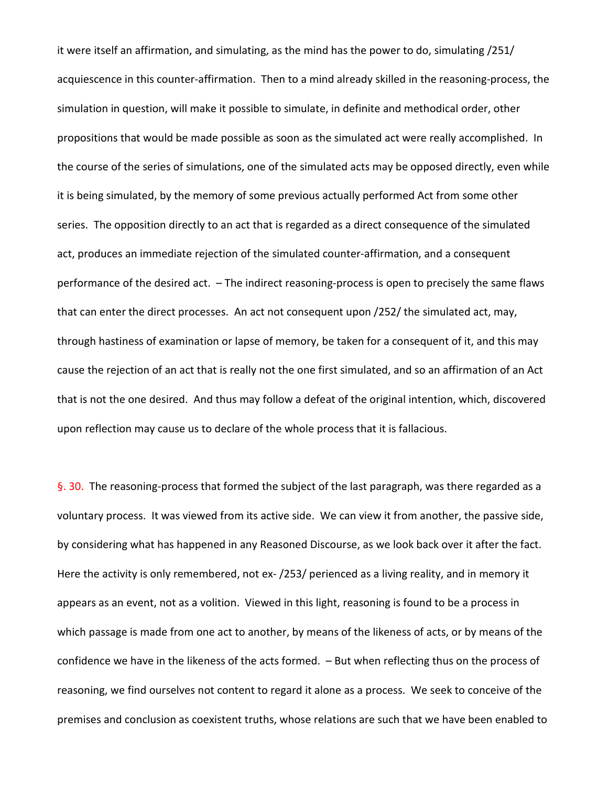it were itself an affirmation, and simulating, as the mind has the power to do, simulating /251/ acquiescence in this counter-affirmation. Then to a mind already skilled in the reasoning-process, the simulation in question, will make it possible to simulate, in definite and methodical order, other propositions that would be made possible as soon as the simulated act were really accomplished. In the course of the series of simulations, one of the simulated acts may be opposed directly, even while it is being simulated, by the memory of some previous actually performed Act from some other series. The opposition directly to an act that is regarded as a direct consequence of the simulated act, produces an immediate rejection of the simulated counter-affirmation, and a consequent performance of the desired act. – The indirect reasoning-process is open to precisely the same flaws that can enter the direct processes. An act not consequent upon /252/ the simulated act, may, through hastiness of examination or lapse of memory, be taken for a consequent of it, and this may cause the rejection of an act that is really not the one first simulated, and so an affirmation of an Act that is not the one desired. And thus may follow a defeat of the original intention, which, discovered upon reflection may cause us to declare of the whole process that it is fallacious.

§. 30. The reasoning-process that formed the subject of the last paragraph, was there regarded as a voluntary process. It was viewed from its active side. We can view it from another, the passive side, by considering what has happened in any Reasoned Discourse, as we look back over it after the fact. Here the activity is only remembered, not ex- /253/ perienced as a living reality, and in memory it appears as an event, not as a volition. Viewed in this light, reasoning is found to be a process in which passage is made from one act to another, by means of the likeness of acts, or by means of the confidence we have in the likeness of the acts formed. – But when reflecting thus on the process of reasoning, we find ourselves not content to regard it alone as a process. We seek to conceive of the premises and conclusion as coexistent truths, whose relations are such that we have been enabled to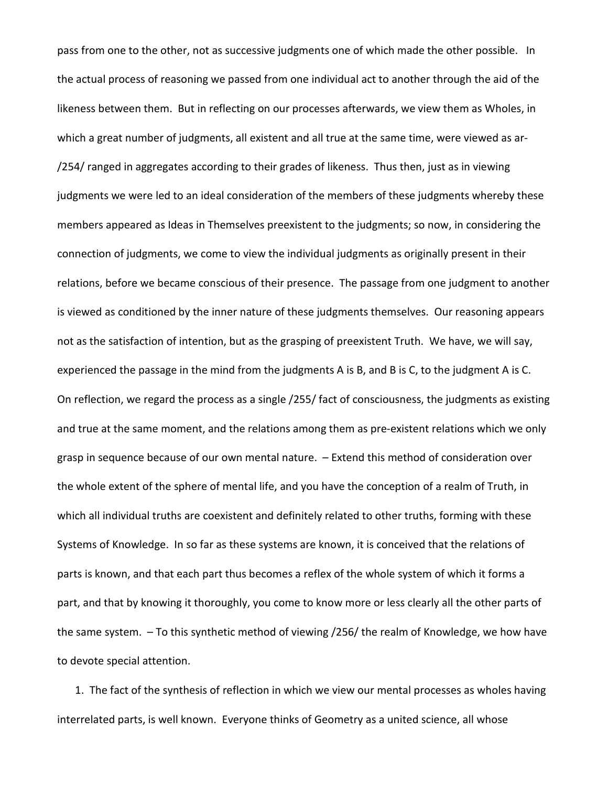pass from one to the other, not as successive judgments one of which made the other possible. In the actual process of reasoning we passed from one individual act to another through the aid of the likeness between them. But in reflecting on our processes afterwards, we view them as Wholes, in which a great number of judgments, all existent and all true at the same time, were viewed as ar- /254/ ranged in aggregates according to their grades of likeness. Thus then, just as in viewing judgments we were led to an ideal consideration of the members of these judgments whereby these members appeared as Ideas in Themselves preexistent to the judgments; so now, in considering the connection of judgments, we come to view the individual judgments as originally present in their relations, before we became conscious of their presence. The passage from one judgment to another is viewed as conditioned by the inner nature of these judgments themselves. Our reasoning appears not as the satisfaction of intention, but as the grasping of preexistent Truth. We have, we will say, experienced the passage in the mind from the judgments A is B, and B is C, to the judgment A is C. On reflection, we regard the process as a single /255/ fact of consciousness, the judgments as existing and true at the same moment, and the relations among them as pre-existent relations which we only grasp in sequence because of our own mental nature. – Extend this method of consideration over the whole extent of the sphere of mental life, and you have the conception of a realm of Truth, in which all individual truths are coexistent and definitely related to other truths, forming with these Systems of Knowledge. In so far as these systems are known, it is conceived that the relations of parts is known, and that each part thus becomes a reflex of the whole system of which it forms a part, and that by knowing it thoroughly, you come to know more or less clearly all the other parts of the same system. – To this synthetic method of viewing /256/ the realm of Knowledge, we how have to devote special attention.

1. The fact of the synthesis of reflection in which we view our mental processes as wholes having interrelated parts, is well known. Everyone thinks of Geometry as a united science, all whose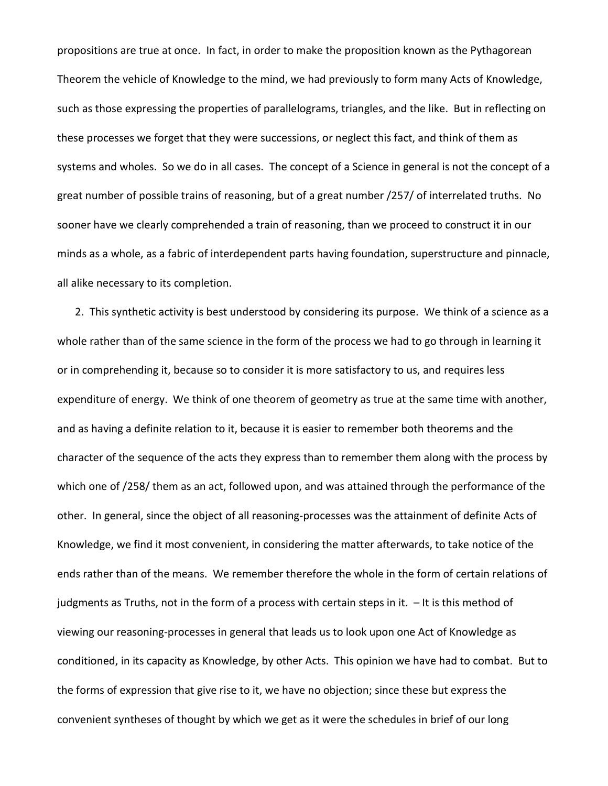propositions are true at once. In fact, in order to make the proposition known as the Pythagorean Theorem the vehicle of Knowledge to the mind, we had previously to form many Acts of Knowledge, such as those expressing the properties of parallelograms, triangles, and the like. But in reflecting on these processes we forget that they were successions, or neglect this fact, and think of them as systems and wholes. So we do in all cases. The concept of a Science in general is not the concept of a great number of possible trains of reasoning, but of a great number /257/ of interrelated truths. No sooner have we clearly comprehended a train of reasoning, than we proceed to construct it in our minds as a whole, as a fabric of interdependent parts having foundation, superstructure and pinnacle, all alike necessary to its completion.

2. This synthetic activity is best understood by considering its purpose. We think of a science as a whole rather than of the same science in the form of the process we had to go through in learning it or in comprehending it, because so to consider it is more satisfactory to us, and requires less expenditure of energy. We think of one theorem of geometry as true at the same time with another, and as having a definite relation to it, because it is easier to remember both theorems and the character of the sequence of the acts they express than to remember them along with the process by which one of /258/ them as an act, followed upon, and was attained through the performance of the other. In general, since the object of all reasoning-processes was the attainment of definite Acts of Knowledge, we find it most convenient, in considering the matter afterwards, to take notice of the ends rather than of the means. We remember therefore the whole in the form of certain relations of judgments as Truths, not in the form of a process with certain steps in it. – It is this method of viewing our reasoning-processes in general that leads us to look upon one Act of Knowledge as conditioned, in its capacity as Knowledge, by other Acts. This opinion we have had to combat. But to the forms of expression that give rise to it, we have no objection; since these but express the convenient syntheses of thought by which we get as it were the schedules in brief of our long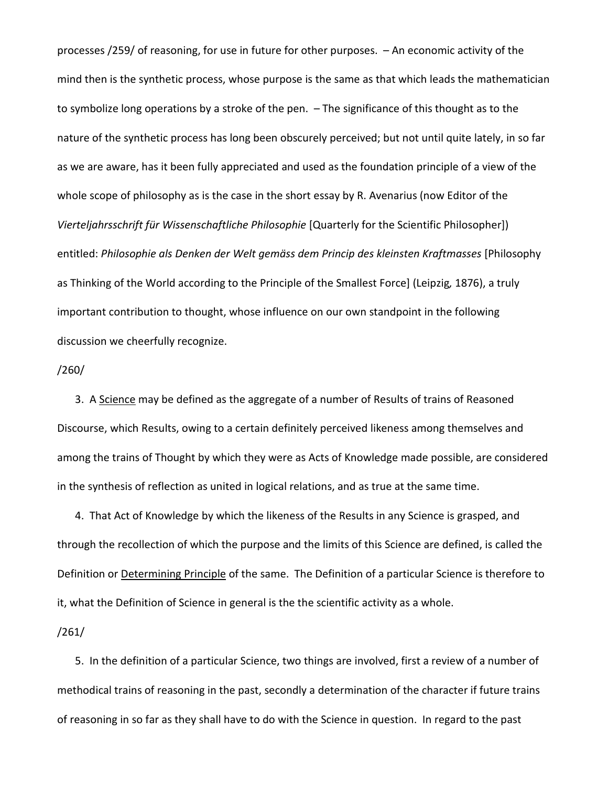processes /259/ of reasoning, for use in future for other purposes. – An economic activity of the mind then is the synthetic process, whose purpose is the same as that which leads the mathematician to symbolize long operations by a stroke of the pen. – The significance of this thought as to the nature of the synthetic process has long been obscurely perceived; but not until quite lately, in so far as we are aware, has it been fully appreciated and used as the foundation principle of a view of the whole scope of philosophy as is the case in the short essay by R. Avenarius (now Editor of the *Vierteljahrsschrift für Wissenschaftliche Philosophie* [Quarterly for the Scientific Philosopher]) entitled: *Philosophie als Denken der Welt gemäss dem Princip des kleinsten Kraftmasses* [Philosophy as Thinking of the World according to the Principle of the Smallest Force] (Leipzig*,* 1876), a truly important contribution to thought, whose influence on our own standpoint in the following discussion we cheerfully recognize.

## /260/

3. A Science may be defined as the aggregate of a number of Results of trains of Reasoned Discourse, which Results, owing to a certain definitely perceived likeness among themselves and among the trains of Thought by which they were as Acts of Knowledge made possible, are considered in the synthesis of reflection as united in logical relations, and as true at the same time.

4. That Act of Knowledge by which the likeness of the Results in any Science is grasped, and through the recollection of which the purpose and the limits of this Science are defined, is called the Definition or Determining Principle of the same. The Definition of a particular Science is therefore to it, what the Definition of Science in general is the the scientific activity as a whole.

#### /261/

5. In the definition of a particular Science, two things are involved, first a review of a number of methodical trains of reasoning in the past, secondly a determination of the character if future trains of reasoning in so far as they shall have to do with the Science in question. In regard to the past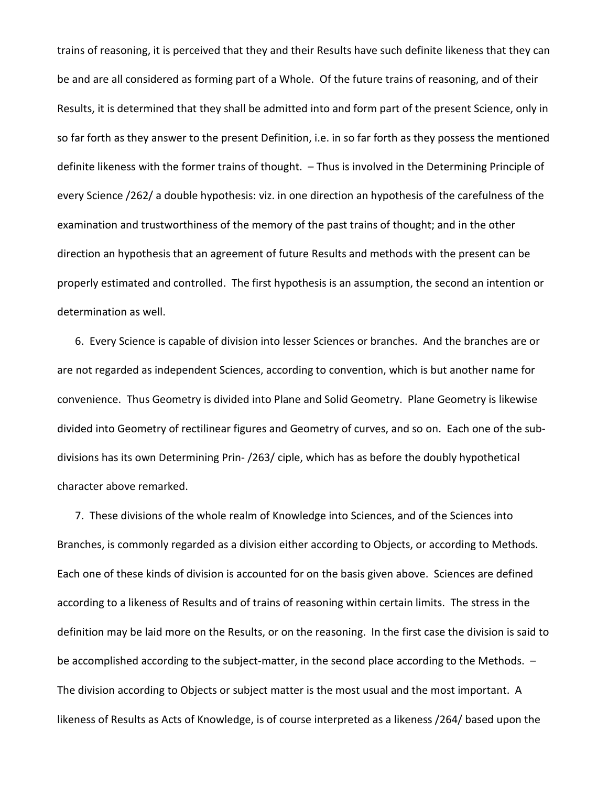trains of reasoning, it is perceived that they and their Results have such definite likeness that they can be and are all considered as forming part of a Whole. Of the future trains of reasoning, and of their Results, it is determined that they shall be admitted into and form part of the present Science, only in so far forth as they answer to the present Definition, i.e. in so far forth as they possess the mentioned definite likeness with the former trains of thought. – Thus is involved in the Determining Principle of every Science /262/ a double hypothesis: viz. in one direction an hypothesis of the carefulness of the examination and trustworthiness of the memory of the past trains of thought; and in the other direction an hypothesis that an agreement of future Results and methods with the present can be properly estimated and controlled. The first hypothesis is an assumption, the second an intention or determination as well.

6. Every Science is capable of division into lesser Sciences or branches. And the branches are or are not regarded as independent Sciences, according to convention, which is but another name for convenience. Thus Geometry is divided into Plane and Solid Geometry. Plane Geometry is likewise divided into Geometry of rectilinear figures and Geometry of curves, and so on. Each one of the subdivisions has its own Determining Prin- /263/ ciple, which has as before the doubly hypothetical character above remarked.

7. These divisions of the whole realm of Knowledge into Sciences, and of the Sciences into Branches, is commonly regarded as a division either according to Objects, or according to Methods. Each one of these kinds of division is accounted for on the basis given above. Sciences are defined according to a likeness of Results and of trains of reasoning within certain limits. The stress in the definition may be laid more on the Results, or on the reasoning. In the first case the division is said to be accomplished according to the subject-matter, in the second place according to the Methods.  $-$ The division according to Objects or subject matter is the most usual and the most important. A likeness of Results as Acts of Knowledge, is of course interpreted as a likeness /264/ based upon the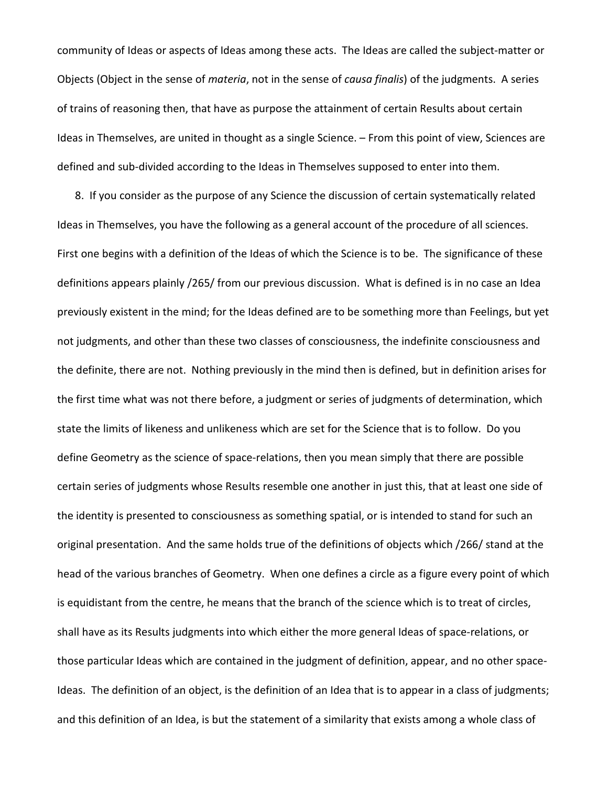community of Ideas or aspects of Ideas among these acts. The Ideas are called the subject-matter or Objects (Object in the sense of *materia*, not in the sense of *causa finalis*) of the judgments. A series of trains of reasoning then, that have as purpose the attainment of certain Results about certain Ideas in Themselves, are united in thought as a single Science. – From this point of view, Sciences are defined and sub-divided according to the Ideas in Themselves supposed to enter into them.

8. If you consider as the purpose of any Science the discussion of certain systematically related Ideas in Themselves, you have the following as a general account of the procedure of all sciences. First one begins with a definition of the Ideas of which the Science is to be. The significance of these definitions appears plainly /265/ from our previous discussion. What is defined is in no case an Idea previously existent in the mind; for the Ideas defined are to be something more than Feelings, but yet not judgments, and other than these two classes of consciousness, the indefinite consciousness and the definite, there are not. Nothing previously in the mind then is defined, but in definition arises for the first time what was not there before, a judgment or series of judgments of determination, which state the limits of likeness and unlikeness which are set for the Science that is to follow. Do you define Geometry as the science of space-relations, then you mean simply that there are possible certain series of judgments whose Results resemble one another in just this, that at least one side of the identity is presented to consciousness as something spatial, or is intended to stand for such an original presentation. And the same holds true of the definitions of objects which /266/ stand at the head of the various branches of Geometry. When one defines a circle as a figure every point of which is equidistant from the centre, he means that the branch of the science which is to treat of circles, shall have as its Results judgments into which either the more general Ideas of space-relations, or those particular Ideas which are contained in the judgment of definition, appear, and no other space-Ideas. The definition of an object, is the definition of an Idea that is to appear in a class of judgments; and this definition of an Idea, is but the statement of a similarity that exists among a whole class of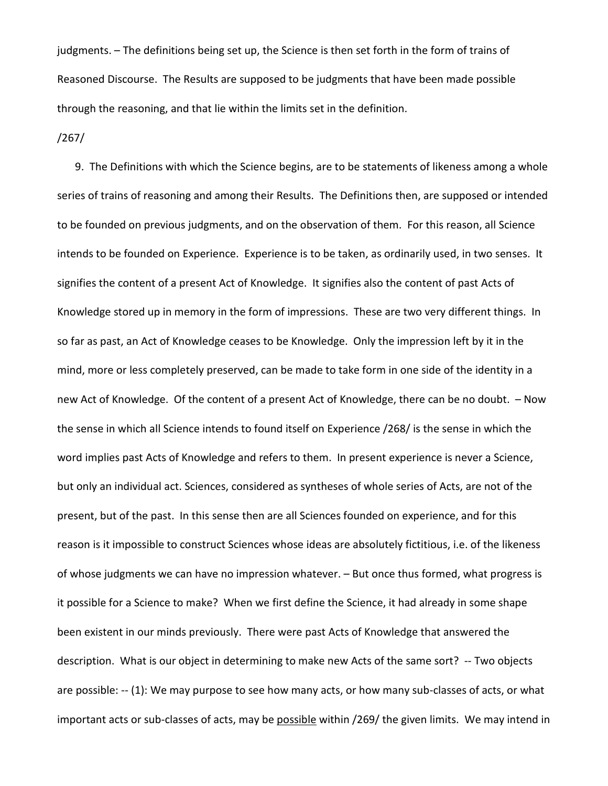judgments. – The definitions being set up, the Science is then set forth in the form of trains of Reasoned Discourse. The Results are supposed to be judgments that have been made possible through the reasoning, and that lie within the limits set in the definition.

/267/

9. The Definitions with which the Science begins, are to be statements of likeness among a whole series of trains of reasoning and among their Results. The Definitions then, are supposed or intended to be founded on previous judgments, and on the observation of them. For this reason, all Science intends to be founded on Experience. Experience is to be taken, as ordinarily used, in two senses. It signifies the content of a present Act of Knowledge. It signifies also the content of past Acts of Knowledge stored up in memory in the form of impressions. These are two very different things. In so far as past, an Act of Knowledge ceases to be Knowledge. Only the impression left by it in the mind, more or less completely preserved, can be made to take form in one side of the identity in a new Act of Knowledge. Of the content of a present Act of Knowledge, there can be no doubt. – Now the sense in which all Science intends to found itself on Experience /268/ is the sense in which the word implies past Acts of Knowledge and refers to them. In present experience is never a Science, but only an individual act. Sciences, considered as syntheses of whole series of Acts, are not of the present, but of the past. In this sense then are all Sciences founded on experience, and for this reason is it impossible to construct Sciences whose ideas are absolutely fictitious, i.e. of the likeness of whose judgments we can have no impression whatever. – But once thus formed, what progress is it possible for a Science to make? When we first define the Science, it had already in some shape been existent in our minds previously. There were past Acts of Knowledge that answered the description. What is our object in determining to make new Acts of the same sort? -- Two objects are possible: -- (1): We may purpose to see how many acts, or how many sub-classes of acts, or what important acts or sub-classes of acts, may be possible within /269/ the given limits. We may intend in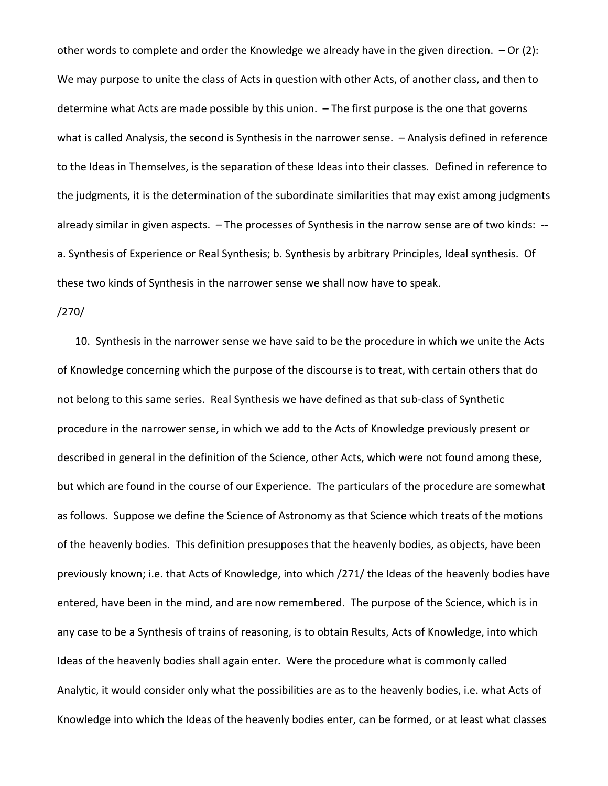other words to complete and order the Knowledge we already have in the given direction. – Or (2): We may purpose to unite the class of Acts in question with other Acts, of another class, and then to determine what Acts are made possible by this union. – The first purpose is the one that governs what is called Analysis, the second is Synthesis in the narrower sense. – Analysis defined in reference to the Ideas in Themselves, is the separation of these Ideas into their classes. Defined in reference to the judgments, it is the determination of the subordinate similarities that may exist among judgments already similar in given aspects. – The processes of Synthesis in the narrow sense are of two kinds: - a. Synthesis of Experience or Real Synthesis; b. Synthesis by arbitrary Principles, Ideal synthesis. Of these two kinds of Synthesis in the narrower sense we shall now have to speak.

## /270/

10. Synthesis in the narrower sense we have said to be the procedure in which we unite the Acts of Knowledge concerning which the purpose of the discourse is to treat, with certain others that do not belong to this same series. Real Synthesis we have defined as that sub-class of Synthetic procedure in the narrower sense, in which we add to the Acts of Knowledge previously present or described in general in the definition of the Science, other Acts, which were not found among these, but which are found in the course of our Experience. The particulars of the procedure are somewhat as follows. Suppose we define the Science of Astronomy as that Science which treats of the motions of the heavenly bodies. This definition presupposes that the heavenly bodies, as objects, have been previously known; i.e. that Acts of Knowledge, into which /271/ the Ideas of the heavenly bodies have entered, have been in the mind, and are now remembered. The purpose of the Science, which is in any case to be a Synthesis of trains of reasoning, is to obtain Results, Acts of Knowledge, into which Ideas of the heavenly bodies shall again enter. Were the procedure what is commonly called Analytic, it would consider only what the possibilities are as to the heavenly bodies, i.e. what Acts of Knowledge into which the Ideas of the heavenly bodies enter, can be formed, or at least what classes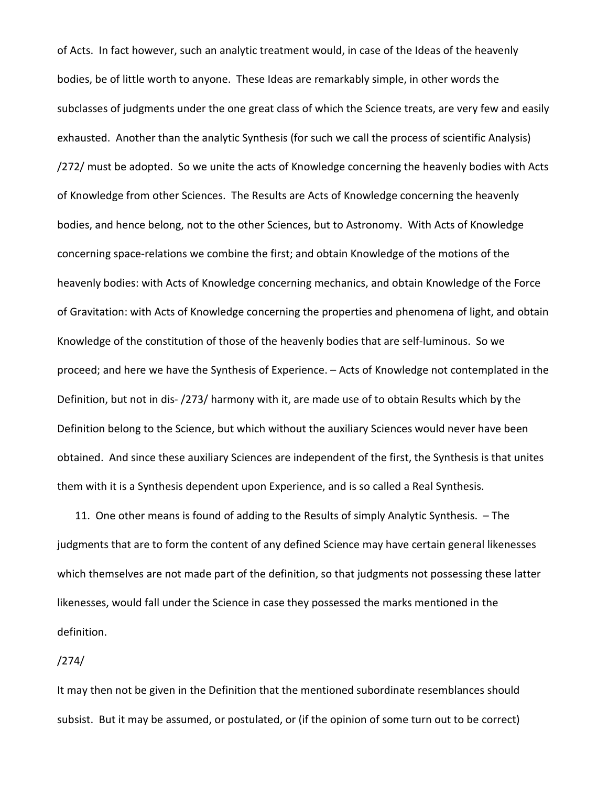of Acts. In fact however, such an analytic treatment would, in case of the Ideas of the heavenly bodies, be of little worth to anyone. These Ideas are remarkably simple, in other words the subclasses of judgments under the one great class of which the Science treats, are very few and easily exhausted. Another than the analytic Synthesis (for such we call the process of scientific Analysis) /272/ must be adopted. So we unite the acts of Knowledge concerning the heavenly bodies with Acts of Knowledge from other Sciences. The Results are Acts of Knowledge concerning the heavenly bodies, and hence belong, not to the other Sciences, but to Astronomy. With Acts of Knowledge concerning space-relations we combine the first; and obtain Knowledge of the motions of the heavenly bodies: with Acts of Knowledge concerning mechanics, and obtain Knowledge of the Force of Gravitation: with Acts of Knowledge concerning the properties and phenomena of light, and obtain Knowledge of the constitution of those of the heavenly bodies that are self-luminous. So we proceed; and here we have the Synthesis of Experience. – Acts of Knowledge not contemplated in the Definition, but not in dis- /273/ harmony with it, are made use of to obtain Results which by the Definition belong to the Science, but which without the auxiliary Sciences would never have been obtained. And since these auxiliary Sciences are independent of the first, the Synthesis is that unites them with it is a Synthesis dependent upon Experience, and is so called a Real Synthesis.

11. One other means is found of adding to the Results of simply Analytic Synthesis. – The judgments that are to form the content of any defined Science may have certain general likenesses which themselves are not made part of the definition, so that judgments not possessing these latter likenesses, would fall under the Science in case they possessed the marks mentioned in the definition.

# /274/

It may then not be given in the Definition that the mentioned subordinate resemblances should subsist. But it may be assumed, or postulated, or (if the opinion of some turn out to be correct)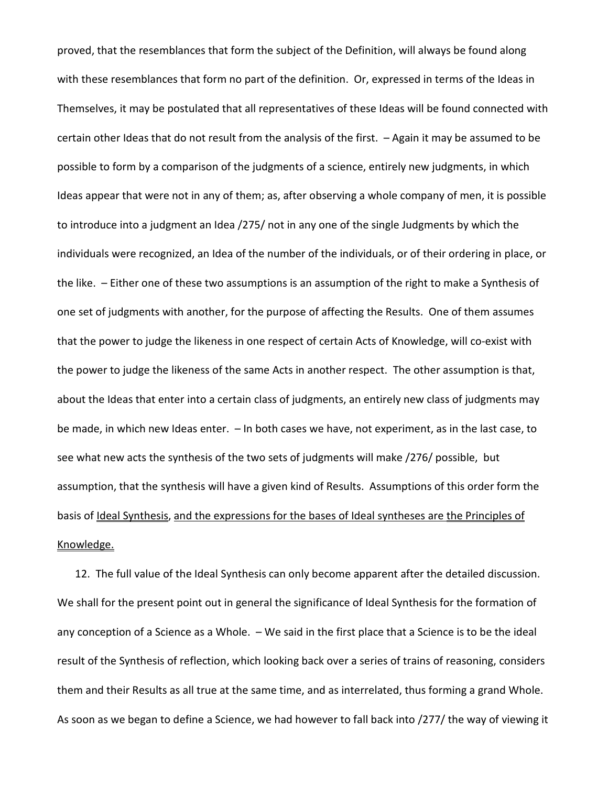proved, that the resemblances that form the subject of the Definition, will always be found along with these resemblances that form no part of the definition. Or, expressed in terms of the Ideas in Themselves, it may be postulated that all representatives of these Ideas will be found connected with certain other Ideas that do not result from the analysis of the first. – Again it may be assumed to be possible to form by a comparison of the judgments of a science, entirely new judgments, in which Ideas appear that were not in any of them; as, after observing a whole company of men, it is possible to introduce into a judgment an Idea /275/ not in any one of the single Judgments by which the individuals were recognized, an Idea of the number of the individuals, or of their ordering in place, or the like. – Either one of these two assumptions is an assumption of the right to make a Synthesis of one set of judgments with another, for the purpose of affecting the Results. One of them assumes that the power to judge the likeness in one respect of certain Acts of Knowledge, will co-exist with the power to judge the likeness of the same Acts in another respect. The other assumption is that, about the Ideas that enter into a certain class of judgments, an entirely new class of judgments may be made, in which new Ideas enter. – In both cases we have, not experiment, as in the last case, to see what new acts the synthesis of the two sets of judgments will make /276/ possible, but assumption, that the synthesis will have a given kind of Results. Assumptions of this order form the basis of Ideal Synthesis, and the expressions for the bases of Ideal syntheses are the Principles of Knowledge.

12. The full value of the Ideal Synthesis can only become apparent after the detailed discussion. We shall for the present point out in general the significance of Ideal Synthesis for the formation of any conception of a Science as a Whole. – We said in the first place that a Science is to be the ideal result of the Synthesis of reflection, which looking back over a series of trains of reasoning, considers them and their Results as all true at the same time, and as interrelated, thus forming a grand Whole. As soon as we began to define a Science, we had however to fall back into /277/ the way of viewing it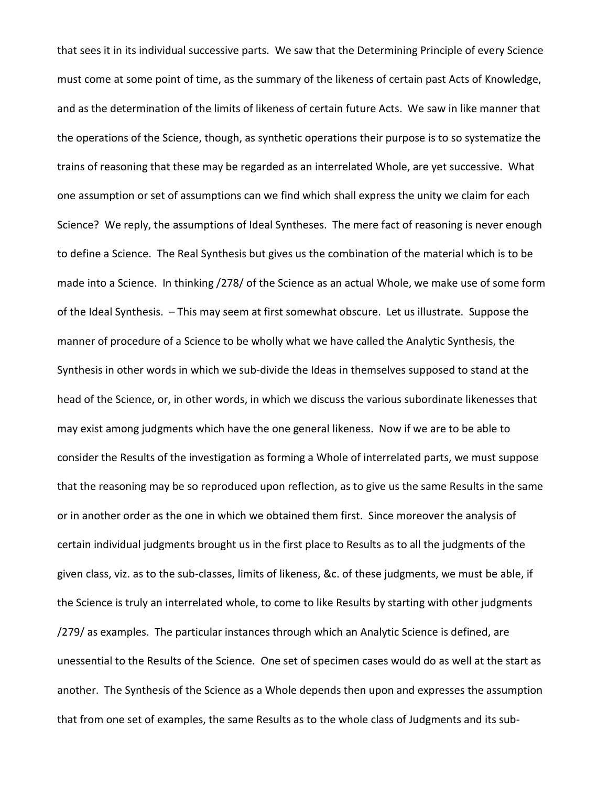that sees it in its individual successive parts. We saw that the Determining Principle of every Science must come at some point of time, as the summary of the likeness of certain past Acts of Knowledge, and as the determination of the limits of likeness of certain future Acts. We saw in like manner that the operations of the Science, though, as synthetic operations their purpose is to so systematize the trains of reasoning that these may be regarded as an interrelated Whole, are yet successive. What one assumption or set of assumptions can we find which shall express the unity we claim for each Science? We reply, the assumptions of Ideal Syntheses. The mere fact of reasoning is never enough to define a Science. The Real Synthesis but gives us the combination of the material which is to be made into a Science. In thinking /278/ of the Science as an actual Whole, we make use of some form of the Ideal Synthesis. – This may seem at first somewhat obscure. Let us illustrate. Suppose the manner of procedure of a Science to be wholly what we have called the Analytic Synthesis, the Synthesis in other words in which we sub-divide the Ideas in themselves supposed to stand at the head of the Science, or, in other words, in which we discuss the various subordinate likenesses that may exist among judgments which have the one general likeness. Now if we are to be able to consider the Results of the investigation as forming a Whole of interrelated parts, we must suppose that the reasoning may be so reproduced upon reflection, as to give us the same Results in the same or in another order as the one in which we obtained them first. Since moreover the analysis of certain individual judgments brought us in the first place to Results as to all the judgments of the given class, viz. as to the sub-classes, limits of likeness, &c. of these judgments, we must be able, if the Science is truly an interrelated whole, to come to like Results by starting with other judgments /279/ as examples. The particular instances through which an Analytic Science is defined, are unessential to the Results of the Science. One set of specimen cases would do as well at the start as another. The Synthesis of the Science as a Whole depends then upon and expresses the assumption that from one set of examples, the same Results as to the whole class of Judgments and its sub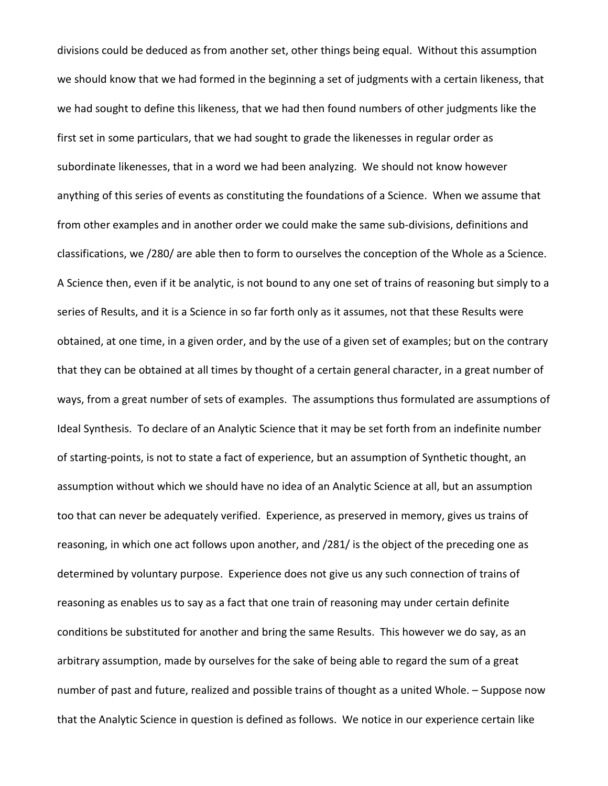divisions could be deduced as from another set, other things being equal. Without this assumption we should know that we had formed in the beginning a set of judgments with a certain likeness, that we had sought to define this likeness, that we had then found numbers of other judgments like the first set in some particulars, that we had sought to grade the likenesses in regular order as subordinate likenesses, that in a word we had been analyzing. We should not know however anything of this series of events as constituting the foundations of a Science. When we assume that from other examples and in another order we could make the same sub-divisions, definitions and classifications, we /280/ are able then to form to ourselves the conception of the Whole as a Science. A Science then, even if it be analytic, is not bound to any one set of trains of reasoning but simply to a series of Results, and it is a Science in so far forth only as it assumes, not that these Results were obtained, at one time, in a given order, and by the use of a given set of examples; but on the contrary that they can be obtained at all times by thought of a certain general character, in a great number of ways, from a great number of sets of examples. The assumptions thus formulated are assumptions of Ideal Synthesis. To declare of an Analytic Science that it may be set forth from an indefinite number of starting-points, is not to state a fact of experience, but an assumption of Synthetic thought, an assumption without which we should have no idea of an Analytic Science at all, but an assumption too that can never be adequately verified. Experience, as preserved in memory, gives us trains of reasoning, in which one act follows upon another, and /281/ is the object of the preceding one as determined by voluntary purpose. Experience does not give us any such connection of trains of reasoning as enables us to say as a fact that one train of reasoning may under certain definite conditions be substituted for another and bring the same Results. This however we do say, as an arbitrary assumption, made by ourselves for the sake of being able to regard the sum of a great number of past and future, realized and possible trains of thought as a united Whole. – Suppose now that the Analytic Science in question is defined as follows. We notice in our experience certain like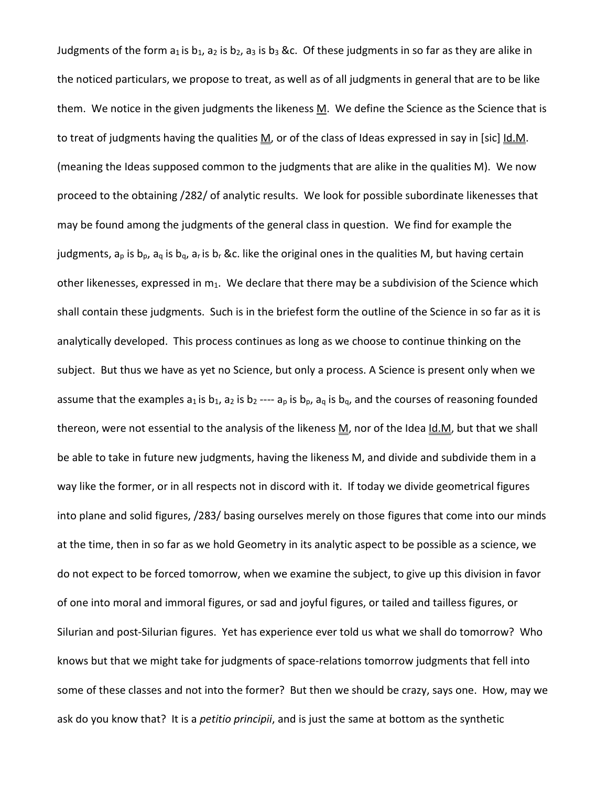Judgments of the form  $a_1$  is  $b_1$ ,  $a_2$  is  $b_2$ ,  $a_3$  is  $b_3$  &c. Of these judgments in so far as they are alike in the noticed particulars, we propose to treat, as well as of all judgments in general that are to be like them. We notice in the given judgments the likeness  $M$ . We define the Science as the Science that is to treat of judgments having the qualities M, or of the class of Ideas expressed in say in [sic] Id.M. (meaning the Ideas supposed common to the judgments that are alike in the qualities M). We now proceed to the obtaining /282/ of analytic results. We look for possible subordinate likenesses that may be found among the judgments of the general class in question. We find for example the judgments,  $a_p$  is  $b_p$ ,  $a_q$  is  $b_q$ ,  $a_r$  is  $b_r$  &c. like the original ones in the qualities M, but having certain other likenesses, expressed in  $m_1$ . We declare that there may be a subdivision of the Science which shall contain these judgments. Such is in the briefest form the outline of the Science in so far as it is analytically developed. This process continues as long as we choose to continue thinking on the subject. But thus we have as yet no Science, but only a process. A Science is present only when we assume that the examples  $a_1$  is  $b_1$ ,  $a_2$  is  $b_2$  ----  $a_p$  is  $b_p$ ,  $a_q$  is  $b_q$ , and the courses of reasoning founded thereon, were not essential to the analysis of the likeness M, nor of the Idea Id.M, but that we shall be able to take in future new judgments, having the likeness M, and divide and subdivide them in a way like the former, or in all respects not in discord with it. If today we divide geometrical figures into plane and solid figures, /283/ basing ourselves merely on those figures that come into our minds at the time, then in so far as we hold Geometry in its analytic aspect to be possible as a science, we do not expect to be forced tomorrow, when we examine the subject, to give up this division in favor of one into moral and immoral figures, or sad and joyful figures, or tailed and tailless figures, or Silurian and post-Silurian figures. Yet has experience ever told us what we shall do tomorrow? Who knows but that we might take for judgments of space-relations tomorrow judgments that fell into some of these classes and not into the former? But then we should be crazy, says one. How, may we ask do you know that? It is a *petitio principii*, and is just the same at bottom as the synthetic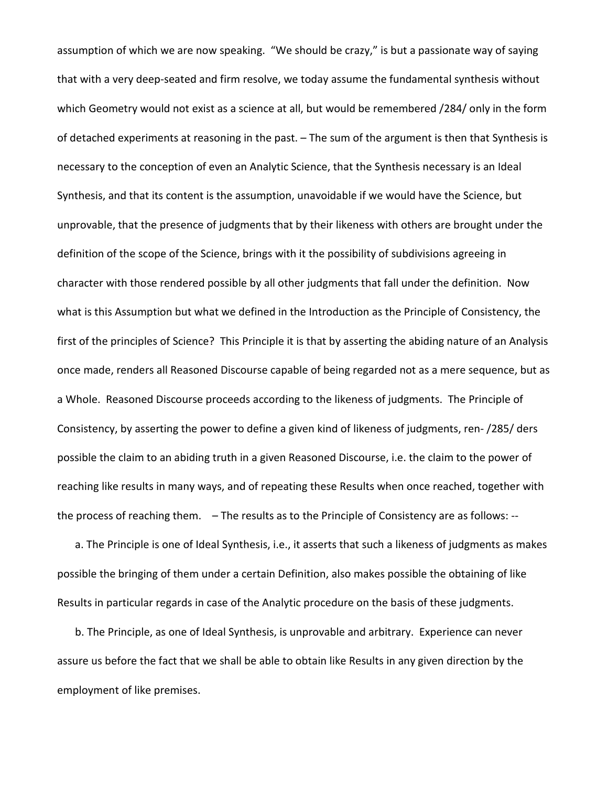assumption of which we are now speaking. "We should be crazy," is but a passionate way of saying that with a very deep-seated and firm resolve, we today assume the fundamental synthesis without which Geometry would not exist as a science at all, but would be remembered /284/ only in the form of detached experiments at reasoning in the past. – The sum of the argument is then that Synthesis is necessary to the conception of even an Analytic Science, that the Synthesis necessary is an Ideal Synthesis, and that its content is the assumption, unavoidable if we would have the Science, but unprovable, that the presence of judgments that by their likeness with others are brought under the definition of the scope of the Science, brings with it the possibility of subdivisions agreeing in character with those rendered possible by all other judgments that fall under the definition. Now what is this Assumption but what we defined in the Introduction as the Principle of Consistency, the first of the principles of Science? This Principle it is that by asserting the abiding nature of an Analysis once made, renders all Reasoned Discourse capable of being regarded not as a mere sequence, but as a Whole. Reasoned Discourse proceeds according to the likeness of judgments. The Principle of Consistency, by asserting the power to define a given kind of likeness of judgments, ren- /285/ ders possible the claim to an abiding truth in a given Reasoned Discourse, i.e. the claim to the power of reaching like results in many ways, and of repeating these Results when once reached, together with the process of reaching them. – The results as to the Principle of Consistency are as follows: --

a. The Principle is one of Ideal Synthesis, i.e., it asserts that such a likeness of judgments as makes possible the bringing of them under a certain Definition, also makes possible the obtaining of like Results in particular regards in case of the Analytic procedure on the basis of these judgments.

b. The Principle, as one of Ideal Synthesis, is unprovable and arbitrary. Experience can never assure us before the fact that we shall be able to obtain like Results in any given direction by the employment of like premises.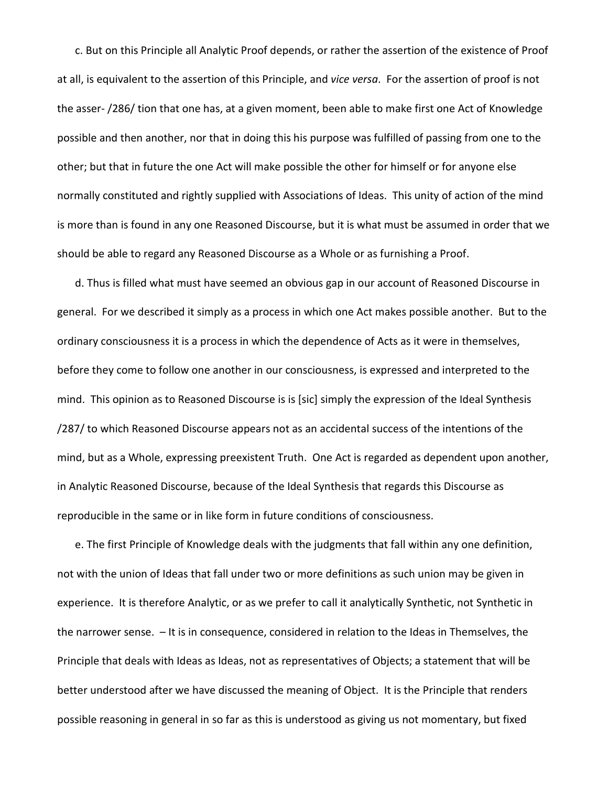c. But on this Principle all Analytic Proof depends, or rather the assertion of the existence of Proof at all, is equivalent to the assertion of this Principle, and *vice versa*. For the assertion of proof is not the asser- /286/ tion that one has, at a given moment, been able to make first one Act of Knowledge possible and then another, nor that in doing this his purpose was fulfilled of passing from one to the other; but that in future the one Act will make possible the other for himself or for anyone else normally constituted and rightly supplied with Associations of Ideas. This unity of action of the mind is more than is found in any one Reasoned Discourse, but it is what must be assumed in order that we should be able to regard any Reasoned Discourse as a Whole or as furnishing a Proof.

d. Thus is filled what must have seemed an obvious gap in our account of Reasoned Discourse in general. For we described it simply as a process in which one Act makes possible another. But to the ordinary consciousness it is a process in which the dependence of Acts as it were in themselves, before they come to follow one another in our consciousness, is expressed and interpreted to the mind. This opinion as to Reasoned Discourse is is [sic] simply the expression of the Ideal Synthesis /287/ to which Reasoned Discourse appears not as an accidental success of the intentions of the mind, but as a Whole, expressing preexistent Truth. One Act is regarded as dependent upon another, in Analytic Reasoned Discourse, because of the Ideal Synthesis that regards this Discourse as reproducible in the same or in like form in future conditions of consciousness.

e. The first Principle of Knowledge deals with the judgments that fall within any one definition, not with the union of Ideas that fall under two or more definitions as such union may be given in experience. It is therefore Analytic, or as we prefer to call it analytically Synthetic, not Synthetic in the narrower sense. – It is in consequence, considered in relation to the Ideas in Themselves, the Principle that deals with Ideas as Ideas, not as representatives of Objects; a statement that will be better understood after we have discussed the meaning of Object. It is the Principle that renders possible reasoning in general in so far as this is understood as giving us not momentary, but fixed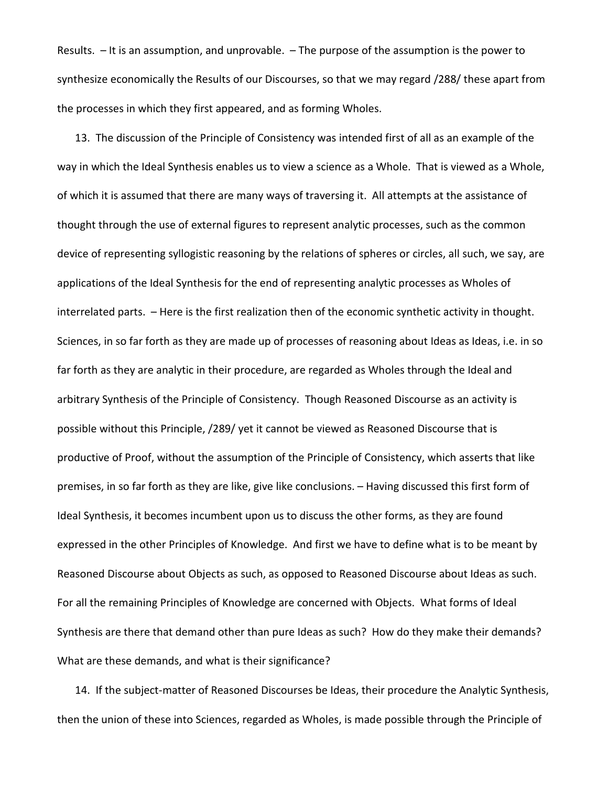Results. – It is an assumption, and unprovable. – The purpose of the assumption is the power to synthesize economically the Results of our Discourses, so that we may regard /288/ these apart from the processes in which they first appeared, and as forming Wholes.

13. The discussion of the Principle of Consistency was intended first of all as an example of the way in which the Ideal Synthesis enables us to view a science as a Whole. That is viewed as a Whole, of which it is assumed that there are many ways of traversing it. All attempts at the assistance of thought through the use of external figures to represent analytic processes, such as the common device of representing syllogistic reasoning by the relations of spheres or circles, all such, we say, are applications of the Ideal Synthesis for the end of representing analytic processes as Wholes of interrelated parts. – Here is the first realization then of the economic synthetic activity in thought. Sciences, in so far forth as they are made up of processes of reasoning about Ideas as Ideas, i.e. in so far forth as they are analytic in their procedure, are regarded as Wholes through the Ideal and arbitrary Synthesis of the Principle of Consistency. Though Reasoned Discourse as an activity is possible without this Principle, /289/ yet it cannot be viewed as Reasoned Discourse that is productive of Proof, without the assumption of the Principle of Consistency, which asserts that like premises, in so far forth as they are like, give like conclusions. – Having discussed this first form of Ideal Synthesis, it becomes incumbent upon us to discuss the other forms, as they are found expressed in the other Principles of Knowledge. And first we have to define what is to be meant by Reasoned Discourse about Objects as such, as opposed to Reasoned Discourse about Ideas as such. For all the remaining Principles of Knowledge are concerned with Objects. What forms of Ideal Synthesis are there that demand other than pure Ideas as such? How do they make their demands? What are these demands, and what is their significance?

14. If the subject-matter of Reasoned Discourses be Ideas, their procedure the Analytic Synthesis, then the union of these into Sciences, regarded as Wholes, is made possible through the Principle of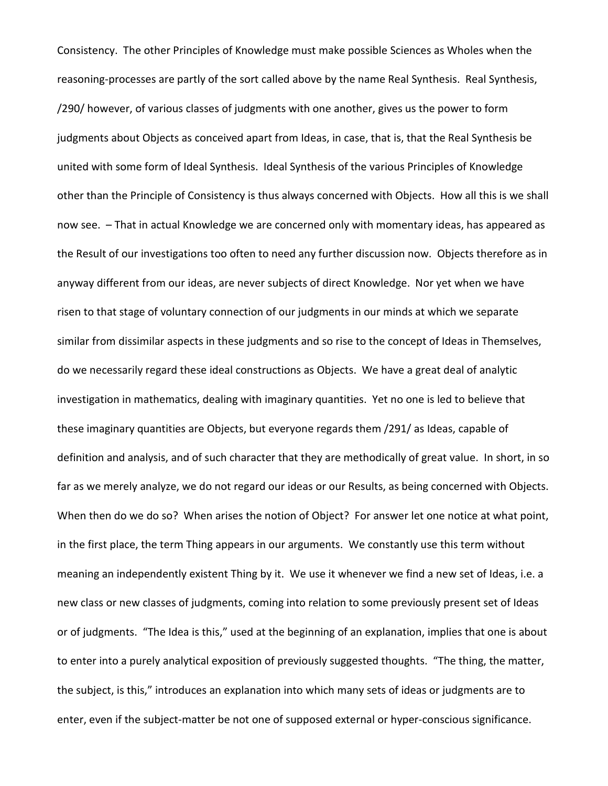Consistency. The other Principles of Knowledge must make possible Sciences as Wholes when the reasoning-processes are partly of the sort called above by the name Real Synthesis. Real Synthesis, /290/ however, of various classes of judgments with one another, gives us the power to form judgments about Objects as conceived apart from Ideas, in case, that is, that the Real Synthesis be united with some form of Ideal Synthesis. Ideal Synthesis of the various Principles of Knowledge other than the Principle of Consistency is thus always concerned with Objects. How all this is we shall now see. – That in actual Knowledge we are concerned only with momentary ideas, has appeared as the Result of our investigations too often to need any further discussion now. Objects therefore as in anyway different from our ideas, are never subjects of direct Knowledge. Nor yet when we have risen to that stage of voluntary connection of our judgments in our minds at which we separate similar from dissimilar aspects in these judgments and so rise to the concept of Ideas in Themselves, do we necessarily regard these ideal constructions as Objects. We have a great deal of analytic investigation in mathematics, dealing with imaginary quantities. Yet no one is led to believe that these imaginary quantities are Objects, but everyone regards them /291/ as Ideas, capable of definition and analysis, and of such character that they are methodically of great value. In short, in so far as we merely analyze, we do not regard our ideas or our Results, as being concerned with Objects. When then do we do so? When arises the notion of Object? For answer let one notice at what point, in the first place, the term Thing appears in our arguments. We constantly use this term without meaning an independently existent Thing by it. We use it whenever we find a new set of Ideas, i.e. a new class or new classes of judgments, coming into relation to some previously present set of Ideas or of judgments. "The Idea is this," used at the beginning of an explanation, implies that one is about to enter into a purely analytical exposition of previously suggested thoughts. "The thing, the matter, the subject, is this," introduces an explanation into which many sets of ideas or judgments are to enter, even if the subject-matter be not one of supposed external or hyper-conscious significance.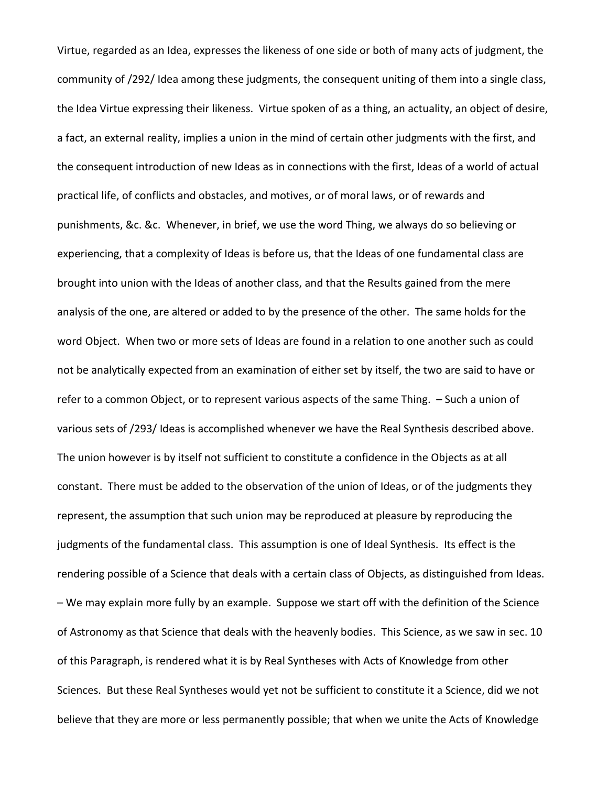Virtue, regarded as an Idea, expresses the likeness of one side or both of many acts of judgment, the community of /292/ Idea among these judgments, the consequent uniting of them into a single class, the Idea Virtue expressing their likeness. Virtue spoken of as a thing, an actuality, an object of desire, a fact, an external reality, implies a union in the mind of certain other judgments with the first, and the consequent introduction of new Ideas as in connections with the first, Ideas of a world of actual practical life, of conflicts and obstacles, and motives, or of moral laws, or of rewards and punishments, &c. &c. Whenever, in brief, we use the word Thing, we always do so believing or experiencing, that a complexity of Ideas is before us, that the Ideas of one fundamental class are brought into union with the Ideas of another class, and that the Results gained from the mere analysis of the one, are altered or added to by the presence of the other. The same holds for the word Object. When two or more sets of Ideas are found in a relation to one another such as could not be analytically expected from an examination of either set by itself, the two are said to have or refer to a common Object, or to represent various aspects of the same Thing. – Such a union of various sets of /293/ Ideas is accomplished whenever we have the Real Synthesis described above. The union however is by itself not sufficient to constitute a confidence in the Objects as at all constant. There must be added to the observation of the union of Ideas, or of the judgments they represent, the assumption that such union may be reproduced at pleasure by reproducing the judgments of the fundamental class. This assumption is one of Ideal Synthesis. Its effect is the rendering possible of a Science that deals with a certain class of Objects, as distinguished from Ideas. – We may explain more fully by an example. Suppose we start off with the definition of the Science of Astronomy as that Science that deals with the heavenly bodies. This Science, as we saw in sec. 10 of this Paragraph, is rendered what it is by Real Syntheses with Acts of Knowledge from other Sciences. But these Real Syntheses would yet not be sufficient to constitute it a Science, did we not believe that they are more or less permanently possible; that when we unite the Acts of Knowledge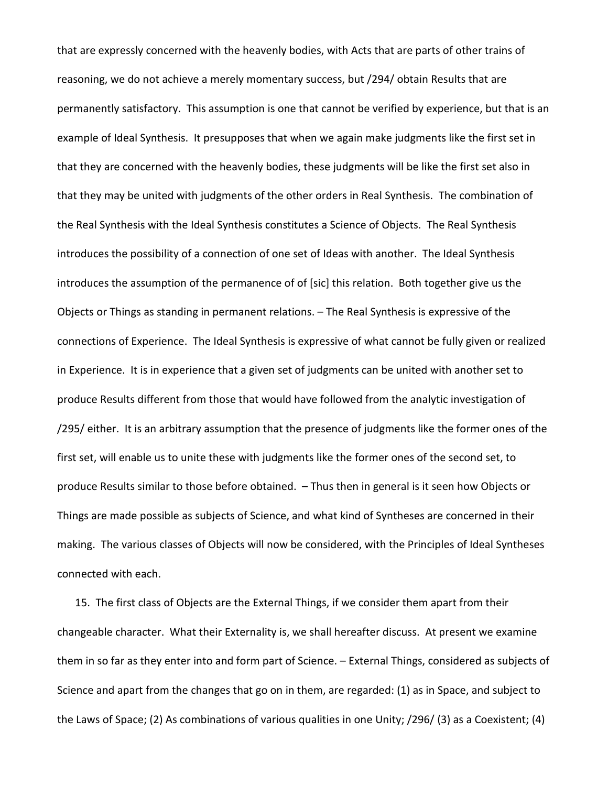that are expressly concerned with the heavenly bodies, with Acts that are parts of other trains of reasoning, we do not achieve a merely momentary success, but /294/ obtain Results that are permanently satisfactory. This assumption is one that cannot be verified by experience, but that is an example of Ideal Synthesis. It presupposes that when we again make judgments like the first set in that they are concerned with the heavenly bodies, these judgments will be like the first set also in that they may be united with judgments of the other orders in Real Synthesis. The combination of the Real Synthesis with the Ideal Synthesis constitutes a Science of Objects. The Real Synthesis introduces the possibility of a connection of one set of Ideas with another. The Ideal Synthesis introduces the assumption of the permanence of of [sic] this relation. Both together give us the Objects or Things as standing in permanent relations. – The Real Synthesis is expressive of the connections of Experience. The Ideal Synthesis is expressive of what cannot be fully given or realized in Experience. It is in experience that a given set of judgments can be united with another set to produce Results different from those that would have followed from the analytic investigation of /295/ either. It is an arbitrary assumption that the presence of judgments like the former ones of the first set, will enable us to unite these with judgments like the former ones of the second set, to produce Results similar to those before obtained. – Thus then in general is it seen how Objects or Things are made possible as subjects of Science, and what kind of Syntheses are concerned in their making. The various classes of Objects will now be considered, with the Principles of Ideal Syntheses connected with each.

15. The first class of Objects are the External Things, if we consider them apart from their changeable character. What their Externality is, we shall hereafter discuss. At present we examine them in so far as they enter into and form part of Science. – External Things, considered as subjects of Science and apart from the changes that go on in them, are regarded: (1) as in Space, and subject to the Laws of Space; (2) As combinations of various qualities in one Unity; /296/ (3) as a Coexistent; (4)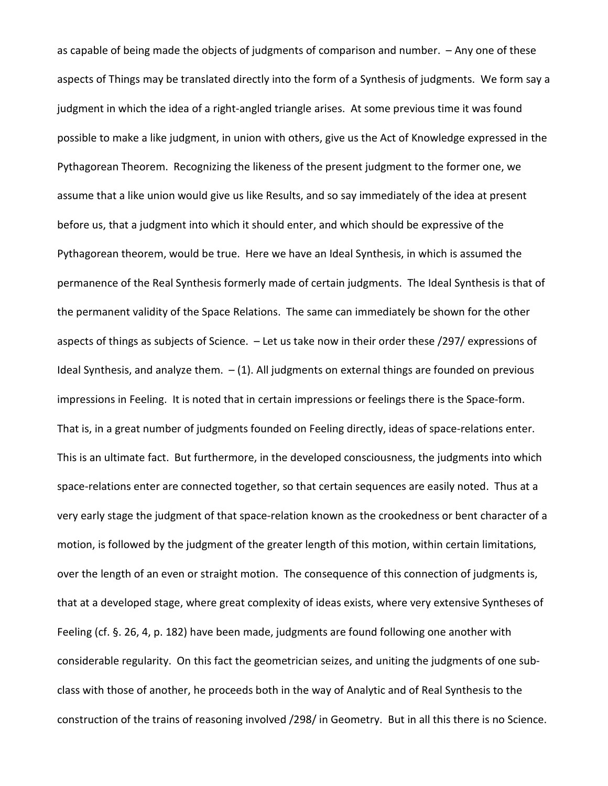as capable of being made the objects of judgments of comparison and number. – Any one of these aspects of Things may be translated directly into the form of a Synthesis of judgments. We form say a judgment in which the idea of a right-angled triangle arises. At some previous time it was found possible to make a like judgment, in union with others, give us the Act of Knowledge expressed in the Pythagorean Theorem. Recognizing the likeness of the present judgment to the former one, we assume that a like union would give us like Results, and so say immediately of the idea at present before us, that a judgment into which it should enter, and which should be expressive of the Pythagorean theorem, would be true. Here we have an Ideal Synthesis, in which is assumed the permanence of the Real Synthesis formerly made of certain judgments. The Ideal Synthesis is that of the permanent validity of the Space Relations. The same can immediately be shown for the other aspects of things as subjects of Science. – Let us take now in their order these /297/ expressions of Ideal Synthesis, and analyze them.  $-$  (1). All judgments on external things are founded on previous impressions in Feeling. It is noted that in certain impressions or feelings there is the Space-form. That is, in a great number of judgments founded on Feeling directly, ideas of space-relations enter. This is an ultimate fact. But furthermore, in the developed consciousness, the judgments into which space-relations enter are connected together, so that certain sequences are easily noted. Thus at a very early stage the judgment of that space-relation known as the crookedness or bent character of a motion, is followed by the judgment of the greater length of this motion, within certain limitations, over the length of an even or straight motion. The consequence of this connection of judgments is, that at a developed stage, where great complexity of ideas exists, where very extensive Syntheses of Feeling (cf. §. 26, 4, p. 182) have been made, judgments are found following one another with considerable regularity. On this fact the geometrician seizes, and uniting the judgments of one subclass with those of another, he proceeds both in the way of Analytic and of Real Synthesis to the construction of the trains of reasoning involved /298/ in Geometry. But in all this there is no Science.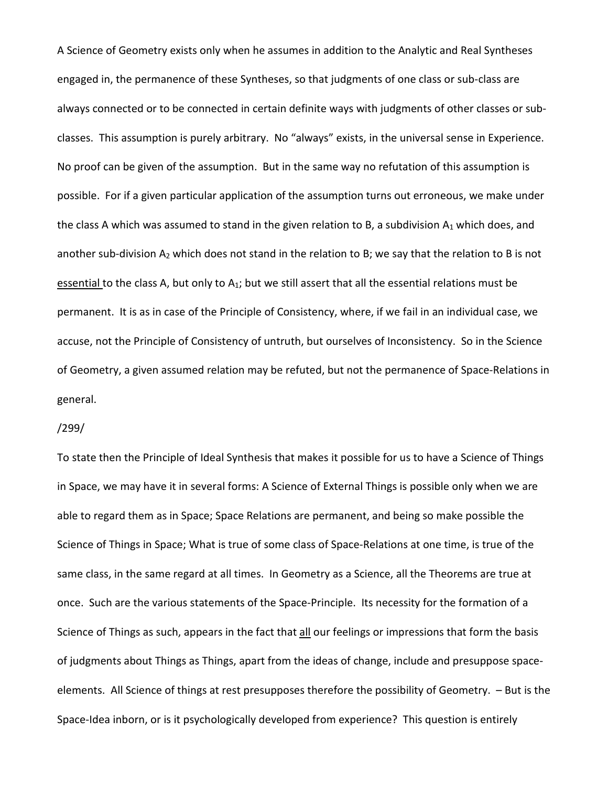A Science of Geometry exists only when he assumes in addition to the Analytic and Real Syntheses engaged in, the permanence of these Syntheses, so that judgments of one class or sub-class are always connected or to be connected in certain definite ways with judgments of other classes or subclasses. This assumption is purely arbitrary. No "always" exists, in the universal sense in Experience. No proof can be given of the assumption. But in the same way no refutation of this assumption is possible. For if a given particular application of the assumption turns out erroneous, we make under the class A which was assumed to stand in the given relation to B, a subdivision  $A_1$  which does, and another sub-division  $A_2$  which does not stand in the relation to B; we say that the relation to B is not essential to the class A, but only to A<sub>1</sub>; but we still assert that all the essential relations must be permanent. It is as in case of the Principle of Consistency, where, if we fail in an individual case, we accuse, not the Principle of Consistency of untruth, but ourselves of Inconsistency. So in the Science of Geometry, a given assumed relation may be refuted, but not the permanence of Space-Relations in general.

#### /299/

To state then the Principle of Ideal Synthesis that makes it possible for us to have a Science of Things in Space, we may have it in several forms: A Science of External Things is possible only when we are able to regard them as in Space; Space Relations are permanent, and being so make possible the Science of Things in Space; What is true of some class of Space-Relations at one time, is true of the same class, in the same regard at all times. In Geometry as a Science, all the Theorems are true at once. Such are the various statements of the Space-Principle. Its necessity for the formation of a Science of Things as such, appears in the fact that all our feelings or impressions that form the basis of judgments about Things as Things, apart from the ideas of change, include and presuppose spaceelements. All Science of things at rest presupposes therefore the possibility of Geometry. – But is the Space-Idea inborn, or is it psychologically developed from experience? This question is entirely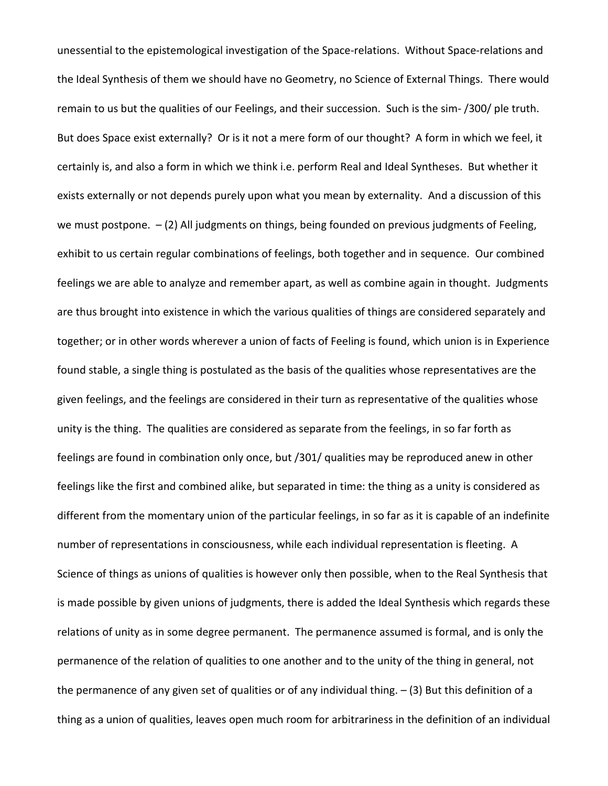unessential to the epistemological investigation of the Space-relations. Without Space-relations and the Ideal Synthesis of them we should have no Geometry, no Science of External Things. There would remain to us but the qualities of our Feelings, and their succession. Such is the sim- /300/ ple truth. But does Space exist externally? Or is it not a mere form of our thought? A form in which we feel, it certainly is, and also a form in which we think i.e. perform Real and Ideal Syntheses. But whether it exists externally or not depends purely upon what you mean by externality. And a discussion of this we must postpone.  $-$  (2) All judgments on things, being founded on previous judgments of Feeling, exhibit to us certain regular combinations of feelings, both together and in sequence. Our combined feelings we are able to analyze and remember apart, as well as combine again in thought. Judgments are thus brought into existence in which the various qualities of things are considered separately and together; or in other words wherever a union of facts of Feeling is found, which union is in Experience found stable, a single thing is postulated as the basis of the qualities whose representatives are the given feelings, and the feelings are considered in their turn as representative of the qualities whose unity is the thing. The qualities are considered as separate from the feelings, in so far forth as feelings are found in combination only once, but /301/ qualities may be reproduced anew in other feelings like the first and combined alike, but separated in time: the thing as a unity is considered as different from the momentary union of the particular feelings, in so far as it is capable of an indefinite number of representations in consciousness, while each individual representation is fleeting. A Science of things as unions of qualities is however only then possible, when to the Real Synthesis that is made possible by given unions of judgments, there is added the Ideal Synthesis which regards these relations of unity as in some degree permanent. The permanence assumed is formal, and is only the permanence of the relation of qualities to one another and to the unity of the thing in general, not the permanence of any given set of qualities or of any individual thing. – (3) But this definition of a thing as a union of qualities, leaves open much room for arbitrariness in the definition of an individual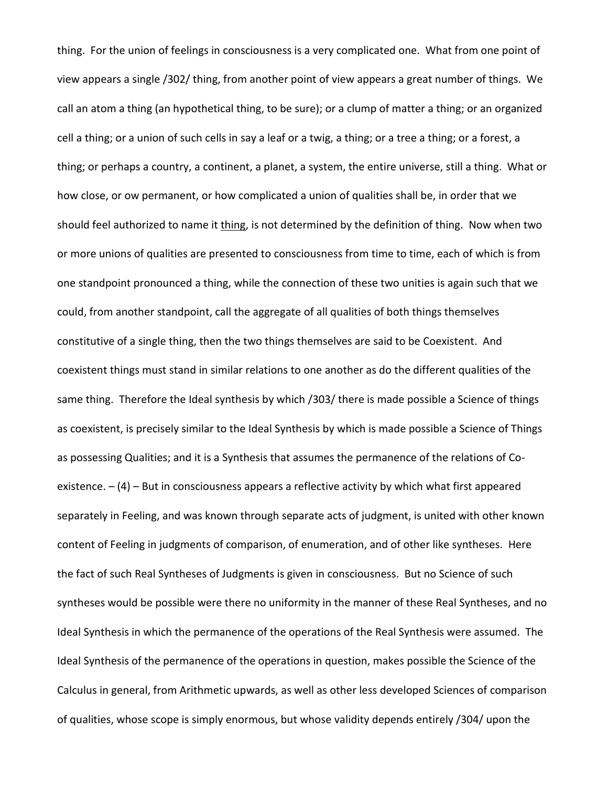thing. For the union of feelings in consciousness is a very complicated one. What from one point of view appears a single /302/ thing, from another point of view appears a great number of things. We call an atom a thing (an hypothetical thing, to be sure); or a clump of matter a thing; or an organized cell a thing; or a union of such cells in say a leaf or a twig, a thing; or a tree a thing; or a forest, a thing; or perhaps a country, a continent, a planet, a system, the entire universe, still a thing. What or how close, or ow permanent, or how complicated a union of qualities shall be, in order that we should feel authorized to name it thing, is not determined by the definition of thing. Now when two or more unions of qualities are presented to consciousness from time to time, each of which is from one standpoint pronounced a thing, while the connection of these two unities is again such that we could, from another standpoint, call the aggregate of all qualities of both things themselves constitutive of a single thing, then the two things themselves are said to be Coexistent. And coexistent things must stand in similar relations to one another as do the different qualities of the same thing. Therefore the Ideal synthesis by which /303/ there is made possible a Science of things as coexistent, is precisely similar to the Ideal Synthesis by which is made possible a Science of Things as possessing Qualities; and it is a Synthesis that assumes the permanence of the relations of Coexistence.  $- (4)$  – But in consciousness appears a reflective activity by which what first appeared separately in Feeling, and was known through separate acts of judgment, is united with other known content of Feeling in judgments of comparison, of enumeration, and of other like syntheses. Here the fact of such Real Syntheses of Judgments is given in consciousness. But no Science of such syntheses would be possible were there no uniformity in the manner of these Real Syntheses, and no Ideal Synthesis in which the permanence of the operations of the Real Synthesis were assumed. The Ideal Synthesis of the permanence of the operations in question, makes possible the Science of the Calculus in general, from Arithmetic upwards, as well as other less developed Sciences of comparison of qualities, whose scope is simply enormous, but whose validity depends entirely /304/ upon the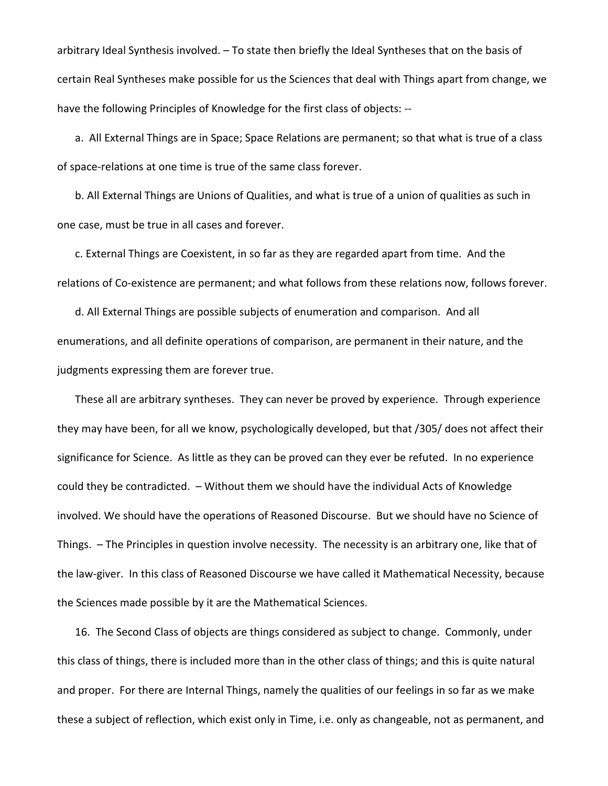arbitrary Ideal Synthesis involved. – To state then briefly the Ideal Syntheses that on the basis of certain Real Syntheses make possible for us the Sciences that deal with Things apart from change, we have the following Principles of Knowledge for the first class of objects: --

a. All External Things are in Space; Space Relations are permanent; so that what is true of a class of space-relations at one time is true of the same class forever.

b. All External Things are Unions of Qualities, and what is true of a union of qualities as such in one case, must be true in all cases and forever.

c. External Things are Coexistent, in so far as they are regarded apart from time. And the relations of Co-existence are permanent; and what follows from these relations now, follows forever.

d. All External Things are possible subjects of enumeration and comparison. And all enumerations, and all definite operations of comparison, are permanent in their nature, and the judgments expressing them are forever true.

These all are arbitrary syntheses. They can never be proved by experience. Through experience they may have been, for all we know, psychologically developed, but that /305/ does not affect their significance for Science. As little as they can be proved can they ever be refuted. In no experience could they be contradicted. – Without them we should have the individual Acts of Knowledge involved. We should have the operations of Reasoned Discourse. But we should have no Science of Things. – The Principles in question involve necessity. The necessity is an arbitrary one, like that of the law-giver. In this class of Reasoned Discourse we have called it Mathematical Necessity, because the Sciences made possible by it are the Mathematical Sciences.

16. The Second Class of objects are things considered as subject to change. Commonly, under this class of things, there is included more than in the other class of things; and this is quite natural and proper. For there are Internal Things, namely the qualities of our feelings in so far as we make these a subject of reflection, which exist only in Time, i.e. only as changeable, not as permanent, and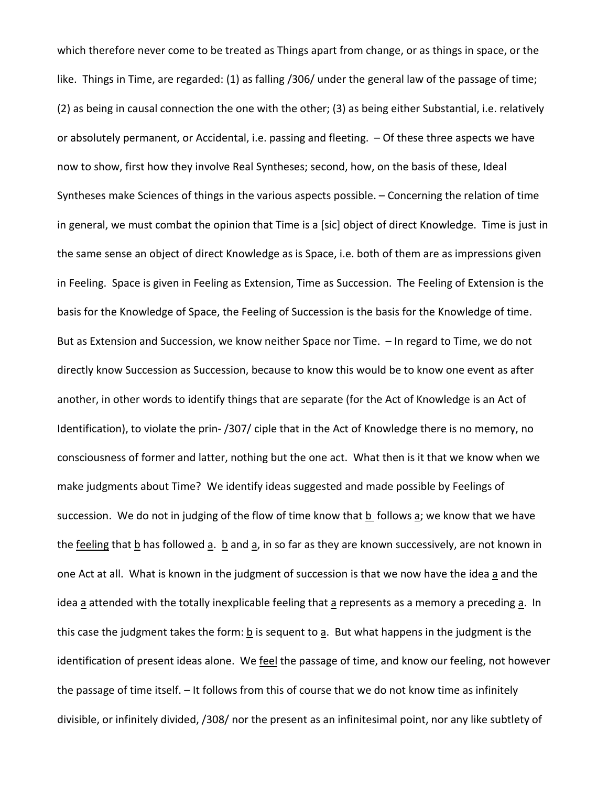which therefore never come to be treated as Things apart from change, or as things in space, or the like. Things in Time, are regarded: (1) as falling /306/ under the general law of the passage of time; (2) as being in causal connection the one with the other; (3) as being either Substantial, i.e. relatively or absolutely permanent, or Accidental, i.e. passing and fleeting. – Of these three aspects we have now to show, first how they involve Real Syntheses; second, how, on the basis of these, Ideal Syntheses make Sciences of things in the various aspects possible. – Concerning the relation of time in general, we must combat the opinion that Time is a [sic] object of direct Knowledge. Time is just in the same sense an object of direct Knowledge as is Space, i.e. both of them are as impressions given in Feeling. Space is given in Feeling as Extension, Time as Succession. The Feeling of Extension is the basis for the Knowledge of Space, the Feeling of Succession is the basis for the Knowledge of time. But as Extension and Succession, we know neither Space nor Time. – In regard to Time, we do not directly know Succession as Succession, because to know this would be to know one event as after another, in other words to identify things that are separate (for the Act of Knowledge is an Act of Identification), to violate the prin- /307/ ciple that in the Act of Knowledge there is no memory, no consciousness of former and latter, nothing but the one act. What then is it that we know when we make judgments about Time? We identify ideas suggested and made possible by Feelings of succession. We do not in judging of the flow of time know that  $\underline{b}$  follows  $\underline{a}$ ; we know that we have the feeling that  $\underline{b}$  has followed  $\underline{a}$ .  $\underline{b}$  and  $\underline{a}$ , in so far as they are known successively, are not known in one Act at all. What is known in the judgment of succession is that we now have the idea a and the idea a attended with the totally inexplicable feeling that a represents as a memory a preceding a. In this case the judgment takes the form:  $\underline{b}$  is sequent to  $\underline{a}$ . But what happens in the judgment is the identification of present ideas alone. We feel the passage of time, and know our feeling, not however the passage of time itself. – It follows from this of course that we do not know time as infinitely divisible, or infinitely divided, /308/ nor the present as an infinitesimal point, nor any like subtlety of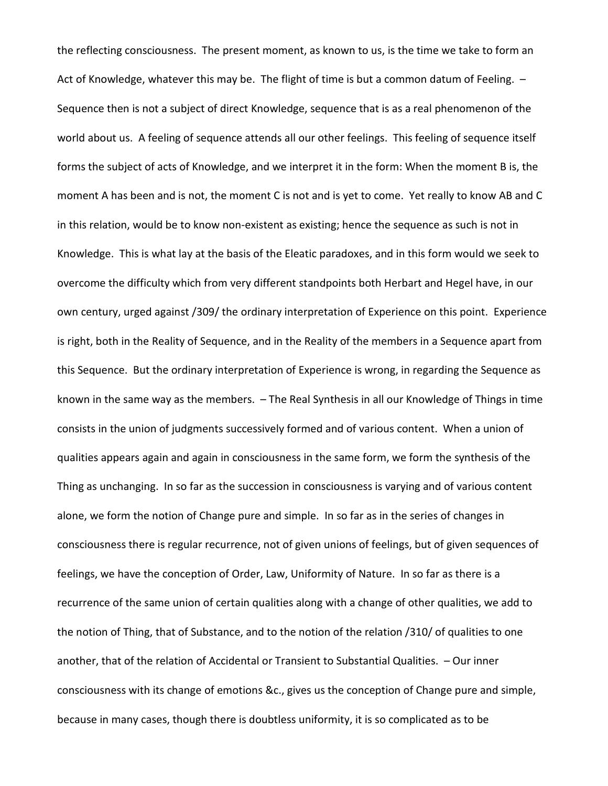the reflecting consciousness. The present moment, as known to us, is the time we take to form an Act of Knowledge, whatever this may be. The flight of time is but a common datum of Feeling. -Sequence then is not a subject of direct Knowledge, sequence that is as a real phenomenon of the world about us. A feeling of sequence attends all our other feelings. This feeling of sequence itself forms the subject of acts of Knowledge, and we interpret it in the form: When the moment B is, the moment A has been and is not, the moment C is not and is yet to come. Yet really to know AB and C in this relation, would be to know non-existent as existing; hence the sequence as such is not in Knowledge. This is what lay at the basis of the Eleatic paradoxes, and in this form would we seek to overcome the difficulty which from very different standpoints both Herbart and Hegel have, in our own century, urged against /309/ the ordinary interpretation of Experience on this point. Experience is right, both in the Reality of Sequence, and in the Reality of the members in a Sequence apart from this Sequence. But the ordinary interpretation of Experience is wrong, in regarding the Sequence as known in the same way as the members. – The Real Synthesis in all our Knowledge of Things in time consists in the union of judgments successively formed and of various content. When a union of qualities appears again and again in consciousness in the same form, we form the synthesis of the Thing as unchanging. In so far as the succession in consciousness is varying and of various content alone, we form the notion of Change pure and simple. In so far as in the series of changes in consciousness there is regular recurrence, not of given unions of feelings, but of given sequences of feelings, we have the conception of Order, Law, Uniformity of Nature. In so far as there is a recurrence of the same union of certain qualities along with a change of other qualities, we add to the notion of Thing, that of Substance, and to the notion of the relation /310/ of qualities to one another, that of the relation of Accidental or Transient to Substantial Qualities. – Our inner consciousness with its change of emotions &c., gives us the conception of Change pure and simple, because in many cases, though there is doubtless uniformity, it is so complicated as to be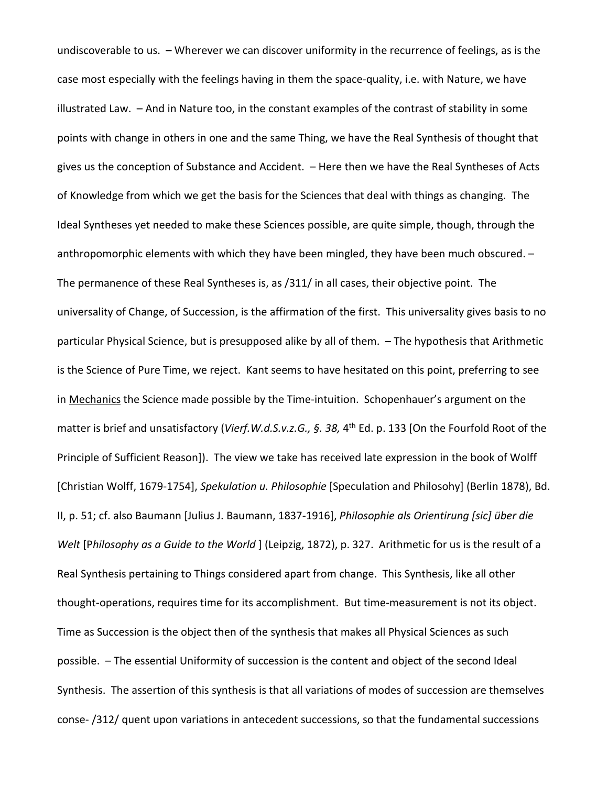undiscoverable to us. – Wherever we can discover uniformity in the recurrence of feelings, as is the case most especially with the feelings having in them the space-quality, i.e. with Nature, we have illustrated Law. – And in Nature too, in the constant examples of the contrast of stability in some points with change in others in one and the same Thing, we have the Real Synthesis of thought that gives us the conception of Substance and Accident. – Here then we have the Real Syntheses of Acts of Knowledge from which we get the basis for the Sciences that deal with things as changing. The Ideal Syntheses yet needed to make these Sciences possible, are quite simple, though, through the anthropomorphic elements with which they have been mingled, they have been much obscured. – The permanence of these Real Syntheses is, as /311/ in all cases, their objective point. The universality of Change, of Succession, is the affirmation of the first. This universality gives basis to no particular Physical Science, but is presupposed alike by all of them. – The hypothesis that Arithmetic is the Science of Pure Time, we reject. Kant seems to have hesitated on this point, preferring to see in Mechanics the Science made possible by the Time-intuition. Schopenhauer's argument on the matter is brief and unsatisfactory (*Vierf.W.d.S.v.z.G., §. 38,* 4th Ed. p. 133 [On the Fourfold Root of the Principle of Sufficient Reason]). The view we take has received late expression in the book of Wolff [Christian Wolff, 1679-1754], *Spekulation u. Philosophie* [Speculation and Philosohy] (Berlin 1878), Bd. II, p. 51; cf. also Baumann [Julius J. Baumann, 1837-1916], *Philosophie als Orientirung [sic] über die Welt* [P*hilosophy as a Guide to the World* ] (Leipzig, 1872), p. 327. Arithmetic for us is the result of a Real Synthesis pertaining to Things considered apart from change. This Synthesis, like all other thought-operations, requires time for its accomplishment. But time-measurement is not its object. Time as Succession is the object then of the synthesis that makes all Physical Sciences as such possible. – The essential Uniformity of succession is the content and object of the second Ideal Synthesis. The assertion of this synthesis is that all variations of modes of succession are themselves conse- /312/ quent upon variations in antecedent successions, so that the fundamental successions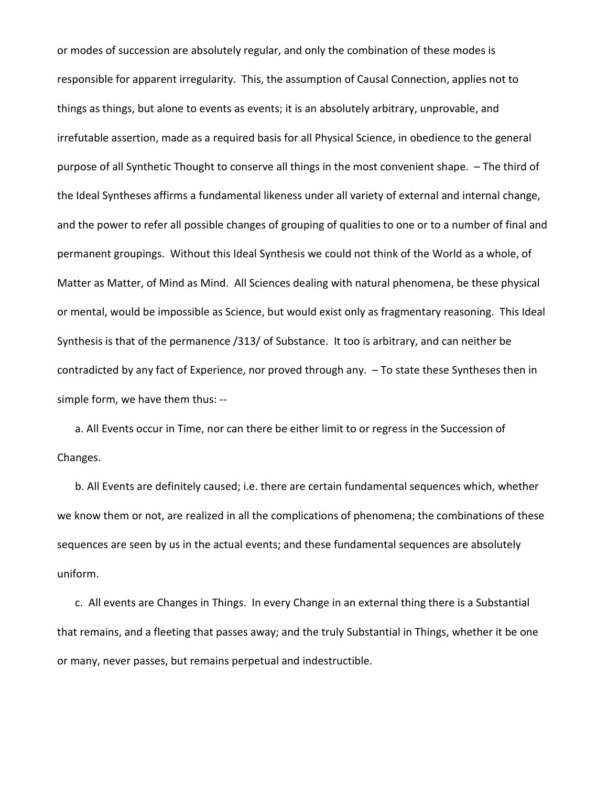or modes of succession are absolutely regular, and only the combination of these modes is responsible for apparent irregularity. This, the assumption of Causal Connection, applies not to things as things, but alone to events as events; it is an absolutely arbitrary, unprovable, and irrefutable assertion, made as a required basis for all Physical Science, in obedience to the general purpose of all Synthetic Thought to conserve all things in the most convenient shape. – The third of the Ideal Syntheses affirms a fundamental likeness under all variety of external and internal change, and the power to refer all possible changes of grouping of qualities to one or to a number of final and permanent groupings. Without this Ideal Synthesis we could not think of the World as a whole, of Matter as Matter, of Mind as Mind. All Sciences dealing with natural phenomena, be these physical or mental, would be impossible as Science, but would exist only as fragmentary reasoning. This Ideal Synthesis is that of the permanence /313/ of Substance. It too is arbitrary, and can neither be contradicted by any fact of Experience, nor proved through any. – To state these Syntheses then in simple form, we have them thus: --

a. All Events occur in Time, nor can there be either limit to or regress in the Succession of Changes.

b. All Events are definitely caused; i.e. there are certain fundamental sequences which, whether we know them or not, are realized in all the complications of phenomena; the combinations of these sequences are seen by us in the actual events; and these fundamental sequences are absolutely uniform.

c. All events are Changes in Things. In every Change in an external thing there is a Substantial that remains, and a fleeting that passes away; and the truly Substantial in Things, whether it be one or many, never passes, but remains perpetual and indestructible.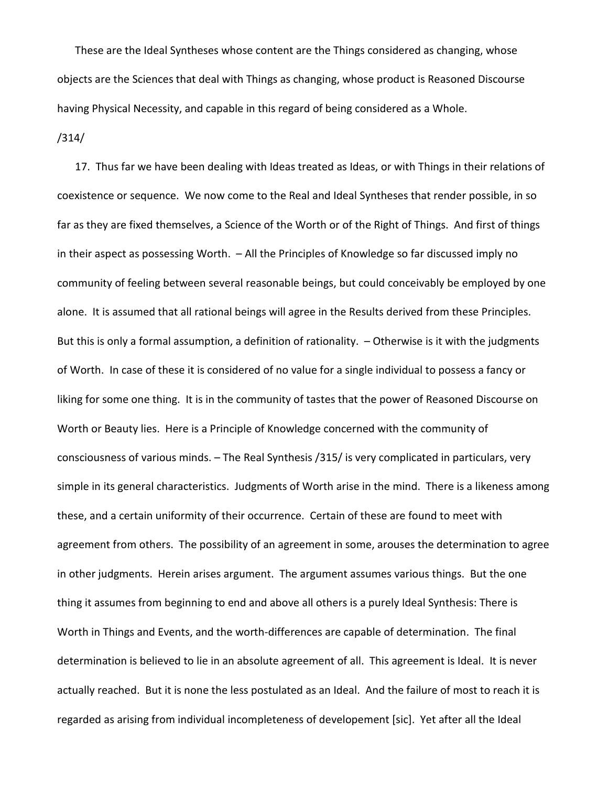These are the Ideal Syntheses whose content are the Things considered as changing, whose objects are the Sciences that deal with Things as changing, whose product is Reasoned Discourse having Physical Necessity, and capable in this regard of being considered as a Whole.

/314/

17. Thus far we have been dealing with Ideas treated as Ideas, or with Things in their relations of coexistence or sequence. We now come to the Real and Ideal Syntheses that render possible, in so far as they are fixed themselves, a Science of the Worth or of the Right of Things. And first of things in their aspect as possessing Worth. – All the Principles of Knowledge so far discussed imply no community of feeling between several reasonable beings, but could conceivably be employed by one alone. It is assumed that all rational beings will agree in the Results derived from these Principles. But this is only a formal assumption, a definition of rationality. – Otherwise is it with the judgments of Worth. In case of these it is considered of no value for a single individual to possess a fancy or liking for some one thing. It is in the community of tastes that the power of Reasoned Discourse on Worth or Beauty lies. Here is a Principle of Knowledge concerned with the community of consciousness of various minds. – The Real Synthesis /315/ is very complicated in particulars, very simple in its general characteristics. Judgments of Worth arise in the mind. There is a likeness among these, and a certain uniformity of their occurrence. Certain of these are found to meet with agreement from others. The possibility of an agreement in some, arouses the determination to agree in other judgments. Herein arises argument. The argument assumes various things. But the one thing it assumes from beginning to end and above all others is a purely Ideal Synthesis: There is Worth in Things and Events, and the worth-differences are capable of determination. The final determination is believed to lie in an absolute agreement of all. This agreement is Ideal. It is never actually reached. But it is none the less postulated as an Ideal. And the failure of most to reach it is regarded as arising from individual incompleteness of developement [sic]. Yet after all the Ideal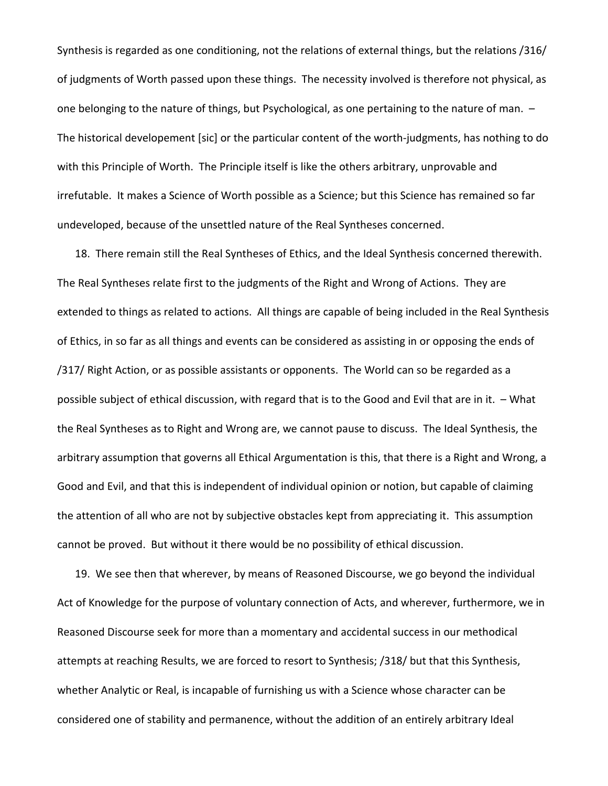Synthesis is regarded as one conditioning, not the relations of external things, but the relations /316/ of judgments of Worth passed upon these things. The necessity involved is therefore not physical, as one belonging to the nature of things, but Psychological, as one pertaining to the nature of man. – The historical developement [sic] or the particular content of the worth-judgments, has nothing to do with this Principle of Worth. The Principle itself is like the others arbitrary, unprovable and irrefutable. It makes a Science of Worth possible as a Science; but this Science has remained so far undeveloped, because of the unsettled nature of the Real Syntheses concerned.

18. There remain still the Real Syntheses of Ethics, and the Ideal Synthesis concerned therewith. The Real Syntheses relate first to the judgments of the Right and Wrong of Actions. They are extended to things as related to actions. All things are capable of being included in the Real Synthesis of Ethics, in so far as all things and events can be considered as assisting in or opposing the ends of /317/ Right Action, or as possible assistants or opponents. The World can so be regarded as a possible subject of ethical discussion, with regard that is to the Good and Evil that are in it. – What the Real Syntheses as to Right and Wrong are, we cannot pause to discuss. The Ideal Synthesis, the arbitrary assumption that governs all Ethical Argumentation is this, that there is a Right and Wrong, a Good and Evil, and that this is independent of individual opinion or notion, but capable of claiming the attention of all who are not by subjective obstacles kept from appreciating it. This assumption cannot be proved. But without it there would be no possibility of ethical discussion.

19. We see then that wherever, by means of Reasoned Discourse, we go beyond the individual Act of Knowledge for the purpose of voluntary connection of Acts, and wherever, furthermore, we in Reasoned Discourse seek for more than a momentary and accidental success in our methodical attempts at reaching Results, we are forced to resort to Synthesis; /318/ but that this Synthesis, whether Analytic or Real, is incapable of furnishing us with a Science whose character can be considered one of stability and permanence, without the addition of an entirely arbitrary Ideal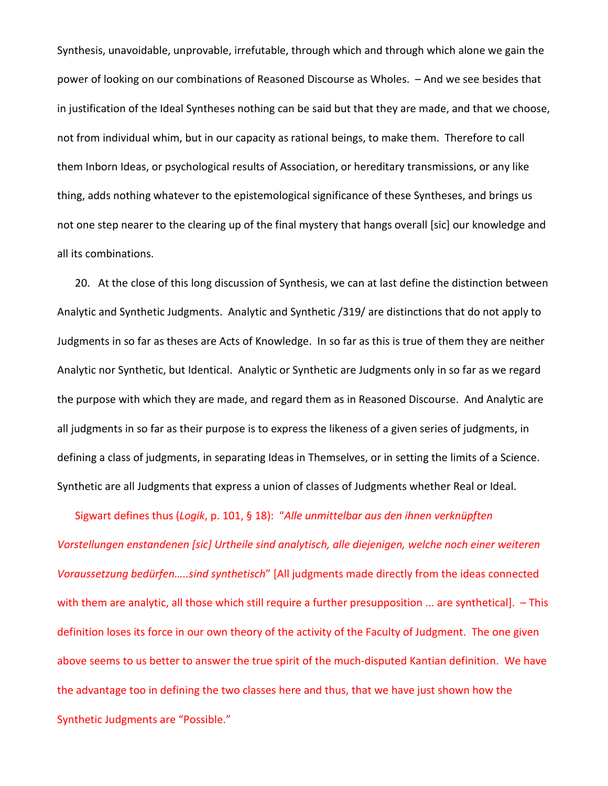Synthesis, unavoidable, unprovable, irrefutable, through which and through which alone we gain the power of looking on our combinations of Reasoned Discourse as Wholes. – And we see besides that in justification of the Ideal Syntheses nothing can be said but that they are made, and that we choose, not from individual whim, but in our capacity as rational beings, to make them. Therefore to call them Inborn Ideas, or psychological results of Association, or hereditary transmissions, or any like thing, adds nothing whatever to the epistemological significance of these Syntheses, and brings us not one step nearer to the clearing up of the final mystery that hangs overall [sic] our knowledge and all its combinations.

20. At the close of this long discussion of Synthesis, we can at last define the distinction between Analytic and Synthetic Judgments. Analytic and Synthetic /319/ are distinctions that do not apply to Judgments in so far as theses are Acts of Knowledge. In so far as this is true of them they are neither Analytic nor Synthetic, but Identical. Analytic or Synthetic are Judgments only in so far as we regard the purpose with which they are made, and regard them as in Reasoned Discourse. And Analytic are all judgments in so far as their purpose is to express the likeness of a given series of judgments, in defining a class of judgments, in separating Ideas in Themselves, or in setting the limits of a Science. Synthetic are all Judgments that express a union of classes of Judgments whether Real or Ideal.

Sigwart defines thus (*Logik*, p. 101, § 18): "*Alle unmittelbar aus den ihnen verknüpften Vorstellungen enstandenen [sic] Urtheile sind analytisch, alle diejenigen, welche noch einer weiteren Voraussetzung bedürfen…..sind synthetisch*" [All judgments made directly from the ideas connected with them are analytic, all those which still require a further presupposition ... are synthetical].  $-$  This definition loses its force in our own theory of the activity of the Faculty of Judgment. The one given above seems to us better to answer the true spirit of the much-disputed Kantian definition. We have the advantage too in defining the two classes here and thus, that we have just shown how the Synthetic Judgments are "Possible."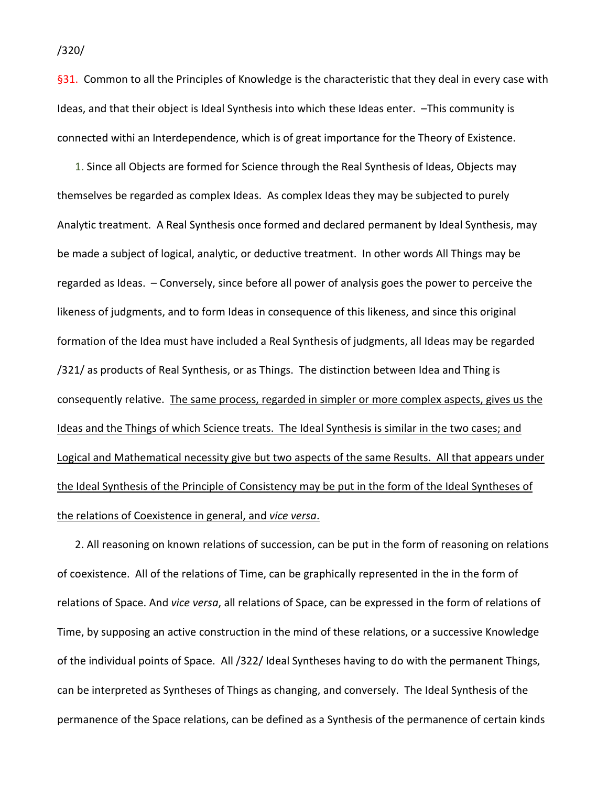§31. Common to all the Principles of Knowledge is the characteristic that they deal in every case with Ideas, and that their object is Ideal Synthesis into which these Ideas enter. –This community is connected withi an Interdependence, which is of great importance for the Theory of Existence.

1. Since all Objects are formed for Science through the Real Synthesis of Ideas, Objects may themselves be regarded as complex Ideas. As complex Ideas they may be subjected to purely Analytic treatment. A Real Synthesis once formed and declared permanent by Ideal Synthesis, may be made a subject of logical, analytic, or deductive treatment. In other words All Things may be regarded as Ideas. – Conversely, since before all power of analysis goes the power to perceive the likeness of judgments, and to form Ideas in consequence of this likeness, and since this original formation of the Idea must have included a Real Synthesis of judgments, all Ideas may be regarded /321/ as products of Real Synthesis, or as Things. The distinction between Idea and Thing is consequently relative. The same process, regarded in simpler or more complex aspects, gives us the Ideas and the Things of which Science treats. The Ideal Synthesis is similar in the two cases; and Logical and Mathematical necessity give but two aspects of the same Results. All that appears under the Ideal Synthesis of the Principle of Consistency may be put in the form of the Ideal Syntheses of the relations of Coexistence in general, and *vice versa*.

2. All reasoning on known relations of succession, can be put in the form of reasoning on relations of coexistence. All of the relations of Time, can be graphically represented in the in the form of relations of Space. And *vice versa*, all relations of Space, can be expressed in the form of relations of Time, by supposing an active construction in the mind of these relations, or a successive Knowledge of the individual points of Space. All /322/ Ideal Syntheses having to do with the permanent Things, can be interpreted as Syntheses of Things as changing, and conversely. The Ideal Synthesis of the permanence of the Space relations, can be defined as a Synthesis of the permanence of certain kinds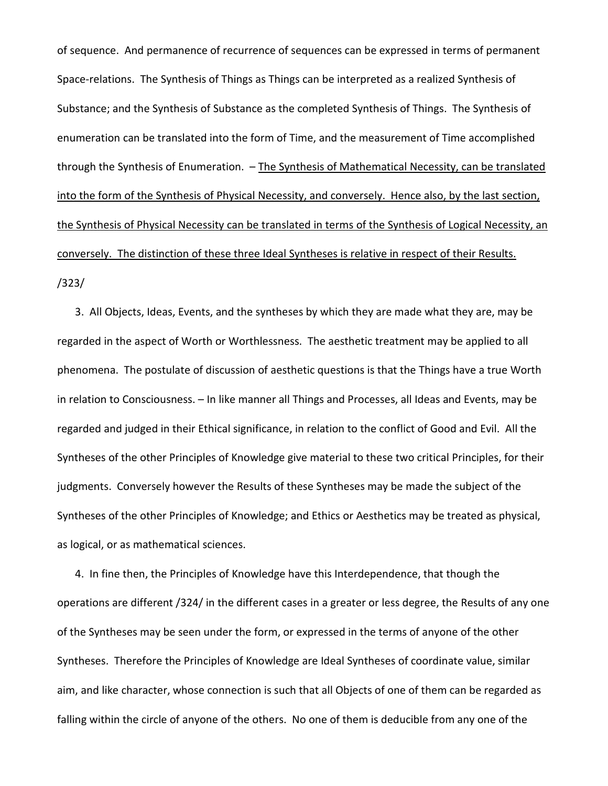of sequence. And permanence of recurrence of sequences can be expressed in terms of permanent Space-relations. The Synthesis of Things as Things can be interpreted as a realized Synthesis of Substance; and the Synthesis of Substance as the completed Synthesis of Things. The Synthesis of enumeration can be translated into the form of Time, and the measurement of Time accomplished through the Synthesis of Enumeration. - The Synthesis of Mathematical Necessity, can be translated into the form of the Synthesis of Physical Necessity, and conversely. Hence also, by the last section, the Synthesis of Physical Necessity can be translated in terms of the Synthesis of Logical Necessity, an conversely. The distinction of these three Ideal Syntheses is relative in respect of their Results. /323/

3. All Objects, Ideas, Events, and the syntheses by which they are made what they are, may be regarded in the aspect of Worth or Worthlessness. The aesthetic treatment may be applied to all phenomena. The postulate of discussion of aesthetic questions is that the Things have a true Worth in relation to Consciousness. – In like manner all Things and Processes, all Ideas and Events, may be regarded and judged in their Ethical significance, in relation to the conflict of Good and Evil. All the Syntheses of the other Principles of Knowledge give material to these two critical Principles, for their judgments. Conversely however the Results of these Syntheses may be made the subject of the Syntheses of the other Principles of Knowledge; and Ethics or Aesthetics may be treated as physical, as logical, or as mathematical sciences.

4. In fine then, the Principles of Knowledge have this Interdependence, that though the operations are different /324/ in the different cases in a greater or less degree, the Results of any one of the Syntheses may be seen under the form, or expressed in the terms of anyone of the other Syntheses. Therefore the Principles of Knowledge are Ideal Syntheses of coordinate value, similar aim, and like character, whose connection is such that all Objects of one of them can be regarded as falling within the circle of anyone of the others. No one of them is deducible from any one of the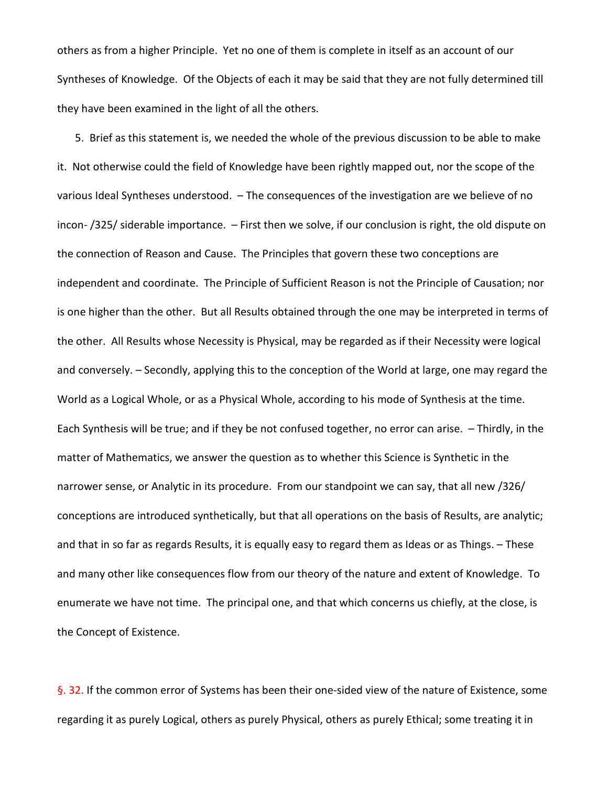others as from a higher Principle. Yet no one of them is complete in itself as an account of our Syntheses of Knowledge. Of the Objects of each it may be said that they are not fully determined till they have been examined in the light of all the others.

5. Brief as this statement is, we needed the whole of the previous discussion to be able to make it. Not otherwise could the field of Knowledge have been rightly mapped out, nor the scope of the various Ideal Syntheses understood. – The consequences of the investigation are we believe of no incon- /325/ siderable importance. – First then we solve, if our conclusion is right, the old dispute on the connection of Reason and Cause. The Principles that govern these two conceptions are independent and coordinate. The Principle of Sufficient Reason is not the Principle of Causation; nor is one higher than the other. But all Results obtained through the one may be interpreted in terms of the other. All Results whose Necessity is Physical, may be regarded as if their Necessity were logical and conversely. – Secondly, applying this to the conception of the World at large, one may regard the World as a Logical Whole, or as a Physical Whole, according to his mode of Synthesis at the time. Each Synthesis will be true; and if they be not confused together, no error can arise. – Thirdly, in the matter of Mathematics, we answer the question as to whether this Science is Synthetic in the narrower sense, or Analytic in its procedure. From our standpoint we can say, that all new /326/ conceptions are introduced synthetically, but that all operations on the basis of Results, are analytic; and that in so far as regards Results, it is equally easy to regard them as Ideas or as Things. – These and many other like consequences flow from our theory of the nature and extent of Knowledge. To enumerate we have not time. The principal one, and that which concerns us chiefly, at the close, is the Concept of Existence.

§. 32. If the common error of Systems has been their one-sided view of the nature of Existence, some regarding it as purely Logical, others as purely Physical, others as purely Ethical; some treating it in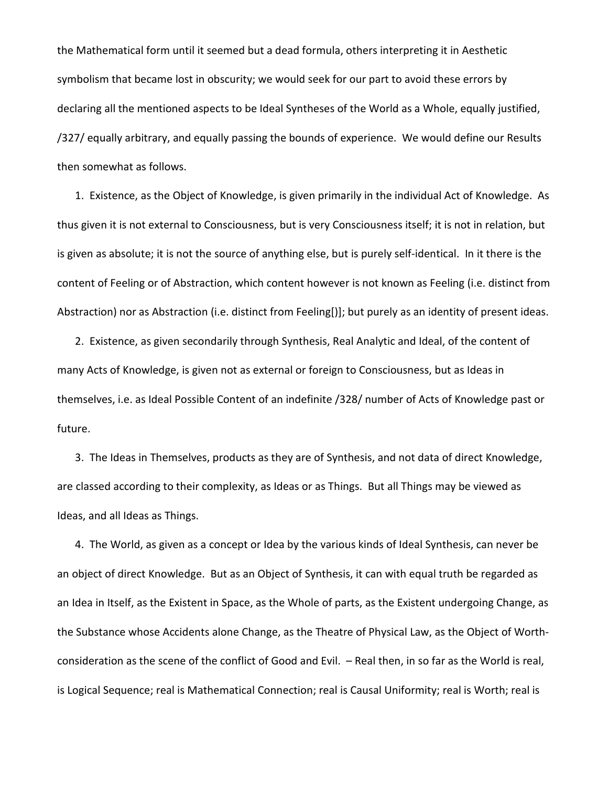the Mathematical form until it seemed but a dead formula, others interpreting it in Aesthetic symbolism that became lost in obscurity; we would seek for our part to avoid these errors by declaring all the mentioned aspects to be Ideal Syntheses of the World as a Whole, equally justified, /327/ equally arbitrary, and equally passing the bounds of experience. We would define our Results then somewhat as follows.

1. Existence, as the Object of Knowledge, is given primarily in the individual Act of Knowledge. As thus given it is not external to Consciousness, but is very Consciousness itself; it is not in relation, but is given as absolute; it is not the source of anything else, but is purely self-identical. In it there is the content of Feeling or of Abstraction, which content however is not known as Feeling (i.e. distinct from Abstraction) nor as Abstraction (i.e. distinct from Feeling[)]; but purely as an identity of present ideas.

2. Existence, as given secondarily through Synthesis, Real Analytic and Ideal, of the content of many Acts of Knowledge, is given not as external or foreign to Consciousness, but as Ideas in themselves, i.e. as Ideal Possible Content of an indefinite /328/ number of Acts of Knowledge past or future.

3. The Ideas in Themselves, products as they are of Synthesis, and not data of direct Knowledge, are classed according to their complexity, as Ideas or as Things. But all Things may be viewed as Ideas, and all Ideas as Things.

4. The World, as given as a concept or Idea by the various kinds of Ideal Synthesis, can never be an object of direct Knowledge. But as an Object of Synthesis, it can with equal truth be regarded as an Idea in Itself, as the Existent in Space, as the Whole of parts, as the Existent undergoing Change, as the Substance whose Accidents alone Change, as the Theatre of Physical Law, as the Object of Worthconsideration as the scene of the conflict of Good and Evil. – Real then, in so far as the World is real, is Logical Sequence; real is Mathematical Connection; real is Causal Uniformity; real is Worth; real is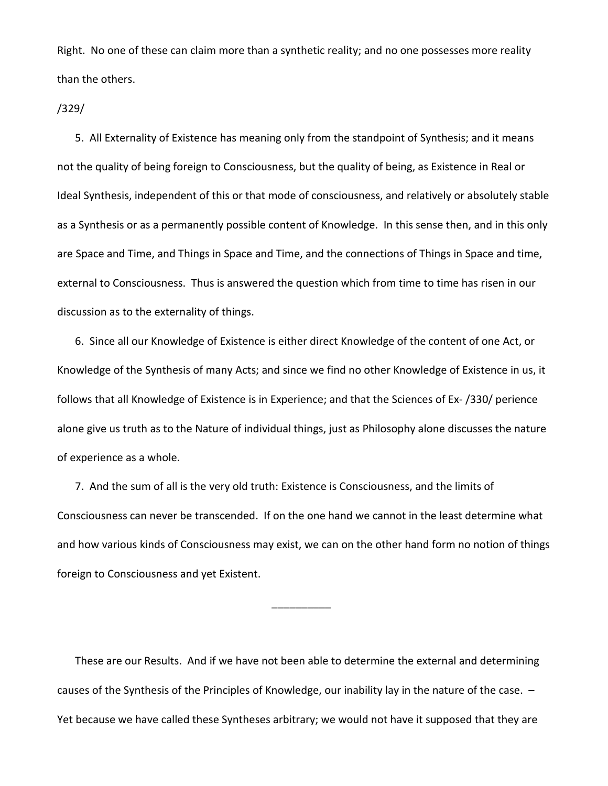Right. No one of these can claim more than a synthetic reality; and no one possesses more reality than the others.

## /329/

5. All Externality of Existence has meaning only from the standpoint of Synthesis; and it means not the quality of being foreign to Consciousness, but the quality of being, as Existence in Real or Ideal Synthesis, independent of this or that mode of consciousness, and relatively or absolutely stable as a Synthesis or as a permanently possible content of Knowledge. In this sense then, and in this only are Space and Time, and Things in Space and Time, and the connections of Things in Space and time, external to Consciousness. Thus is answered the question which from time to time has risen in our discussion as to the externality of things.

6. Since all our Knowledge of Existence is either direct Knowledge of the content of one Act, or Knowledge of the Synthesis of many Acts; and since we find no other Knowledge of Existence in us, it follows that all Knowledge of Existence is in Experience; and that the Sciences of Ex- /330/ perience alone give us truth as to the Nature of individual things, just as Philosophy alone discusses the nature of experience as a whole.

7. And the sum of all is the very old truth: Existence is Consciousness, and the limits of Consciousness can never be transcended. If on the one hand we cannot in the least determine what and how various kinds of Consciousness may exist, we can on the other hand form no notion of things foreign to Consciousness and yet Existent.

\_\_\_\_\_\_\_\_\_\_

These are our Results. And if we have not been able to determine the external and determining causes of the Synthesis of the Principles of Knowledge, our inability lay in the nature of the case. – Yet because we have called these Syntheses arbitrary; we would not have it supposed that they are